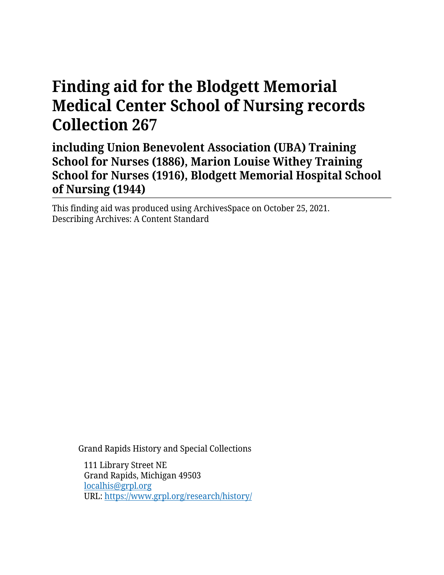# **Finding aid for the Blodgett Memorial Medical Center School of Nursing records Collection 267**

**including Union Benevolent Association (UBA) Training School for Nurses (1886), Marion Louise Withey Training School for Nurses (1916), Blodgett Memorial Hospital School of Nursing (1944)**

This finding aid was produced using ArchivesSpace on October 25, 2021. Describing Archives: A Content Standard

Grand Rapids History and Special Collections

111 Library Street NE Grand Rapids, Michigan 49503 [localhis@grpl.org](mailto:localhis@grpl.org) URL:<https://www.grpl.org/research/history/>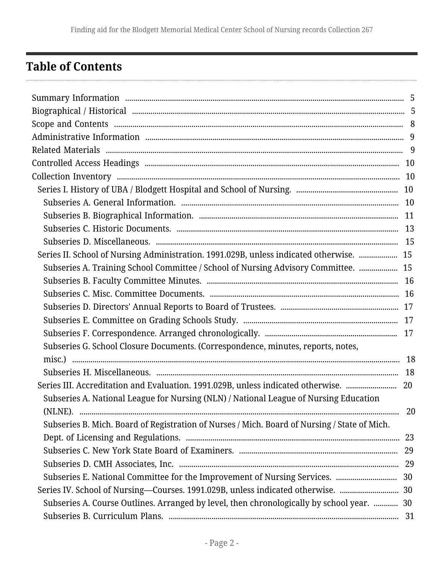# <span id="page-1-0"></span>**Table of Contents**

| Series II. School of Nursing Administration. 1991.029B, unless indicated otherwise.  15      |    |
|----------------------------------------------------------------------------------------------|----|
| Subseries A. Training School Committee / School of Nursing Advisory Committee.  15           |    |
|                                                                                              |    |
|                                                                                              |    |
|                                                                                              |    |
|                                                                                              |    |
|                                                                                              |    |
| Subseries G. School Closure Documents. (Correspondence, minutes, reports, notes,             |    |
|                                                                                              |    |
|                                                                                              |    |
| Series III. Accreditation and Evaluation. 1991.029B, unless indicated otherwise.  20         |    |
| Subseries A. National League for Nursing (NLN) / National League of Nursing Education        |    |
|                                                                                              | 20 |
| Subseries B. Mich. Board of Registration of Nurses / Mich. Board of Nursing / State of Mich. |    |
|                                                                                              |    |
|                                                                                              |    |
|                                                                                              |    |
|                                                                                              |    |
| Series IV. School of Nursing-Courses. 1991.029B, unless indicated otherwise.  30             |    |
| Subseries A. Course Outlines. Arranged by level, then chronologically by school year.  30    |    |
|                                                                                              |    |
|                                                                                              |    |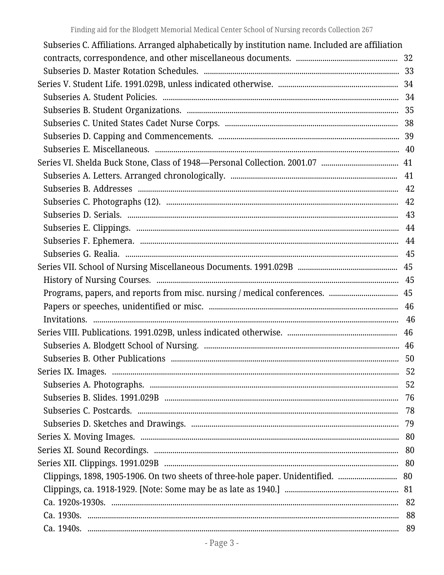| Subseries C. Affiliations. Arranged alphabetically by institution name. Included are affiliation |  |
|--------------------------------------------------------------------------------------------------|--|
|                                                                                                  |  |
|                                                                                                  |  |
|                                                                                                  |  |
|                                                                                                  |  |
|                                                                                                  |  |
|                                                                                                  |  |
|                                                                                                  |  |
|                                                                                                  |  |
|                                                                                                  |  |
|                                                                                                  |  |
|                                                                                                  |  |
|                                                                                                  |  |
|                                                                                                  |  |
|                                                                                                  |  |
|                                                                                                  |  |
|                                                                                                  |  |
|                                                                                                  |  |
|                                                                                                  |  |
|                                                                                                  |  |
|                                                                                                  |  |
|                                                                                                  |  |
|                                                                                                  |  |
|                                                                                                  |  |
|                                                                                                  |  |
|                                                                                                  |  |
|                                                                                                  |  |
|                                                                                                  |  |
|                                                                                                  |  |
|                                                                                                  |  |
|                                                                                                  |  |
|                                                                                                  |  |
|                                                                                                  |  |
|                                                                                                  |  |
|                                                                                                  |  |
|                                                                                                  |  |
|                                                                                                  |  |
|                                                                                                  |  |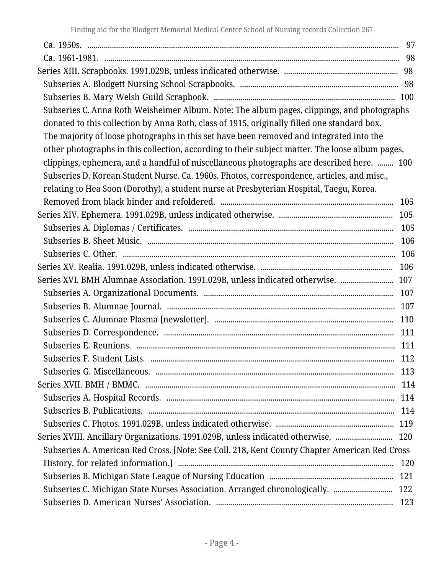| Subseries C. Anna Roth Weisheimer Album. Note: The album pages, clippings, and photographs      |     |
|-------------------------------------------------------------------------------------------------|-----|
| donated to this collection by Anna Roth, class of 1915, originally filled one standard box.     |     |
| The majority of loose photographs in this set have been removed and integrated into the         |     |
| other photographs in this collection, according to their subject matter. The loose album pages, |     |
| clippings, ephemera, and a handful of miscellaneous photographs are described here.  100        |     |
| Subseries D. Korean Student Nurse. Ca. 1960s. Photos, correspondence, articles, and misc.,      |     |
| relating to Hea Soon (Dorothy), a student nurse at Presbyterian Hospital, Taegu, Korea.         |     |
|                                                                                                 |     |
|                                                                                                 |     |
|                                                                                                 | 105 |
|                                                                                                 | 106 |
|                                                                                                 |     |
|                                                                                                 |     |
| Series XVI. BMH Alumnae Association. 1991.029B, unless indicated otherwise.  107                |     |
|                                                                                                 |     |
|                                                                                                 |     |
|                                                                                                 | 110 |
|                                                                                                 | 111 |
|                                                                                                 | 111 |
|                                                                                                 |     |
|                                                                                                 | 113 |
|                                                                                                 | 114 |
|                                                                                                 | 114 |
|                                                                                                 |     |
|                                                                                                 |     |
| Series XVIII. Ancillary Organizations. 1991.029B, unless indicated otherwise.  120              |     |
| Subseries A. American Red Cross. [Note: See Coll. 218, Kent County Chapter American Red Cross   |     |
|                                                                                                 | 120 |
|                                                                                                 |     |
|                                                                                                 |     |
|                                                                                                 |     |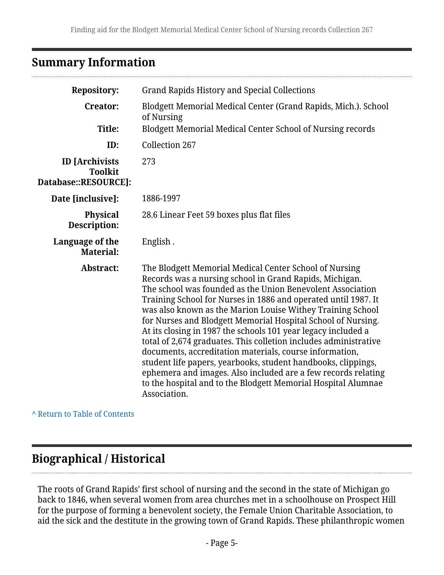# <span id="page-4-0"></span>**Summary Information**

| <b>Repository:</b>                                              | <b>Grand Rapids History and Special Collections</b>                                                                                                                                                                                                                                                                                                                                                                                                                                                                                                                                                                                                                                                                                                                                                |
|-----------------------------------------------------------------|----------------------------------------------------------------------------------------------------------------------------------------------------------------------------------------------------------------------------------------------------------------------------------------------------------------------------------------------------------------------------------------------------------------------------------------------------------------------------------------------------------------------------------------------------------------------------------------------------------------------------------------------------------------------------------------------------------------------------------------------------------------------------------------------------|
| <b>Creator:</b>                                                 | Blodgett Memorial Medical Center (Grand Rapids, Mich.). School<br>of Nursing                                                                                                                                                                                                                                                                                                                                                                                                                                                                                                                                                                                                                                                                                                                       |
| Title:                                                          | Blodgett Memorial Medical Center School of Nursing records                                                                                                                                                                                                                                                                                                                                                                                                                                                                                                                                                                                                                                                                                                                                         |
| ID:                                                             | <b>Collection 267</b>                                                                                                                                                                                                                                                                                                                                                                                                                                                                                                                                                                                                                                                                                                                                                                              |
| <b>ID</b> [Archivists<br><b>Toolkit</b><br>Database::RESOURCE]: | 273                                                                                                                                                                                                                                                                                                                                                                                                                                                                                                                                                                                                                                                                                                                                                                                                |
| Date [inclusive]:                                               | 1886-1997                                                                                                                                                                                                                                                                                                                                                                                                                                                                                                                                                                                                                                                                                                                                                                                          |
| <b>Physical</b><br><b>Description:</b>                          | 28.6 Linear Feet 59 boxes plus flat files                                                                                                                                                                                                                                                                                                                                                                                                                                                                                                                                                                                                                                                                                                                                                          |
| Language of the<br><b>Material:</b>                             | English.                                                                                                                                                                                                                                                                                                                                                                                                                                                                                                                                                                                                                                                                                                                                                                                           |
| Abstract:                                                       | The Blodgett Memorial Medical Center School of Nursing<br>Records was a nursing school in Grand Rapids, Michigan.<br>The school was founded as the Union Benevolent Association<br>Training School for Nurses in 1886 and operated until 1987. It<br>was also known as the Marion Louise Withey Training School<br>for Nurses and Blodgett Memorial Hospital School of Nursing.<br>At its closing in 1987 the schools 101 year legacy included a<br>total of 2,674 graduates. This colletion includes administrative<br>documents, accreditation materials, course information,<br>student life papers, yearbooks, student handbooks, clippings,<br>ephemera and images. Also included are a few records relating<br>to the hospital and to the Blodgett Memorial Hospital Alumnae<br>Association. |

**^** [Return to Table of Contents](#page-1-0)

# <span id="page-4-1"></span>**Biographical / Historical**

The roots of Grand Rapids' first school of nursing and the second in the state of Michigan go back to 1846, when several women from area churches met in a schoolhouse on Prospect Hill for the purpose of forming a benevolent society, the Female Union Charitable Association, to aid the sick and the destitute in the growing town of Grand Rapids. These philanthropic women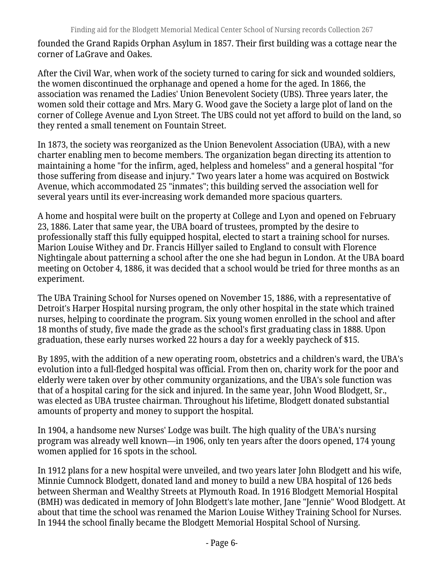founded the Grand Rapids Orphan Asylum in 1857. Their first building was a cottage near the corner of LaGrave and Oakes.

After the Civil War, when work of the society turned to caring for sick and wounded soldiers, the women discontinued the orphanage and opened a home for the aged. In 1866, the association was renamed the Ladies' Union Benevolent Society (UBS). Three years later, the women sold their cottage and Mrs. Mary G. Wood gave the Society a large plot of land on the corner of College Avenue and Lyon Street. The UBS could not yet afford to build on the land, so they rented a small tenement on Fountain Street.

In 1873, the society was reorganized as the Union Benevolent Association (UBA), with a new charter enabling men to become members. The organization began directing its attention to maintaining a home "for the infirm, aged, helpless and homeless" and a general hospital "for those suffering from disease and injury." Two years later a home was acquired on Bostwick Avenue, which accommodated 25 "inmates"; this building served the association well for several years until its ever-increasing work demanded more spacious quarters.

A home and hospital were built on the property at College and Lyon and opened on February 23, 1886. Later that same year, the UBA board of trustees, prompted by the desire to professionally staff this fully equipped hospital, elected to start a training school for nurses. Marion Louise Withey and Dr. Francis Hillyer sailed to England to consult with Florence Nightingale about patterning a school after the one she had begun in London. At the UBA board meeting on October 4, 1886, it was decided that a school would be tried for three months as an experiment.

The UBA Training School for Nurses opened on November 15, 1886, with a representative of Detroit's Harper Hospital nursing program, the only other hospital in the state which trained nurses, helping to coordinate the program. Six young women enrolled in the school and after 18 months of study, five made the grade as the school's first graduating class in 1888. Upon graduation, these early nurses worked 22 hours a day for a weekly paycheck of \$15.

By 1895, with the addition of a new operating room, obstetrics and a children's ward, the UBA's evolution into a full-fledged hospital was official. From then on, charity work for the poor and elderly were taken over by other community organizations, and the UBA's sole function was that of a hospital caring for the sick and injured. In the same year, John Wood Blodgett, Sr., was elected as UBA trustee chairman. Throughout his lifetime, Blodgett donated substantial amounts of property and money to support the hospital.

In 1904, a handsome new Nurses' Lodge was built. The high quality of the UBA's nursing program was already well known—in 1906, only ten years after the doors opened, 174 young women applied for 16 spots in the school.

In 1912 plans for a new hospital were unveiled, and two years later John Blodgett and his wife, Minnie Cumnock Blodgett, donated land and money to build a new UBA hospital of 126 beds between Sherman and Wealthy Streets at Plymouth Road. In 1916 Blodgett Memorial Hospital (BMH) was dedicated in memory of John Blodgett's late mother, Jane "Jennie" Wood Blodgett. At about that time the school was renamed the Marion Louise Withey Training School for Nurses. In 1944 the school finally became the Blodgett Memorial Hospital School of Nursing.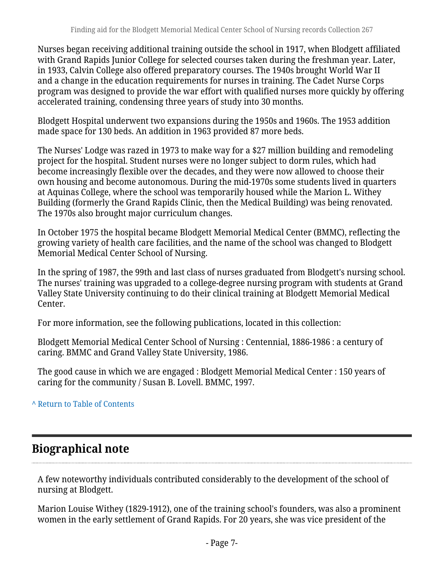Nurses began receiving additional training outside the school in 1917, when Blodgett affiliated with Grand Rapids Junior College for selected courses taken during the freshman year. Later, in 1933, Calvin College also offered preparatory courses. The 1940s brought World War II and a change in the education requirements for nurses in training. The Cadet Nurse Corps program was designed to provide the war effort with qualified nurses more quickly by offering accelerated training, condensing three years of study into 30 months.

Blodgett Hospital underwent two expansions during the 1950s and 1960s. The 1953 addition made space for 130 beds. An addition in 1963 provided 87 more beds.

The Nurses' Lodge was razed in 1973 to make way for a \$27 million building and remodeling project for the hospital. Student nurses were no longer subject to dorm rules, which had become increasingly flexible over the decades, and they were now allowed to choose their own housing and become autonomous. During the mid-1970s some students lived in quarters at Aquinas College, where the school was temporarily housed while the Marion L. Withey Building (formerly the Grand Rapids Clinic, then the Medical Building) was being renovated. The 1970s also brought major curriculum changes.

In October 1975 the hospital became Blodgett Memorial Medical Center (BMMC), reflecting the growing variety of health care facilities, and the name of the school was changed to Blodgett Memorial Medical Center School of Nursing.

In the spring of 1987, the 99th and last class of nurses graduated from Blodgett's nursing school. The nurses' training was upgraded to a college-degree nursing program with students at Grand Valley State University continuing to do their clinical training at Blodgett Memorial Medical Center.

For more information, see the following publications, located in this collection:

Blodgett Memorial Medical Center School of Nursing : Centennial, 1886-1986 : a century of caring. BMMC and Grand Valley State University, 1986.

The good cause in which we are engaged : Blodgett Memorial Medical Center : 150 years of caring for the community / Susan B. Lovell. BMMC, 1997.

### **^** [Return to Table of Contents](#page-1-0)

# **Biographical note**

A few noteworthy individuals contributed considerably to the development of the school of nursing at Blodgett.

Marion Louise Withey (1829-1912), one of the training school's founders, was also a prominent women in the early settlement of Grand Rapids. For 20 years, she was vice president of the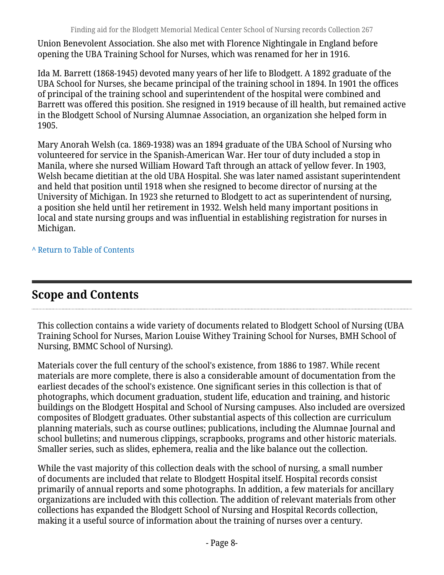Union Benevolent Association. She also met with Florence Nightingale in England before opening the UBA Training School for Nurses, which was renamed for her in 1916.

Ida M. Barrett (1868-1945) devoted many years of her life to Blodgett. A 1892 graduate of the UBA School for Nurses, she became principal of the training school in 1894. In 1901 the offices of principal of the training school and superintendent of the hospital were combined and Barrett was offered this position. She resigned in 1919 because of ill health, but remained active in the Blodgett School of Nursing Alumnae Association, an organization she helped form in 1905.

Mary Anorah Welsh (ca. 1869-1938) was an 1894 graduate of the UBA School of Nursing who volunteered for service in the Spanish-American War. Her tour of duty included a stop in Manila, where she nursed William Howard Taft through an attack of yellow fever. In 1903, Welsh became dietitian at the old UBA Hospital. She was later named assistant superintendent and held that position until 1918 when she resigned to become director of nursing at the University of Michigan. In 1923 she returned to Blodgett to act as superintendent of nursing, a position she held until her retirement in 1932. Welsh held many important positions in local and state nursing groups and was influential in establishing registration for nurses in Michigan.

**^** [Return to Table of Contents](#page-1-0)

# <span id="page-7-0"></span>**Scope and Contents**

This collection contains a wide variety of documents related to Blodgett School of Nursing (UBA Training School for Nurses, Marion Louise Withey Training School for Nurses, BMH School of Nursing, BMMC School of Nursing).

Materials cover the full century of the school's existence, from 1886 to 1987. While recent materials are more complete, there is also a considerable amount of documentation from the earliest decades of the school's existence. One significant series in this collection is that of photographs, which document graduation, student life, education and training, and historic buildings on the Blodgett Hospital and School of Nursing campuses. Also included are oversized composites of Blodgett graduates. Other substantial aspects of this collection are curriculum planning materials, such as course outlines; publications, including the Alumnae Journal and school bulletins; and numerous clippings, scrapbooks, programs and other historic materials. Smaller series, such as slides, ephemera, realia and the like balance out the collection.

While the vast majority of this collection deals with the school of nursing, a small number of documents are included that relate to Blodgett Hospital itself. Hospital records consist primarily of annual reports and some photographs. In addition, a few materials for ancillary organizations are included with this collection. The addition of relevant materials from other collections has expanded the Blodgett School of Nursing and Hospital Records collection, making it a useful source of information about the training of nurses over a century.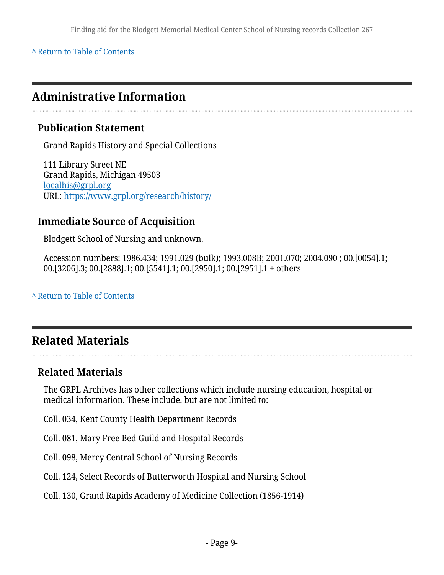**^** [Return to Table of Contents](#page-1-0)

# <span id="page-8-0"></span>**Administrative Information**

### **Publication Statement**

Grand Rapids History and Special Collections

111 Library Street NE Grand Rapids, Michigan 49503 [localhis@grpl.org](mailto:localhis@grpl.org) URL:<https://www.grpl.org/research/history/>

### **Immediate Source of Acquisition**

Blodgett School of Nursing and unknown.

Accession numbers: 1986.434; 1991.029 (bulk); 1993.008B; 2001.070; 2004.090 ; 00.[0054].1; 00.[3206].3; 00.[2888].1; 00.[5541].1; 00.[2950].1; 00.[2951].1 + others

**^** [Return to Table of Contents](#page-1-0)

# <span id="page-8-1"></span>**Related Materials**

### **Related Materials**

The GRPL Archives has other collections which include nursing education, hospital or medical information. These include, but are not limited to:

- Coll. 034, Kent County Health Department Records
- Coll. 081, Mary Free Bed Guild and Hospital Records
- Coll. 098, Mercy Central School of Nursing Records
- Coll. 124, Select Records of Butterworth Hospital and Nursing School
- Coll. 130, Grand Rapids Academy of Medicine Collection (1856-1914)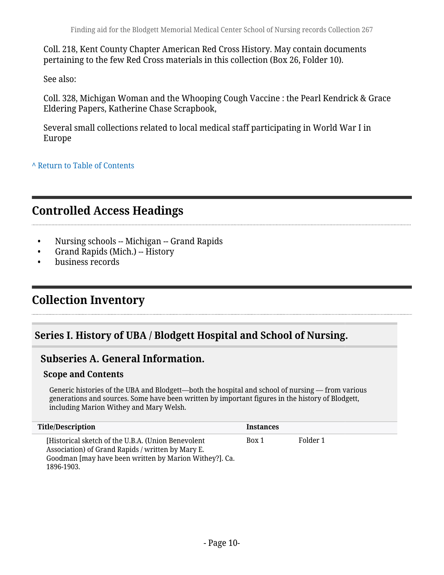Coll. 218, Kent County Chapter American Red Cross History. May contain documents pertaining to the few Red Cross materials in this collection (Box 26, Folder 10).

See also:

Coll. 328, Michigan Woman and the Whooping Cough Vaccine : the Pearl Kendrick & Grace Eldering Papers, Katherine Chase Scrapbook,

Several small collections related to local medical staff participating in World War I in Europe

**^** [Return to Table of Contents](#page-1-0)

# <span id="page-9-0"></span>**Controlled Access Headings**

- Nursing schools -- Michigan -- Grand Rapids
- Grand Rapids (Mich.) -- History
- business records

# <span id="page-9-1"></span>**Collection Inventory**

### <span id="page-9-2"></span>**Series I. History of UBA / Blodgett Hospital and School of Nursing.**

### <span id="page-9-3"></span>**Subseries A. General Information.**

#### **Scope and Contents**

Generic histories of the UBA and Blodgett—both the hospital and school of nursing — from various generations and sources. Some have been written by important figures in the history of Blodgett, including Marion Withey and Mary Welsh.

| Title/Description                                                                                                                                                               | <b>Instances</b> |          |
|---------------------------------------------------------------------------------------------------------------------------------------------------------------------------------|------------------|----------|
| [Historical sketch of the U.B.A. (Union Benevolent<br>Association) of Grand Rapids / written by Mary E.<br>Goodman [may have been written by Marion Withey?]. Ca.<br>1896-1903. | Box 1            | Folder 1 |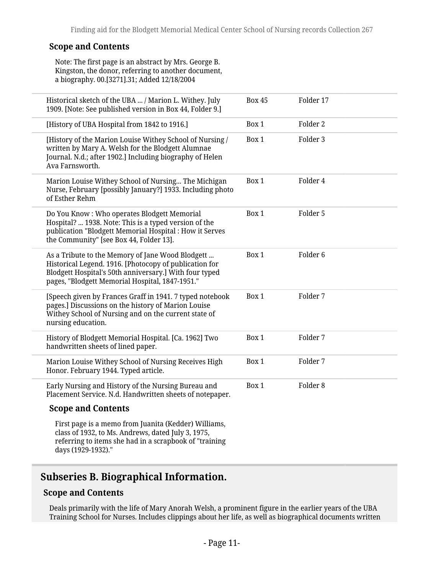#### **Scope and Contents**

Note: The first page is an abstract by Mrs. George B. Kingston, the donor, referring to another document, a biography. 00.[3271].31; Added 12/18/2004

| Historical sketch of the UBA  / Marion L. Withey. July<br>1909. [Note: See published version in Box 44, Folder 9.]                                                                                                      | <b>Box 45</b> | Folder 17           |  |
|-------------------------------------------------------------------------------------------------------------------------------------------------------------------------------------------------------------------------|---------------|---------------------|--|
| [History of UBA Hospital from 1842 to 1916.]                                                                                                                                                                            | Box 1         | Folder 2            |  |
| [History of the Marion Louise Withey School of Nursing /<br>written by Mary A. Welsh for the Blodgett Alumnae<br>Journal. N.d.; after 1902.] Including biography of Helen<br>Ava Farnsworth.                            | Box 1         | Folder 3            |  |
| Marion Louise Withey School of Nursing The Michigan<br>Nurse, February [possibly January?] 1933. Including photo<br>of Esther Rehm                                                                                      | Box 1         | Folder 4            |  |
| Do You Know: Who operates Blodgett Memorial<br>Hospital?  1938. Note: This is a typed version of the<br>publication "Blodgett Memorial Hospital : How it Serves<br>the Community" [see Box 44, Folder 13].              | Box 1         | Folder 5            |  |
| As a Tribute to the Memory of Jane Wood Blodgett<br>Historical Legend. 1916. [Photocopy of publication for<br>Blodgett Hospital's 50th anniversary.] With four typed<br>pages, "Blodgett Memorial Hospital, 1847-1951." | Box 1         | Folder <sub>6</sub> |  |
| [Speech given by Frances Graff in 1941. 7 typed notebook<br>pages.] Discussions on the history of Marion Louise<br>Withey School of Nursing and on the current state of<br>nursing education.                           | Box 1         | Folder 7            |  |
| History of Blodgett Memorial Hospital. [Ca. 1962] Two<br>handwritten sheets of lined paper.                                                                                                                             | Box 1         | Folder 7            |  |
| Marion Louise Withey School of Nursing Receives High<br>Honor. February 1944. Typed article.                                                                                                                            | Box 1         | Folder 7            |  |
| Early Nursing and History of the Nursing Bureau and<br>Placement Service. N.d. Handwritten sheets of notepaper.                                                                                                         | Box 1         | Folder <sub>8</sub> |  |
| <b>Scope and Contents</b>                                                                                                                                                                                               |               |                     |  |
| First page is a memo from Juanita (Kedder) Williams,<br>class of 1932, to Ms. Andrews, dated July 3, 1975,<br>referring to items she had in a scrapbook of "training<br>days (1929-1932)."                              |               |                     |  |

# <span id="page-10-0"></span>**Subseries B. Biographical Information.**

#### **Scope and Contents**

Deals primarily with the life of Mary Anorah Welsh, a prominent figure in the earlier years of the UBA Training School for Nurses. Includes clippings about her life, as well as biographical documents written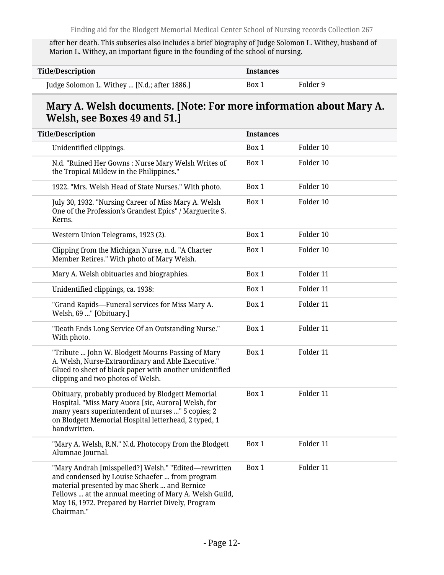after her death. This subseries also includes a brief biography of Judge Solomon L. Withey, husband of Marion L. Withey, an important figure in the founding of the school of nursing.

| <b>Title/Description</b>                     | <b>Instances</b> |          |
|----------------------------------------------|------------------|----------|
| Judge Solomon L. Withey  [N.d.; after 1886.] | Box 1            | Folder 9 |

### **Mary A. Welsh documents. [Note: For more information about Mary A. Welsh, see Boxes 49 and 51.]**

| <b>Title/Description</b>                                                                                                                                                                                                                                                            | <b>Instances</b> |           |  |
|-------------------------------------------------------------------------------------------------------------------------------------------------------------------------------------------------------------------------------------------------------------------------------------|------------------|-----------|--|
| Unidentified clippings.                                                                                                                                                                                                                                                             | Box 1            | Folder 10 |  |
| N.d. "Ruined Her Gowns: Nurse Mary Welsh Writes of<br>the Tropical Mildew in the Philippines."                                                                                                                                                                                      | Box 1            | Folder 10 |  |
| 1922. "Mrs. Welsh Head of State Nurses." With photo.                                                                                                                                                                                                                                | Box 1            | Folder 10 |  |
| July 30, 1932. "Nursing Career of Miss Mary A. Welsh<br>One of the Profession's Grandest Epics" / Marguerite S.<br>Kerns.                                                                                                                                                           | Box 1            | Folder 10 |  |
| Western Union Telegrams, 1923 (2).                                                                                                                                                                                                                                                  | Box 1            | Folder 10 |  |
| Clipping from the Michigan Nurse, n.d. "A Charter<br>Member Retires." With photo of Mary Welsh.                                                                                                                                                                                     | Box 1            | Folder 10 |  |
| Mary A. Welsh obituaries and biographies.                                                                                                                                                                                                                                           | Box 1            | Folder 11 |  |
| Unidentified clippings, ca. 1938:                                                                                                                                                                                                                                                   | Box 1            | Folder 11 |  |
| "Grand Rapids-Funeral services for Miss Mary A.<br>Welsh, 69 " [Obituary.]                                                                                                                                                                                                          | Box 1            | Folder 11 |  |
| "Death Ends Long Service Of an Outstanding Nurse."<br>With photo.                                                                                                                                                                                                                   | Box 1            | Folder 11 |  |
| "Tribute  John W. Blodgett Mourns Passing of Mary<br>A. Welsh, Nurse-Extraordinary and Able Executive."<br>Glued to sheet of black paper with another unidentified<br>clipping and two photos of Welsh.                                                                             | Box 1            | Folder 11 |  |
| Obituary, probably produced by Blodgett Memorial<br>Hospital. "Miss Mary Auora [sic, Aurora] Welsh, for<br>many years superintendent of nurses " 5 copies; 2<br>on Blodgett Memorial Hospital letterhead, 2 typed, 1<br>handwritten.                                                | Box 1            | Folder 11 |  |
| "Mary A. Welsh, R.N." N.d. Photocopy from the Blodgett<br>Alumnae Journal.                                                                                                                                                                                                          | Box 1            | Folder 11 |  |
| "Mary Andrah [misspelled?] Welsh." "Edited—rewritten<br>and condensed by Louise Schaefer  from program<br>material presented by mac Sherk  and Bernice<br>Fellows  at the annual meeting of Mary A. Welsh Guild,<br>May 16, 1972. Prepared by Harriet Dively, Program<br>Chairman." | Box 1            | Folder 11 |  |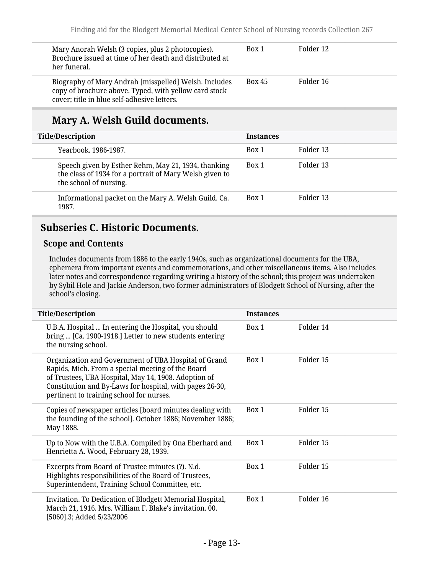| Mary Anorah Welsh (3 copies, plus 2 photocopies).<br>Brochure issued at time of her death and distributed at<br>her funeral.                                  | Box 1         | Folder 12 |
|---------------------------------------------------------------------------------------------------------------------------------------------------------------|---------------|-----------|
| Biography of Mary Andrah [misspelled] Welsh. Includes<br>copy of brochure above. Typed, with yellow card stock<br>cover; title in blue self-adhesive letters. | <b>Box 45</b> | Folder 16 |

# **Mary A. Welsh Guild documents.**

| <b>Title/Description</b>                                                                                                                 | <b>Instances</b> |           |
|------------------------------------------------------------------------------------------------------------------------------------------|------------------|-----------|
| Yearbook, 1986-1987.                                                                                                                     | Box 1            | Folder 13 |
| Speech given by Esther Rehm, May 21, 1934, thanking<br>the class of 1934 for a portrait of Mary Welsh given to<br>the school of nursing. | Box 1            | Folder 13 |
| Informational packet on the Mary A. Welsh Guild. Ca.<br>1987.                                                                            | Box 1            | Folder 13 |

#### <span id="page-12-0"></span>**Subseries C. Historic Documents.**

#### **Scope and Contents**

Includes documents from 1886 to the early 1940s, such as organizational documents for the UBA, ephemera from important events and commemorations, and other miscellaneous items. Also includes later notes and correspondence regarding writing a history of the school; this project was undertaken by Sybil Hole and Jackie Anderson, two former administrators of Blodgett School of Nursing, after the school's closing.

| <b>Title/Description</b>                                                                                                                                                                                                                                                  | <b>Instances</b> |           |
|---------------------------------------------------------------------------------------------------------------------------------------------------------------------------------------------------------------------------------------------------------------------------|------------------|-----------|
| U.B.A. Hospital  In entering the Hospital, you should<br>bring  [Ca. 1900-1918.] Letter to new students entering<br>the nursing school.                                                                                                                                   | Box 1            | Folder 14 |
| Organization and Government of UBA Hospital of Grand<br>Rapids, Mich. From a special meeting of the Board<br>of Trustees, UBA Hospital, May 14, 1908. Adoption of<br>Constitution and By-Laws for hospital, with pages 26-30,<br>pertinent to training school for nurses. | Box 1            | Folder 15 |
| Copies of newspaper articles [board minutes dealing with<br>the founding of the school]. October 1886; November 1886;<br>May 1888.                                                                                                                                        | Box 1            | Folder 15 |
| Up to Now with the U.B.A. Compiled by Ona Eberhard and<br>Henrietta A. Wood, February 28, 1939.                                                                                                                                                                           | Box 1            | Folder 15 |
| Excerpts from Board of Trustee minutes (?). N.d.<br>Highlights responsibilities of the Board of Trustees,<br>Superintendent, Training School Committee, etc.                                                                                                              | Box 1            | Folder 15 |
| Invitation. To Dedication of Blodgett Memorial Hospital,<br>March 21, 1916. Mrs. William F. Blake's invitation. 00.<br>[5060].3; Added 5/23/2006                                                                                                                          | Box 1            | Folder 16 |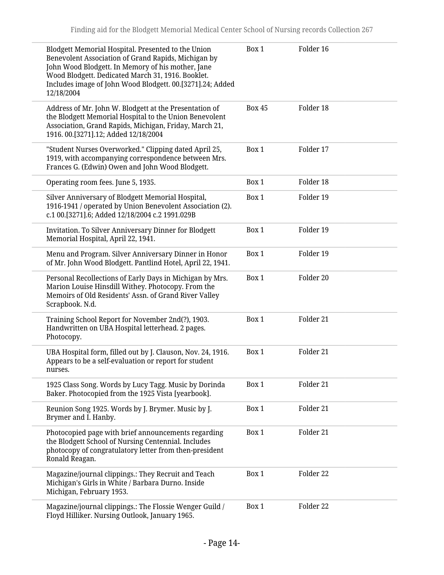| Blodgett Memorial Hospital. Presented to the Union<br>Benevolent Association of Grand Rapids, Michigan by<br>John Wood Blodgett. In Memory of his mother, Jane<br>Wood Blodgett. Dedicated March 31, 1916. Booklet.<br>Includes image of John Wood Blodgett. 00.[3271].24; Added<br>12/18/2004 | Box 1         | Folder 16 |
|------------------------------------------------------------------------------------------------------------------------------------------------------------------------------------------------------------------------------------------------------------------------------------------------|---------------|-----------|
| Address of Mr. John W. Blodgett at the Presentation of<br>the Blodgett Memorial Hospital to the Union Benevolent<br>Association, Grand Rapids, Michigan, Friday, March 21,<br>1916. 00.[3271].12; Added 12/18/2004                                                                             | <b>Box 45</b> | Folder 18 |
| "Student Nurses Overworked." Clipping dated April 25,<br>1919, with accompanying correspondence between Mrs.<br>Frances G. (Edwin) Owen and John Wood Blodgett.                                                                                                                                | Box 1         | Folder 17 |
| Operating room fees. June 5, 1935.                                                                                                                                                                                                                                                             | Box 1         | Folder 18 |
| Silver Anniversary of Blodgett Memorial Hospital,<br>1916-1941 / operated by Union Benevolent Association (2).<br>c.1 00.[3271].6; Added 12/18/2004 c.2 1991.029B                                                                                                                              | Box 1         | Folder 19 |
| Invitation. To Silver Anniversary Dinner for Blodgett<br>Memorial Hospital, April 22, 1941.                                                                                                                                                                                                    | Box 1         | Folder 19 |
| Menu and Program. Silver Anniversary Dinner in Honor<br>of Mr. John Wood Blodgett. Pantlind Hotel, April 22, 1941.                                                                                                                                                                             | Box 1         | Folder 19 |
| Personal Recollections of Early Days in Michigan by Mrs.<br>Marion Louise Hinsdill Withey. Photocopy. From the<br>Memoirs of Old Residents' Assn. of Grand River Valley<br>Scrapbook. N.d.                                                                                                     | Box 1         | Folder 20 |
| Training School Report for November 2nd(?), 1903.<br>Handwritten on UBA Hospital letterhead. 2 pages.<br>Photocopy.                                                                                                                                                                            | Box 1         | Folder 21 |
| UBA Hospital form, filled out by J. Clauson, Nov. 24, 1916.<br>Appears to be a self-evaluation or report for student<br>nurses.                                                                                                                                                                | Box 1         | Folder 21 |
| 1925 Class Song. Words by Lucy Tagg. Music by Dorinda<br>Baker. Photocopied from the 1925 Vista [yearbook].                                                                                                                                                                                    | Box 1         | Folder 21 |
| Reunion Song 1925. Words by J. Brymer. Music by J.<br>Brymer and I. Hanby.                                                                                                                                                                                                                     | Box 1         | Folder 21 |
| Photocopied page with brief announcements regarding<br>the Blodgett School of Nursing Centennial. Includes<br>photocopy of congratulatory letter from then-president<br>Ronald Reagan.                                                                                                         | Box 1         | Folder 21 |
| Magazine/journal clippings.: They Recruit and Teach<br>Michigan's Girls in White / Barbara Durno. Inside<br>Michigan, February 1953.                                                                                                                                                           | Box 1         | Folder 22 |
| Magazine/journal clippings.: The Flossie Wenger Guild /<br>Floyd Hilliker. Nursing Outlook, January 1965.                                                                                                                                                                                      | Box 1         | Folder 22 |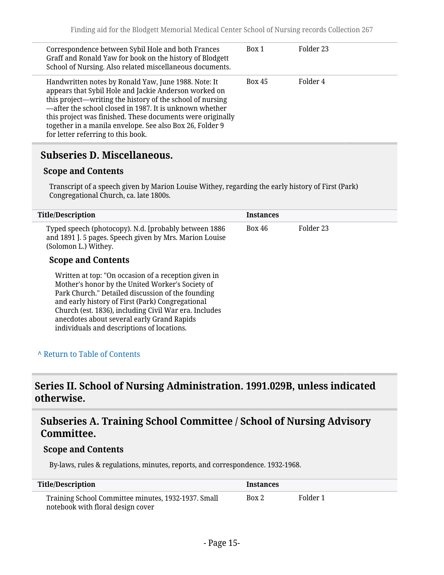| Correspondence between Sybil Hole and both Frances<br>Graff and Ronald Yaw for book on the history of Blodgett<br>School of Nursing. Also related miscellaneous documents.                                                                                                                                                                                                                            | Box 1         | Folder 23 |
|-------------------------------------------------------------------------------------------------------------------------------------------------------------------------------------------------------------------------------------------------------------------------------------------------------------------------------------------------------------------------------------------------------|---------------|-----------|
| Handwritten notes by Ronald Yaw, June 1988. Note: It<br>appears that Sybil Hole and Jackie Anderson worked on<br>this project—writing the history of the school of nursing<br>-after the school closed in 1987. It is unknown whether<br>this project was finished. These documents were originally<br>together in a manila envelope. See also Box 26, Folder 9<br>for letter referring to this book. | <b>Box 45</b> | Folder 4  |

#### <span id="page-14-0"></span>**Subseries D. Miscellaneous.**

#### **Scope and Contents**

Transcript of a speech given by Marion Louise Withey, regarding the early history of First (Park) Congregational Church, ca. late 1800s.

| <b>Title/Description</b>                                                                                                                                                                                                                                                                                                                                               | <b>Instances</b> |           |
|------------------------------------------------------------------------------------------------------------------------------------------------------------------------------------------------------------------------------------------------------------------------------------------------------------------------------------------------------------------------|------------------|-----------|
| Typed speech (photocopy). N.d. [probably between 1886<br>and 1891 ]. 5 pages. Speech given by Mrs. Marion Louise<br>(Solomon L.) Withey.                                                                                                                                                                                                                               | Box 46           | Folder 23 |
| <b>Scope and Contents</b>                                                                                                                                                                                                                                                                                                                                              |                  |           |
| Written at top: "On occasion of a reception given in<br>Mother's honor by the United Worker's Society of<br>Park Church." Detailed discussion of the founding<br>and early history of First (Park) Congregational<br>Church (est. 1836), including Civil War era. Includes<br>anecdotes about several early Grand Rapids<br>individuals and descriptions of locations. |                  |           |

#### **^** [Return to Table of Contents](#page-1-0)

### <span id="page-14-1"></span>**Series II. School of Nursing Administration. 1991.029B, unless indicated otherwise.**

### <span id="page-14-2"></span>**Subseries A. Training School Committee / School of Nursing Advisory Committee.**

#### **Scope and Contents**

By-laws, rules & regulations, minutes, reports, and correspondence. 1932-1968.

| <b>Title/Description</b>                                                                 | <b>Instances</b> |          |
|------------------------------------------------------------------------------------------|------------------|----------|
| Training School Committee minutes, 1932-1937. Small<br>notebook with floral design cover | Box 2            | Folder 1 |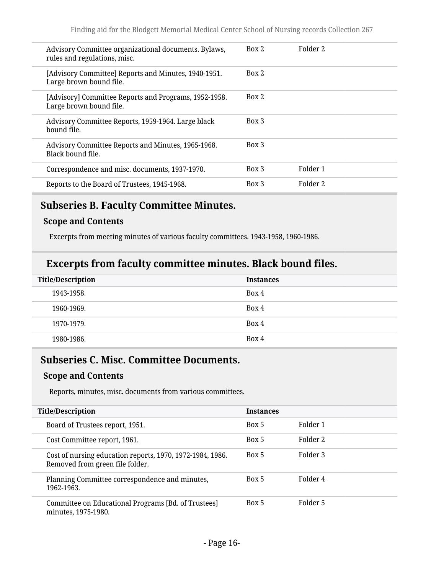| Advisory Committee organizational documents. Bylaws,<br>rules and regulations, misc. | Box 2 | Folder 2 |
|--------------------------------------------------------------------------------------|-------|----------|
| [Advisory Committee] Reports and Minutes, 1940-1951.<br>Large brown bound file.      | Box 2 |          |
| [Advisory] Committee Reports and Programs, 1952-1958.<br>Large brown bound file.     | Box 2 |          |
| Advisory Committee Reports, 1959-1964. Large black<br>bound file.                    | Box 3 |          |
| Advisory Committee Reports and Minutes, 1965-1968.<br>Black bound file.              | Box 3 |          |
| Correspondence and misc. documents, 1937-1970.                                       | Box 3 | Folder 1 |
| Reports to the Board of Trustees, 1945-1968.                                         | Box 3 | Folder 2 |
|                                                                                      |       |          |

# <span id="page-15-0"></span>**Subseries B. Faculty Committee Minutes.**

#### **Scope and Contents**

Excerpts from meeting minutes of various faculty committees. 1943-1958, 1960-1986.

#### **Excerpts from faculty committee minutes. Black bound files.**

| <b>Title/Description</b> | <b>Instances</b> |
|--------------------------|------------------|
| 1943-1958.               | Box 4            |
| 1960-1969.               | Box 4            |
| 1970-1979.               | Box 4            |
| 1980-1986.               | Box 4            |

### <span id="page-15-1"></span>**Subseries C. Misc. Committee Documents.**

#### **Scope and Contents**

Reports, minutes, misc. documents from various committees.

| <b>Title/Description</b>                                                                     | <b>Instances</b> |          |  |
|----------------------------------------------------------------------------------------------|------------------|----------|--|
| Board of Trustees report, 1951.                                                              | Box 5            | Folder 1 |  |
| Cost Committee report, 1961.                                                                 | Box 5            | Folder 2 |  |
| Cost of nursing education reports, 1970, 1972-1984, 1986.<br>Removed from green file folder. | Box 5            | Folder 3 |  |
| Planning Committee correspondence and minutes,<br>1962-1963.                                 | Box 5            | Folder 4 |  |
| Committee on Educational Programs [Bd. of Trustees]<br>minutes, 1975-1980.                   | Box 5            | Folder 5 |  |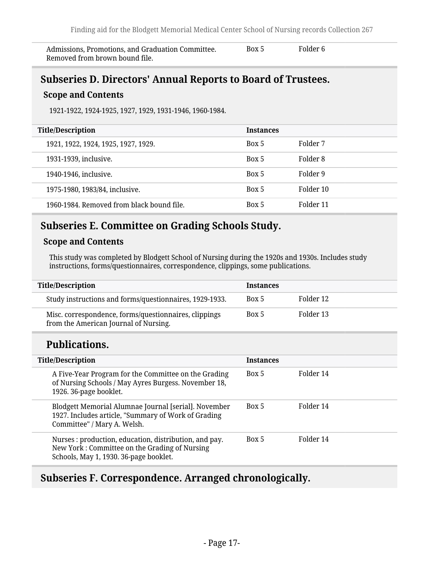Admissions, Promotions, and Graduation Committee. Removed from brown bound file.

Box 5 Folder 6

### <span id="page-16-0"></span>**Subseries D. Directors' Annual Reports to Board of Trustees.**

#### **Scope and Contents**

1921-1922, 1924-1925, 1927, 1929, 1931-1946, 1960-1984.

| <b>Title/Description</b>                  | <b>Instances</b> |           |
|-------------------------------------------|------------------|-----------|
| 1921, 1922, 1924, 1925, 1927, 1929.       | Box 5            | Folder 7  |
| 1931-1939, inclusive.                     | Box 5            | Folder 8  |
| 1940-1946, inclusive.                     | Box 5            | Folder 9  |
| 1975-1980, 1983/84, inclusive.            | Box 5            | Folder 10 |
| 1960-1984. Removed from black bound file. | Box 5            | Folder 11 |

### <span id="page-16-1"></span>**Subseries E. Committee on Grading Schools Study.**

#### **Scope and Contents**

This study was completed by Blodgett School of Nursing during the 1920s and 1930s. Includes study instructions, forms/questionnaires, correspondence, clippings, some publications.

| <b>Title/Description</b>                                                                       | <b>Instances</b> |           |
|------------------------------------------------------------------------------------------------|------------------|-----------|
| Study instructions and forms/questionnaires, 1929-1933.                                        | Box 5            | Folder 12 |
| Misc. correspondence, forms/questionnaires, clippings<br>from the American Journal of Nursing. | Box 5            | Folder 13 |

### **Publications.**

| <b>Title/Description</b>                                                                                                                         | <b>Instances</b> |           |
|--------------------------------------------------------------------------------------------------------------------------------------------------|------------------|-----------|
| A Five-Year Program for the Committee on the Grading<br>of Nursing Schools / May Ayres Burgess. November 18,<br>1926. 36-page booklet.           | Box 5            | Folder 14 |
| Blodgett Memorial Alumnae Journal [serial]. November<br>1927. Includes article, "Summary of Work of Grading<br>Committee" / Mary A. Welsh.       | Box 5            | Folder 14 |
| Nurses: production, education, distribution, and pay.<br>New York: Committee on the Grading of Nursing<br>Schools, May 1, 1930. 36-page booklet. | Box 5            | Folder 14 |

### <span id="page-16-2"></span>**Subseries F. Correspondence. Arranged chronologically.**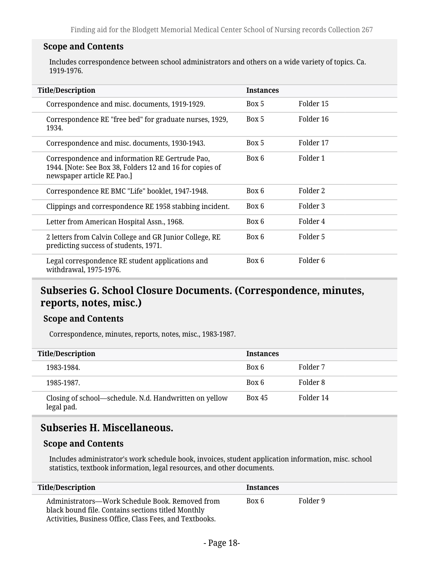#### **Scope and Contents**

Includes correspondence between school administrators and others on a wide variety of topics. Ca. 1919-1976.

| <b>Title/Description</b>                                                                                                                  | <b>Instances</b> |                     |
|-------------------------------------------------------------------------------------------------------------------------------------------|------------------|---------------------|
| Correspondence and misc. documents, 1919-1929.                                                                                            | Box 5            | Folder 15           |
| Correspondence RE "free bed" for graduate nurses, 1929,<br>1934.                                                                          | Box 5            | Folder 16           |
| Correspondence and misc. documents, 1930-1943.                                                                                            | Box 5            | Folder 17           |
| Correspondence and information RE Gertrude Pao,<br>1944. [Note: See Box 38, Folders 12 and 16 for copies of<br>newspaper article RE Pao.] | Box 6            | Folder 1            |
| Correspondence RE BMC "Life" booklet, 1947-1948.                                                                                          | Box 6            | Folder 2            |
| Clippings and correspondence RE 1958 stabbing incident.                                                                                   | Box 6            | Folder 3            |
| Letter from American Hospital Assn., 1968.                                                                                                | Box 6            | Folder 4            |
| 2 letters from Calvin College and GR Junior College, RE<br>predicting success of students, 1971.                                          | Box 6            | Folder 5            |
| Legal correspondence RE student applications and<br>withdrawal, 1975-1976.                                                                | Box 6            | Folder <sub>6</sub> |

### <span id="page-17-0"></span>**Subseries G. School Closure Documents. (Correspondence, minutes, reports, notes, misc.)**

#### **Scope and Contents**

Correspondence, minutes, reports, notes, misc., 1983-1987.

| <b>Title/Description</b>                                             | <b>Instances</b> |           |
|----------------------------------------------------------------------|------------------|-----------|
| 1983-1984.                                                           | Box 6            | Folder 7  |
| 1985-1987.                                                           | Box 6            | Folder 8  |
| Closing of school—schedule. N.d. Handwritten on yellow<br>legal pad. | <b>Box 45</b>    | Folder 14 |

### <span id="page-17-1"></span>**Subseries H. Miscellaneous.**

#### **Scope and Contents**

Includes administrator's work schedule book, invoices, student application information, misc. school statistics, textbook information, legal resources, and other documents.

| <b>Title/Description</b>                                                                                                                                         | <b>Instances</b> |          |
|------------------------------------------------------------------------------------------------------------------------------------------------------------------|------------------|----------|
| Administrators—Work Schedule Book, Removed from<br>black bound file. Contains sections titled Monthly<br>Activities, Business Office, Class Fees, and Textbooks. | Box 6            | Folder 9 |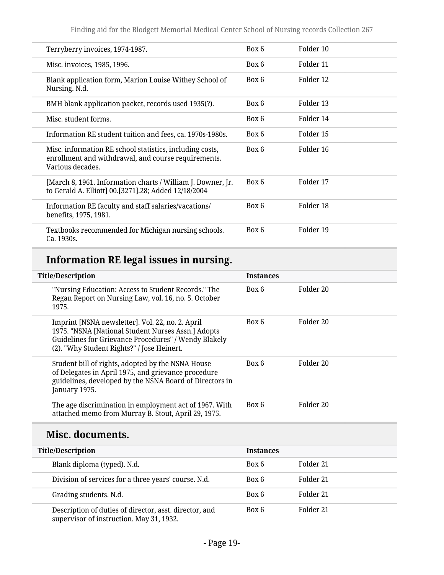| Terryberry invoices, 1974-1987.                                                                                                     | Box 6 | Folder 10 |
|-------------------------------------------------------------------------------------------------------------------------------------|-------|-----------|
| Misc. invoices, 1985, 1996.                                                                                                         | Box 6 | Folder 11 |
| Blank application form, Marion Louise Withey School of<br>Nursing. N.d.                                                             | Box 6 | Folder 12 |
| BMH blank application packet, records used 1935(?).                                                                                 | Box 6 | Folder 13 |
| Misc. student forms.                                                                                                                | Box 6 | Folder 14 |
| Information RE student tuition and fees, ca. 1970s-1980s.                                                                           | Box 6 | Folder 15 |
| Misc. information RE school statistics, including costs,<br>enrollment and withdrawal, and course requirements.<br>Various decades. | Box 6 | Folder 16 |
| [March 8, 1961. Information charts / William J. Downer, Jr.<br>to Gerald A. Elliott] 00.[3271].28; Added 12/18/2004                 | Box 6 | Folder 17 |
| Information RE faculty and staff salaries/vacations/<br>benefits, 1975, 1981.                                                       | Box 6 | Folder 18 |
| Textbooks recommended for Michigan nursing schools.<br>Ca. 1930s.                                                                   | Box 6 | Folder 19 |

# **Information RE legal issues in nursing.**

| <b>Title/Description</b>                                                                                                                                                                                     | <b>Instances</b> |                      |
|--------------------------------------------------------------------------------------------------------------------------------------------------------------------------------------------------------------|------------------|----------------------|
| "Nursing Education: Access to Student Records." The<br>Regan Report on Nursing Law, vol. 16, no. 5. October<br>1975.                                                                                         | Box 6            | Folder 20            |
| Imprint [NSNA newsletter]. Vol. 22, no. 2. April<br>1975. "NSNA [National Student Nurses Assn.] Adopts<br>Guidelines for Grievance Procedures" / Wendy Blakely<br>(2). "Why Student Rights?" / Jose Heinert. | Box 6            | Folder 20            |
| Student bill of rights, adopted by the NSNA House<br>of Delegates in April 1975, and grievance procedure<br>guidelines, developed by the NSNA Board of Directors in<br>January 1975.                         | Box 6            | Folder <sub>20</sub> |
| The age discrimination in employment act of 1967. With<br>attached memo from Murray B. Stout, April 29, 1975.                                                                                                | Box 6            | Folder <sub>20</sub> |
| Misc. documents.                                                                                                                                                                                             |                  |                      |
| <b>Title/Description</b>                                                                                                                                                                                     | <b>Instances</b> |                      |
| Blank diploma (typed). N.d.                                                                                                                                                                                  | Box 6            | Folder <sub>21</sub> |
| Division of services for a three years' course. N.d.                                                                                                                                                         | Box 6            | Folder 21            |
| Grading students. N.d.                                                                                                                                                                                       | Box 6            | Folder <sub>21</sub> |
| Description of duties of director, asst. director, and                                                                                                                                                       | Box 6            | Folder 21            |

supervisor of instruction. May 31, 1932.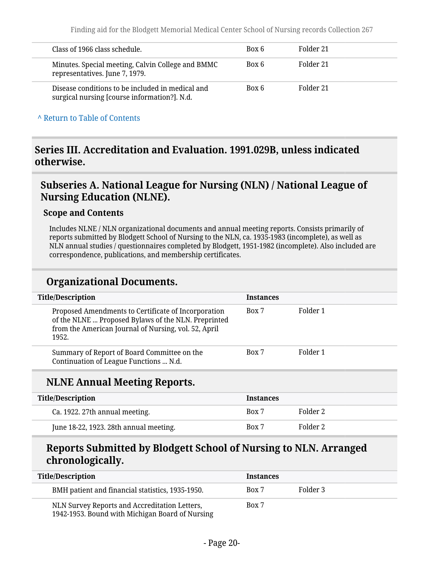| Class of 1966 class schedule.                                                                    | Box 6 | Folder 21 |
|--------------------------------------------------------------------------------------------------|-------|-----------|
| Minutes. Special meeting, Calvin College and BMMC<br>representatives. June 7, 1979.              | Box 6 | Folder 21 |
| Disease conditions to be included in medical and<br>surgical nursing [course information?]. N.d. | Box 6 | Folder 21 |

#### **^** [Return to Table of Contents](#page-1-0)

### <span id="page-19-0"></span>**Series III. Accreditation and Evaluation. 1991.029B, unless indicated otherwise.**

### <span id="page-19-1"></span>**Subseries A. National League for Nursing (NLN) / National League of Nursing Education (NLNE).**

#### **Scope and Contents**

Includes NLNE / NLN organizational documents and annual meeting reports. Consists primarily of reports submitted by Blodgett School of Nursing to the NLN, ca. 1935-1983 (incomplete), as well as NLN annual studies / questionnaires completed by Blodgett, 1951-1982 (incomplete). Also included are correspondence, publications, and membership certificates.

#### **Organizational Documents.**

| <b>Title/Description</b>                                                                                                                                                    | <b>Instances</b> |          |
|-----------------------------------------------------------------------------------------------------------------------------------------------------------------------------|------------------|----------|
| Proposed Amendments to Certificate of Incorporation<br>of the NLNE  Proposed Bylaws of the NLN. Preprinted<br>from the American Journal of Nursing, vol. 52, April<br>1952. | Box 7            | Folder 1 |
| Summary of Report of Board Committee on the<br>Continuation of League Functions  N.d.                                                                                       | Box 7            | Folder 1 |

### **NLNE Annual Meeting Reports.**

| <b>Title/Description</b>               | <b>Instances</b> |          |
|----------------------------------------|------------------|----------|
| Ca. 1922. 27th annual meeting.         | Box 7            | Folder 2 |
| June 18-22, 1923. 28th annual meeting. | Box 7            | Folder 2 |

### **Reports Submitted by Blodgett School of Nursing to NLN. Arranged chronologically.**

| <b>Title/Description</b>                                                                         | <b>Instances</b> |          |
|--------------------------------------------------------------------------------------------------|------------------|----------|
| BMH patient and financial statistics, 1935-1950.                                                 | Box 7            | Folder 3 |
| NLN Survey Reports and Accreditation Letters,<br>1942-1953. Bound with Michigan Board of Nursing | Box 7            |          |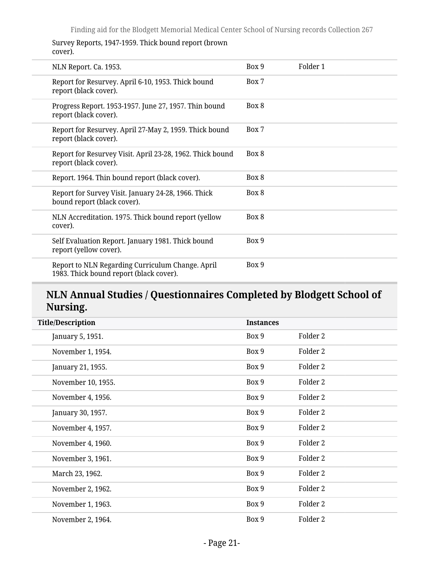Survey Reports, 1947-1959. Thick bound report (brown cover).

| NLN Report. Ca. 1953.                                                                       | Box 9 | Folder 1 |
|---------------------------------------------------------------------------------------------|-------|----------|
| Report for Resurvey. April 6-10, 1953. Thick bound<br>report (black cover).                 | Box 7 |          |
| Progress Report. 1953-1957. June 27, 1957. Thin bound<br>report (black cover).              | Box 8 |          |
| Report for Resurvey. April 27-May 2, 1959. Thick bound<br>report (black cover).             | Box 7 |          |
| Report for Resurvey Visit. April 23-28, 1962. Thick bound<br>report (black cover).          | Box 8 |          |
| Report. 1964. Thin bound report (black cover).                                              | Box 8 |          |
| Report for Survey Visit. January 24-28, 1966. Thick<br>bound report (black cover).          | Box 8 |          |
| NLN Accreditation. 1975. Thick bound report (yellow<br>cover).                              | Box 8 |          |
| Self Evaluation Report. January 1981. Thick bound<br>report (yellow cover).                 | Box 9 |          |
| Report to NLN Regarding Curriculum Change. April<br>1983. Thick bound report (black cover). | Box 9 |          |

# **NLN Annual Studies / Questionnaires Completed by Blodgett School of Nursing.**

| <b>Title/Description</b> | <b>Instances</b> |          |  |
|--------------------------|------------------|----------|--|
| January 5, 1951.         | Box 9            | Folder 2 |  |
| November 1, 1954.        | Box 9            | Folder 2 |  |
| January 21, 1955.        | Box 9            | Folder 2 |  |
| November 10, 1955.       | Box 9            | Folder 2 |  |
| November 4, 1956.        | Box 9            | Folder 2 |  |
| January 30, 1957.        | Box 9            | Folder 2 |  |
| November 4, 1957.        | Box 9            | Folder 2 |  |
| November 4, 1960.        | Box 9            | Folder 2 |  |
| November 3, 1961.        | Box 9            | Folder 2 |  |
| March 23, 1962.          | Box 9            | Folder 2 |  |
| November 2, 1962.        | Box 9            | Folder 2 |  |
| November 1, 1963.        | Box 9            | Folder 2 |  |
| November 2, 1964.        | Box 9            | Folder 2 |  |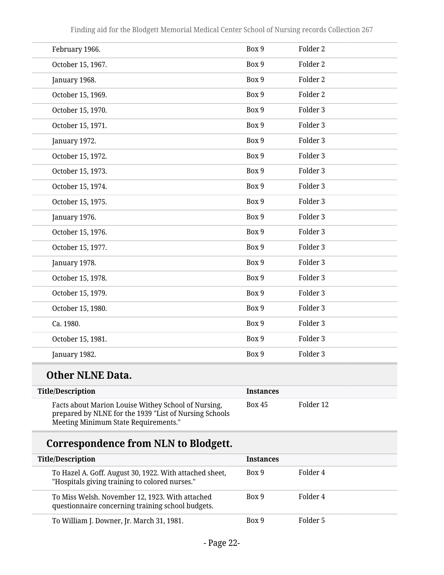| February 1966.    | Box 9 | Folder <sub>2</sub> |
|-------------------|-------|---------------------|
| October 15, 1967. | Box 9 | Folder <sub>2</sub> |
| January 1968.     | Box 9 | Folder 2            |
| October 15, 1969. | Box 9 | Folder 2            |
| October 15, 1970. | Box 9 | Folder 3            |
| October 15, 1971. | Box 9 | Folder 3            |
| January 1972.     | Box 9 | Folder 3            |
| October 15, 1972. | Box 9 | Folder 3            |
| October 15, 1973. | Box 9 | Folder 3            |
| October 15, 1974. | Box 9 | Folder 3            |
| October 15, 1975. | Box 9 | Folder 3            |
| January 1976.     | Box 9 | Folder 3            |
| October 15, 1976. | Box 9 | Folder 3            |
| October 15, 1977. | Box 9 | Folder 3            |
| January 1978.     | Box 9 | Folder 3            |
| October 15, 1978. | Box 9 | Folder 3            |
| October 15, 1979. | Box 9 | Folder 3            |
| October 15, 1980. | Box 9 | Folder 3            |
| Ca. 1980.         | Box 9 | Folder 3            |
| October 15, 1981. | Box 9 | Folder 3            |
| January 1982.     | Box 9 | Folder 3            |

# **Other NLNE Data.**

| <b>Title/Description</b>                                                                                                                              | <b>Instances</b> |           |
|-------------------------------------------------------------------------------------------------------------------------------------------------------|------------------|-----------|
| Facts about Marion Louise Withey School of Nursing,<br>prepared by NLNE for the 1939 "List of Nursing Schools<br>Meeting Minimum State Requirements." | <b>Box 45</b>    | Folder 12 |

# **Correspondence from NLN to Blodgett.**

| <b>Title/Description</b>                                                                                  | <b>Instances</b> |          |
|-----------------------------------------------------------------------------------------------------------|------------------|----------|
| To Hazel A. Goff. August 30, 1922. With attached sheet,<br>"Hospitals giving training to colored nurses." | Box 9            | Folder 4 |
| To Miss Welsh. November 12, 1923. With attached<br>questionnaire concerning training school budgets.      | Box 9            | Folder 4 |
| To William J. Downer, Jr. March 31, 1981.                                                                 | Box 9            | Folder 5 |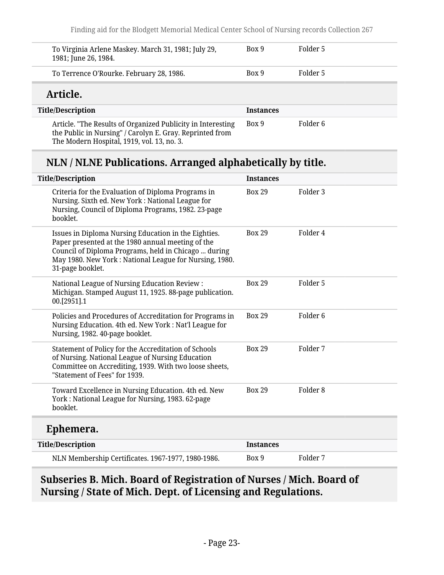| To Virginia Arlene Maskey. March 31, 1981; July 29,<br>1981; June 26, 1984.                                             | Box 9            | Folder 5 |
|-------------------------------------------------------------------------------------------------------------------------|------------------|----------|
| To Terrence O'Rourke. February 28, 1986.                                                                                | Box 9            | Folder 5 |
| Article.                                                                                                                |                  |          |
| <b>Title/Description</b>                                                                                                | <b>Instances</b> |          |
| Article. "The Results of Organized Publicity in Interesting<br>the Public in Nursing" / Carolyn E. Gray. Reprinted from | Box 9            | Folder 6 |

The Modern Hospital, 1919, vol. 13, no. 3.

# **NLN / NLNE Publications. Arranged alphabetically by title.**

| <b>Title/Description</b>                                                                                                                                                                                                                        | <b>Instances</b> |                     |
|-------------------------------------------------------------------------------------------------------------------------------------------------------------------------------------------------------------------------------------------------|------------------|---------------------|
| Criteria for the Evaluation of Diploma Programs in<br>Nursing. Sixth ed. New York: National League for<br>Nursing, Council of Diploma Programs, 1982. 23-page<br>booklet.                                                                       | <b>Box 29</b>    | Folder <sub>3</sub> |
| Issues in Diploma Nursing Education in the Eighties.<br>Paper presented at the 1980 annual meeting of the<br>Council of Diploma Programs, held in Chicago  during<br>May 1980. New York: National League for Nursing, 1980.<br>31-page booklet. | <b>Box 29</b>    | Folder 4            |
| National League of Nursing Education Review:<br>Michigan. Stamped August 11, 1925. 88-page publication.<br>00.[2951].1                                                                                                                          | <b>Box 29</b>    | Folder 5            |
| Policies and Procedures of Accreditation for Programs in<br>Nursing Education. 4th ed. New York: Nat'l League for<br>Nursing, 1982. 40-page booklet.                                                                                            | <b>Box 29</b>    | Folder <sub>6</sub> |
| Statement of Policy for the Accreditation of Schools<br>of Nursing. National League of Nursing Education<br>Committee on Accrediting, 1939. With two loose sheets,<br>"Statement of Fees" for 1939.                                             | <b>Box 29</b>    | Folder 7            |
| Toward Excellence in Nursing Education. 4th ed. New<br>York: National League for Nursing, 1983. 62-page<br>booklet.                                                                                                                             | <b>Box 29</b>    | Folder <sub>8</sub> |
| Ephemera.                                                                                                                                                                                                                                       |                  |                     |
| <b>Title/Description</b>                                                                                                                                                                                                                        | <b>Instances</b> |                     |
| NLN Membership Certificates. 1967-1977, 1980-1986.                                                                                                                                                                                              | Box 9            | Folder 7            |

# <span id="page-22-0"></span>**Subseries B. Mich. Board of Registration of Nurses / Mich. Board of Nursing / State of Mich. Dept. of Licensing and Regulations.**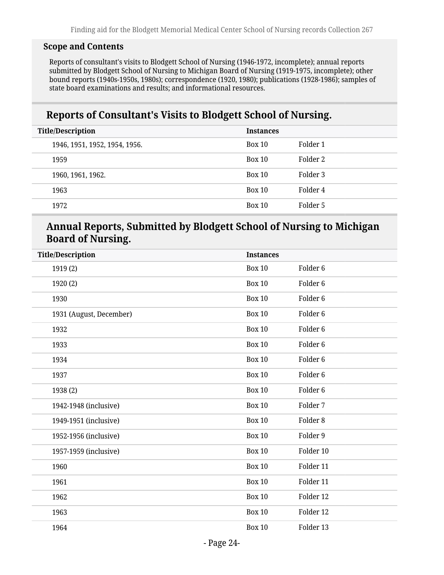#### **Scope and Contents**

Reports of consultant's visits to Blodgett School of Nursing (1946-1972, incomplete); annual reports submitted by Blodgett School of Nursing to Michigan Board of Nursing (1919-1975, incomplete); other bound reports (1940s-1950s, 1980s); correspondence (1920, 1980); publications (1928-1986); samples of state board examinations and results; and informational resources.

### **Reports of Consultant's Visits to Blodgett School of Nursing.**

| <b>Title/Description</b><br><b>Instances</b> |               |          |
|----------------------------------------------|---------------|----------|
| 1946, 1951, 1952, 1954, 1956.                | <b>Box 10</b> | Folder 1 |
| 1959                                         | Box 10        | Folder 2 |
| 1960, 1961, 1962.                            | Box 10        | Folder 3 |
| 1963                                         | Box 10        | Folder 4 |
| 1972                                         | Box 10        | Folder 5 |

### **Annual Reports, Submitted by Blodgett School of Nursing to Michigan Board of Nursing.**

| <b>Title/Description</b> | <b>Instances</b> |                     |
|--------------------------|------------------|---------------------|
| 1919(2)                  | <b>Box 10</b>    | Folder <sub>6</sub> |
| 1920 (2)                 | <b>Box 10</b>    | Folder <sub>6</sub> |
| 1930                     | <b>Box 10</b>    | Folder <sub>6</sub> |
| 1931 (August, December)  | <b>Box 10</b>    | Folder <sub>6</sub> |
| 1932                     | <b>Box 10</b>    | Folder <sub>6</sub> |
| 1933                     | <b>Box 10</b>    | Folder <sub>6</sub> |
| 1934                     | <b>Box 10</b>    | Folder <sub>6</sub> |
| 1937                     | <b>Box 10</b>    | Folder <sub>6</sub> |
| 1938 (2)                 | <b>Box 10</b>    | Folder <sub>6</sub> |
| 1942-1948 (inclusive)    | <b>Box 10</b>    | Folder 7            |
| 1949-1951 (inclusive)    | <b>Box 10</b>    | Folder <sub>8</sub> |
| 1952-1956 (inclusive)    | <b>Box 10</b>    | Folder 9            |
| 1957-1959 (inclusive)    | <b>Box 10</b>    | Folder 10           |
| 1960                     | <b>Box 10</b>    | Folder 11           |
| 1961                     | <b>Box 10</b>    | Folder 11           |
| 1962                     | <b>Box 10</b>    | Folder 12           |
| 1963                     | <b>Box 10</b>    | Folder 12           |
| 1964                     | <b>Box 10</b>    | Folder 13           |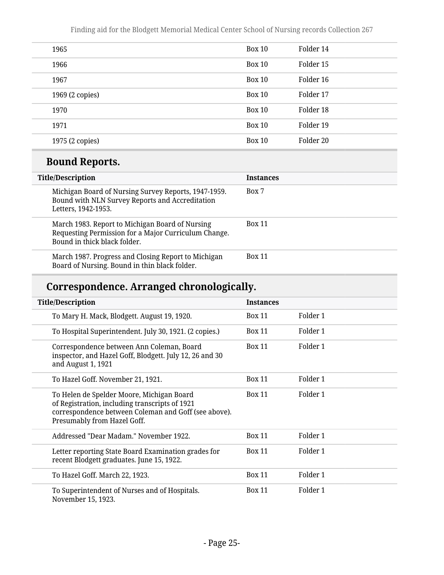| 1965            | <b>Box 10</b> | Folder 14 |
|-----------------|---------------|-----------|
| 1966            | <b>Box 10</b> | Folder 15 |
| 1967            | <b>Box 10</b> | Folder 16 |
| 1969 (2 copies) | <b>Box 10</b> | Folder 17 |
| 1970            | <b>Box 10</b> | Folder 18 |
| 1971            | <b>Box 10</b> | Folder 19 |
| 1975 (2 copies) | <b>Box 10</b> | Folder 20 |

# **Bound Reports.**

| <b>Title/Description</b>                                                                                                                | <b>Instances</b> |  |  |
|-----------------------------------------------------------------------------------------------------------------------------------------|------------------|--|--|
| Michigan Board of Nursing Survey Reports, 1947-1959.<br>Bound with NLN Survey Reports and Accreditation<br>Letters, 1942-1953.          | Box 7            |  |  |
| March 1983. Report to Michigan Board of Nursing<br>Requesting Permission for a Major Curriculum Change.<br>Bound in thick black folder. | <b>Box 11</b>    |  |  |
| March 1987. Progress and Closing Report to Michigan<br>Board of Nursing. Bound in thin black folder.                                    | <b>Box 11</b>    |  |  |

# **Correspondence. Arranged chronologically.**

| <b>Title/Description</b>                                                                                                                                                           | <b>Instances</b> |          |
|------------------------------------------------------------------------------------------------------------------------------------------------------------------------------------|------------------|----------|
| To Mary H. Mack, Blodgett. August 19, 1920.                                                                                                                                        | <b>Box 11</b>    | Folder 1 |
| To Hospital Superintendent. July 30, 1921. (2 copies.)                                                                                                                             | <b>Box 11</b>    | Folder 1 |
| Correspondence between Ann Coleman, Board<br>inspector, and Hazel Goff, Blodgett. July 12, 26 and 30<br>and August 1, 1921                                                         | <b>Box 11</b>    | Folder 1 |
| To Hazel Goff. November 21, 1921.                                                                                                                                                  | <b>Box 11</b>    | Folder 1 |
| To Helen de Spelder Moore, Michigan Board<br>of Registration, including transcripts of 1921<br>correspondence between Coleman and Goff (see above).<br>Presumably from Hazel Goff. | <b>Box 11</b>    | Folder 1 |
| Addressed "Dear Madam." November 1922.                                                                                                                                             | <b>Box 11</b>    | Folder 1 |
| Letter reporting State Board Examination grades for<br>recent Blodgett graduates. June 15, 1922.                                                                                   | <b>Box 11</b>    | Folder 1 |
| To Hazel Goff. March 22, 1923.                                                                                                                                                     | <b>Box 11</b>    | Folder 1 |
| To Superintendent of Nurses and of Hospitals.<br>November 15, 1923.                                                                                                                | <b>Box 11</b>    | Folder 1 |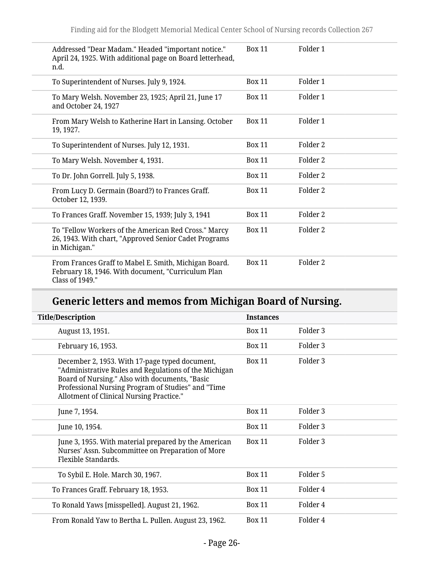| Addressed "Dear Madam." Headed "important notice."<br>April 24, 1925. With additional page on Board letterhead,<br>n.d.        | <b>Box 11</b> | Folder 1            |
|--------------------------------------------------------------------------------------------------------------------------------|---------------|---------------------|
| To Superintendent of Nurses. July 9, 1924.                                                                                     | <b>Box 11</b> | Folder 1            |
| To Mary Welsh. November 23, 1925; April 21, June 17<br>and October 24, 1927                                                    | <b>Box 11</b> | Folder 1            |
| From Mary Welsh to Katherine Hart in Lansing. October<br>19, 1927.                                                             | <b>Box 11</b> | Folder 1            |
| To Superintendent of Nurses. July 12, 1931.                                                                                    | <b>Box 11</b> | Folder 2            |
| To Mary Welsh. November 4, 1931.                                                                                               | <b>Box 11</b> | Folder 2            |
| To Dr. John Gorrell. July 5, 1938.                                                                                             | <b>Box 11</b> | Folder 2            |
| From Lucy D. Germain (Board?) to Frances Graff.<br>October 12, 1939.                                                           | <b>Box 11</b> | Folder <sub>2</sub> |
| To Frances Graff. November 15, 1939; July 3, 1941                                                                              | <b>Box 11</b> | Folder 2            |
| To "Fellow Workers of the American Red Cross." Marcy<br>26, 1943. With chart, "Approved Senior Cadet Programs<br>in Michigan." | <b>Box 11</b> | Folder <sub>2</sub> |
| From Frances Graff to Mabel E. Smith, Michigan Board.<br>February 18, 1946. With document, "Curriculum Plan<br>Class of 1949." | <b>Box 11</b> | Folder 2            |

# **Generic letters and memos from Michigan Board of Nursing.**

| <b>Title/Description</b>                                                                                                                                                                                                                                    | <b>Instances</b> |                     |
|-------------------------------------------------------------------------------------------------------------------------------------------------------------------------------------------------------------------------------------------------------------|------------------|---------------------|
| August 13, 1951.                                                                                                                                                                                                                                            | <b>Box 11</b>    | Folder 3            |
| February 16, 1953.                                                                                                                                                                                                                                          | <b>Box 11</b>    | Folder <sub>3</sub> |
| December 2, 1953. With 17-page typed document,<br>"Administrative Rules and Regulations of the Michigan<br>Board of Nursing." Also with documents, "Basic<br>Professional Nursing Program of Studies" and "Time<br>Allotment of Clinical Nursing Practice." | <b>Box 11</b>    | Folder 3            |
| June 7, 1954.                                                                                                                                                                                                                                               | <b>Box 11</b>    | Folder 3            |
| June 10, 1954.                                                                                                                                                                                                                                              | <b>Box 11</b>    | Folder 3            |
| June 3, 1955. With material prepared by the American<br>Nurses' Assn. Subcommittee on Preparation of More<br>Flexible Standards.                                                                                                                            | <b>Box 11</b>    | Folder 3            |
| To Sybil E. Hole. March 30, 1967.                                                                                                                                                                                                                           | <b>Box 11</b>    | Folder 5            |
| To Frances Graff. February 18, 1953.                                                                                                                                                                                                                        | <b>Box 11</b>    | Folder 4            |
| To Ronald Yaws [misspelled]. August 21, 1962.                                                                                                                                                                                                               | <b>Box 11</b>    | Folder 4            |
| From Ronald Yaw to Bertha L. Pullen. August 23, 1962.                                                                                                                                                                                                       | <b>Box 11</b>    | Folder 4            |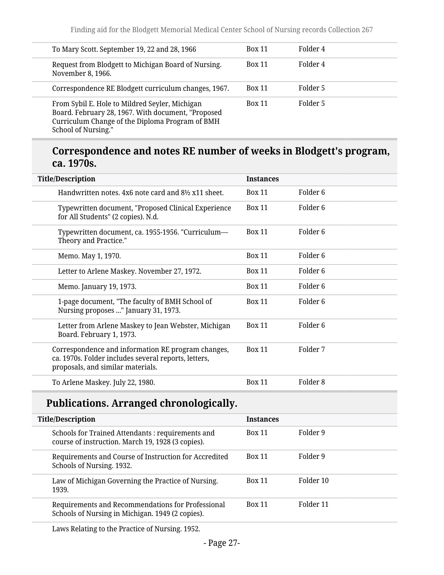| To Mary Scott. September 19, 22 and 28, 1966                                                                                                                                   | <b>Box 11</b> | Folder 4 |
|--------------------------------------------------------------------------------------------------------------------------------------------------------------------------------|---------------|----------|
| Request from Blodgett to Michigan Board of Nursing.<br>November 8, 1966.                                                                                                       | <b>Box 11</b> | Folder 4 |
| Correspondence RE Blodgett curriculum changes, 1967.                                                                                                                           | <b>Box 11</b> | Folder 5 |
| From Sybil E. Hole to Mildred Seyler, Michigan<br>Board. February 28, 1967. With document, "Proposed<br>Curriculum Change of the Diploma Program of BMH<br>School of Nursing." | <b>Box 11</b> | Folder 5 |

### **Correspondence and notes RE number of weeks in Blodgett's program, ca. 1970s.**

| <b>Title/Description</b>                                                                                                                        | <b>Instances</b> |                     |
|-------------------------------------------------------------------------------------------------------------------------------------------------|------------------|---------------------|
| Handwritten notes, 4x6 note card and 8½ x11 sheet.                                                                                              | <b>Box 11</b>    | Folder 6            |
| Typewritten document, "Proposed Clinical Experience<br>for All Students" (2 copies). N.d.                                                       | <b>Box 11</b>    | Folder <sub>6</sub> |
| Typewritten document, ca. 1955-1956. "Curriculum-<br>Theory and Practice."                                                                      | <b>Box 11</b>    | Folder <sub>6</sub> |
| Memo. May 1, 1970.                                                                                                                              | <b>Box 11</b>    | Folder <sub>6</sub> |
| Letter to Arlene Maskey. November 27, 1972.                                                                                                     | <b>Box 11</b>    | Folder 6            |
| Memo. January 19, 1973.                                                                                                                         | <b>Box 11</b>    | Folder 6            |
| 1-page document, "The faculty of BMH School of<br>Nursing proposes " January 31, 1973.                                                          | <b>Box 11</b>    | Folder 6            |
| Letter from Arlene Maskey to Jean Webster, Michigan<br>Board. February 1, 1973.                                                                 | <b>Box 11</b>    | Folder <sub>6</sub> |
| Correspondence and information RE program changes,<br>ca. 1970s. Folder includes several reports, letters,<br>proposals, and similar materials. | <b>Box 11</b>    | Folder 7            |
| To Arlene Maskey. July 22, 1980.                                                                                                                | <b>Box 11</b>    | Folder <sub>8</sub> |

# **Publications. Arranged chronologically.**

| <b>Title/Description</b>                                                                              | <b>Instances</b> |           |  |
|-------------------------------------------------------------------------------------------------------|------------------|-----------|--|
| Schools for Trained Attendants: requirements and<br>course of instruction. March 19, 1928 (3 copies). | <b>Box 11</b>    | Folder 9  |  |
| Requirements and Course of Instruction for Accredited<br>Schools of Nursing. 1932.                    | <b>Box 11</b>    | Folder 9  |  |
| Law of Michigan Governing the Practice of Nursing.<br>1939.                                           | <b>Box 11</b>    | Folder 10 |  |
| Requirements and Recommendations for Professional<br>Schools of Nursing in Michigan. 1949 (2 copies). | <b>Box 11</b>    | Folder 11 |  |

Laws Relating to the Practice of Nursing. 1952.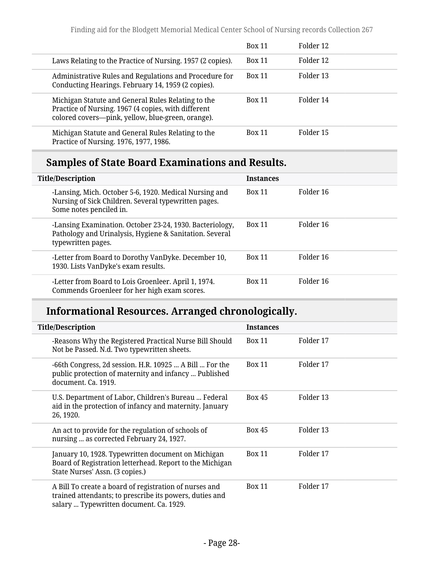|                                                                                                                                                                 | <b>Box 11</b> | Folder 12 |
|-----------------------------------------------------------------------------------------------------------------------------------------------------------------|---------------|-----------|
| Laws Relating to the Practice of Nursing. 1957 (2 copies).                                                                                                      | <b>Box 11</b> | Folder 12 |
| Administrative Rules and Regulations and Procedure for<br>Conducting Hearings. February 14, 1959 (2 copies).                                                    | <b>Box 11</b> | Folder 13 |
| Michigan Statute and General Rules Relating to the<br>Practice of Nursing. 1967 (4 copies, with different<br>colored covers--pink, yellow, blue-green, orange). | <b>Box 11</b> | Folder 14 |
| Michigan Statute and General Rules Relating to the<br>Practice of Nursing. 1976, 1977, 1986.                                                                    | <b>Box 11</b> | Folder 15 |

# **Samples of State Board Examinations and Results.**

| <b>Title/Description</b> |                                                                                                                                           | <b>Instances</b> |           |
|--------------------------|-------------------------------------------------------------------------------------------------------------------------------------------|------------------|-----------|
|                          | -Lansing, Mich. October 5-6, 1920. Medical Nursing and<br>Nursing of Sick Children. Several typewritten pages.<br>Some notes penciled in. | <b>Box 11</b>    | Folder 16 |
|                          | -Lansing Examination. October 23-24, 1930. Bacteriology,<br>Pathology and Urinalysis, Hygiene & Sanitation. Several<br>typewritten pages. | <b>Box 11</b>    | Folder 16 |
|                          | -Letter from Board to Dorothy VanDyke. December 10,<br>1930. Lists VanDyke's exam results.                                                | <b>Box 11</b>    | Folder 16 |
|                          | -Letter from Board to Lois Groenleer. April 1, 1974.<br>Commends Groenleer for her high exam scores.                                      | <b>Box 11</b>    | Folder 16 |

# **Informational Resources. Arranged chronologically.**

| <b>Title/Description</b>                                                                                                                                     | <b>Instances</b> |           |
|--------------------------------------------------------------------------------------------------------------------------------------------------------------|------------------|-----------|
| -Reasons Why the Registered Practical Nurse Bill Should<br>Not be Passed. N.d. Two typewritten sheets.                                                       | <b>Box 11</b>    | Folder 17 |
| -66th Congress, 2d session. H.R. 10925  A Bill  For the<br>public protection of maternity and infancy  Published<br>document. Ca. 1919.                      | <b>Box 11</b>    | Folder 17 |
| U.S. Department of Labor, Children's Bureau  Federal<br>aid in the protection of infancy and maternity. January<br>26, 1920.                                 | <b>Box 45</b>    | Folder 13 |
| An act to provide for the regulation of schools of<br>nursing  as corrected February 24, 1927.                                                               | <b>Box 45</b>    | Folder 13 |
| January 10, 1928. Typewritten document on Michigan<br>Board of Registration letterhead. Report to the Michigan<br>State Nurses' Assn. (3 copies.)            | <b>Box 11</b>    | Folder 17 |
| A Bill To create a board of registration of nurses and<br>trained attendants; to prescribe its powers, duties and<br>salary  Typewritten document. Ca. 1929. | <b>Box 11</b>    | Folder 17 |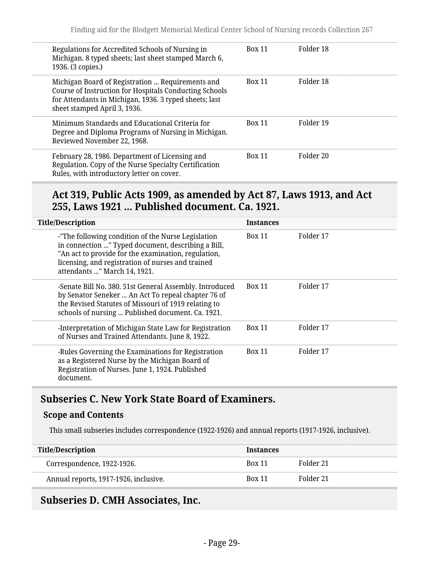| Regulations for Accredited Schools of Nursing in<br>Michigan. 8 typed sheets; last sheet stamped March 6,<br>1936. (3 copies.)                                                                       | <b>Box 11</b> | Folder 18 |
|------------------------------------------------------------------------------------------------------------------------------------------------------------------------------------------------------|---------------|-----------|
| Michigan Board of Registration  Requirements and<br>Course of Instruction for Hospitals Conducting Schools<br>for Attendants in Michigan, 1936. 3 typed sheets; last<br>sheet stamped April 3, 1936. | <b>Box 11</b> | Folder 18 |
| Minimum Standards and Educational Criteria for<br>Degree and Diploma Programs of Nursing in Michigan.<br>Reviewed November 22, 1968.                                                                 | <b>Box 11</b> | Folder 19 |
| February 28, 1986. Department of Licensing and<br>Regulation. Copy of the Nurse Specialty Certification<br>Rules, with introductory letter on cover.                                                 | <b>Box 11</b> | Folder 20 |

#### **Act 319, Public Acts 1909, as amended by Act 87, Laws 1913, and Act 255, Laws 1921 ... Published document. Ca. 1921.**

| <b>Title/Description</b>                                                                                                                                                                                                                             | <b>Instances</b> |           |
|------------------------------------------------------------------------------------------------------------------------------------------------------------------------------------------------------------------------------------------------------|------------------|-----------|
| -"The following condition of the Nurse Legislation<br>in connection " Typed document, describing a Bill,<br>"An act to provide for the examination, regulation,<br>licensing, and registration of nurses and trained<br>attendants " March 14, 1921. | <b>Box 11</b>    | Folder 17 |
| -Senate Bill No. 380. 51st General Assembly. Introduced<br>by Senator Seneker  An Act To repeal chapter 76 of<br>the Revised Statutes of Missouri of 1919 relating to<br>schools of nursing  Published document. Ca. 1921.                           | <b>Box 11</b>    | Folder 17 |
| -Interpretation of Michigan State Law for Registration<br>of Nurses and Trained Attendants. June 8, 1922.                                                                                                                                            | <b>Box 11</b>    | Folder 17 |
| -Rules Governing the Examinations for Registration<br>as a Registered Nurse by the Michigan Board of<br>Registration of Nurses. June 1, 1924. Published<br>document.                                                                                 | <b>Box 11</b>    | Folder 17 |

### <span id="page-28-0"></span>**Subseries C. New York State Board of Examiners.**

#### **Scope and Contents**

This small subseries includes correspondence (1922-1926) and annual reports (1917-1926, inclusive).

| <b>Title/Description</b>              | <b>Instances</b> |           |  |
|---------------------------------------|------------------|-----------|--|
| Correspondence, 1922-1926.            | <b>Box 11</b>    | Folder 21 |  |
| Annual reports, 1917-1926, inclusive. | <b>Box 11</b>    | Folder 21 |  |

#### <span id="page-28-1"></span>**Subseries D. CMH Associates, Inc.**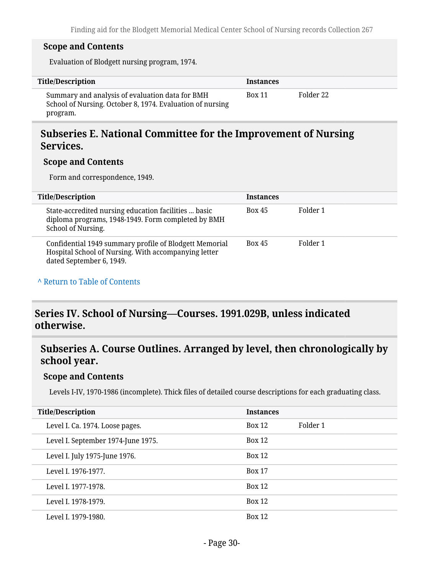#### **Scope and Contents**

Evaluation of Blodgett nursing program, 1974.

| Title/Description                                                                                                        | <b>Instances</b> |           |
|--------------------------------------------------------------------------------------------------------------------------|------------------|-----------|
| Summary and analysis of evaluation data for BMH<br>School of Nursing. October 8, 1974. Evaluation of nursing<br>program. | <b>Box 11</b>    | Folder 22 |

#### <span id="page-29-0"></span>**Subseries E. National Committee for the Improvement of Nursing Services.**

#### **Scope and Contents**

Form and correspondence, 1949.

| <b>Title/Description</b>                                                                                                                   | <b>Instances</b> |          |
|--------------------------------------------------------------------------------------------------------------------------------------------|------------------|----------|
| State-accredited nursing education facilities  basic<br>diploma programs, 1948-1949. Form completed by BMH<br>School of Nursing.           | <b>Box 45</b>    | Folder 1 |
| Confidential 1949 summary profile of Blodgett Memorial<br>Hospital School of Nursing. With accompanying letter<br>dated September 6, 1949. | <b>Box 45</b>    | Folder 1 |

#### **^** [Return to Table of Contents](#page-1-0)

### <span id="page-29-1"></span>**Series IV. School of Nursing—Courses. 1991.029B, unless indicated otherwise.**

### <span id="page-29-2"></span>**Subseries A. Course Outlines. Arranged by level, then chronologically by school year.**

#### **Scope and Contents**

Levels I-IV, 1970-1986 (incomplete). Thick files of detailed course descriptions for each graduating class.

| <b>Title/Description</b>           | <b>Instances</b> |          |
|------------------------------------|------------------|----------|
| Level I. Ca. 1974. Loose pages.    | <b>Box 12</b>    | Folder 1 |
| Level I. September 1974-June 1975. | <b>Box 12</b>    |          |
| Level I. July 1975-June 1976.      | <b>Box 12</b>    |          |
| Level I. 1976-1977.                | <b>Box 17</b>    |          |
| Level I. 1977-1978.                | <b>Box 12</b>    |          |
| Level L 1978-1979.                 | <b>Box 12</b>    |          |
| Level L 1979-1980.                 | <b>Box 12</b>    |          |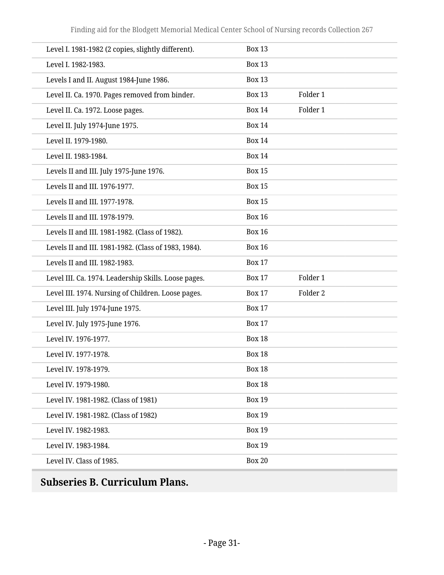| Level I. 1981-1982 (2 copies, slightly different).   | <b>Box 13</b> |          |
|------------------------------------------------------|---------------|----------|
| Level I. 1982-1983.                                  | <b>Box 13</b> |          |
| Levels I and II. August 1984-June 1986.              | <b>Box 13</b> |          |
| Level II. Ca. 1970. Pages removed from binder.       | <b>Box 13</b> | Folder 1 |
| Level II. Ca. 1972. Loose pages.                     | <b>Box 14</b> | Folder 1 |
| Level II. July 1974-June 1975.                       | <b>Box 14</b> |          |
| Level II. 1979-1980.                                 | <b>Box 14</b> |          |
| Level II. 1983-1984.                                 | <b>Box 14</b> |          |
| Levels II and III. July 1975-June 1976.              | <b>Box 15</b> |          |
| Levels II and III. 1976-1977.                        | <b>Box 15</b> |          |
| Levels II and III. 1977-1978.                        | <b>Box 15</b> |          |
| Levels II and III. 1978-1979.                        | <b>Box 16</b> |          |
| Levels II and III. 1981-1982. (Class of 1982).       | <b>Box 16</b> |          |
| Levels II and III. 1981-1982. (Class of 1983, 1984). | <b>Box 16</b> |          |
| Levels II and III. 1982-1983.                        | <b>Box 17</b> |          |
| Level III. Ca. 1974. Leadership Skills. Loose pages. | <b>Box 17</b> | Folder 1 |
| Level III. 1974. Nursing of Children. Loose pages.   | <b>Box 17</b> | Folder 2 |
| Level III. July 1974-June 1975.                      | <b>Box 17</b> |          |
| Level IV. July 1975-June 1976.                       | <b>Box 17</b> |          |
| Level IV. 1976-1977.                                 | <b>Box 18</b> |          |
| Level IV. 1977-1978.                                 | <b>Box 18</b> |          |
| Level IV. 1978-1979.                                 | <b>Box 18</b> |          |
| Level IV. 1979-1980.                                 | <b>Box 18</b> |          |
| Level IV. 1981-1982. (Class of 1981)                 | <b>Box 19</b> |          |
| Level IV. 1981-1982. (Class of 1982)                 | <b>Box 19</b> |          |
| Level IV. 1982-1983.                                 | <b>Box 19</b> |          |
| Level IV. 1983-1984.                                 | <b>Box 19</b> |          |
| Level IV. Class of 1985.                             | <b>Box 20</b> |          |
|                                                      |               |          |

# <span id="page-30-0"></span>**Subseries B. Curriculum Plans.**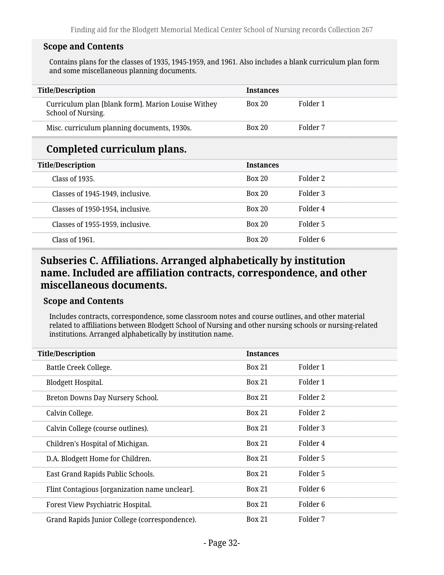#### **Scope and Contents**

Contains plans for the classes of 1935, 1945-1959, and 1961. Also includes a blank curriculum plan form and some miscellaneous planning documents.

| <b>Title/Description</b>                                                 | <b>Instances</b> |          |
|--------------------------------------------------------------------------|------------------|----------|
| Curriculum plan [blank form]. Marion Louise Withey<br>School of Nursing. | Box 20           | Folder 1 |
| Misc. curriculum planning documents, 1930s.                              | <b>Box 20</b>    | Folder 7 |
| Completed curriculum plans.                                              |                  |          |
| <b>Title/Description</b>                                                 | <b>Instances</b> |          |
| Class of 1935.                                                           | <b>Box 20</b>    | Folder 2 |
| Classes of 1945-1949, inclusive.                                         | Box 20           | Folder 3 |
| Classes of 1950-1954, inclusive.                                         | <b>Box 20</b>    | Folder 4 |
| Classes of 1955-1959, inclusive.                                         | Box 20           | Folder 5 |
| Class of 1961.                                                           | Box 20           | Folder 6 |

### <span id="page-31-0"></span>**Subseries C. Affiliations. Arranged alphabetically by institution name. Included are affiliation contracts, correspondence, and other miscellaneous documents.**

#### **Scope and Contents**

Includes contracts, correspondence, some classroom notes and course outlines, and other material related to affiliations between Blodgett School of Nursing and other nursing schools or nursing-related institutions. Arranged alphabetically by institution name.

| <b>Title/Description</b>                      | <b>Instances</b> |                     |  |
|-----------------------------------------------|------------------|---------------------|--|
| Battle Creek College.                         | <b>Box 21</b>    | Folder 1            |  |
| Blodgett Hospital.                            | <b>Box 21</b>    | Folder 1            |  |
| Breton Downs Day Nursery School.              | <b>Box 21</b>    | Folder 2            |  |
| Calvin College.                               | <b>Box 21</b>    | Folder 2            |  |
| Calvin College (course outlines).             | <b>Box 21</b>    | Folder 3            |  |
| Children's Hospital of Michigan.              | <b>Box 21</b>    | Folder 4            |  |
| D.A. Blodgett Home for Children.              | <b>Box 21</b>    | Folder 5            |  |
| East Grand Rapids Public Schools.             | <b>Box 21</b>    | Folder 5            |  |
| Flint Contagious [organization name unclear]. | <b>Box 21</b>    | Folder <sub>6</sub> |  |
| Forest View Psychiatric Hospital.             | <b>Box 21</b>    | Folder <sub>6</sub> |  |
| Grand Rapids Junior College (correspondence). | <b>Box 21</b>    | Folder 7            |  |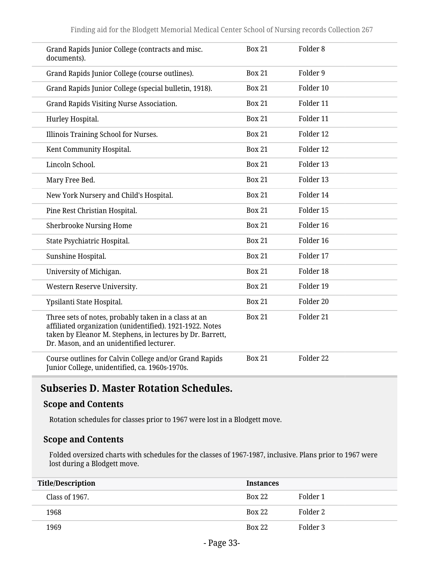| Grand Rapids Junior College (contracts and misc.<br>documents).                                                                                                                                                           | <b>Box 21</b> | Folder <sub>8</sub> |
|---------------------------------------------------------------------------------------------------------------------------------------------------------------------------------------------------------------------------|---------------|---------------------|
| Grand Rapids Junior College (course outlines).                                                                                                                                                                            | <b>Box 21</b> | Folder 9            |
| Grand Rapids Junior College (special bulletin, 1918).                                                                                                                                                                     | <b>Box 21</b> | Folder 10           |
| Grand Rapids Visiting Nurse Association.                                                                                                                                                                                  | <b>Box 21</b> | Folder 11           |
| Hurley Hospital.                                                                                                                                                                                                          | <b>Box 21</b> | Folder 11           |
| Illinois Training School for Nurses.                                                                                                                                                                                      | <b>Box 21</b> | Folder 12           |
| Kent Community Hospital.                                                                                                                                                                                                  | <b>Box 21</b> | Folder 12           |
| Lincoln School.                                                                                                                                                                                                           | <b>Box 21</b> | Folder 13           |
| Mary Free Bed.                                                                                                                                                                                                            | <b>Box 21</b> | Folder 13           |
| New York Nursery and Child's Hospital.                                                                                                                                                                                    | <b>Box 21</b> | Folder 14           |
| Pine Rest Christian Hospital.                                                                                                                                                                                             | <b>Box 21</b> | Folder 15           |
| <b>Sherbrooke Nursing Home</b>                                                                                                                                                                                            | <b>Box 21</b> | Folder 16           |
| State Psychiatric Hospital.                                                                                                                                                                                               | <b>Box 21</b> | Folder 16           |
| Sunshine Hospital.                                                                                                                                                                                                        | <b>Box 21</b> | Folder 17           |
| University of Michigan.                                                                                                                                                                                                   | <b>Box 21</b> | Folder 18           |
| Western Reserve University.                                                                                                                                                                                               | <b>Box 21</b> | Folder 19           |
| Ypsilanti State Hospital.                                                                                                                                                                                                 | <b>Box 21</b> | Folder 20           |
| Three sets of notes, probably taken in a class at an<br>affiliated organization (unidentified). 1921-1922. Notes<br>taken by Eleanor M. Stephens, in lectures by Dr. Barrett,<br>Dr. Mason, and an unidentified lecturer. | <b>Box 21</b> | Folder 21           |
| Course outlines for Calvin College and/or Grand Rapids<br>Junior College, unidentified, ca. 1960s-1970s.                                                                                                                  | <b>Box 21</b> | Folder 22           |

# <span id="page-32-0"></span>**Subseries D. Master Rotation Schedules.**

#### **Scope and Contents**

Rotation schedules for classes prior to 1967 were lost in a Blodgett move.

#### **Scope and Contents**

Folded oversized charts with schedules for the classes of 1967-1987, inclusive. Plans prior to 1967 were lost during a Blodgett move.

| <b>Title/Description</b> | <b>Instances</b> |          |
|--------------------------|------------------|----------|
| Class of 1967.           | <b>Box 22</b>    | Folder 1 |
| 1968                     | <b>Box 22</b>    | Folder 2 |
| 1969                     | <b>Box 22</b>    | Folder 3 |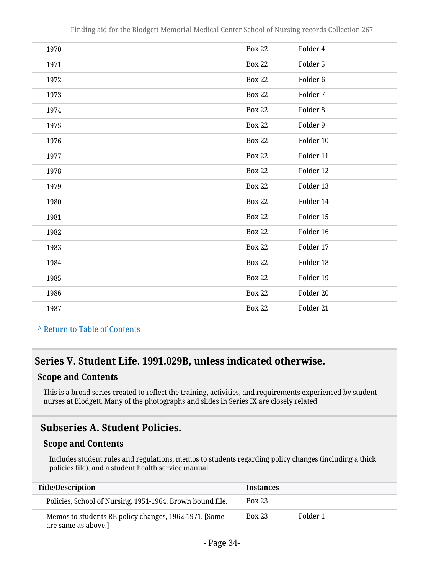| 1970 | <b>Box 22</b> | Folder 4            |
|------|---------------|---------------------|
| 1971 | <b>Box 22</b> | Folder 5            |
| 1972 | <b>Box 22</b> | Folder 6            |
| 1973 | <b>Box 22</b> | Folder 7            |
| 1974 | <b>Box 22</b> | Folder <sub>8</sub> |
| 1975 | <b>Box 22</b> | Folder 9            |
| 1976 | <b>Box 22</b> | Folder 10           |
| 1977 | <b>Box 22</b> | Folder 11           |
| 1978 | <b>Box 22</b> | Folder 12           |
| 1979 | <b>Box 22</b> | Folder 13           |
| 1980 | <b>Box 22</b> | Folder 14           |
| 1981 | <b>Box 22</b> | Folder 15           |
| 1982 | <b>Box 22</b> | Folder 16           |
| 1983 | <b>Box 22</b> | Folder 17           |
| 1984 | <b>Box 22</b> | Folder 18           |
| 1985 | <b>Box 22</b> | Folder 19           |
| 1986 | <b>Box 22</b> | Folder 20           |
| 1987 | <b>Box 22</b> | Folder 21           |

**^** [Return to Table of Contents](#page-1-0)

### <span id="page-33-0"></span>**Series V. Student Life. 1991.029B, unless indicated otherwise.**

#### **Scope and Contents**

This is a broad series created to reflect the training, activities, and requirements experienced by student nurses at Blodgett. Many of the photographs and slides in Series IX are closely related.

### <span id="page-33-1"></span>**Subseries A. Student Policies.**

#### **Scope and Contents**

Includes student rules and regulations, memos to students regarding policy changes (including a thick policies file), and a student health service manual.

| <b>Title/Description</b>                                                     | <b>Instances</b> |          |
|------------------------------------------------------------------------------|------------------|----------|
| Policies, School of Nursing. 1951-1964. Brown bound file.                    | <b>Box 23</b>    |          |
| Memos to students RE policy changes, 1962-1971. [Some<br>are same as above.] | <b>Box 23</b>    | Folder 1 |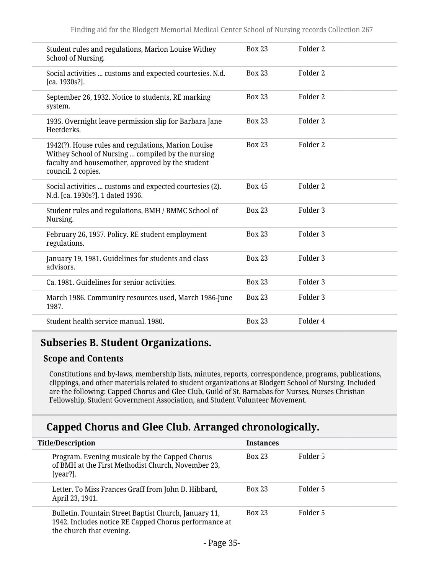| Student rules and regulations, Marion Louise Withey<br>School of Nursing.                                                                                                          | <b>Box 23</b> | Folder <sub>2</sub> |
|------------------------------------------------------------------------------------------------------------------------------------------------------------------------------------|---------------|---------------------|
| Social activities  customs and expected courtesies. N.d.<br>[ca. 1930s?].                                                                                                          | <b>Box 23</b> | Folder 2            |
| September 26, 1932. Notice to students, RE marking<br>system.                                                                                                                      | <b>Box 23</b> | Folder <sub>2</sub> |
| 1935. Overnight leave permission slip for Barbara Jane<br>Heetderks.                                                                                                               | <b>Box 23</b> | Folder 2            |
| 1942(?). House rules and regulations, Marion Louise<br>Withey School of Nursing  compiled by the nursing<br>faculty and housemother, approved by the student<br>council. 2 copies. | <b>Box 23</b> | Folder <sub>2</sub> |
| Social activities  customs and expected courtesies (2).<br>N.d. [ca. 1930s?]. 1 dated 1936.                                                                                        | <b>Box 45</b> | Folder 2            |
| Student rules and regulations, BMH / BMMC School of<br>Nursing.                                                                                                                    | <b>Box 23</b> | Folder <sub>3</sub> |
| February 26, 1957. Policy. RE student employment<br>regulations.                                                                                                                   | <b>Box 23</b> | Folder <sub>3</sub> |
| January 19, 1981. Guidelines for students and class<br>advisors.                                                                                                                   | <b>Box 23</b> | Folder <sub>3</sub> |
| Ca. 1981. Guidelines for senior activities.                                                                                                                                        | <b>Box 23</b> | Folder <sub>3</sub> |
| March 1986. Community resources used, March 1986-June<br>1987.                                                                                                                     | <b>Box 23</b> | Folder 3            |
| Student health service manual, 1980.                                                                                                                                               | <b>Box 23</b> | Folder 4            |
|                                                                                                                                                                                    |               |                     |

### <span id="page-34-0"></span>**Subseries B. Student Organizations.**

#### **Scope and Contents**

Constitutions and by-laws, membership lists, minutes, reports, correspondence, programs, publications, clippings, and other materials related to student organizations at Blodgett School of Nursing. Included are the following: Capped Chorus and Glee Club, Guild of St. Barnabas for Nurses, Nurses Christian Fellowship, Student Government Association, and Student Volunteer Movement.

### **Capped Chorus and Glee Club. Arranged chronologically.**

| <b>Title/Description</b> |                                                                                                                                            | <b>Instances</b> |          |
|--------------------------|--------------------------------------------------------------------------------------------------------------------------------------------|------------------|----------|
|                          | Program. Evening musicale by the Capped Chorus<br>of BMH at the First Methodist Church, November 23,<br>[year?].                           | <b>Box 23</b>    | Folder 5 |
|                          | Letter. To Miss Frances Graff from John D. Hibbard,<br>April 23, 1941.                                                                     | <b>Box 23</b>    | Folder 5 |
|                          | Bulletin. Fountain Street Baptist Church, January 11,<br>1942. Includes notice RE Capped Chorus performance at<br>the church that evening. | <b>Box 23</b>    | Folder 5 |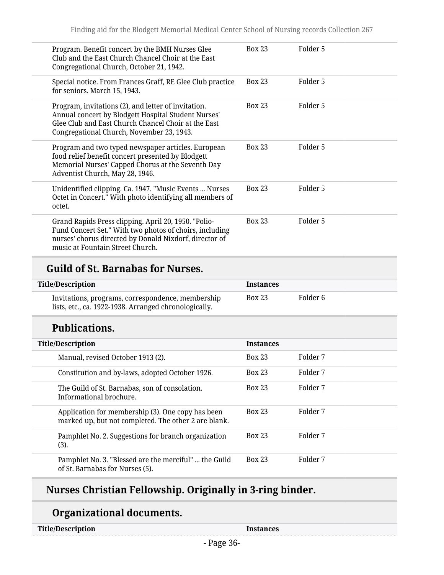| Program. Benefit concert by the BMH Nurses Glee<br>Club and the East Church Chancel Choir at the East<br>Congregational Church, October 21, 1942.                                                              | <b>Box 23</b> | Folder 5 |  |
|----------------------------------------------------------------------------------------------------------------------------------------------------------------------------------------------------------------|---------------|----------|--|
| Special notice. From Frances Graff, RE Glee Club practice<br>for seniors. March 15, 1943.                                                                                                                      | <b>Box 23</b> | Folder 5 |  |
| Program, invitations (2), and letter of invitation.<br>Annual concert by Blodgett Hospital Student Nurses'<br>Glee Club and East Church Chancel Choir at the East<br>Congregational Church, November 23, 1943. | <b>Box 23</b> | Folder 5 |  |
| Program and two typed newspaper articles. European<br>food relief benefit concert presented by Blodgett<br>Memorial Nurses' Capped Chorus at the Seventh Day<br>Adventist Church, May 28, 1946.                | <b>Box 23</b> | Folder 5 |  |
| Unidentified clipping. Ca. 1947. "Music Events  Nurses<br>Octet in Concert." With photo identifying all members of<br>octet.                                                                                   | <b>Box 23</b> | Folder 5 |  |
| Grand Rapids Press clipping. April 20, 1950. "Polio-<br>Fund Concert Set." With two photos of choirs, including<br>nurses' chorus directed by Donald Nixdorf, director of<br>music at Fountain Street Church.  | <b>Box 23</b> | Folder 5 |  |

# **Title/Description Instances**

| Folder 6<br><b>Box 23</b><br>Invitations, programs, correspondence, membership |                                                       |  |  |
|--------------------------------------------------------------------------------|-------------------------------------------------------|--|--|
|                                                                                | lists, etc., ca. 1922-1938. Arranged chronologically. |  |  |

# **Publications.**

| <b>Title/Description</b>                                                                                  | <b>Instances</b> |          |
|-----------------------------------------------------------------------------------------------------------|------------------|----------|
| Manual, revised October 1913 (2).                                                                         | <b>Box 23</b>    | Folder 7 |
| Constitution and by-laws, adopted October 1926.                                                           | <b>Box 23</b>    | Folder 7 |
| The Guild of St. Barnabas, son of consolation.<br>Informational brochure.                                 | <b>Box 23</b>    | Folder 7 |
| Application for membership (3). One copy has been<br>marked up, but not completed. The other 2 are blank. | <b>Box 23</b>    | Folder 7 |
| Pamphlet No. 2. Suggestions for branch organization<br>(3).                                               | <b>Box 23</b>    | Folder 7 |
| Pamphlet No. 3. "Blessed are the merciful"  the Guild<br>of St. Barnabas for Nurses (5).                  | <b>Box 23</b>    | Folder 7 |

# **Nurses Christian Fellowship. Originally in 3-ring binder.**

# **Organizational documents.**

**Instances**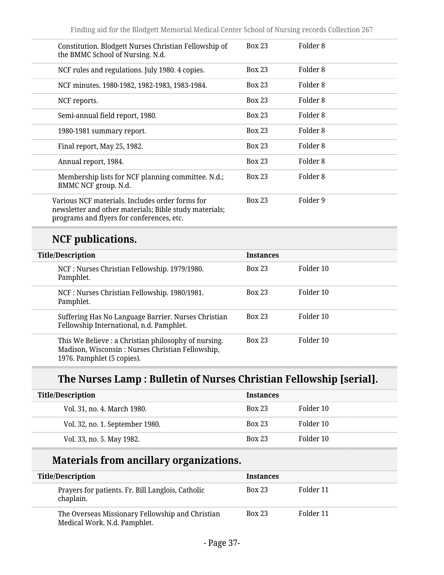| Constitution. Blodgett Nurses Christian Fellowship of<br>the BMMC School of Nursing. N.d.                                                              | <b>Box 23</b> | Folder 8 |
|--------------------------------------------------------------------------------------------------------------------------------------------------------|---------------|----------|
| NCF rules and regulations. July 1980. 4 copies.                                                                                                        | <b>Box 23</b> | Folder 8 |
| NCF minutes. 1980-1982, 1982-1983, 1983-1984.                                                                                                          | <b>Box 23</b> | Folder 8 |
| NCF reports.                                                                                                                                           | <b>Box 23</b> | Folder 8 |
| Semi-annual field report, 1980.                                                                                                                        | <b>Box 23</b> | Folder 8 |
| 1980-1981 summary report.                                                                                                                              | <b>Box 23</b> | Folder 8 |
| Final report, May 25, 1982.                                                                                                                            | <b>Box 23</b> | Folder 8 |
| Annual report, 1984.                                                                                                                                   | <b>Box 23</b> | Folder 8 |
| Membership lists for NCF planning committee. N.d.;<br>BMMC NCF group. N.d.                                                                             | <b>Box 23</b> | Folder 8 |
| Various NCF materials. Includes order forms for<br>newsletter and other materials; Bible study materials;<br>programs and flyers for conferences, etc. | <b>Box 23</b> | Folder 9 |
|                                                                                                                                                        |               |          |

# **NCF publications.**

| <b>Title/Description</b>                                                                                                               | <b>Instances</b> |           |
|----------------------------------------------------------------------------------------------------------------------------------------|------------------|-----------|
| NCF : Nurses Christian Fellowship. 1979/1980.<br>Pamphlet.                                                                             | <b>Box 23</b>    | Folder 10 |
| NCF : Nurses Christian Fellowship. 1980/1981.<br>Pamphlet.                                                                             | <b>Box 23</b>    | Folder 10 |
| Suffering Has No Language Barrier. Nurses Christian<br>Fellowship International, n.d. Pamphlet.                                        | <b>Box 23</b>    | Folder 10 |
| This We Believe : a Christian philosophy of nursing.<br>Madison, Wisconsin: Nurses Christian Fellowship,<br>1976. Pamphlet (5 copies). | <b>Box 23</b>    | Folder 10 |

# **The Nurses Lamp : Bulletin of Nurses Christian Fellowship [serial].**

| <b>Title/Description</b>        | <b>Instances</b> |           |
|---------------------------------|------------------|-----------|
| Vol. 31, no. 4. March 1980.     | <b>Box 23</b>    | Folder 10 |
| Vol. 32, no. 1. September 1980. | <b>Box 23</b>    | Folder 10 |
| Vol. 33, no. 5. May 1982.       | <b>Box 23</b>    | Folder 10 |

## **Materials from ancillary organizations.**

| <b>Title/Description</b> |                                                                                  | <b>Instances</b> |           |  |
|--------------------------|----------------------------------------------------------------------------------|------------------|-----------|--|
|                          | Prayers for patients. Fr. Bill Langlois, Catholic<br>chaplain.                   | <b>Box 23</b>    | Folder 11 |  |
|                          | The Overseas Missionary Fellowship and Christian<br>Medical Work. N.d. Pamphlet. | <b>Box 23</b>    | Folder 11 |  |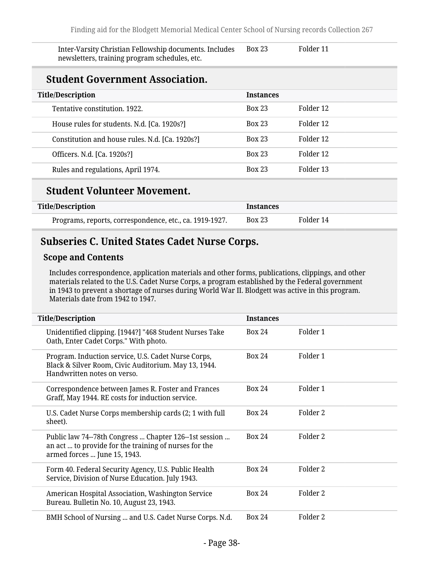| Inter-Varsity Christian Fellowship documents. Includes | <b>Box 23</b> | Folder 11 |  |
|--------------------------------------------------------|---------------|-----------|--|
| newsletters, training program schedules, etc.          |               |           |  |

#### **Student Government Association.**

| <b>Title/Description</b>                        | <b>Instances</b> |           |  |
|-------------------------------------------------|------------------|-----------|--|
| Tentative constitution, 1922.                   | <b>Box 23</b>    | Folder 12 |  |
| House rules for students. N.d. [Ca. 1920s?]     | <b>Box 23</b>    | Folder 12 |  |
| Constitution and house rules. N.d. [Ca. 1920s?] | <b>Box 23</b>    | Folder 12 |  |
| Officers. N.d. [Ca. 1920s?]                     | <b>Box 23</b>    | Folder 12 |  |
| Rules and regulations, April 1974.              | <b>Box 23</b>    | Folder 13 |  |
|                                                 |                  |           |  |

#### **Student Volunteer Movement.**

| <b>Title/Description</b>                                | <b>Instances</b> |           |  |
|---------------------------------------------------------|------------------|-----------|--|
| Programs, reports, correspondence, etc., ca. 1919-1927. | Box 23           | Folder 14 |  |

## **Subseries C. United States Cadet Nurse Corps.**

#### **Scope and Contents**

Includes correspondence, application materials and other forms, publications, clippings, and other materials related to the U.S. Cadet Nurse Corps, a program established by the Federal government in 1943 to prevent a shortage of nurses during World War II. Blodgett was active in this program. Materials date from 1942 to 1947.

| <b>Title/Description</b>                                                                                                                        | <b>Instances</b> |          |
|-------------------------------------------------------------------------------------------------------------------------------------------------|------------------|----------|
| Unidentified clipping. [1944?] "468 Student Nurses Take<br>Oath, Enter Cadet Corps." With photo.                                                | <b>Box 24</b>    | Folder 1 |
| Program. Induction service, U.S. Cadet Nurse Corps,<br>Black & Silver Room, Civic Auditorium. May 13, 1944.<br>Handwritten notes on verso.      | <b>Box 24</b>    | Folder 1 |
| Correspondence between James R. Foster and Frances<br>Graff, May 1944. RE costs for induction service.                                          | <b>Box 24</b>    | Folder 1 |
| U.S. Cadet Nurse Corps membership cards (2; 1 with full<br>sheet).                                                                              | <b>Box 24</b>    | Folder 2 |
| Public law 74--78th Congress  Chapter 126--1st session<br>an act  to provide for the training of nurses for the<br>armed forces  June 15, 1943. | <b>Box 24</b>    | Folder 2 |
| Form 40. Federal Security Agency, U.S. Public Health<br>Service, Division of Nurse Education. July 1943.                                        | <b>Box 24</b>    | Folder 2 |
| American Hospital Association, Washington Service<br>Bureau. Bulletin No. 10, August 23, 1943.                                                  | <b>Box 24</b>    | Folder 2 |
| BMH School of Nursing  and U.S. Cadet Nurse Corps. N.d.                                                                                         | <b>Box 24</b>    | Folder 2 |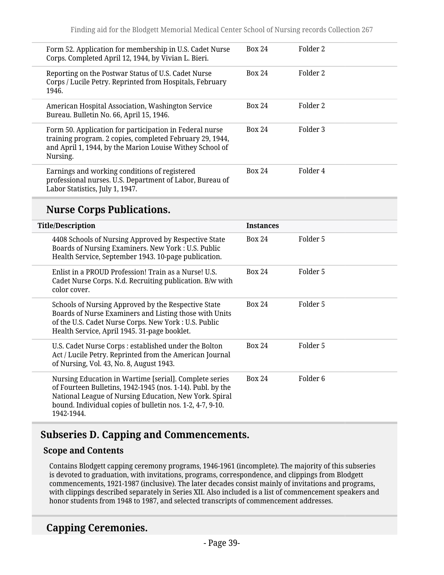| Form 52. Application for membership in U.S. Cadet Nurse<br>Corps. Completed April 12, 1944, by Vivian L. Bieri.                                                                             | <b>Box 24</b> | Folder 2 |  |
|---------------------------------------------------------------------------------------------------------------------------------------------------------------------------------------------|---------------|----------|--|
| Reporting on the Postwar Status of U.S. Cadet Nurse<br>Corps / Lucile Petry. Reprinted from Hospitals, February<br>1946.                                                                    | <b>Box 24</b> | Folder 2 |  |
| American Hospital Association, Washington Service<br>Bureau. Bulletin No. 66, April 15, 1946.                                                                                               | <b>Box 24</b> | Folder 2 |  |
| Form 50. Application for participation in Federal nurse<br>training program. 2 copies, completed February 29, 1944,<br>and April 1, 1944, by the Marion Louise Withey School of<br>Nursing. | <b>Box 24</b> | Folder 3 |  |
| Earnings and working conditions of registered<br>professional nurses. U.S. Department of Labor, Bureau of<br>Labor Statistics, July 1, 1947.                                                | Box 24        | Folder 4 |  |

#### **Nurse Corps Publications.**

| <b>Title/Description</b> |                                                                                                                                                                                                                                                           | <b>Instances</b> |          |
|--------------------------|-----------------------------------------------------------------------------------------------------------------------------------------------------------------------------------------------------------------------------------------------------------|------------------|----------|
|                          | 4408 Schools of Nursing Approved by Respective State<br>Boards of Nursing Examiners. New York : U.S. Public<br>Health Service, September 1943. 10-page publication.                                                                                       | <b>Box 24</b>    | Folder 5 |
|                          | Enlist in a PROUD Profession! Train as a Nurse! U.S.<br>Cadet Nurse Corps. N.d. Recruiting publication. B/w with<br>color cover.                                                                                                                          | <b>Box 24</b>    | Folder 5 |
|                          | Schools of Nursing Approved by the Respective State<br>Boards of Nurse Examiners and Listing those with Units<br>of the U.S. Cadet Nurse Corps. New York : U.S. Public<br>Health Service, April 1945. 31-page booklet.                                    | <b>Box 24</b>    | Folder 5 |
|                          | U.S. Cadet Nurse Corps : established under the Bolton<br>Act / Lucile Petry. Reprinted from the American Journal<br>of Nursing, Vol. 43, No. 8, August 1943.                                                                                              | <b>Box 24</b>    | Folder 5 |
|                          | Nursing Education in Wartime [serial]. Complete series<br>of Fourteen Bulletins, 1942-1945 (nos. 1-14). Publ. by the<br>National League of Nursing Education, New York. Spiral<br>bound. Individual copies of bulletin nos. 1-2, 4-7, 9-10.<br>1942-1944. | <b>Box 24</b>    | Folder 6 |

## **Subseries D. Capping and Commencements.**

#### **Scope and Contents**

Contains Blodgett capping ceremony programs, 1946-1961 (incomplete). The majority of this subseries is devoted to graduation, with invitations, programs, correspondence, and clippings from Blodgett commencements, 1921-1987 (inclusive). The later decades consist mainly of invitations and programs, with clippings described separately in Series XII. Also included is a list of commencement speakers and honor students from 1948 to 1987, and selected transcripts of commencement addresses.

#### **Capping Ceremonies.**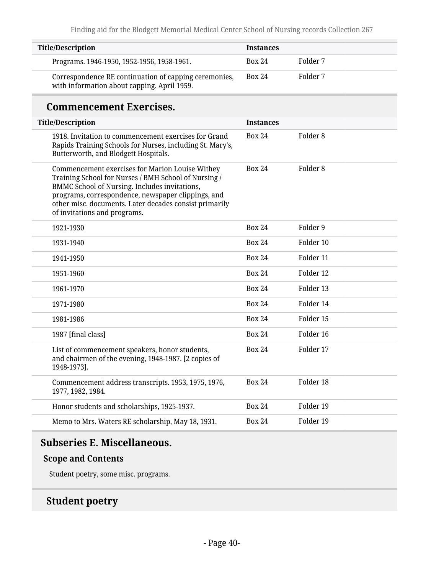| <b>Title/Description</b>                                                                                                                                                                                                                                                                                        | <b>Instances</b> |                     |
|-----------------------------------------------------------------------------------------------------------------------------------------------------------------------------------------------------------------------------------------------------------------------------------------------------------------|------------------|---------------------|
| Programs. 1946-1950, 1952-1956, 1958-1961.                                                                                                                                                                                                                                                                      | <b>Box 24</b>    | Folder 7            |
| Correspondence RE continuation of capping ceremonies,<br>with information about capping. April 1959.                                                                                                                                                                                                            | <b>Box 24</b>    | Folder 7            |
| <b>Commencement Exercises.</b>                                                                                                                                                                                                                                                                                  |                  |                     |
| <b>Title/Description</b>                                                                                                                                                                                                                                                                                        | <b>Instances</b> |                     |
| 1918. Invitation to commencement exercises for Grand<br>Rapids Training Schools for Nurses, including St. Mary's,<br>Butterworth, and Blodgett Hospitals.                                                                                                                                                       | <b>Box 24</b>    | Folder <sub>8</sub> |
| Commencement exercises for Marion Louise Withey<br>Training School for Nurses / BMH School of Nursing /<br><b>BMMC School of Nursing. Includes invitations,</b><br>programs, correspondence, newspaper clippings, and<br>other misc. documents. Later decades consist primarily<br>of invitations and programs. | <b>Box 24</b>    | Folder <sub>8</sub> |
| 1921-1930                                                                                                                                                                                                                                                                                                       | <b>Box 24</b>    | Folder 9            |
| 1931-1940                                                                                                                                                                                                                                                                                                       | <b>Box 24</b>    | Folder 10           |
| 1941-1950                                                                                                                                                                                                                                                                                                       | <b>Box 24</b>    | Folder 11           |
| 1951-1960                                                                                                                                                                                                                                                                                                       | <b>Box 24</b>    | Folder 12           |
| 1961-1970                                                                                                                                                                                                                                                                                                       | <b>Box 24</b>    | Folder 13           |
| 1971-1980                                                                                                                                                                                                                                                                                                       | <b>Box 24</b>    | Folder 14           |
| 1981-1986                                                                                                                                                                                                                                                                                                       | <b>Box 24</b>    | Folder 15           |
| 1987 [final class]                                                                                                                                                                                                                                                                                              | <b>Box 24</b>    | Folder 16           |
| List of commencement speakers, honor students,<br>and chairmen of the evening, 1948-1987. [2 copies of<br>1948-1973].                                                                                                                                                                                           | <b>Box 24</b>    | Folder 17           |
| Commencement address transcripts. 1953, 1975, 1976,<br>1977, 1982, 1984.                                                                                                                                                                                                                                        | <b>Box 24</b>    | Folder 18           |
| Honor students and scholarships, 1925-1937.                                                                                                                                                                                                                                                                     | <b>Box 24</b>    | Folder 19           |
| Memo to Mrs. Waters RE scholarship, May 18, 1931.                                                                                                                                                                                                                                                               | <b>Box 24</b>    | Folder 19           |

### **Subseries E. Miscellaneous.**

#### **Scope and Contents**

Student poetry, some misc. programs.

## **Student poetry**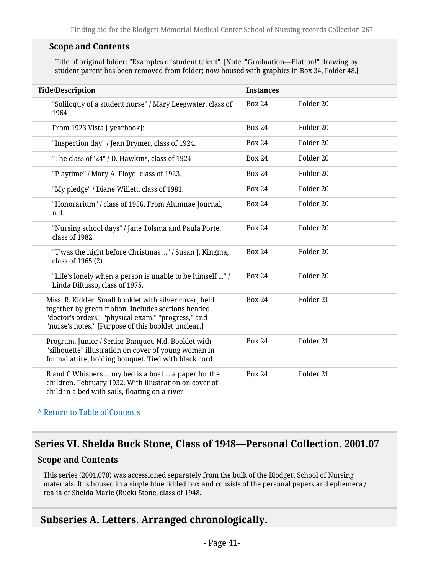#### **Scope and Contents**

Title of original folder: "Examples of student talent". [Note: "Graduation—Elation!" drawing by student parent has been removed from folder; now housed with graphics in Box 34, Folder 48.]

| <b>Title/Description</b>                                                                                                                                                                                                   | <b>Instances</b> |           |
|----------------------------------------------------------------------------------------------------------------------------------------------------------------------------------------------------------------------------|------------------|-----------|
| "Soliloquy of a student nurse" / Mary Leegwater, class of<br>1964.                                                                                                                                                         | <b>Box 24</b>    | Folder 20 |
| From 1923 Vista [ yearbook]:                                                                                                                                                                                               | <b>Box 24</b>    | Folder 20 |
| "Inspection day" / Jean Brymer, class of 1924.                                                                                                                                                                             | <b>Box 24</b>    | Folder 20 |
| "The class of '24" / D. Hawkins, class of 1924                                                                                                                                                                             | <b>Box 24</b>    | Folder 20 |
| "Playtime" / Mary A. Floyd, class of 1923.                                                                                                                                                                                 | <b>Box 24</b>    | Folder 20 |
| "My pledge" / Diane Willett, class of 1981.                                                                                                                                                                                | <b>Box 24</b>    | Folder 20 |
| "Honorarium" / class of 1956. From Alumnae Journal,<br>n.d.                                                                                                                                                                | <b>Box 24</b>    | Folder 20 |
| "Nursing school days" / Jane Tolsma and Paula Porte,<br>class of 1982.                                                                                                                                                     | <b>Box 24</b>    | Folder 20 |
| "T'was the night before Christmas " / Susan J. Kingma,<br>class of 1965 (2).                                                                                                                                               | <b>Box 24</b>    | Folder 20 |
| "Life's lonely when a person is unable to be himself " /<br>Linda DiRusso, class of 1975.                                                                                                                                  | <b>Box 24</b>    | Folder 20 |
| Miss. R. Kidder. Small booklet with silver cover, held<br>together by green ribbon. Includes sections headed<br>"doctor's orders," "physical exam," "progress," and<br>"nurse's notes." [Purpose of this booklet unclear.] | <b>Box 24</b>    | Folder 21 |
| Program. Junior / Senior Banquet. N.d. Booklet with<br>"silhouette" illustration on cover of young woman in<br>formal attire, holding bouquet. Tied with black cord.                                                       | <b>Box 24</b>    | Folder 21 |
| B and C Whispers  my bed is a boat  a paper for the<br>children. February 1932. With illustration on cover of<br>child in a bed with sails, floating on a river.                                                           | <b>Box 24</b>    | Folder 21 |

**^** [Return to Table of Contents](#page-1-0)

#### **Series VI. Shelda Buck Stone, Class of 1948—Personal Collection. 2001.07**

#### **Scope and Contents**

This series (2001.070) was accessioned separately from the bulk of the Blodgett School of Nursing materials. It is housed in a single blue lidded box and consists of the personal papers and ephemera / realia of Shelda Marie (Buck) Stone, class of 1948.

#### **Subseries A. Letters. Arranged chronologically.**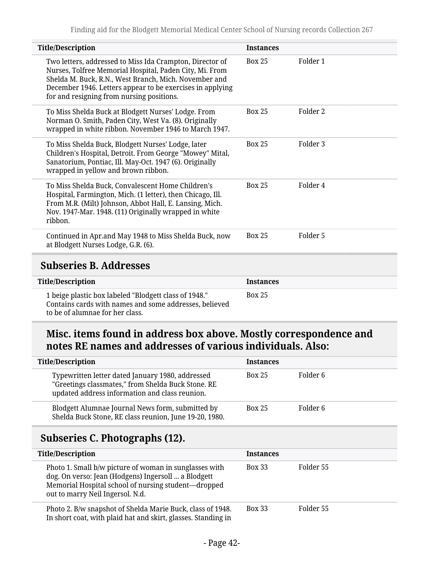| <b>Title/Description</b>                                                                                                                                                                                                                                                               | <b>Instances</b> |                     |
|----------------------------------------------------------------------------------------------------------------------------------------------------------------------------------------------------------------------------------------------------------------------------------------|------------------|---------------------|
| Two letters, addressed to Miss Ida Crampton, Director of<br>Nurses, Tolfree Memorial Hospital, Paden City, Mi. From<br>Shelda M. Buck, R.N., West Branch, Mich. November and<br>December 1946. Letters appear to be exercises in applying<br>for and resigning from nursing positions. | <b>Box 25</b>    | Folder 1            |
| To Miss Shelda Buck at Blodgett Nurses' Lodge. From<br>Norman O. Smith, Paden City, West Va. (8). Originally<br>wrapped in white ribbon. November 1946 to March 1947.                                                                                                                  | <b>Box 25</b>    | Folder <sub>2</sub> |
| To Miss Shelda Buck, Blodgett Nurses' Lodge, later<br>Children's Hospital, Detroit. From George "Mowey" Mital,<br>Sanatorium, Pontiac, Ill. May-Oct. 1947 (6). Originally<br>wrapped in yellow and brown ribbon.                                                                       | <b>Box 25</b>    | Folder <sub>3</sub> |
| To Miss Shelda Buck, Convalescent Home Children's<br>Hospital, Farmington, Mich. (1 letter), then Chicago, Ill.<br>From M.R. (Milt) Johnson, Abbot Hall, E. Lansing, Mich.<br>Nov. 1947-Mar. 1948. (11) Originally wrapped in white<br>ribbon.                                         | <b>Box 25</b>    | Folder 4            |
| Continued in Apr.and May 1948 to Miss Shelda Buck, now<br>at Blodgett Nurses Lodge, G.R. (6).                                                                                                                                                                                          | <b>Box 25</b>    | Folder 5            |
| <b>Subseries B. Addresses</b>                                                                                                                                                                                                                                                          |                  |                     |
| <b>Title/Description</b>                                                                                                                                                                                                                                                               | <b>Instances</b> |                     |
| 1 beige plastic box labeled "Blodgett class of 1948."<br>Contains cards with names and some addresses, believed<br>to be of alumnae for her class.                                                                                                                                     | <b>Box 25</b>    |                     |

### **Misc. items found in address box above. Mostly correspondence and notes RE names and addresses of various individuals. Also:**

| <b>Title/Description</b>                                                                                                                                                                                 | <b>Instances</b> |           |  |  |
|----------------------------------------------------------------------------------------------------------------------------------------------------------------------------------------------------------|------------------|-----------|--|--|
| Typewritten letter dated January 1980, addressed<br>"Greetings classmates," from Shelda Buck Stone. RE<br>updated address information and class reunion.                                                 | <b>Box 25</b>    | Folder 6  |  |  |
| Blodgett Alumnae Journal News form, submitted by<br>Shelda Buck Stone, RE class reunion, June 19-20, 1980.                                                                                               | <b>Box 25</b>    | Folder 6  |  |  |
| Subseries C. Photographs (12).                                                                                                                                                                           |                  |           |  |  |
| <b>Title/Description</b>                                                                                                                                                                                 | <b>Instances</b> |           |  |  |
| Photo 1. Small b/w picture of woman in sunglasses with<br>dog. On verso: Jean (Hodgens) Ingersoll  a Blodgett<br>Memorial Hospital school of nursing student-dropped<br>out to marry Neil Ingersol. N.d. | <b>Box 33</b>    | Folder 55 |  |  |
|                                                                                                                                                                                                          |                  |           |  |  |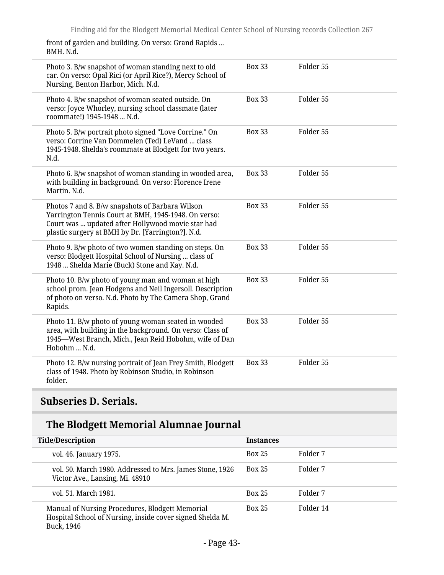front of garden and building. On verso: Grand Rapids ... BMH. N.d.

| Photo 3. B/w snapshot of woman standing next to old<br>car. On verso: Opal Rici (or April Rice?), Mercy School of<br>Nursing, Benton Harbor, Mich. N.d.                                                           | <b>Box 33</b> | Folder 55 |
|-------------------------------------------------------------------------------------------------------------------------------------------------------------------------------------------------------------------|---------------|-----------|
| Photo 4. B/w snapshot of woman seated outside. On<br>verso: Joyce Whorley, nursing school classmate (later<br>roommate!) 1945-1948  N.d.                                                                          | <b>Box 33</b> | Folder 55 |
| Photo 5. B/w portrait photo signed "Love Corrine." On<br>verso: Corrine Van Dommelen (Ted) LeVand  class<br>1945-1948. Shelda's roommate at Blodgett for two years.<br>N.d.                                       | <b>Box 33</b> | Folder 55 |
| Photo 6. B/w snapshot of woman standing in wooded area,<br>with building in background. On verso: Florence Irene<br>Martin, N.d.                                                                                  | <b>Box 33</b> | Folder 55 |
| Photos 7 and 8. B/w snapshots of Barbara Wilson<br>Yarrington Tennis Court at BMH, 1945-1948. On verso:<br>Court was  updated after Hollywood movie star had<br>plastic surgery at BMH by Dr. [Yarrington?]. N.d. | <b>Box 33</b> | Folder 55 |
| Photo 9. B/w photo of two women standing on steps. On<br>verso: Blodgett Hospital School of Nursing  class of<br>1948  Shelda Marie (Buck) Stone and Kay. N.d.                                                    | <b>Box 33</b> | Folder 55 |
| Photo 10. B/w photo of young man and woman at high<br>school prom. Jean Hodgens and Neil Ingersoll. Description<br>of photo on verso. N.d. Photo by The Camera Shop, Grand<br>Rapids.                             | <b>Box 33</b> | Folder 55 |
| Photo 11. B/w photo of young woman seated in wooded<br>area, with building in the background. On verso: Class of<br>1945-West Branch, Mich., Jean Reid Hobohm, wife of Dan<br>Hobohm  N.d.                        | <b>Box 33</b> | Folder 55 |
| Photo 12. B/w nursing portrait of Jean Frey Smith, Blodgett<br>class of 1948. Photo by Robinson Studio, in Robinson<br>folder.                                                                                    | <b>Box 33</b> | Folder 55 |

### **Subseries D. Serials.**

## **The Blodgett Memorial Alumnae Journal**

| <b>Title/Description</b>                                                                                                   | <b>Instances</b> |           |  |
|----------------------------------------------------------------------------------------------------------------------------|------------------|-----------|--|
| vol. 46. January 1975.                                                                                                     | <b>Box 25</b>    | Folder 7  |  |
| vol. 50. March 1980. Addressed to Mrs. James Stone, 1926<br>Victor Ave., Lansing, Mi. 48910                                | <b>Box 25</b>    | Folder 7  |  |
| vol. 51. March 1981.                                                                                                       | <b>Box 25</b>    | Folder 7  |  |
| Manual of Nursing Procedures, Blodgett Memorial<br>Hospital School of Nursing, inside cover signed Shelda M.<br>Buck, 1946 | <b>Box 25</b>    | Folder 14 |  |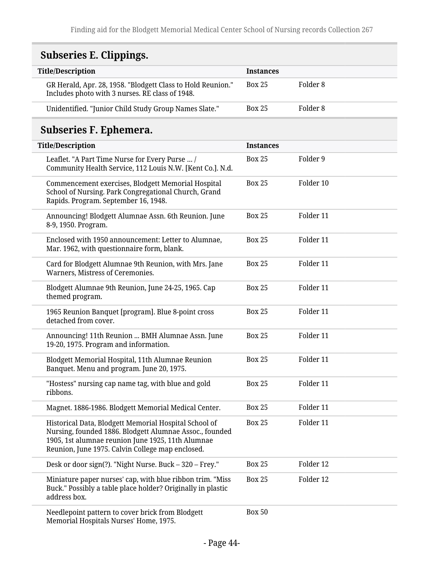# **Subseries E. Clippings.**

| <b>Title/Description</b>                                                                                       | <b>Instances</b> |          |
|----------------------------------------------------------------------------------------------------------------|------------------|----------|
| GR Herald, Apr. 28, 1958. "Blodgett Class to Hold Reunion."<br>Includes photo with 3 nurses. RE class of 1948. | <b>Box 25</b>    | Folder 8 |
| Unidentified. "Junior Child Study Group Names Slate."                                                          | <b>Box 25</b>    | Folder 8 |

# **Subseries F. Ephemera.**

| <b>Title/Description</b>                                                                                                                                                                                                  | <b>Instances</b> |           |
|---------------------------------------------------------------------------------------------------------------------------------------------------------------------------------------------------------------------------|------------------|-----------|
| Leaflet. "A Part Time Nurse for Every Purse  /<br>Community Health Service, 112 Louis N.W. [Kent Co.]. N.d.                                                                                                               | <b>Box 25</b>    | Folder 9  |
| Commencement exercises, Blodgett Memorial Hospital<br>School of Nursing. Park Congregational Church, Grand<br>Rapids. Program. September 16, 1948.                                                                        | <b>Box 25</b>    | Folder 10 |
| Announcing! Blodgett Alumnae Assn. 6th Reunion. June<br>8-9, 1950. Program.                                                                                                                                               | <b>Box 25</b>    | Folder 11 |
| Enclosed with 1950 announcement: Letter to Alumnae,<br>Mar. 1962, with questionnaire form, blank.                                                                                                                         | <b>Box 25</b>    | Folder 11 |
| Card for Blodgett Alumnae 9th Reunion, with Mrs. Jane<br>Warners, Mistress of Ceremonies.                                                                                                                                 | <b>Box 25</b>    | Folder 11 |
| Blodgett Alumnae 9th Reunion, June 24-25, 1965. Cap<br>themed program.                                                                                                                                                    | <b>Box 25</b>    | Folder 11 |
| 1965 Reunion Banquet [program]. Blue 8-point cross<br>detached from cover.                                                                                                                                                | <b>Box 25</b>    | Folder 11 |
| Announcing! 11th Reunion  BMH Alumnae Assn. June<br>19-20, 1975. Program and information.                                                                                                                                 | <b>Box 25</b>    | Folder 11 |
| Blodgett Memorial Hospital, 11th Alumnae Reunion<br>Banquet. Menu and program. June 20, 1975.                                                                                                                             | <b>Box 25</b>    | Folder 11 |
| "Hostess" nursing cap name tag, with blue and gold<br>ribbons.                                                                                                                                                            | <b>Box 25</b>    | Folder 11 |
| Magnet. 1886-1986. Blodgett Memorial Medical Center.                                                                                                                                                                      | <b>Box 25</b>    | Folder 11 |
| Historical Data, Blodgett Memorial Hospital School of<br>Nursing, founded 1886. Blodgett Alumnae Assoc., founded<br>1905, 1st alumnae reunion June 1925, 11th Alumnae<br>Reunion, June 1975. Calvin College map enclosed. | <b>Box 25</b>    | Folder 11 |
| Desk or door sign(?). "Night Nurse. Buck - 320 - Frey."                                                                                                                                                                   | <b>Box 25</b>    | Folder 12 |
| Miniature paper nurses' cap, with blue ribbon trim. "Miss<br>Buck." Possibly a table place holder? Originally in plastic<br>address box.                                                                                  | <b>Box 25</b>    | Folder 12 |
| Needlepoint pattern to cover brick from Blodgett<br>Memorial Hospitals Nurses' Home, 1975.                                                                                                                                | <b>Box 50</b>    |           |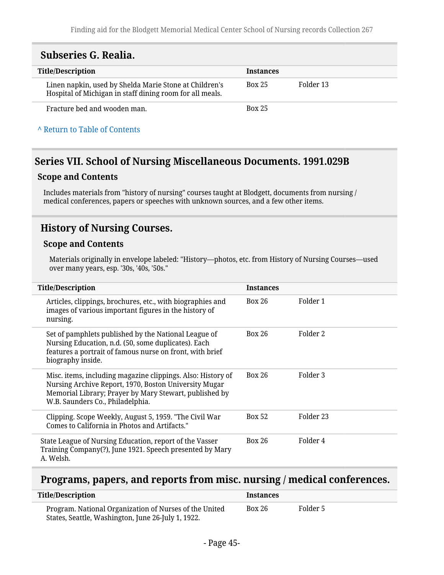### **Subseries G. Realia.**

| <b>Title/Description</b>                                                                                           | <b>Instances</b> |           |
|--------------------------------------------------------------------------------------------------------------------|------------------|-----------|
| Linen napkin, used by Shelda Marie Stone at Children's<br>Hospital of Michigan in staff dining room for all meals. | <b>Box 25</b>    | Folder 13 |
| Fracture bed and wooden man.                                                                                       | <b>Box 25</b>    |           |

**^** [Return to Table of Contents](#page-1-0)

#### **Series VII. School of Nursing Miscellaneous Documents. 1991.029B**

#### **Scope and Contents**

Includes materials from "history of nursing" courses taught at Blodgett, documents from nursing / medical conferences, papers or speeches with unknown sources, and a few other items.

#### **History of Nursing Courses.**

#### **Scope and Contents**

Materials originally in envelope labeled: "History—photos, etc. from History of Nursing Courses—used over many years, esp. '30s, '40s, '50s."

| <b>Title/Description</b>                                                                                                                                                                                           | <b>Instances</b> |           |
|--------------------------------------------------------------------------------------------------------------------------------------------------------------------------------------------------------------------|------------------|-----------|
| Articles, clippings, brochures, etc., with biographies and<br>images of various important figures in the history of<br>nursing.                                                                                    | <b>Box 26</b>    | Folder 1  |
| Set of pamphlets published by the National League of<br>Nursing Education, n.d. (50, some duplicates). Each<br>features a portrait of famous nurse on front, with brief<br>biography inside.                       | <b>Box 26</b>    | Folder 2  |
| Misc. items, including magazine clippings. Also: History of<br>Nursing Archive Report, 1970, Boston University Mugar<br>Memorial Library; Prayer by Mary Stewart, published by<br>W.B. Saunders Co., Philadelphia. | <b>Box 26</b>    | Folder 3  |
| Clipping. Scope Weekly, August 5, 1959. "The Civil War<br>Comes to California in Photos and Artifacts."                                                                                                            | <b>Box 52</b>    | Folder 23 |
| State League of Nursing Education, report of the Vasser<br>Training Company(?), June 1921. Speech presented by Mary<br>A. Welsh.                                                                                   | <b>Box 26</b>    | Folder 4  |

#### **Programs, papers, and reports from misc. nursing / medical conferences.**

| <b>Title/Description</b>                                                                                     | <b>Instances</b> |          |
|--------------------------------------------------------------------------------------------------------------|------------------|----------|
| Program. National Organization of Nurses of the United<br>States, Seattle, Washington, June 26-July 1, 1922. | <b>Box 26</b>    | Folder 5 |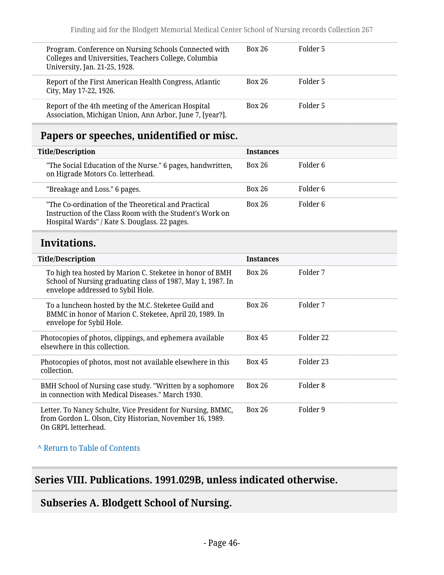| Program. Conference on Nursing Schools Connected with<br>Colleges and Universities, Teachers College, Columbia<br>University, Jan. 21-25, 1928. | <b>Box 26</b> | Folder 5 |
|-------------------------------------------------------------------------------------------------------------------------------------------------|---------------|----------|
| Report of the First American Health Congress, Atlantic<br>City, May 17-22, 1926.                                                                | <b>Box 26</b> | Folder 5 |
| Report of the 4th meeting of the American Hospital<br>Association, Michigan Union, Ann Arbor, June 7, [year?].                                  | <b>Box 26</b> | Folder 5 |

## **Papers or speeches, unidentified or misc.**

| <b>Title/Description</b>                                                                                                                                         | <b>Instances</b> |          |
|------------------------------------------------------------------------------------------------------------------------------------------------------------------|------------------|----------|
| "The Social Education of the Nurse." 6 pages, handwritten,<br>on Higrade Motors Co. letterhead.                                                                  | <b>Box 26</b>    | Folder 6 |
| "Breakage and Loss." 6 pages.                                                                                                                                    | <b>Box 26</b>    | Folder 6 |
| "The Co-ordination of the Theoretical and Practical<br>Instruction of the Class Room with the Student's Work on<br>Hospital Wards" / Kate S. Douglass. 22 pages. | <b>Box 26</b>    | Folder 6 |

## **Invitations.**

| <b>Title/Description</b>                                                                                                                                     | <b>Instances</b> |           |
|--------------------------------------------------------------------------------------------------------------------------------------------------------------|------------------|-----------|
| To high tea hosted by Marion C. Steketee in honor of BMH<br>School of Nursing graduating class of 1987, May 1, 1987. In<br>envelope addressed to Sybil Hole. | <b>Box 26</b>    | Folder 7  |
| To a luncheon hosted by the M.C. Steketee Guild and<br>BMMC in honor of Marion C. Steketee, April 20, 1989. In<br>envelope for Sybil Hole.                   | <b>Box 26</b>    | Folder 7  |
| Photocopies of photos, clippings, and ephemera available<br>elsewhere in this collection.                                                                    | <b>Box 45</b>    | Folder 22 |
| Photocopies of photos, most not available elsewhere in this<br>collection.                                                                                   | <b>Box 45</b>    | Folder 23 |
| BMH School of Nursing case study. "Written by a sophomore<br>in connection with Medical Diseases." March 1930.                                               | Box 26           | Folder 8  |
| Letter. To Nancy Schulte, Vice President for Nursing, BMMC,<br>from Gordon L. Olson, City Historian, November 16, 1989.<br>On GRPL letterhead.               | <b>Box 26</b>    | Folder 9  |

**^** [Return to Table of Contents](#page-1-0)

## **Series VIII. Publications. 1991.029B, unless indicated otherwise.**

## **Subseries A. Blodgett School of Nursing.**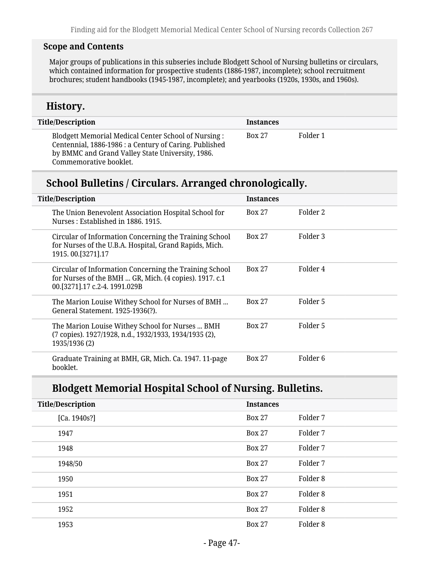#### **Scope and Contents**

Major groups of publications in this subseries include Blodgett School of Nursing bulletins or circulars, which contained information for prospective students (1886-1987, incomplete); school recruitment brochures; student handbooks (1945-1987, incomplete); and yearbooks (1920s, 1930s, and 1960s).

#### **History.**

| <b>Title/Description</b>                                                                                                                                                                     | <b>Instances</b> |          |
|----------------------------------------------------------------------------------------------------------------------------------------------------------------------------------------------|------------------|----------|
| Blodgett Memorial Medical Center School of Nursing :<br>Centennial, 1886-1986 : a Century of Caring. Published<br>by BMMC and Grand Valley State University, 1986.<br>Commemorative booklet. | <b>Box 27</b>    | Folder 1 |

#### **School Bulletins / Circulars. Arranged chronologically.**

| <b>Title/Description</b>                                                                                                                          | <b>Instances</b> |                     |
|---------------------------------------------------------------------------------------------------------------------------------------------------|------------------|---------------------|
| The Union Benevolent Association Hospital School for<br>Nurses: Established in 1886, 1915.                                                        | <b>Box 27</b>    | Folder 2            |
| Circular of Information Concerning the Training School<br>for Nurses of the U.B.A. Hospital, Grand Rapids, Mich.<br>1915.00. [3271]. 17           | <b>Box 27</b>    | Folder 3            |
| Circular of Information Concerning the Training School<br>for Nurses of the BMH  GR, Mich. (4 copies). 1917. c.1<br>00.[3271].17 c.2-4. 1991.029B | <b>Box 27</b>    | Folder 4            |
| The Marion Louise Withey School for Nurses of BMH<br>General Statement. 1925-1936(?).                                                             | <b>Box 27</b>    | Folder 5            |
| The Marion Louise Withey School for Nurses  BMH<br>(7 copies). 1927/1928, n.d., 1932/1933, 1934/1935 (2),<br>1935/1936 (2)                        | <b>Box 27</b>    | Folder 5            |
| Graduate Training at BMH, GR, Mich. Ca. 1947. 11-page<br>booklet.                                                                                 | <b>Box 27</b>    | Folder <sub>6</sub> |

### **Blodgett Memorial Hospital School of Nursing. Bulletins.**

| <b>Title/Description</b> | <b>Instances</b> |          |
|--------------------------|------------------|----------|
| [Ca. 1940s!]             | <b>Box 27</b>    | Folder 7 |
| 1947                     | <b>Box 27</b>    | Folder 7 |
| 1948                     | <b>Box 27</b>    | Folder 7 |
| 1948/50                  | <b>Box 27</b>    | Folder 7 |
| 1950                     | <b>Box 27</b>    | Folder 8 |
| 1951                     | <b>Box 27</b>    | Folder 8 |
| 1952                     | <b>Box 27</b>    | Folder 8 |
| 1953                     | <b>Box 27</b>    | Folder 8 |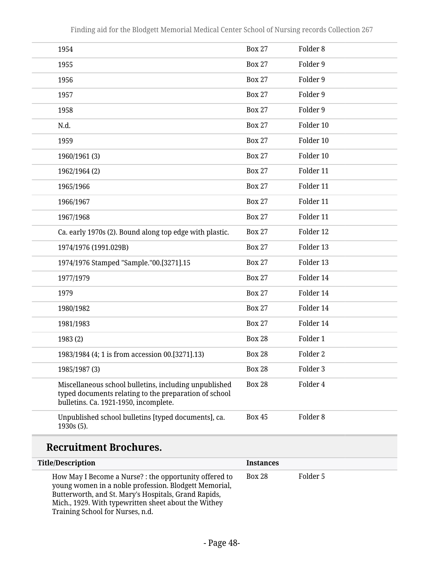| 1954                                                                                                                                                    | <b>Box 27</b> | Folder <sub>8</sub> |
|---------------------------------------------------------------------------------------------------------------------------------------------------------|---------------|---------------------|
| 1955                                                                                                                                                    | <b>Box 27</b> | Folder 9            |
| 1956                                                                                                                                                    | <b>Box 27</b> | Folder 9            |
| 1957                                                                                                                                                    | <b>Box 27</b> | Folder 9            |
| 1958                                                                                                                                                    | <b>Box 27</b> | Folder 9            |
| N.d.                                                                                                                                                    | <b>Box 27</b> | Folder 10           |
| 1959                                                                                                                                                    | <b>Box 27</b> | Folder 10           |
| 1960/1961 (3)                                                                                                                                           | <b>Box 27</b> | Folder 10           |
| 1962/1964 (2)                                                                                                                                           | <b>Box 27</b> | Folder 11           |
| 1965/1966                                                                                                                                               | <b>Box 27</b> | Folder 11           |
| 1966/1967                                                                                                                                               | <b>Box 27</b> | Folder 11           |
| 1967/1968                                                                                                                                               | <b>Box 27</b> | Folder 11           |
| Ca. early 1970s (2). Bound along top edge with plastic.                                                                                                 | <b>Box 27</b> | Folder 12           |
| 1974/1976 (1991.029B)                                                                                                                                   | <b>Box 27</b> | Folder 13           |
| 1974/1976 Stamped "Sample."00.[3271].15                                                                                                                 | <b>Box 27</b> | Folder 13           |
| 1977/1979                                                                                                                                               | <b>Box 27</b> | Folder 14           |
| 1979                                                                                                                                                    | <b>Box 27</b> | Folder 14           |
| 1980/1982                                                                                                                                               | <b>Box 27</b> | Folder 14           |
| 1981/1983                                                                                                                                               | <b>Box 27</b> | Folder 14           |
| 1983 (2)                                                                                                                                                | <b>Box 28</b> | Folder 1            |
| 1983/1984 (4; 1 is from accession 00.[3271].13)                                                                                                         | <b>Box 28</b> | Folder <sub>2</sub> |
| 1985/1987 (3)                                                                                                                                           | <b>Box 28</b> | Folder 3            |
| Miscellaneous school bulletins, including unpublished<br>typed documents relating to the preparation of school<br>bulletins. Ca. 1921-1950, incomplete. | <b>Box 28</b> | Folder 4            |
| Unpublished school bulletins [typed documents], ca.<br>1930s (5).                                                                                       | <b>Box 45</b> | Folder <sub>8</sub> |

# **Recruitment Brochures.**

| <b>Title/Description</b>                                                                                                                                                                                                                                            | <b>Instances</b> |          |
|---------------------------------------------------------------------------------------------------------------------------------------------------------------------------------------------------------------------------------------------------------------------|------------------|----------|
| How May I Become a Nurse? : the opportunity offered to<br>young women in a noble profession. Blodgett Memorial,<br>Butterworth, and St. Mary's Hospitals, Grand Rapids,<br>Mich., 1929. With typewritten sheet about the Withey<br>Training School for Nurses, n.d. | <b>Box 28</b>    | Folder 5 |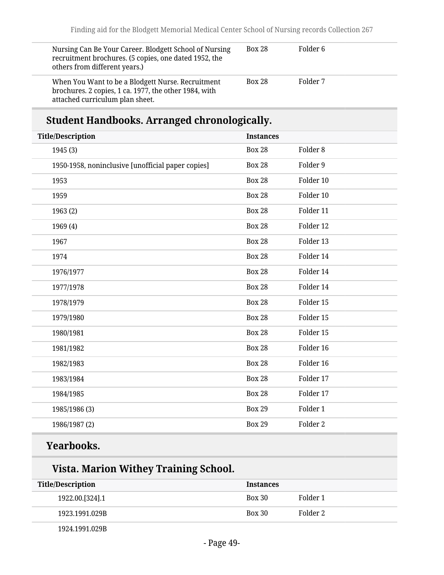| Nursing Can Be Your Career. Blodgett School of Nursing<br>recruitment brochures. (5 copies, one dated 1952, the<br>others from different years.) | <b>Box 28</b> | Folder 6 |
|--------------------------------------------------------------------------------------------------------------------------------------------------|---------------|----------|
| When You Want to be a Blodgett Nurse. Recruitment<br>brochures. 2 copies, 1 ca. 1977, the other 1984, with<br>attached curriculum plan sheet.    | <b>Box 28</b> | Folder 7 |

# **Student Handbooks. Arranged chronologically.**

| <b>Title/Description</b>                          | <b>Instances</b> |                     |
|---------------------------------------------------|------------------|---------------------|
| 1945 (3)                                          | <b>Box 28</b>    | Folder <sub>8</sub> |
| 1950-1958, noninclusive [unofficial paper copies] | <b>Box 28</b>    | Folder 9            |
| 1953                                              | <b>Box 28</b>    | Folder 10           |
| 1959                                              | <b>Box 28</b>    | Folder 10           |
| 1963 (2)                                          | <b>Box 28</b>    | Folder 11           |
| 1969 (4)                                          | <b>Box 28</b>    | Folder 12           |
| 1967                                              | <b>Box 28</b>    | Folder 13           |
| 1974                                              | <b>Box 28</b>    | Folder 14           |
| 1976/1977                                         | <b>Box 28</b>    | Folder 14           |
| 1977/1978                                         | <b>Box 28</b>    | Folder 14           |
| 1978/1979                                         | <b>Box 28</b>    | Folder 15           |
| 1979/1980                                         | <b>Box 28</b>    | Folder 15           |
| 1980/1981                                         | <b>Box 28</b>    | Folder 15           |
| 1981/1982                                         | <b>Box 28</b>    | Folder 16           |
| 1982/1983                                         | <b>Box 28</b>    | Folder 16           |
| 1983/1984                                         | <b>Box 28</b>    | Folder 17           |
| 1984/1985                                         | <b>Box 28</b>    | Folder 17           |
| 1985/1986 (3)                                     | <b>Box 29</b>    | Folder 1            |
| 1986/1987(2)                                      | <b>Box 29</b>    | Folder 2            |
|                                                   |                  |                     |

# **Yearbooks.**

## **Vista. Marion Withey Training School.**

| Title/Description | <b>Instances</b> |          |
|-------------------|------------------|----------|
| 1922.00.[324].1   | <b>Box 30</b>    | Folder 1 |
| 1923.1991.029B    | <b>Box 30</b>    | Folder 2 |
| 1924.1991.029B    |                  |          |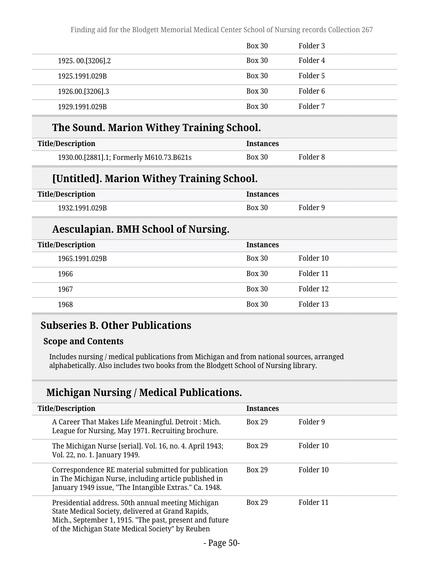|                  | <b>Box 30</b> | Folder 3 |
|------------------|---------------|----------|
| 1925.00.[3206].2 | <b>Box 30</b> | Folder 4 |
| 1925.1991.029B   | <b>Box 30</b> | Folder 5 |
| 1926.00.[3206].3 | <b>Box 30</b> | Folder 6 |
| 1929.1991.029B   | <b>Box 30</b> | Folder 7 |

#### **The Sound. Marion Withey Training School.**

| Title/Description                        | <b>Instances</b> |          |
|------------------------------------------|------------------|----------|
| 1930.00.[2881].1; Formerly M610.73.B621s | <b>Box 30</b>    | Folder 8 |

### **[Untitled]. Marion Withey Training School.**

| Title/Description | <b>Instances</b> |          |
|-------------------|------------------|----------|
| 1932.1991.029B    | <b>Box 30</b>    | Folder 9 |

#### **Aesculapian. BMH School of Nursing.**

| <b>Title/Description</b> | <b>Instances</b> |           |
|--------------------------|------------------|-----------|
| 1965.1991.029B           | <b>Box 30</b>    | Folder 10 |
| 1966                     | <b>Box 30</b>    | Folder 11 |
| 1967                     | <b>Box 30</b>    | Folder 12 |
| 1968                     | <b>Box 30</b>    | Folder 13 |

#### **Subseries B. Other Publications**

#### **Scope and Contents**

Includes nursing / medical publications from Michigan and from national sources, arranged alphabetically. Also includes two books from the Blodgett School of Nursing library.

### **Michigan Nursing / Medical Publications.**

| <b>Title/Description</b>                                                                                                                                                                                               | <b>Instances</b> |           |
|------------------------------------------------------------------------------------------------------------------------------------------------------------------------------------------------------------------------|------------------|-----------|
| A Career That Makes Life Meaningful. Detroit : Mich.<br>League for Nursing, May 1971. Recruiting brochure.                                                                                                             | <b>Box 29</b>    | Folder 9  |
| The Michigan Nurse [serial]. Vol. 16, no. 4. April 1943;<br>Vol. 22, no. 1. January 1949.                                                                                                                              | <b>Box 29</b>    | Folder 10 |
| Correspondence RE material submitted for publication<br>in The Michigan Nurse, including article published in<br>January 1949 issue, "The Intangible Extras." Ca. 1948.                                                | <b>Box 29</b>    | Folder 10 |
| Presidential address. 50th annual meeting Michigan<br>State Medical Society, delivered at Grand Rapids,<br>Mich., September 1, 1915. "The past, present and future<br>of the Michigan State Medical Society" by Reuben | <b>Box 29</b>    | Folder 11 |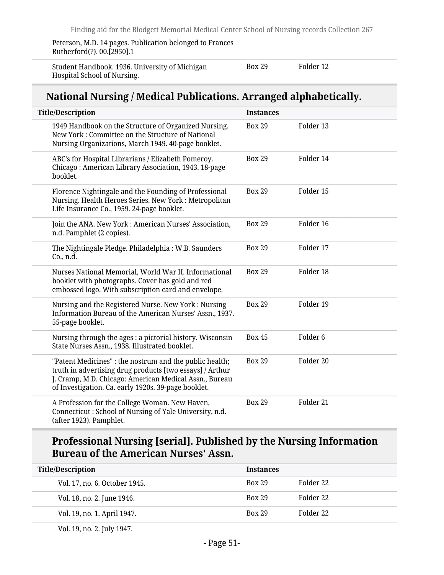Peterson, M.D. 14 pages. Publication belonged to Frances Rutherford(?). 00.[2950].1

Student Handbook. 1936. University of Michigan Hospital School of Nursing.

Box 29 Folder 12

### **National Nursing / Medical Publications. Arranged alphabetically.**

| <b>Title/Description</b>                                                                                                                                                                                                             | <b>Instances</b> |                     |
|--------------------------------------------------------------------------------------------------------------------------------------------------------------------------------------------------------------------------------------|------------------|---------------------|
| 1949 Handbook on the Structure of Organized Nursing.<br>New York: Committee on the Structure of National<br>Nursing Organizations, March 1949. 40-page booklet.                                                                      | <b>Box 29</b>    | Folder 13           |
| ABC's for Hospital Librarians / Elizabeth Pomeroy.<br>Chicago: American Library Association, 1943. 18-page<br>booklet.                                                                                                               | <b>Box 29</b>    | Folder 14           |
| Florence Nightingale and the Founding of Professional<br>Nursing. Health Heroes Series. New York: Metropolitan<br>Life Insurance Co., 1959. 24-page booklet.                                                                         | <b>Box 29</b>    | Folder 15           |
| Join the ANA. New York: American Nurses' Association,<br>n.d. Pamphlet (2 copies).                                                                                                                                                   | <b>Box 29</b>    | Folder 16           |
| The Nightingale Pledge. Philadelphia: W.B. Saunders<br>Co., n.d.                                                                                                                                                                     | <b>Box 29</b>    | Folder 17           |
| Nurses National Memorial, World War II. Informational<br>booklet with photographs. Cover has gold and red<br>embossed logo. With subscription card and envelope.                                                                     | <b>Box 29</b>    | Folder 18           |
| Nursing and the Registered Nurse. New York: Nursing<br>Information Bureau of the American Nurses' Assn., 1937.<br>55-page booklet.                                                                                                   | <b>Box 29</b>    | Folder 19           |
| Nursing through the ages : a pictorial history. Wisconsin<br>State Nurses Assn., 1938. Illustrated booklet.                                                                                                                          | <b>Box 45</b>    | Folder <sub>6</sub> |
| "Patent Medicines" : the nostrum and the public health;<br>truth in advertising drug products [two essays] / Arthur<br>J. Cramp, M.D. Chicago: American Medical Assn., Bureau<br>of Investigation. Ca. early 1920s. 39-page booklet. | <b>Box 29</b>    | Folder 20           |
| A Profession for the College Woman. New Haven,<br>Connecticut: School of Nursing of Yale University, n.d.<br>(after 1923). Pamphlet.                                                                                                 | <b>Box 29</b>    | Folder 21           |

## **Professional Nursing [serial]. Published by the Nursing Information Bureau of the American Nurses' Assn.**

| <b>Title/Description</b>      | <b>Instances</b> |           |
|-------------------------------|------------------|-----------|
| Vol. 17, no. 6. October 1945. | <b>Box 29</b>    | Folder 22 |
| Vol. 18, no. 2. June 1946.    | <b>Box 29</b>    | Folder 22 |
| Vol. 19, no. 1. April 1947.   | <b>Box 29</b>    | Folder 22 |
|                               |                  |           |

Vol. 19, no. 2. July 1947.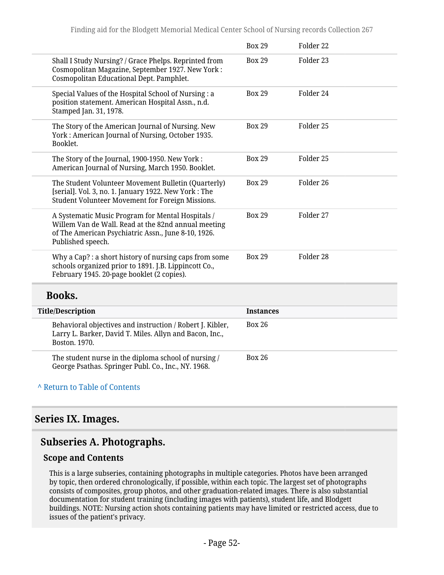|                                                                                                                                                                                      | <b>Box 29</b> | Folder 22            |
|--------------------------------------------------------------------------------------------------------------------------------------------------------------------------------------|---------------|----------------------|
| Shall I Study Nursing? / Grace Phelps. Reprinted from<br>Cosmopolitan Magazine, September 1927. New York:<br>Cosmopolitan Educational Dept. Pamphlet.                                | <b>Box 29</b> | Folder 23            |
| Special Values of the Hospital School of Nursing : a<br>position statement. American Hospital Assn., n.d.<br>Stamped Jan. 31, 1978.                                                  | <b>Box 29</b> | Folder 24            |
| The Story of the American Journal of Nursing. New<br>York: American Journal of Nursing, October 1935.<br>Booklet.                                                                    | <b>Box 29</b> | Folder 25            |
| The Story of the Journal, 1900-1950. New York :<br>American Journal of Nursing, March 1950. Booklet.                                                                                 | <b>Box 29</b> | Folder 25            |
| The Student Volunteer Movement Bulletin (Quarterly)<br>[serial]. Vol. 3, no. 1. January 1922. New York: The<br>Student Volunteer Movement for Foreign Missions.                      | <b>Box 29</b> | Folder 26            |
| A Systematic Music Program for Mental Hospitals /<br>Willem Van de Wall. Read at the 82nd annual meeting<br>of The American Psychiatric Assn., June 8-10, 1926.<br>Published speech. | <b>Box 29</b> | Folder 27            |
| Why a Cap? : a short history of nursing caps from some<br>schools organized prior to 1891. J.B. Lippincott Co.,<br>February 1945. 20-page booklet (2 copies).                        | <b>Box 29</b> | Folder <sub>28</sub> |

#### **Books.**

| <b>Title/Description</b>                                                                                                              | <b>Instances</b> |
|---------------------------------------------------------------------------------------------------------------------------------------|------------------|
| Behavioral objectives and instruction / Robert J. Kibler,<br>Larry L. Barker, David T. Miles. Allyn and Bacon, Inc.,<br>Boston, 1970. | <b>Box 26</b>    |
| The student nurse in the diploma school of nursing /<br>George Psathas. Springer Publ. Co., Inc., NY. 1968.                           | Box 26           |

#### **^** [Return to Table of Contents](#page-1-0)

#### **Series IX. Images.**

## **Subseries A. Photographs.**

#### **Scope and Contents**

This is a large subseries, containing photographs in multiple categories. Photos have been arranged by topic, then ordered chronologically, if possible, within each topic. The largest set of photographs consists of composites, group photos, and other graduation-related images. There is also substantial documentation for student training (including images with patients), student life, and Blodgett buildings. NOTE: Nursing action shots containing patients may have limited or restricted access, due to issues of the patient's privacy.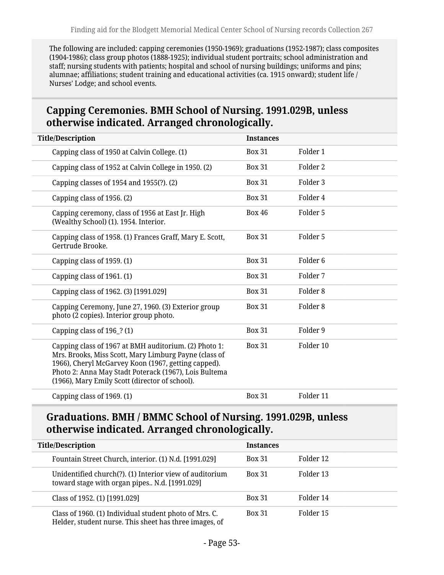The following are included: capping ceremonies (1950-1969); graduations (1952-1987); class composites (1904-1986); class group photos (1888-1925); individual student portraits; school administration and staff; nursing students with patients; hospital and school of nursing buildings; uniforms and pins; alumnae; affiliations; student training and educational activities (ca. 1915 onward); student life / Nurses' Lodge; and school events.

## **Capping Ceremonies. BMH School of Nursing. 1991.029B, unless otherwise indicated. Arranged chronologically.**

| <b>Box 31</b> | Folder 1            |  |
|---------------|---------------------|--|
| <b>Box 31</b> | Folder <sub>2</sub> |  |
| <b>Box 31</b> | Folder <sub>3</sub> |  |
| <b>Box 31</b> | Folder 4            |  |
| <b>Box 46</b> | Folder 5            |  |
| <b>Box 31</b> | Folder 5            |  |
| <b>Box 31</b> | Folder <sub>6</sub> |  |
| <b>Box 31</b> | Folder 7            |  |
| <b>Box 31</b> | Folder <sub>8</sub> |  |
| <b>Box 31</b> | Folder <sub>8</sub> |  |
| <b>Box 31</b> | Folder 9            |  |
| <b>Box 31</b> | Folder 10           |  |
| <b>Box 31</b> | Folder 11           |  |
|               | <b>Instances</b>    |  |

#### **Graduations. BMH / BMMC School of Nursing. 1991.029B, unless otherwise indicated. Arranged chronologically.**

| <b>Title/Description</b>                                                                                         | <b>Instances</b> |           |
|------------------------------------------------------------------------------------------------------------------|------------------|-----------|
| Fountain Street Church, interior. (1) N.d. [1991.029]                                                            | <b>Box 31</b>    | Folder 12 |
| Unidentified church(?). (1) Interior view of auditorium<br>toward stage with organ pipes N.d. [1991.029]         | <b>Box 31</b>    | Folder 13 |
| Class of 1952. (1) [1991.029]                                                                                    | <b>Box 31</b>    | Folder 14 |
| Class of 1960. (1) Individual student photo of Mrs. C.<br>Helder, student nurse. This sheet has three images, of | <b>Box 31</b>    | Folder 15 |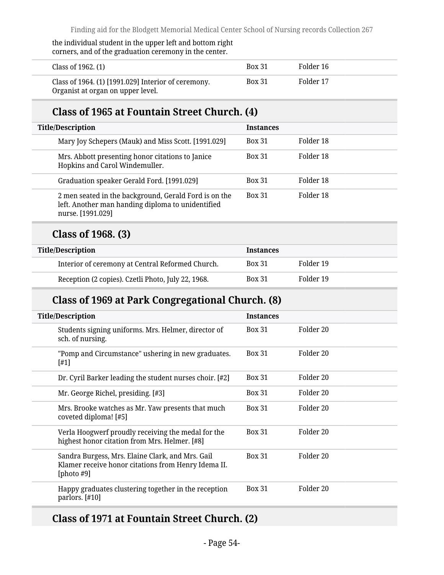#### the individual student in the upper left and bottom right corners, and of the graduation ceremony in the center.

| Class of 1962. (1)                                                                       | <b>Box 31</b> | Folder 16 |  |
|------------------------------------------------------------------------------------------|---------------|-----------|--|
| Class of 1964. (1) [1991.029] Interior of ceremony.<br>Organist at organ on upper level. | <b>Box 31</b> | Folder 17 |  |

### **Class of 1965 at Fountain Street Church. (4)**

| <b>Title/Description</b>                                                                                                        | <b>Instances</b> |           |
|---------------------------------------------------------------------------------------------------------------------------------|------------------|-----------|
| Mary Joy Schepers (Mauk) and Miss Scott. [1991.029]                                                                             | <b>Box 31</b>    | Folder 18 |
| Mrs. Abbott presenting honor citations to Janice<br>Hopkins and Carol Windemuller.                                              | <b>Box 31</b>    | Folder 18 |
| Graduation speaker Gerald Ford. [1991.029]                                                                                      | <b>Box 31</b>    | Folder 18 |
| 2 men seated in the background, Gerald Ford is on the<br>left. Another man handing diploma to unidentified<br>nurse. [1991.029] | <b>Box 31</b>    | Folder 18 |

#### **Class of 1968. (3)**

| <b>Title/Description</b>                           | <b>Instances</b> |           |
|----------------------------------------------------|------------------|-----------|
| Interior of ceremony at Central Reformed Church.   | <b>Box 31</b>    | Folder 19 |
| Reception (2 copies). Czetli Photo, July 22, 1968. | <b>Box 31</b>    | Folder 19 |

## **Class of 1969 at Park Congregational Church. (8)**

| <b>Title/Description</b>                                                                                                 | <b>Instances</b> |           |
|--------------------------------------------------------------------------------------------------------------------------|------------------|-----------|
| Students signing uniforms. Mrs. Helmer, director of<br>sch. of nursing.                                                  | <b>Box 31</b>    | Folder 20 |
| "Pomp and Circumstance" ushering in new graduates.<br>$[#1]$                                                             | <b>Box 31</b>    | Folder 20 |
| Dr. Cyril Barker leading the student nurses choir. [#2]                                                                  | <b>Box 31</b>    | Folder 20 |
| Mr. George Richel, presiding. [#3]                                                                                       | <b>Box 31</b>    | Folder 20 |
| Mrs. Brooke watches as Mr. Yaw presents that much<br>coveted diploma! [#5]                                               | <b>Box 31</b>    | Folder 20 |
| Verla Hoogwerf proudly receiving the medal for the<br>highest honor citation from Mrs. Helmer. [#8]                      | <b>Box 31</b>    | Folder 20 |
| Sandra Burgess, Mrs. Elaine Clark, and Mrs. Gail<br>Klamer receive honor citations from Henry Idema II.<br>[photo $#9$ ] | <b>Box 31</b>    | Folder 20 |
| Happy graduates clustering together in the reception<br>parlors. [#10]                                                   | <b>Box 31</b>    | Folder 20 |

### **Class of 1971 at Fountain Street Church. (2)**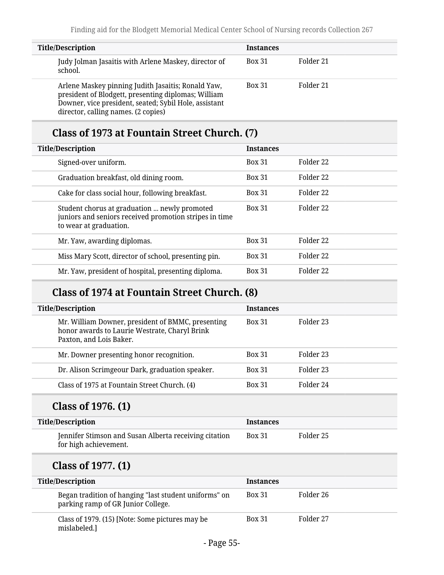| <b>Title/Description</b>                                                                                                                                                                                  | <b>Instances</b> |           |
|-----------------------------------------------------------------------------------------------------------------------------------------------------------------------------------------------------------|------------------|-----------|
| Judy Jolman Jasaitis with Arlene Maskey, director of<br>school.                                                                                                                                           | <b>Box 31</b>    | Folder 21 |
| Arlene Maskey pinning Judith Jasaitis; Ronald Yaw,<br>president of Blodgett, presenting diplomas; William<br>Downer, vice president, seated; Sybil Hole, assistant<br>director, calling names. (2 copies) | <b>Box 31</b>    | Folder 21 |

## **Class of 1973 at Fountain Street Church. (7)**

| <b>Title/Description</b>                                                                                                         | <b>Instances</b> |           |
|----------------------------------------------------------------------------------------------------------------------------------|------------------|-----------|
| Signed-over uniform.                                                                                                             | <b>Box 31</b>    | Folder 22 |
| Graduation breakfast, old dining room.                                                                                           | <b>Box 31</b>    | Folder 22 |
| Cake for class social hour, following breakfast.                                                                                 | <b>Box 31</b>    | Folder 22 |
| Student chorus at graduation  newly promoted<br>juniors and seniors received promotion stripes in time<br>to wear at graduation. | <b>Box 31</b>    | Folder 22 |
| Mr. Yaw, awarding diplomas.                                                                                                      | <b>Box 31</b>    | Folder 22 |
| Miss Mary Scott, director of school, presenting pin.                                                                             | <b>Box 31</b>    | Folder 22 |
| Mr. Yaw, president of hospital, presenting diploma.                                                                              | <b>Box 31</b>    | Folder 22 |

## **Class of 1974 at Fountain Street Church. (8)**

| <b>Title/Description</b>                                                                                                      | <b>Instances</b> |           |
|-------------------------------------------------------------------------------------------------------------------------------|------------------|-----------|
| Mr. William Downer, president of BMMC, presenting<br>honor awards to Laurie Westrate, Charyl Brink<br>Paxton, and Lois Baker. | <b>Box 31</b>    | Folder 23 |
| Mr. Downer presenting honor recognition.                                                                                      | <b>Box 31</b>    | Folder 23 |
| Dr. Alison Scrimgeour Dark, graduation speaker.                                                                               | <b>Box 31</b>    | Folder 23 |
| Class of 1975 at Fountain Street Church. (4)                                                                                  | <b>Box 31</b>    | Folder 24 |
|                                                                                                                               |                  |           |

# **Class of 1976. (1)**

| <b>Title/Description</b>                                                       | <b>Instances</b> |           |
|--------------------------------------------------------------------------------|------------------|-----------|
| Jennifer Stimson and Susan Alberta receiving citation<br>for high achievement. | <b>Box 31</b>    | Folder 25 |

# **Class of 1977. (1)**

| <b>Title/Description</b>                                                                    | <b>Instances</b> |           |
|---------------------------------------------------------------------------------------------|------------------|-----------|
| Began tradition of hanging "last student uniforms" on<br>parking ramp of GR Junior College. | <b>Box 31</b>    | Folder 26 |
| Class of 1979. (15) [Note: Some pictures may be<br>mislabeled.]                             | <b>Box 31</b>    | Folder 27 |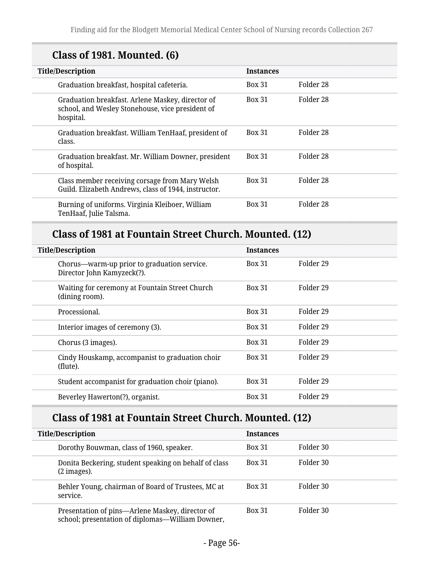# **Class of 1981. Mounted. (6)**

| <b>Title/Description</b>                                                                                          | <b>Instances</b> |           |
|-------------------------------------------------------------------------------------------------------------------|------------------|-----------|
| Graduation breakfast, hospital cafeteria.                                                                         | <b>Box 31</b>    | Folder 28 |
| Graduation breakfast. Arlene Maskey, director of<br>school, and Wesley Stonehouse, vice president of<br>hospital. | <b>Box 31</b>    | Folder 28 |
| Graduation breakfast. William TenHaaf, president of<br>class.                                                     | <b>Box 31</b>    | Folder 28 |
| Graduation breakfast. Mr. William Downer, president<br>of hospital.                                               | <b>Box 31</b>    | Folder 28 |
| Class member receiving corsage from Mary Welsh<br>Guild. Elizabeth Andrews, class of 1944, instructor.            | <b>Box 31</b>    | Folder 28 |
| Burning of uniforms. Virginia Kleiboer, William<br>TenHaaf, Julie Talsma.                                         | <b>Box 31</b>    | Folder 28 |

## **Class of 1981 at Fountain Street Church. Mounted. (12)**

| <b>Title/Description</b>                                                  | <b>Instances</b> |           |
|---------------------------------------------------------------------------|------------------|-----------|
| Chorus-warm-up prior to graduation service.<br>Director John Kamyzeck(?). | <b>Box 31</b>    | Folder 29 |
| Waiting for ceremony at Fountain Street Church<br>(dining room).          | <b>Box 31</b>    | Folder 29 |
| Processional.                                                             | <b>Box 31</b>    | Folder 29 |
| Interior images of ceremony (3).                                          | <b>Box 31</b>    | Folder 29 |
| Chorus (3 images).                                                        | <b>Box 31</b>    | Folder 29 |
| Cindy Houskamp, accompanist to graduation choir<br>(flute).               | <b>Box 31</b>    | Folder 29 |
| Student accompanist for graduation choir (piano).                         | <b>Box 31</b>    | Folder 29 |
| Beverley Hawerton(?), organist.                                           | <b>Box 31</b>    | Folder 29 |

# **Class of 1981 at Fountain Street Church. Mounted. (12)**

| <b>Title/Description</b>                                                                            | <b>Instances</b> |           |
|-----------------------------------------------------------------------------------------------------|------------------|-----------|
| Dorothy Bouwman, class of 1960, speaker.                                                            | <b>Box 31</b>    | Folder 30 |
| Donita Beckering, student speaking on behalf of class<br>$(2 \text{ images})$ .                     | <b>Box 31</b>    | Folder 30 |
| Behler Young, chairman of Board of Trustees, MC at<br>service.                                      | <b>Box 31</b>    | Folder 30 |
| Presentation of pins-Arlene Maskey, director of<br>school; presentation of diplomas—William Downer, | <b>Box 31</b>    | Folder 30 |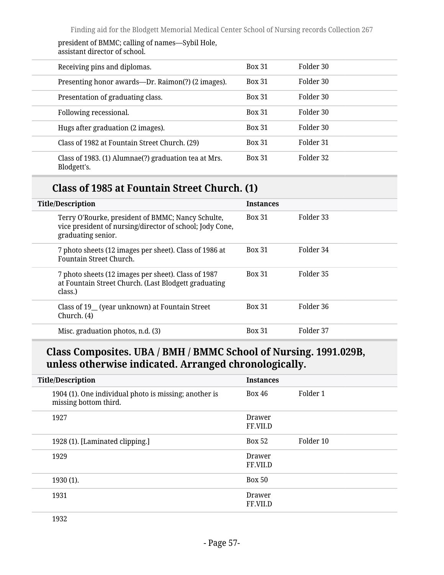president of BMMC; calling of names—Sybil Hole, assistant director of school.

| Receiving pins and diplomas.                                        | <b>Box 31</b> | Folder 30 |
|---------------------------------------------------------------------|---------------|-----------|
| Presenting honor awards—Dr. Raimon(?) (2 images).                   | <b>Box 31</b> | Folder 30 |
| Presentation of graduating class.                                   | <b>Box 31</b> | Folder 30 |
| Following recessional.                                              | <b>Box 31</b> | Folder 30 |
| Hugs after graduation (2 images).                                   | <b>Box 31</b> | Folder 30 |
| Class of 1982 at Fountain Street Church. (29)                       | <b>Box 31</b> | Folder 31 |
| Class of 1983. (1) Alumnae(?) graduation tea at Mrs.<br>Blodgett's. | <b>Box 31</b> | Folder 32 |

### **Class of 1985 at Fountain Street Church. (1)**

| <b>Title/Description</b>                                                                                                            | <b>Instances</b> |           |
|-------------------------------------------------------------------------------------------------------------------------------------|------------------|-----------|
| Terry O'Rourke, president of BMMC; Nancy Schulte,<br>vice president of nursing/director of school; Jody Cone,<br>graduating senior. | <b>Box 31</b>    | Folder 33 |
| 7 photo sheets (12 images per sheet). Class of 1986 at<br>Fountain Street Church.                                                   | <b>Box 31</b>    | Folder 34 |
| 7 photo sheets (12 images per sheet). Class of 1987<br>at Fountain Street Church. (Last Blodgett graduating<br>class.)              | <b>Box 31</b>    | Folder 35 |
| Class of 19_ (year unknown) at Fountain Street<br>Church. (4)                                                                       | <b>Box 31</b>    | Folder 36 |
| Misc. graduation photos, n.d. (3)                                                                                                   | <b>Box 31</b>    | Folder 37 |

### **Class Composites. UBA / BMH / BMMC School of Nursing. 1991.029B, unless otherwise indicated. Arranged chronologically.**

| <b>Title/Description</b>                                                       | <b>Instances</b>   |           |
|--------------------------------------------------------------------------------|--------------------|-----------|
| 1904 (1). One individual photo is missing; another is<br>missing bottom third. | Box 46             | Folder 1  |
| 1927                                                                           | Drawer<br>FF.VII.D |           |
| 1928 (1). [Laminated clipping.]                                                | <b>Box 52</b>      | Folder 10 |
| 1929                                                                           | Drawer<br>FF.VII.D |           |
| 1930 (1).                                                                      | <b>Box 50</b>      |           |
| 1931                                                                           | Drawer<br>FF.VII.D |           |

1932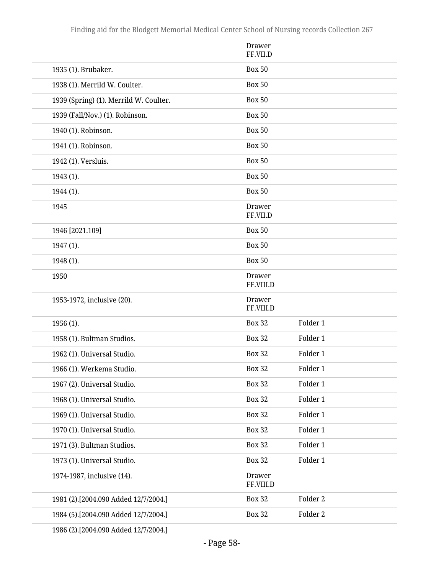|                                        | <b>Drawer</b><br>FF.VII.D  |          |
|----------------------------------------|----------------------------|----------|
| 1935 (1). Brubaker.                    | <b>Box 50</b>              |          |
| 1938 (1). Merrild W. Coulter.          | <b>Box 50</b>              |          |
| 1939 (Spring) (1). Merrild W. Coulter. | <b>Box 50</b>              |          |
| 1939 (Fall/Nov.) (1). Robinson.        | <b>Box 50</b>              |          |
| 1940 (1). Robinson.                    | <b>Box 50</b>              |          |
| 1941 (1). Robinson.                    | <b>Box 50</b>              |          |
| 1942 (1). Versluis.                    | <b>Box 50</b>              |          |
| 1943 (1).                              | <b>Box 50</b>              |          |
| 1944 (1).                              | <b>Box 50</b>              |          |
| 1945                                   | <b>Drawer</b><br>FF.VII.D  |          |
| 1946 [2021.109]                        | <b>Box 50</b>              |          |
| 1947 (1).                              | <b>Box 50</b>              |          |
| 1948 (1).                              | <b>Box 50</b>              |          |
| 1950                                   | Drawer<br>FF.VIII.D        |          |
| 1953-1972, inclusive (20).             | <b>Drawer</b><br>FF.VIII.D |          |
| 1956 (1).                              | <b>Box 32</b>              | Folder 1 |
| 1958 (1). Bultman Studios.             | <b>Box 32</b>              | Folder 1 |
| 1962 (1). Universal Studio.            | <b>Box 32</b>              | Folder 1 |
| 1966 (1). Werkema Studio.              | <b>Box 32</b>              | Folder 1 |
| 1967 (2). Universal Studio.            | <b>Box 32</b>              | Folder 1 |
| 1968 (1). Universal Studio.            | <b>Box 32</b>              | Folder 1 |
| 1969 (1). Universal Studio.            | <b>Box 32</b>              | Folder 1 |
| 1970 (1). Universal Studio.            | <b>Box 32</b>              | Folder 1 |
| 1971 (3). Bultman Studios.             | <b>Box 32</b>              | Folder 1 |
| 1973 (1). Universal Studio.            | <b>Box 32</b>              | Folder 1 |
| 1974-1987, inclusive (14).             | <b>Drawer</b><br>FF.VIII.D |          |
| 1981 (2).[2004.090 Added 12/7/2004.]   | <b>Box 32</b>              | Folder 2 |
| 1984 (5).[2004.090 Added 12/7/2004.]   | <b>Box 32</b>              | Folder 2 |
|                                        |                            |          |

1986 (2).[2004.090 Added 12/7/2004.]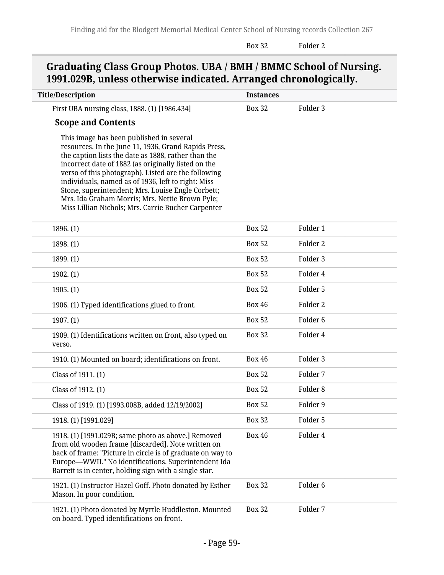Box 32 Folder 2

## **Graduating Class Group Photos. UBA / BMH / BMMC School of Nursing. 1991.029B, unless otherwise indicated. Arranged chronologically.**

| <b>Title/Description</b>                                                                                                                                                                                                                                                                                                                                                                                                                                                                  | <b>Instances</b> |                     |
|-------------------------------------------------------------------------------------------------------------------------------------------------------------------------------------------------------------------------------------------------------------------------------------------------------------------------------------------------------------------------------------------------------------------------------------------------------------------------------------------|------------------|---------------------|
| First UBA nursing class, 1888. (1) [1986.434]                                                                                                                                                                                                                                                                                                                                                                                                                                             | <b>Box 32</b>    | Folder 3            |
| <b>Scope and Contents</b>                                                                                                                                                                                                                                                                                                                                                                                                                                                                 |                  |                     |
| This image has been published in several<br>resources. In the June 11, 1936, Grand Rapids Press,<br>the caption lists the date as 1888, rather than the<br>incorrect date of 1882 (as originally listed on the<br>verso of this photograph). Listed are the following<br>individuals, named as of 1936, left to right: Miss<br>Stone, superintendent; Mrs. Louise Engle Corbett;<br>Mrs. Ida Graham Morris; Mrs. Nettie Brown Pyle;<br>Miss Lillian Nichols; Mrs. Carrie Bucher Carpenter |                  |                     |
| 1896. (1)                                                                                                                                                                                                                                                                                                                                                                                                                                                                                 | <b>Box 52</b>    | Folder 1            |
| 1898. (1)                                                                                                                                                                                                                                                                                                                                                                                                                                                                                 | <b>Box 52</b>    | Folder 2            |
| 1899. (1)                                                                                                                                                                                                                                                                                                                                                                                                                                                                                 | <b>Box 52</b>    | Folder 3            |
| 1902. (1)                                                                                                                                                                                                                                                                                                                                                                                                                                                                                 | <b>Box 52</b>    | Folder 4            |
| 1905. (1)                                                                                                                                                                                                                                                                                                                                                                                                                                                                                 | <b>Box 52</b>    | Folder 5            |
| 1906. (1) Typed identifications glued to front.                                                                                                                                                                                                                                                                                                                                                                                                                                           | <b>Box 46</b>    | Folder 2            |
| 1907. (1)                                                                                                                                                                                                                                                                                                                                                                                                                                                                                 | <b>Box 52</b>    | Folder <sub>6</sub> |
| 1909. (1) Identifications written on front, also typed on<br>verso.                                                                                                                                                                                                                                                                                                                                                                                                                       | <b>Box 32</b>    | Folder 4            |
| 1910. (1) Mounted on board; identifications on front.                                                                                                                                                                                                                                                                                                                                                                                                                                     | <b>Box 46</b>    | Folder 3            |
| Class of 1911. (1)                                                                                                                                                                                                                                                                                                                                                                                                                                                                        | <b>Box 52</b>    | Folder 7            |
| Class of 1912. (1)                                                                                                                                                                                                                                                                                                                                                                                                                                                                        | <b>Box 52</b>    | Folder <sub>8</sub> |
| Class of 1919. (1) [1993.008B, added 12/19/2002]                                                                                                                                                                                                                                                                                                                                                                                                                                          | <b>Box 52</b>    | Folder 9            |
| 1918. (1) [1991.029]                                                                                                                                                                                                                                                                                                                                                                                                                                                                      | <b>Box 32</b>    | Folder 5            |
| 1918. (1) [1991.029B; same photo as above.] Removed<br>from old wooden frame [discarded]. Note written on<br>back of frame: "Picture in circle is of graduate on way to<br>Europe-WWII." No identifications. Superintendent Ida<br>Barrett is in center, holding sign with a single star.                                                                                                                                                                                                 | <b>Box 46</b>    | Folder 4            |
| 1921. (1) Instructor Hazel Goff. Photo donated by Esther<br>Mason. In poor condition.                                                                                                                                                                                                                                                                                                                                                                                                     | <b>Box 32</b>    | Folder <sub>6</sub> |
| 1921. (1) Photo donated by Myrtle Huddleston. Mounted<br>on board. Typed identifications on front.                                                                                                                                                                                                                                                                                                                                                                                        | <b>Box 32</b>    | Folder 7            |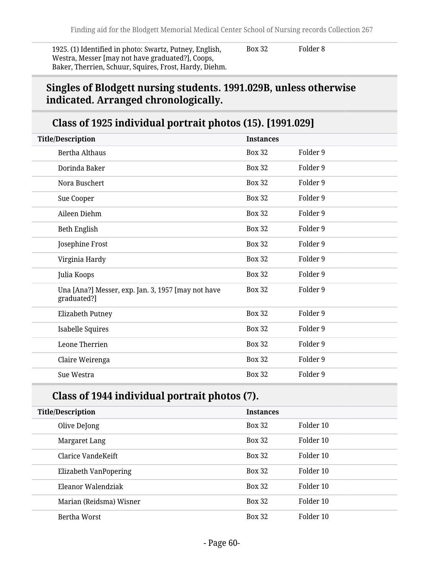1925. (1) Identified in photo: Swartz, Putney, English, Westra, Messer [may not have graduated?], Coops, Baker, Therrien, Schuur, Squires, Frost, Hardy, Diehm. Box 32 Folder 8

### **Singles of Blodgett nursing students. 1991.029B, unless otherwise indicated. Arranged chronologically.**

## **Class of 1925 individual portrait photos (15). [1991.029]**

| <b>Title/Description</b>                                          | <b>Instances</b> |          |
|-------------------------------------------------------------------|------------------|----------|
| Bertha Althaus                                                    | <b>Box 32</b>    | Folder 9 |
| Dorinda Baker                                                     | <b>Box 32</b>    | Folder 9 |
| Nora Buschert                                                     | <b>Box 32</b>    | Folder 9 |
| Sue Cooper                                                        | <b>Box 32</b>    | Folder 9 |
| Aileen Diehm                                                      | <b>Box 32</b>    | Folder 9 |
| Beth English                                                      | <b>Box 32</b>    | Folder 9 |
| Josephine Frost                                                   | <b>Box 32</b>    | Folder 9 |
| Virginia Hardy                                                    | <b>Box 32</b>    | Folder 9 |
| Julia Koops                                                       | <b>Box 32</b>    | Folder 9 |
| Una [Ana?] Messer, exp. Jan. 3, 1957 [may not have<br>graduated?] | <b>Box 32</b>    | Folder 9 |
| Elizabeth Putney                                                  | <b>Box 32</b>    | Folder 9 |
| <b>Isabelle Squires</b>                                           | <b>Box 32</b>    | Folder 9 |
| Leone Therrien                                                    | <b>Box 32</b>    | Folder 9 |
| Claire Weirenga                                                   | <b>Box 32</b>    | Folder 9 |
| Sue Westra                                                        | <b>Box 32</b>    | Folder 9 |

### **Class of 1944 individual portrait photos (7).**

| <b>Title/Description</b>     | <b>Instances</b> |           |
|------------------------------|------------------|-----------|
| Olive DeJong                 | <b>Box 32</b>    | Folder 10 |
| Margaret Lang                | <b>Box 32</b>    | Folder 10 |
| Clarice VandeKeift           | <b>Box 32</b>    | Folder 10 |
| <b>Elizabeth VanPopering</b> | <b>Box 32</b>    | Folder 10 |
| Eleanor Walendziak           | <b>Box 32</b>    | Folder 10 |
| Marian (Reidsma) Wisner      | <b>Box 32</b>    | Folder 10 |
| Bertha Worst                 | <b>Box 32</b>    | Folder 10 |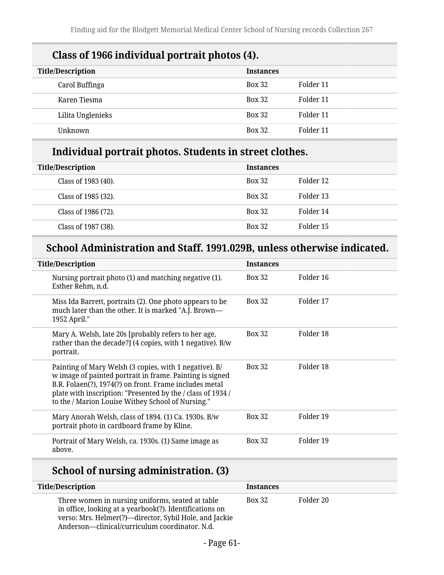| Class of 1966 mulviqual portrait photos (4). |                  |           |
|----------------------------------------------|------------------|-----------|
| <b>Title/Description</b>                     | <b>Instances</b> |           |
| Carol Buffinga                               | <b>Box 32</b>    | Folder 11 |
| Karen Tiesma                                 | <b>Box 32</b>    | Folder 11 |
| Lilita Unglenieks                            | <b>Box 32</b>    | Folder 11 |
| Unknown                                      | <b>Box 32</b>    | Folder 11 |

# **Class of 1966 individual portrait photos (4).**

## **Individual portrait photos. Students in street clothes.**

| <b>Title/Description</b> | <b>Instances</b> |           |
|--------------------------|------------------|-----------|
| Class of 1983 (40).      | <b>Box 32</b>    | Folder 12 |
| Class of 1985 (32).      | <b>Box 32</b>    | Folder 13 |
| Class of 1986 (72).      | <b>Box 32</b>    | Folder 14 |
| Class of 1987 (38).      | <b>Box 32</b>    | Folder 15 |

## **School Administration and Staff. 1991.029B, unless otherwise indicated.**

| <b>Title/Description</b>                                                                                                                                                                                                                                                                         | <b>Instances</b> |           |
|--------------------------------------------------------------------------------------------------------------------------------------------------------------------------------------------------------------------------------------------------------------------------------------------------|------------------|-----------|
| Nursing portrait photo (1) and matching negative (1).<br>Esther Rehm, n.d.                                                                                                                                                                                                                       | <b>Box 32</b>    | Folder 16 |
| Miss Ida Barrett, portraits (2). One photo appears to be<br>much later than the other. It is marked "A.J. Brown-<br>1952 April."                                                                                                                                                                 | <b>Box 32</b>    | Folder 17 |
| Mary A. Welsh, late 20s [probably refers to her age,<br>rather than the decade?] (4 copies, with 1 negative). B/w<br>portrait.                                                                                                                                                                   | <b>Box 32</b>    | Folder 18 |
| Painting of Mary Welsh (3 copies, with 1 negative). B/<br>w image of painted portrait in frame. Painting is signed<br>B.R. Folaen(?), 1974(?) on front. Frame includes metal<br>plate with inscription: "Presented by the / class of 1934 /<br>to the / Marion Louise Withey School of Nursing." | <b>Box 32</b>    | Folder 18 |
| Mary Anorah Welsh, class of 1894. (1) Ca. 1930s. B/w<br>portrait photo in cardboard frame by Kline.                                                                                                                                                                                              | <b>Box 32</b>    | Folder 19 |
| Portrait of Mary Welsh, ca. 1930s. (1) Same image as<br>above.                                                                                                                                                                                                                                   | <b>Box 32</b>    | Folder 19 |

## **School of nursing administration. (3)**

| <b>Title/Description</b>                                                                                                                                                                                                | <b>Instances</b> |           |
|-------------------------------------------------------------------------------------------------------------------------------------------------------------------------------------------------------------------------|------------------|-----------|
| Three women in nursing uniforms, seated at table<br>in office, looking at a yearbook(?). Identifications on<br>verso: Mrs. Helmer(?)—director, Sybil Hole, and Jackie<br>Anderson-clinical/curriculum coordinator. N.d. | <b>Box 32</b>    | Folder 20 |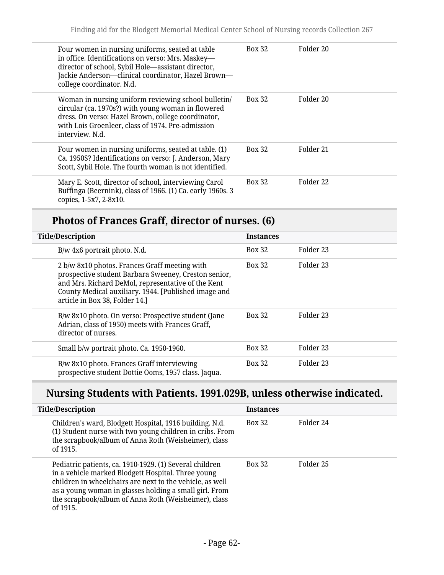| Four women in nursing uniforms, seated at table<br>in office. Identifications on verso: Mrs. Maskey-<br>director of school, Sybil Hole-assistant director,<br>Jackie Anderson-clinical coordinator, Hazel Brown-<br>college coordinator. N.d. | <b>Box 32</b> | Folder 20            |
|-----------------------------------------------------------------------------------------------------------------------------------------------------------------------------------------------------------------------------------------------|---------------|----------------------|
| Woman in nursing uniform reviewing school bulletin/<br>circular (ca. 1970s?) with young woman in flowered<br>dress. On verso: Hazel Brown, college coordinator,<br>with Lois Groenleer, class of 1974. Pre-admission<br>interview. N.d.       | <b>Box 32</b> | Folder 20            |
| Four women in nursing uniforms, seated at table. (1)<br>Ca. 1950S? Identifications on verso: J. Anderson, Mary<br>Scott, Sybil Hole. The fourth woman is not identified.                                                                      | <b>Box 32</b> | Folder 21            |
| Mary E. Scott, director of school, interviewing Carol<br>Buffinga (Beernink), class of 1966. (1) Ca. early 1960s. 3<br>copies, 1-5x7, 2-8x10.                                                                                                 | <b>Box 32</b> | Folder <sub>22</sub> |

## **Photos of Frances Graff, director of nurses. (6)**

| <b>Title/Description</b>                                                                                                                                                                                                                              | <b>Instances</b> |           |
|-------------------------------------------------------------------------------------------------------------------------------------------------------------------------------------------------------------------------------------------------------|------------------|-----------|
| $B/w$ 4x6 portrait photo. N.d.                                                                                                                                                                                                                        | <b>Box 32</b>    | Folder 23 |
| 2 b/w 8x10 photos. Frances Graff meeting with<br>prospective student Barbara Sweeney, Creston senior,<br>and Mrs. Richard DeMol, representative of the Kent<br>County Medical auxiliary. 1944. [Published image and<br>article in Box 38, Folder 14.] | <b>Box 32</b>    | Folder 23 |
| B/w 8x10 photo. On verso: Prospective student (Jane<br>Adrian, class of 1950) meets with Frances Graff,<br>director of nurses.                                                                                                                        | <b>Box 32</b>    | Folder 23 |
| Small b/w portrait photo. Ca. 1950-1960.                                                                                                                                                                                                              | <b>Box 32</b>    | Folder 23 |
| B/w 8x10 photo. Frances Graff interviewing<br>prospective student Dottie Ooms, 1957 class. Jaqua.                                                                                                                                                     | <b>Box 32</b>    | Folder 23 |

# **Nursing Students with Patients. 1991.029B, unless otherwise indicated.**

| <b>Title/Description</b>                                                                                                                                                                                                                                                                                | <b>Instances</b> |           |
|---------------------------------------------------------------------------------------------------------------------------------------------------------------------------------------------------------------------------------------------------------------------------------------------------------|------------------|-----------|
| Children's ward, Blodgett Hospital, 1916 building. N.d.<br>(1) Student nurse with two young children in cribs. From<br>the scrapbook/album of Anna Roth (Weisheimer), class<br>of 1915.                                                                                                                 | <b>Box 32</b>    | Folder 24 |
| Pediatric patients, ca. 1910-1929. (1) Several children<br>in a vehicle marked Blodgett Hospital. Three young<br>children in wheelchairs are next to the vehicle, as well<br>as a young woman in glasses holding a small girl. From<br>the scrapbook/album of Anna Roth (Weisheimer), class<br>of 1915. | <b>Box 32</b>    | Folder 25 |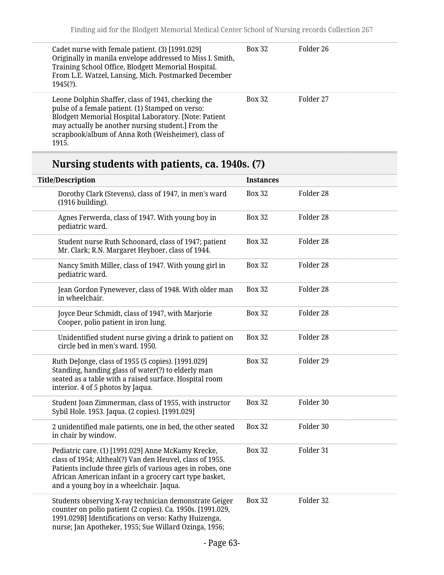| Cadet nurse with female patient. (3) [1991.029]<br>Originally in manila envelope addressed to Miss I. Smith,<br>Training School Office, Blodgett Memorial Hospital.<br>From L.E. Watzel, Lansing, Mich. Postmarked December<br>$1945(?)$ .                                            | <b>Box 32</b> | Folder 26 |
|---------------------------------------------------------------------------------------------------------------------------------------------------------------------------------------------------------------------------------------------------------------------------------------|---------------|-----------|
| Leone Dolphin Shaffer, class of 1941, checking the<br>pulse of a female patient. (1) Stamped on verso:<br>Blodgett Memorial Hospital Laboratory. [Note: Patient<br>may actually be another nursing student.] From the<br>scrapbook/album of Anna Roth (Weisheimer), class of<br>1915. | <b>Box 32</b> | Folder 27 |

# **Nursing students with patients, ca. 1940s. (7)**

| <b>Title/Description</b>                                                                                                                                                                                                                                                          | <b>Instances</b> |           |
|-----------------------------------------------------------------------------------------------------------------------------------------------------------------------------------------------------------------------------------------------------------------------------------|------------------|-----------|
| Dorothy Clark (Stevens), class of 1947, in men's ward<br>(1916 building).                                                                                                                                                                                                         | <b>Box 32</b>    | Folder 28 |
| Agnes Ferwerda, class of 1947. With young boy in<br>pediatric ward.                                                                                                                                                                                                               | <b>Box 32</b>    | Folder 28 |
| Student nurse Ruth Schoonard, class of 1947; patient<br>Mr. Clark; R.N. Margaret Heyboer, class of 1944.                                                                                                                                                                          | <b>Box 32</b>    | Folder 28 |
| Nancy Smith Miller, class of 1947. With young girl in<br>pediatric ward.                                                                                                                                                                                                          | <b>Box 32</b>    | Folder 28 |
| Jean Gordon Fynewever, class of 1948. With older man<br>in wheelchair.                                                                                                                                                                                                            | <b>Box 32</b>    | Folder 28 |
| Joyce Deur Schmidt, class of 1947, with Marjorie<br>Cooper, polio patient in iron lung.                                                                                                                                                                                           | <b>Box 32</b>    | Folder 28 |
| Unidentified student nurse giving a drink to patient on<br>circle bed in men's ward. 1950.                                                                                                                                                                                        | <b>Box 32</b>    | Folder 28 |
| Ruth DeJonge, class of 1955 (5 copies). [1991.029]<br>Standing, handing glass of water(?) to elderly man<br>seated as a table with a raised surface. Hospital room<br>interior. 4 of 5 photos by Jaqua.                                                                           | <b>Box 32</b>    | Folder 29 |
| Student Joan Zimmerman, class of 1955, with instructor<br>Sybil Hole. 1953. Jaqua. (2 copies). [1991.029]                                                                                                                                                                         | <b>Box 32</b>    | Folder 30 |
| 2 unidentified male patients, one in bed, the other seated<br>in chair by window.                                                                                                                                                                                                 | <b>Box 32</b>    | Folder 30 |
| Pediatric care. (1) [1991.029] Anne McKamy Krecke,<br>class of 1954; Altheal(?) Van den Heuvel, class of 1955.<br>Patients include three girls of various ages in robes, one<br>African American infant in a grocery cart type basket,<br>and a young boy in a wheelchair. Jaqua. | <b>Box 32</b>    | Folder 31 |
| Students observing X-ray technician demonstrate Geiger<br>counter on polio patient (2 copies). Ca. 1950s. [1991.029,<br>1991.029B] Identifications on verso: Kathy Huizenga,<br>nurse; Jan Apotheker, 1955; Sue Willard Ozinga, 1956;                                             | <b>Box 32</b>    | Folder 32 |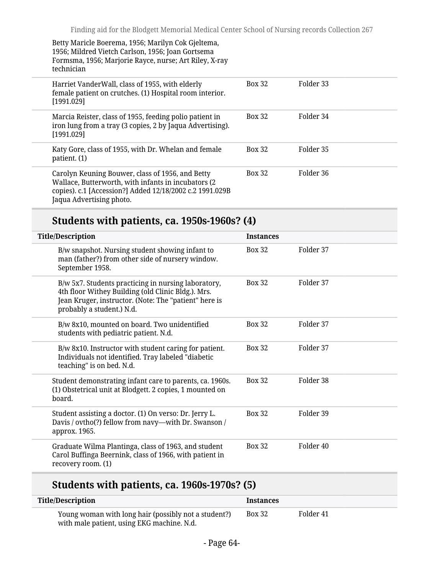Betty Maricle Boerema, 1956; Marilyn Cok Gjeltema, 1956; Mildred Vietch Carlson, 1956; Joan Gortsema Formsma, 1956; Marjorie Rayce, nurse; Art Riley, X-ray technician

| Harriet VanderWall, class of 1955, with elderly<br>female patient on crutches. (1) Hospital room interior.<br>[1991.029]                                                                        | <b>Box 32</b> | Folder 33 |
|-------------------------------------------------------------------------------------------------------------------------------------------------------------------------------------------------|---------------|-----------|
| Marcia Reister, class of 1955, feeding polio patient in<br>iron lung from a tray (3 copies, 2 by Jaqua Advertising).<br>[1991.029]                                                              | <b>Box 32</b> | Folder 34 |
| Katy Gore, class of 1955, with Dr. Whelan and female<br>patient. (1)                                                                                                                            | <b>Box 32</b> | Folder 35 |
| Carolyn Keuning Bouwer, class of 1956, and Betty<br>Wallace, Butterworth, with infants in incubators (2<br>copies). c.1 [Accession?] Added 12/18/2002 c.2 1991.029B<br>Jaqua Advertising photo. | <b>Box 32</b> | Folder 36 |

## **Students with patients, ca. 1950s-1960s? (4)**

| <b>Title/Description</b>                                                                                                                                                                        | <b>Instances</b> |           |
|-------------------------------------------------------------------------------------------------------------------------------------------------------------------------------------------------|------------------|-----------|
| B/w snapshot. Nursing student showing infant to<br>man (father?) from other side of nursery window.<br>September 1958.                                                                          | <b>Box 32</b>    | Folder 37 |
| B/w 5x7. Students practicing in nursing laboratory,<br>4th floor Withey Building (old Clinic Bldg.). Mrs.<br>Jean Kruger, instructor. (Note: The "patient" here is<br>probably a student.) N.d. | <b>Box 32</b>    | Folder 37 |
| B/w 8x10, mounted on board. Two unidentified<br>students with pediatric patient. N.d.                                                                                                           | <b>Box 32</b>    | Folder 37 |
| B/w 8x10. Instructor with student caring for patient.<br>Individuals not identified. Tray labeled "diabetic<br>teaching" is on bed. N.d.                                                        | <b>Box 32</b>    | Folder 37 |
| Student demonstrating infant care to parents, ca. 1960s.<br>(1) Obstetrical unit at Blodgett. 2 copies, 1 mounted on<br>board.                                                                  | <b>Box 32</b>    | Folder 38 |
| Student assisting a doctor. (1) On verso: Dr. Jerry L.<br>Davis / ovtho(?) fellow from navy-with Dr. Swanson /<br>approx. 1965.                                                                 | <b>Box 32</b>    | Folder 39 |
| Graduate Wilma Plantinga, class of 1963, and student<br>Carol Buffinga Beernink, class of 1966, with patient in<br>recovery room. (1)                                                           | <b>Box 32</b>    | Folder 40 |

## **Students with patients, ca. 1960s-1970s? (5)**

| <b>Title/Description</b>                                                                           | <b>Instances</b> |           |  |
|----------------------------------------------------------------------------------------------------|------------------|-----------|--|
| Young woman with long hair (possibly not a student?)<br>with male patient, using EKG machine. N.d. | Box 32           | Folder 41 |  |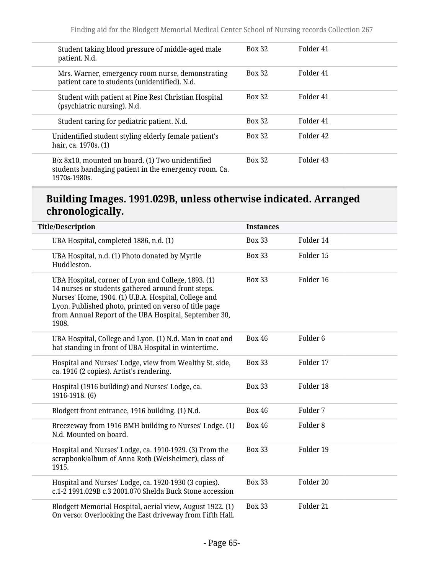| <b>Box 32</b> | Folder 41 |  |
|---------------|-----------|--|
| <b>Box 32</b> | Folder 41 |  |
| <b>Box 32</b> | Folder 41 |  |
| <b>Box 32</b> | Folder 41 |  |
| <b>Box 32</b> | Folder 42 |  |
| <b>Box 32</b> | Folder 43 |  |
|               |           |  |

#### **Building Images. 1991.029B, unless otherwise indicated. Arranged chronologically.**

| <b>Title/Description</b>                                                                                                                                                                                                                                                                     | <b>Instances</b> |                     |
|----------------------------------------------------------------------------------------------------------------------------------------------------------------------------------------------------------------------------------------------------------------------------------------------|------------------|---------------------|
| UBA Hospital, completed 1886, n.d. (1)                                                                                                                                                                                                                                                       | <b>Box 33</b>    | Folder 14           |
| UBA Hospital, n.d. (1) Photo donated by Myrtle<br>Huddleston.                                                                                                                                                                                                                                | <b>Box 33</b>    | Folder 15           |
| UBA Hospital, corner of Lyon and College, 1893. (1)<br>14 nurses or students gathered around front steps.<br>Nurses' Home, 1904. (1) U.B.A. Hospital, College and<br>Lyon. Published photo, printed on verso of title page<br>from Annual Report of the UBA Hospital, September 30,<br>1908. | <b>Box 33</b>    | Folder 16           |
| UBA Hospital, College and Lyon. (1) N.d. Man in coat and<br>hat standing in front of UBA Hospital in wintertime.                                                                                                                                                                             | <b>Box 46</b>    | Folder <sub>6</sub> |
| Hospital and Nurses' Lodge, view from Wealthy St. side,<br>ca. 1916 (2 copies). Artist's rendering.                                                                                                                                                                                          | <b>Box 33</b>    | Folder 17           |
| Hospital (1916 building) and Nurses' Lodge, ca.<br>1916-1918. (6)                                                                                                                                                                                                                            | <b>Box 33</b>    | Folder 18           |
| Blodgett front entrance, 1916 building. (1) N.d.                                                                                                                                                                                                                                             | <b>Box 46</b>    | Folder 7            |
| Breezeway from 1916 BMH building to Nurses' Lodge. (1)<br>N.d. Mounted on board.                                                                                                                                                                                                             | <b>Box 46</b>    | Folder <sub>8</sub> |
| Hospital and Nurses' Lodge, ca. 1910-1929. (3) From the<br>scrapbook/album of Anna Roth (Weisheimer), class of<br>1915.                                                                                                                                                                      | <b>Box 33</b>    | Folder 19           |
| Hospital and Nurses' Lodge, ca. 1920-1930 (3 copies).<br>c.1-2 1991.029B c.3 2001.070 Shelda Buck Stone accession                                                                                                                                                                            | <b>Box 33</b>    | Folder 20           |
| Blodgett Memorial Hospital, aerial view, August 1922. (1)<br>On verso: Overlooking the East driveway from Fifth Hall.                                                                                                                                                                        | <b>Box 33</b>    | Folder 21           |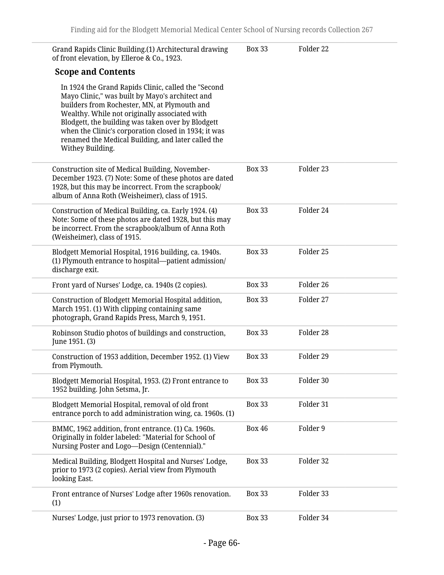| Grand Rapids Clinic Building.(1) Architectural drawing<br>of front elevation, by Elleroe & Co., 1923.                                                                                                                                                                                                                                                                                          | <b>Box 33</b> | Folder 22 |
|------------------------------------------------------------------------------------------------------------------------------------------------------------------------------------------------------------------------------------------------------------------------------------------------------------------------------------------------------------------------------------------------|---------------|-----------|
| <b>Scope and Contents</b>                                                                                                                                                                                                                                                                                                                                                                      |               |           |
| In 1924 the Grand Rapids Clinic, called the "Second<br>Mayo Clinic," was built by Mayo's architect and<br>builders from Rochester, MN, at Plymouth and<br>Wealthy. While not originally associated with<br>Blodgett, the building was taken over by Blodgett<br>when the Clinic's corporation closed in 1934; it was<br>renamed the Medical Building, and later called the<br>Withey Building. |               |           |
| Construction site of Medical Building, November-<br>December 1923. (7) Note: Some of these photos are dated<br>1928, but this may be incorrect. From the scrapbook/<br>album of Anna Roth (Weisheimer), class of 1915.                                                                                                                                                                         | <b>Box 33</b> | Folder 23 |
| Construction of Medical Building, ca. Early 1924. (4)<br>Note: Some of these photos are dated 1928, but this may<br>be incorrect. From the scrapbook/album of Anna Roth<br>(Weisheimer), class of 1915.                                                                                                                                                                                        | <b>Box 33</b> | Folder 24 |
| Blodgett Memorial Hospital, 1916 building, ca. 1940s.<br>(1) Plymouth entrance to hospital—patient admission/<br>discharge exit.                                                                                                                                                                                                                                                               | <b>Box 33</b> | Folder 25 |
| Front yard of Nurses' Lodge, ca. 1940s (2 copies).                                                                                                                                                                                                                                                                                                                                             | <b>Box 33</b> | Folder 26 |
| Construction of Blodgett Memorial Hospital addition,<br>March 1951. (1) With clipping containing same<br>photograph, Grand Rapids Press, March 9, 1951.                                                                                                                                                                                                                                        | <b>Box 33</b> | Folder 27 |
| Robinson Studio photos of buildings and construction,<br>June 1951. (3)                                                                                                                                                                                                                                                                                                                        | <b>Box 33</b> | Folder 28 |
| Construction of 1953 addition, December 1952. (1) View<br>from Plymouth.                                                                                                                                                                                                                                                                                                                       | <b>Box 33</b> | Folder 29 |
| Blodgett Memorial Hospital, 1953. (2) Front entrance to<br>1952 building. John Setsma, Jr.                                                                                                                                                                                                                                                                                                     | <b>Box 33</b> | Folder 30 |
| Blodgett Memorial Hospital, removal of old front<br>entrance porch to add administration wing, ca. 1960s. (1)                                                                                                                                                                                                                                                                                  | <b>Box 33</b> | Folder 31 |
| BMMC, 1962 addition, front entrance. (1) Ca. 1960s.<br>Originally in folder labeled: "Material for School of<br>Nursing Poster and Logo-Design (Centennial)."                                                                                                                                                                                                                                  | <b>Box 46</b> | Folder 9  |
| Medical Building, Blodgett Hospital and Nurses' Lodge,<br>prior to 1973 (2 copies). Aerial view from Plymouth<br>looking East.                                                                                                                                                                                                                                                                 | <b>Box 33</b> | Folder 32 |
| Front entrance of Nurses' Lodge after 1960s renovation.<br>(1)                                                                                                                                                                                                                                                                                                                                 | <b>Box 33</b> | Folder 33 |
| Nurses' Lodge, just prior to 1973 renovation. (3)                                                                                                                                                                                                                                                                                                                                              | <b>Box 33</b> | Folder 34 |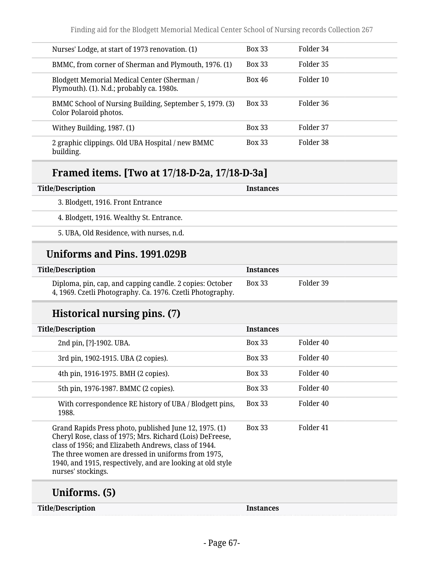| Nurses' Lodge, at start of 1973 renovation. (1)                                          |                                                         | <b>Box 33</b> | Folder 34 |
|------------------------------------------------------------------------------------------|---------------------------------------------------------|---------------|-----------|
|                                                                                          | BMMC, from corner of Sherman and Plymouth, 1976. (1)    | <b>Box 33</b> | Folder 35 |
| Blodgett Memorial Medical Center (Sherman /<br>Plymouth). (1). N.d.; probably ca. 1980s. |                                                         | <b>Box 46</b> | Folder 10 |
| Color Polaroid photos.                                                                   | BMMC School of Nursing Building, September 5, 1979. (3) | <b>Box 33</b> | Folder 36 |
| Withey Building, 1987. (1)                                                               |                                                         | <b>Box 33</b> | Folder 37 |
| building.                                                                                | 2 graphic clippings. Old UBA Hospital / new BMMC        | <b>Box 33</b> | Folder 38 |

## **Framed items. [Two at 17/18-D-2a, 17/18-D-3a]**

| Title/Description                        | <b>Instances</b> |
|------------------------------------------|------------------|
| 3. Blodgett, 1916. Front Entrance        |                  |
| 4. Blodgett, 1916. Wealthy St. Entrance. |                  |
| 5. UBA, Old Residence, with nurses, n.d. |                  |

## **Uniforms and Pins. 1991.029B**

| <b>Title/Description</b>                                                                                               | Instances |           |
|------------------------------------------------------------------------------------------------------------------------|-----------|-----------|
| Diploma, pin, cap, and capping candle. 2 copies: October<br>4, 1969. Czetli Photography. Ca. 1976. Czetli Photography. | Box 33    | Folder 39 |

## **Historical nursing pins. (7)**

| <b>Title/Description</b>                                                                                                                                                                                                                                                                                              | <b>Instances</b> |                      |
|-----------------------------------------------------------------------------------------------------------------------------------------------------------------------------------------------------------------------------------------------------------------------------------------------------------------------|------------------|----------------------|
| 2nd pin, [?]-1902. UBA.                                                                                                                                                                                                                                                                                               | <b>Box 33</b>    | Folder 40            |
| 3rd pin, 1902-1915. UBA (2 copies).                                                                                                                                                                                                                                                                                   | <b>Box 33</b>    | Folder <sub>40</sub> |
| 4th pin, 1916-1975. BMH (2 copies).                                                                                                                                                                                                                                                                                   | <b>Box 33</b>    | Folder 40            |
| 5th pin, 1976-1987. BMMC (2 copies).                                                                                                                                                                                                                                                                                  | <b>Box 33</b>    | Folder 40            |
| With correspondence RE history of UBA / Blodgett pins,<br>1988.                                                                                                                                                                                                                                                       | <b>Box 33</b>    | Folder 40            |
| Grand Rapids Press photo, published June 12, 1975. (1)<br>Cheryl Rose, class of 1975; Mrs. Richard (Lois) DeFreese,<br>class of 1956; and Elizabeth Andrews, class of 1944.<br>The three women are dressed in uniforms from 1975,<br>1940, and 1915, respectively, and are looking at old style<br>nurses' stockings. | <b>Box 33</b>    | Folder 41            |
| Uniforms. (5)                                                                                                                                                                                                                                                                                                         |                  |                      |

**Title/Description Instances**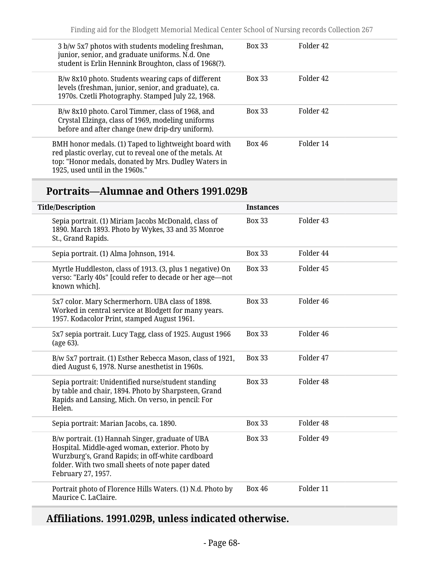| 3 b/w 5x7 photos with students modeling freshman,<br>junior, senior, and graduate uniforms. N.d. One<br>student is Erlin Hennink Broughton, class of 1968(?).                                                | <b>Box 33</b> | Folder 42 |
|--------------------------------------------------------------------------------------------------------------------------------------------------------------------------------------------------------------|---------------|-----------|
| B/w 8x10 photo. Students wearing caps of different<br>levels (freshman, junior, senior, and graduate), ca.<br>1970s. Czetli Photography. Stamped July 22, 1968.                                              | <b>Box 33</b> | Folder 42 |
| B/w 8x10 photo. Carol Timmer, class of 1968, and<br>Crystal Elzinga, class of 1969, modeling uniforms<br>before and after change (new drip-dry uniform).                                                     | <b>Box 33</b> | Folder 42 |
| BMH honor medals. (1) Taped to lightweight board with<br>red plastic overlay, cut to reveal one of the metals. At<br>top: "Honor medals, donated by Mrs. Dudley Waters in<br>1925, used until in the 1960s." | <b>Box 46</b> | Folder 14 |

# **Portraits—Alumnae and Others 1991.029B**

| <b>Title/Description</b>                                                                                                                                                                                                           | <b>Instances</b> |                      |
|------------------------------------------------------------------------------------------------------------------------------------------------------------------------------------------------------------------------------------|------------------|----------------------|
| Sepia portrait. (1) Miriam Jacobs McDonald, class of<br>1890. March 1893. Photo by Wykes, 33 and 35 Monroe<br>St., Grand Rapids.                                                                                                   | <b>Box 33</b>    | Folder 43            |
| Sepia portrait. (1) Alma Johnson, 1914.                                                                                                                                                                                            | <b>Box 33</b>    | Folder 44            |
| Myrtle Huddleston, class of 1913. (3, plus 1 negative) On<br>verso: "Early 40s" [could refer to decade or her age-not<br>known which].                                                                                             | <b>Box 33</b>    | Folder 45            |
| 5x7 color. Mary Schermerhorn. UBA class of 1898.<br>Worked in central service at Blodgett for many years.<br>1957. Kodacolor Print, stamped August 1961.                                                                           | <b>Box 33</b>    | Folder <sub>46</sub> |
| 5x7 sepia portrait. Lucy Tagg, class of 1925. August 1966<br>(age 63).                                                                                                                                                             | <b>Box 33</b>    | Folder 46            |
| B/w 5x7 portrait. (1) Esther Rebecca Mason, class of 1921,<br>died August 6, 1978. Nurse anesthetist in 1960s.                                                                                                                     | <b>Box 33</b>    | Folder 47            |
| Sepia portrait: Unidentified nurse/student standing<br>by table and chair, 1894. Photo by Sharpsteen, Grand<br>Rapids and Lansing, Mich. On verso, in pencil: For<br>Helen.                                                        | <b>Box 33</b>    | Folder <sub>48</sub> |
| Sepia portrait: Marian Jacobs, ca. 1890.                                                                                                                                                                                           | <b>Box 33</b>    | Folder 48            |
| B/w portrait. (1) Hannah Singer, graduate of UBA<br>Hospital. Middle-aged woman, exterior. Photo by<br>Wurzburg's, Grand Rapids; in off-white cardboard<br>folder. With two small sheets of note paper dated<br>February 27, 1957. | <b>Box 33</b>    | Folder 49            |
| Portrait photo of Florence Hills Waters. (1) N.d. Photo by<br>Maurice C. LaClaire.                                                                                                                                                 | <b>Box 46</b>    | Folder 11            |

# **Affiliations. 1991.029B, unless indicated otherwise.**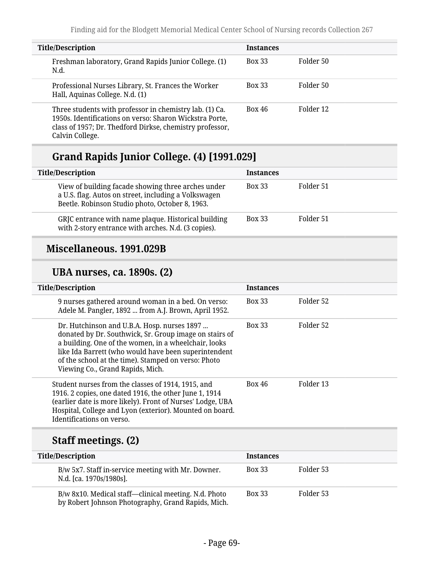| <b>Title/Description</b>                                                                                                                                                                          | <b>Instances</b> |           |
|---------------------------------------------------------------------------------------------------------------------------------------------------------------------------------------------------|------------------|-----------|
| Freshman laboratory, Grand Rapids Junior College. (1)<br>N.d.                                                                                                                                     | <b>Box 33</b>    | Folder 50 |
| Professional Nurses Library, St. Frances the Worker<br>Hall, Aquinas College. N.d. (1)                                                                                                            | <b>Box 33</b>    | Folder 50 |
| Three students with professor in chemistry lab. (1) Ca.<br>1950s. Identifications on verso: Sharon Wickstra Porte,<br>class of 1957; Dr. Thedford Dirkse, chemistry professor,<br>Calvin College. | Box 46           | Folder 12 |

# **Grand Rapids Junior College. (4) [1991.029]**

| <b>Title/Description</b>                                                                                                                                      | <b>Instances</b> |           |
|---------------------------------------------------------------------------------------------------------------------------------------------------------------|------------------|-----------|
| View of building facade showing three arches under<br>a U.S. flag. Autos on street, including a Volkswagen<br>Beetle. Robinson Studio photo, October 8, 1963. | <b>Box 33</b>    | Folder 51 |
| GRJC entrance with name plaque. Historical building<br>with 2-story entrance with arches. N.d. (3 copies).                                                    | <b>Box 33</b>    | Folder 51 |

### **Miscellaneous. 1991.029B**

#### **UBA nurses, ca. 1890s. (2)**

| <b>Title/Description</b>                                                                                                                                                                                                                                                                                         | <b>Instances</b> |           |
|------------------------------------------------------------------------------------------------------------------------------------------------------------------------------------------------------------------------------------------------------------------------------------------------------------------|------------------|-----------|
| 9 nurses gathered around woman in a bed. On verso:<br>Adele M. Pangler, 1892  from A.J. Brown, April 1952.                                                                                                                                                                                                       | <b>Box 33</b>    | Folder 52 |
| Dr. Hutchinson and U.B.A. Hosp. nurses 1897<br>donated by Dr. Southwick, Sr. Group image on stairs of<br>a building. One of the women, in a wheelchair, looks<br>like Ida Barrett (who would have been superintendent<br>of the school at the time). Stamped on verso: Photo<br>Viewing Co., Grand Rapids, Mich. | <b>Box 33</b>    | Folder 52 |
| Student nurses from the classes of 1914, 1915, and<br>1916. 2 copies, one dated 1916, the other June 1, 1914<br>(earlier date is more likely). Front of Nurses' Lodge, UBA<br>Hospital, College and Lyon (exterior). Mounted on board.<br>Identifications on verso.                                              | Box 46           | Folder 13 |

# **Staff meetings. (2)**

| <b>Title/Description</b>                                                                                   | <b>Instances</b> |           |  |
|------------------------------------------------------------------------------------------------------------|------------------|-----------|--|
| B/w 5x7. Staff in-service meeting with Mr. Downer.<br>N.d. [ca. 1970s/1980s].                              | <b>Box 33</b>    | Folder 53 |  |
| B/w 8x10. Medical staff—clinical meeting. N.d. Photo<br>by Robert Johnson Photography, Grand Rapids, Mich. | <b>Box 33</b>    | Folder 53 |  |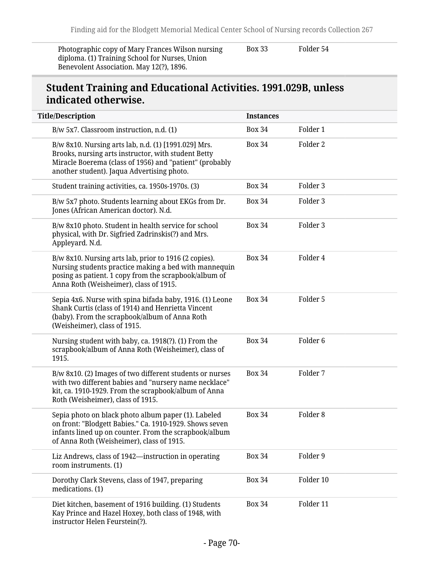Photographic copy of Mary Frances Wilson nursing diploma. (1) Training School for Nurses, Union Benevolent Association. May 12(?), 1896.

Box 33 Folder 54

#### **Student Training and Educational Activities. 1991.029B, unless indicated otherwise.**

| <b>Title/Description</b>                                                                                                                                                                                             | <b>Instances</b> |                     |
|----------------------------------------------------------------------------------------------------------------------------------------------------------------------------------------------------------------------|------------------|---------------------|
| B/w 5x7. Classroom instruction, n.d. (1)                                                                                                                                                                             | <b>Box 34</b>    | Folder 1            |
| B/w 8x10. Nursing arts lab, n.d. (1) [1991.029] Mrs.<br>Brooks, nursing arts instructor, with student Betty<br>Miracle Boerema (class of 1956) and "patient" (probably<br>another student). Jaqua Advertising photo. | <b>Box 34</b>    | Folder 2            |
| Student training activities, ca. 1950s-1970s. (3)                                                                                                                                                                    | <b>Box 34</b>    | Folder 3            |
| B/w 5x7 photo. Students learning about EKGs from Dr.<br>Jones (African American doctor). N.d.                                                                                                                        | <b>Box 34</b>    | Folder 3            |
| B/w 8x10 photo. Student in health service for school<br>physical, with Dr. Sigfried Zadrinskis(?) and Mrs.<br>Appleyard. N.d.                                                                                        | <b>Box 34</b>    | Folder 3            |
| B/w 8x10. Nursing arts lab, prior to 1916 (2 copies).<br>Nursing students practice making a bed with mannequin<br>posing as patient. 1 copy from the scrapbook/album of<br>Anna Roth (Weisheimer), class of 1915.    | <b>Box 34</b>    | Folder 4            |
| Sepia 4x6. Nurse with spina bifada baby, 1916. (1) Leone<br>Shank Curtis (class of 1914) and Henrietta Vincent<br>(baby). From the scrapbook/album of Anna Roth<br>(Weisheimer), class of 1915.                      | <b>Box 34</b>    | Folder 5            |
| Nursing student with baby, ca. 1918(?). (1) From the<br>scrapbook/album of Anna Roth (Weisheimer), class of<br>1915.                                                                                                 | <b>Box 34</b>    | Folder <sub>6</sub> |
| B/w 8x10. (2) Images of two different students or nurses<br>with two different babies and "nursery name necklace"<br>kit, ca. 1910-1929. From the scrapbook/album of Anna<br>Roth (Weisheimer), class of 1915.       | <b>Box 34</b>    | Folder 7            |
| Sepia photo on black photo album paper (1). Labeled<br>on front: "Blodgett Babies." Ca. 1910-1929. Shows seven<br>infants lined up on counter. From the scrapbook/album<br>of Anna Roth (Weisheimer), class of 1915. | <b>Box 34</b>    | Folder <sub>8</sub> |
| Liz Andrews, class of 1942—instruction in operating<br>room instruments. (1)                                                                                                                                         | <b>Box 34</b>    | Folder 9            |
| Dorothy Clark Stevens, class of 1947, preparing<br>medications. (1)                                                                                                                                                  | <b>Box 34</b>    | Folder 10           |
| Diet kitchen, basement of 1916 building. (1) Students<br>Kay Prince and Hazel Hoxey, both class of 1948, with<br>instructor Helen Feurstein(?).                                                                      | <b>Box 34</b>    | Folder 11           |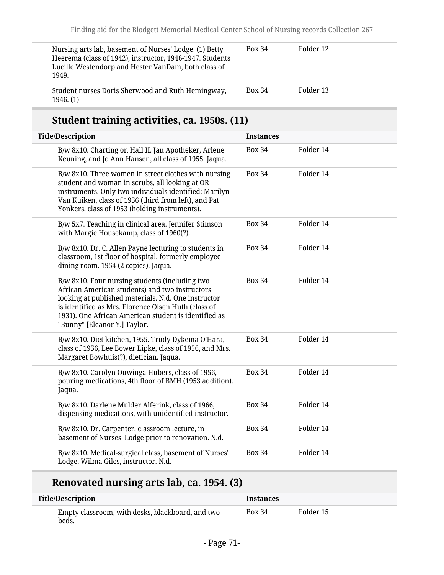| Nursing arts lab, basement of Nurses' Lodge. (1) Betty<br>Heerema (class of 1942), instructor, 1946-1947. Students<br>Lucille Westendorp and Hester VanDam, both class of<br>1949. | <b>Box 34</b> | Folder 12 |  |
|------------------------------------------------------------------------------------------------------------------------------------------------------------------------------------|---------------|-----------|--|
| Student nurses Doris Sherwood and Ruth Hemingway,<br>1946. (1)                                                                                                                     | <b>Box 34</b> | Folder 13 |  |

# **Student training activities, ca. 1950s. (11)**

| <b>Title/Description</b>                                                                                                                                                                                                                                                                               | <b>Instances</b> |           |
|--------------------------------------------------------------------------------------------------------------------------------------------------------------------------------------------------------------------------------------------------------------------------------------------------------|------------------|-----------|
| B/w 8x10. Charting on Hall II. Jan Apotheker, Arlene<br>Keuning, and Jo Ann Hansen, all class of 1955. Jaqua.                                                                                                                                                                                          | <b>Box 34</b>    | Folder 14 |
| B/w 8x10. Three women in street clothes with nursing<br>student and woman in scrubs, all looking at OR<br>instruments. Only two individuals identified: Marilyn<br>Van Kuiken, class of 1956 (third from left), and Pat<br>Yonkers, class of 1953 (holding instruments).                               | <b>Box 34</b>    | Folder 14 |
| B/w 5x7. Teaching in clinical area. Jennifer Stimson<br>with Margie Housekamp, class of 1960(?).                                                                                                                                                                                                       | <b>Box 34</b>    | Folder 14 |
| B/w 8x10. Dr. C. Allen Payne lecturing to students in<br>classroom, 1st floor of hospital, formerly employee<br>dining room. 1954 (2 copies). Jaqua.                                                                                                                                                   | <b>Box 34</b>    | Folder 14 |
| B/w 8x10. Four nursing students (including two<br>African American students) and two instructors<br>looking at published materials. N.d. One instructor<br>is identified as Mrs. Florence Olsen Huth (class of<br>1931). One African American student is identified as<br>"Bunny" [Eleanor Y.] Taylor. | <b>Box 34</b>    | Folder 14 |
| B/w 8x10. Diet kitchen, 1955. Trudy Dykema O'Hara,<br>class of 1956, Lee Bower Lipke, class of 1956, and Mrs.<br>Margaret Bowhuis(?), dietician. Jaqua.                                                                                                                                                | <b>Box 34</b>    | Folder 14 |
| B/w 8x10. Carolyn Ouwinga Hubers, class of 1956,<br>pouring medications, 4th floor of BMH (1953 addition).<br>Jaqua.                                                                                                                                                                                   | <b>Box 34</b>    | Folder 14 |
| B/w 8x10. Darlene Mulder Alferink, class of 1966,<br>dispensing medications, with unidentified instructor.                                                                                                                                                                                             | <b>Box 34</b>    | Folder 14 |
| B/w 8x10. Dr. Carpenter, classroom lecture, in<br>basement of Nurses' Lodge prior to renovation. N.d.                                                                                                                                                                                                  | <b>Box 34</b>    | Folder 14 |
| B/w 8x10. Medical-surgical class, basement of Nurses'<br>Lodge, Wilma Giles, instructor. N.d.                                                                                                                                                                                                          | <b>Box 34</b>    | Folder 14 |

# **Renovated nursing arts lab, ca. 1954. (3)**

| <b>Title/Description</b>                                  | <b>Instances</b> |           |
|-----------------------------------------------------------|------------------|-----------|
| Empty classroom, with desks, blackboard, and two<br>beds. | <b>Box 34</b>    | Folder 15 |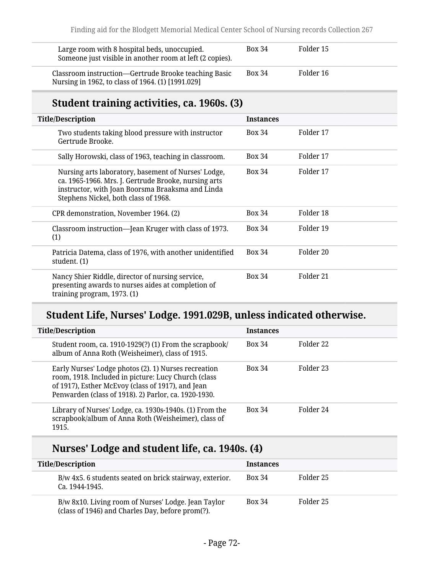| Large room with 8 hospital beds, unoccupied.<br>Someone just visible in another room at left (2 copies).  | <b>Box 34</b> | Folder 15 |
|-----------------------------------------------------------------------------------------------------------|---------------|-----------|
| Classroom instruction—Gertrude Brooke teaching Basic<br>Nursing in 1962, to class of 1964. (1) [1991.029] | <b>Box 34</b> | Folder 16 |

## **Student training activities, ca. 1960s. (3)**

| <b>Title/Description</b>                                                                                                                                                                                | <b>Instances</b> |           |
|---------------------------------------------------------------------------------------------------------------------------------------------------------------------------------------------------------|------------------|-----------|
| Two students taking blood pressure with instructor<br>Gertrude Brooke.                                                                                                                                  | <b>Box 34</b>    | Folder 17 |
| Sally Horowski, class of 1963, teaching in classroom.                                                                                                                                                   | <b>Box 34</b>    | Folder 17 |
| Nursing arts laboratory, basement of Nurses' Lodge,<br>ca. 1965-1966. Mrs. J. Gertrude Brooke, nursing arts<br>instructor, with Joan Boorsma Braaksma and Linda<br>Stephens Nickel, both class of 1968. | <b>Box 34</b>    | Folder 17 |
| CPR demonstration, November 1964. (2)                                                                                                                                                                   | <b>Box 34</b>    | Folder 18 |
| Classroom instruction—Jean Kruger with class of 1973.<br>(1)                                                                                                                                            | <b>Box 34</b>    | Folder 19 |
| Patricia Datema, class of 1976, with another unidentified<br>student. (1)                                                                                                                               | <b>Box 34</b>    | Folder 20 |
| Nancy Shier Riddle, director of nursing service,<br>presenting awards to nurses aides at completion of<br>training program, 1973. (1)                                                                   | <b>Box 34</b>    | Folder 21 |

# **Student Life, Nurses' Lodge. 1991.029B, unless indicated otherwise.**

| <b>Title/Description</b>                                                                                                                                                                                                 | <b>Instances</b> |           |
|--------------------------------------------------------------------------------------------------------------------------------------------------------------------------------------------------------------------------|------------------|-----------|
| Student room, ca. 1910-1929(?) (1) From the scrapbook/<br>album of Anna Roth (Weisheimer), class of 1915.                                                                                                                | <b>Box 34</b>    | Folder 22 |
| Early Nurses' Lodge photos (2). 1) Nurses recreation<br>room, 1918. Included in picture: Lucy Church (class<br>of 1917), Esther McEvoy (class of 1917), and Jean<br>Penwarden (class of 1918). 2) Parlor, ca. 1920-1930. | <b>Box 34</b>    | Folder 23 |
| Library of Nurses' Lodge, ca. 1930s-1940s. (1) From the<br>scrapbook/album of Anna Roth (Weisheimer), class of<br>1915.                                                                                                  | <b>Box 34</b>    | Folder 24 |

## **Nurses' Lodge and student life, ca. 1940s. (4)**

| <b>Title/Description</b>                                                                                | <b>Instances</b> |           |
|---------------------------------------------------------------------------------------------------------|------------------|-----------|
| B/w 4x5. 6 students seated on brick stairway, exterior.<br>Ca. 1944-1945.                               | <b>Box 34</b>    | Folder 25 |
| B/w 8x10. Living room of Nurses' Lodge. Jean Taylor<br>(class of 1946) and Charles Day, before prom(?). | <b>Box 34</b>    | Folder 25 |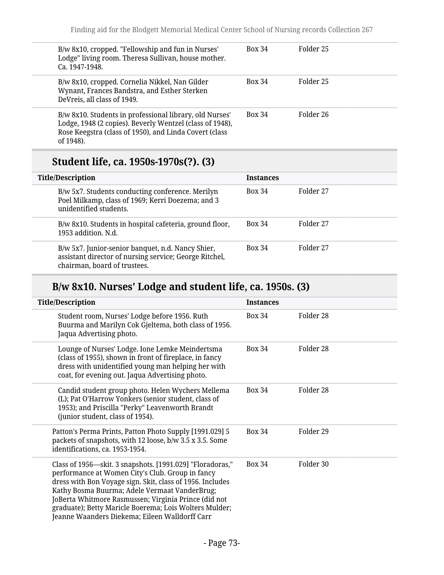| B/w 8x10, cropped. "Fellowship and fun in Nurses'<br>Lodge" living room. Theresa Sullivan, house mother.<br>Ca. 1947-1948.                                                                 | <b>Box 34</b> | Folder 25 |
|--------------------------------------------------------------------------------------------------------------------------------------------------------------------------------------------|---------------|-----------|
| B/w 8x10, cropped. Cornelia Nikkel, Nan Gilder<br>Wynant, Frances Bandstra, and Esther Sterken<br>DeVreis, all class of 1949.                                                              | <b>Box 34</b> | Folder 25 |
| B/w 8x10. Students in professional library, old Nurses'<br>Lodge, 1948 (2 copies). Beverly Wentzel (class of 1948),<br>Rose Keegstra (class of 1950), and Linda Covert (class<br>of 1948). | <b>Box 34</b> | Folder 26 |

## **Student life, ca. 1950s-1970s(?). (3)**

| <b>Instances</b> |           |
|------------------|-----------|
| <b>Box 34</b>    | Folder 27 |
| <b>Box 34</b>    | Folder 27 |
| <b>Box 34</b>    | Folder 27 |
|                  |           |

# **B/w 8x10. Nurses' Lodge and student life, ca. 1950s. (3)**

| <b>Title/Description</b>                                                                                                                                                                                                                                                                                                                                                                        | <b>Instances</b> |           |
|-------------------------------------------------------------------------------------------------------------------------------------------------------------------------------------------------------------------------------------------------------------------------------------------------------------------------------------------------------------------------------------------------|------------------|-----------|
| Student room, Nurses' Lodge before 1956. Ruth<br>Buurma and Marilyn Cok Gjeltema, both class of 1956.<br>Jaqua Advertising photo.                                                                                                                                                                                                                                                               | <b>Box 34</b>    | Folder 28 |
| Lounge of Nurses' Lodge. Ione Lemke Meindertsma<br>(class of 1955), shown in front of fireplace, in fancy<br>dress with unidentified young man helping her with<br>coat, for evening out. Jaqua Advertising photo.                                                                                                                                                                              | <b>Box 34</b>    | Folder 28 |
| Candid student group photo. Helen Wychers Mellema<br>(L); Pat O'Harrow Yonkers (senior student, class of<br>1953); and Priscilla "Perky" Leavenworth Brandt<br>(junior student, class of 1954).                                                                                                                                                                                                 | <b>Box 34</b>    | Folder 28 |
| Patton's Perma Prints, Patton Photo Supply [1991.029] 5<br>packets of snapshots, with 12 loose, b/w 3.5 x 3.5. Some<br>identifications, ca. 1953-1954.                                                                                                                                                                                                                                          | <b>Box 34</b>    | Folder 29 |
| Class of 1956—skit. 3 snapshots. [1991.029] "Floradoras,"<br>performance at Women City's Club. Group in fancy<br>dress with Bon Voyage sign. Skit, class of 1956. Includes<br>Kathy Bosma Buurma; Adele Vermaat VanderBrug;<br>JoBerta Whitmore Rasmussen; Virginia Prince (did not<br>graduate); Betty Maricle Boerema; Lois Wolters Mulder;<br>Jeanne Waanders Diekema; Eileen Walldorff Carr | <b>Box 34</b>    | Folder 30 |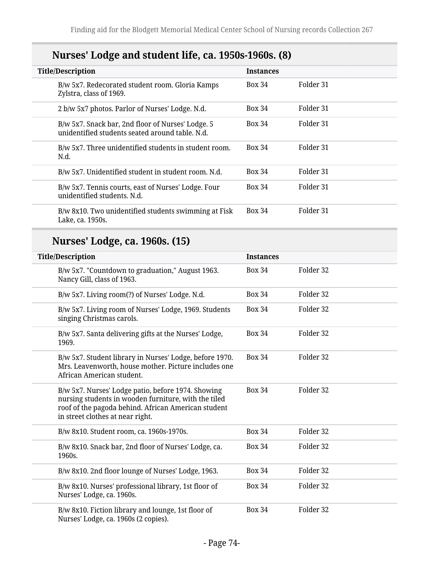# **Nurses' Lodge and student life, ca. 1950s-1960s. (8)**

| <b>Title/Description</b>                                                                             | <b>Instances</b> |           |
|------------------------------------------------------------------------------------------------------|------------------|-----------|
| B/w 5x7. Redecorated student room. Gloria Kamps<br>Zylstra, class of 1969.                           | <b>Box 34</b>    | Folder 31 |
| 2 b/w 5x7 photos. Parlor of Nurses' Lodge. N.d.                                                      | <b>Box 34</b>    | Folder 31 |
| B/w 5x7. Snack bar, 2nd floor of Nurses' Lodge. 5<br>unidentified students seated around table. N.d. | <b>Box 34</b>    | Folder 31 |
| B/w 5x7. Three unidentified students in student room.<br>N.d.                                        | <b>Box 34</b>    | Folder 31 |
| B/w 5x7. Unidentified student in student room. N.d.                                                  | <b>Box 34</b>    | Folder 31 |
| B/w 5x7. Tennis courts, east of Nurses' Lodge. Four<br>unidentified students. N.d.                   | <b>Box 34</b>    | Folder 31 |
| B/w 8x10. Two unidentified students swimming at Fisk<br>Lake, ca. 1950s.                             | <b>Box 34</b>    | Folder 31 |

# **Nurses' Lodge, ca. 1960s. (15)**

| <b>Title/Description</b>                                                                                                                                                                              | <b>Instances</b> |           |  |
|-------------------------------------------------------------------------------------------------------------------------------------------------------------------------------------------------------|------------------|-----------|--|
| B/w 5x7. "Countdown to graduation," August 1963.<br>Nancy Gill, class of 1963.                                                                                                                        | <b>Box 34</b>    | Folder 32 |  |
| B/w 5x7. Living room(?) of Nurses' Lodge. N.d.                                                                                                                                                        | <b>Box 34</b>    | Folder 32 |  |
| B/w 5x7. Living room of Nurses' Lodge, 1969. Students<br>singing Christmas carols.                                                                                                                    | <b>Box 34</b>    | Folder 32 |  |
| B/w 5x7. Santa delivering gifts at the Nurses' Lodge,<br>1969.                                                                                                                                        | <b>Box 34</b>    | Folder 32 |  |
| B/w 5x7. Student library in Nurses' Lodge, before 1970.<br>Mrs. Leavenworth, house mother. Picture includes one<br>African American student.                                                          | <b>Box 34</b>    | Folder 32 |  |
| B/w 5x7. Nurses' Lodge patio, before 1974. Showing<br>nursing students in wooden furniture, with the tiled<br>roof of the pagoda behind. African American student<br>in street clothes at near right. | <b>Box 34</b>    | Folder 32 |  |
| B/w 8x10. Student room, ca. 1960s-1970s.                                                                                                                                                              | <b>Box 34</b>    | Folder 32 |  |
| B/w 8x10. Snack bar, 2nd floor of Nurses' Lodge, ca.<br>1960s.                                                                                                                                        | <b>Box 34</b>    | Folder 32 |  |
| B/w 8x10. 2nd floor lounge of Nurses' Lodge, 1963.                                                                                                                                                    | <b>Box 34</b>    | Folder 32 |  |
| B/w 8x10. Nurses' professional library, 1st floor of<br>Nurses' Lodge, ca. 1960s.                                                                                                                     | <b>Box 34</b>    | Folder 32 |  |
| B/w 8x10. Fiction library and lounge, 1st floor of<br>Nurses' Lodge, ca. 1960s (2 copies).                                                                                                            | <b>Box 34</b>    | Folder 32 |  |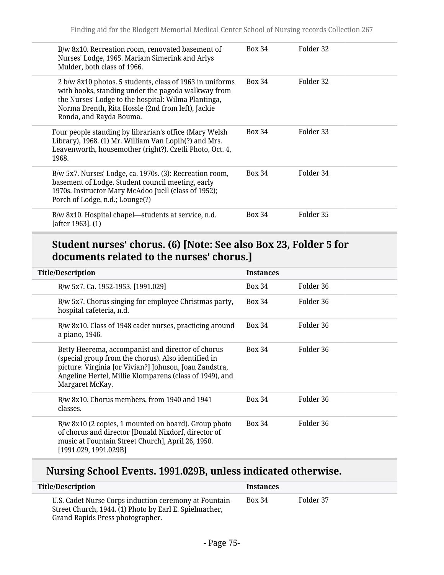| B/w 8x10. Recreation room, renovated basement of<br>Nurses' Lodge, 1965. Mariam Simerink and Arlys<br>Mulder, both class of 1966.                                                                                                                     | <b>Box 34</b> | Folder 32 |
|-------------------------------------------------------------------------------------------------------------------------------------------------------------------------------------------------------------------------------------------------------|---------------|-----------|
| 2 b/w 8x10 photos. 5 students, class of 1963 in uniforms<br>with books, standing under the pagoda walkway from<br>the Nurses' Lodge to the hospital: Wilma Plantinga,<br>Norma Drenth, Rita Hossle (2nd from left), Jackie<br>Ronda, and Rayda Bouma. | <b>Box 34</b> | Folder 32 |
| Four people standing by librarian's office (Mary Welsh<br>Library), 1968. (1) Mr. William Van Lopih(?) and Mrs.<br>Leavenworth, housemother (right?). Czetli Photo, Oct. 4,<br>1968.                                                                  | <b>Box 34</b> | Folder 33 |
| B/w 5x7. Nurses' Lodge, ca. 1970s. (3): Recreation room,<br>basement of Lodge. Student council meeting, early<br>1970s. Instructor Mary McAdoo Juell (class of 1952);<br>Porch of Lodge, n.d.; Lounge(?)                                              | <b>Box 34</b> | Folder 34 |
| B/w 8x10. Hospital chapel—students at service, n.d.<br>[after 1963]. (1)                                                                                                                                                                              | <b>Box 34</b> | Folder 35 |

### **Student nurses' chorus. (6) [Note: See also Box 23, Folder 5 for documents related to the nurses' chorus.]**

| <b>Title/Description</b>                                                                                                                                                                                                                         | <b>Instances</b> |           |
|--------------------------------------------------------------------------------------------------------------------------------------------------------------------------------------------------------------------------------------------------|------------------|-----------|
| B/w 5x7. Ca. 1952-1953. [1991.029]                                                                                                                                                                                                               | <b>Box 34</b>    | Folder 36 |
| B/w 5x7. Chorus singing for employee Christmas party,<br>hospital cafeteria, n.d.                                                                                                                                                                | <b>Box 34</b>    | Folder 36 |
| B/w 8x10. Class of 1948 cadet nurses, practicing around<br>a piano, 1946.                                                                                                                                                                        | <b>Box 34</b>    | Folder 36 |
| Betty Heerema, accompanist and director of chorus<br>(special group from the chorus). Also identified in<br>picture: Virginia [or Vivian?] Johnson, Joan Zandstra,<br>Angeline Hertel, Millie Klomparens (class of 1949), and<br>Margaret McKay. | <b>Box 34</b>    | Folder 36 |
| B/w 8x10. Chorus members, from 1940 and 1941<br>classes.                                                                                                                                                                                         | Box 34           | Folder 36 |
| B/w 8x10 (2 copies, 1 mounted on board). Group photo<br>of chorus and director [Donald Nixdorf, director of<br>music at Fountain Street Church], April 26, 1950.<br>[1991.029, 1991.029B]                                                        | <b>Box 34</b>    | Folder 36 |

# **Nursing School Events. 1991.029B, unless indicated otherwise.**

| <b>Title/Description</b>                                                                                                                            | <b>Instances</b> |           |
|-----------------------------------------------------------------------------------------------------------------------------------------------------|------------------|-----------|
| U.S. Cadet Nurse Corps induction ceremony at Fountain<br>Street Church, 1944. (1) Photo by Earl E. Spielmacher,<br>Grand Rapids Press photographer. | <b>Box 34</b>    | Folder 37 |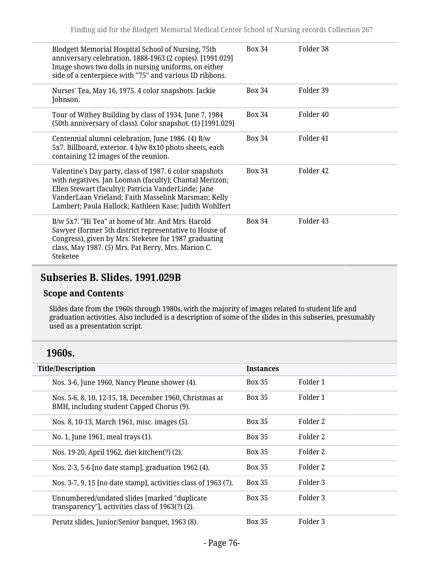| Blodgett Memorial Hospital School of Nursing, 75th<br>anniversary celebration, 1888-1963 (2 copies). [1991.029]<br>Image shows two dolls in nursing uniforms, on either<br>side of a centerpiece with "75" and various ID ribbons.                                                        | <b>Box 34</b> | Folder 38            |
|-------------------------------------------------------------------------------------------------------------------------------------------------------------------------------------------------------------------------------------------------------------------------------------------|---------------|----------------------|
| Nurses' Tea, May 16, 1975. 4 color snapshots. Jackie<br>Johnson.                                                                                                                                                                                                                          | <b>Box 34</b> | Folder 39            |
| Tour of Withey Building by class of 1934, June 7, 1984<br>(50th anniversary of class). Color snapshot. (1) [1991.029]                                                                                                                                                                     | <b>Box 34</b> | Folder 40            |
| Centennial alumni celebration, June 1986. (4) B/w<br>5x7. Billboard, exterior. 4 b/w 8x10 photo sheets, each<br>containing 12 images of the reunion.                                                                                                                                      | <b>Box 34</b> | Folder <sub>41</sub> |
| Valentine's Day party, class of 1987. 6 color snapshots<br>with negatives. Jan Looman (faculty); Chantal Merizon;<br>Ellen Stewart (faculty); Patricia VanderLinde; Jane<br>VanderLaan Vrieland; Faith Masselink Marsman; Kelly<br>Lambert; Paula Hallock; Kathleen Kase; Judith Wohlfert | <b>Box 34</b> | Folder 42            |
| B/w 5x7. "Hi Tea" at home of Mr. And Mrs. Harold<br>Sawyer (former 5th district representative to House of<br>Congress), given by Mrs. Steketee for 1987 graduating<br>class, May 1987. (5) Mrs. Pat Berry, Mrs. Marion C.<br>Steketee                                                    | <b>Box 34</b> | Folder <sub>43</sub> |

## **Subseries B. Slides. 1991.029B**

### **Scope and Contents**

Slides date from the 1960s through 1980s, with the majority of images related to student life and graduation activities. Also included is a description of some of the slides in this subseries, presumably used as a presentation script.

### **1960s.**

| <b>Title/Description</b>                                                                             | <b>Instances</b> |                     |
|------------------------------------------------------------------------------------------------------|------------------|---------------------|
| Nos. 3-6, June 1960, Nancy Pleune shower (4).                                                        | <b>Box 35</b>    | Folder 1            |
| Nos. 5-6, 8, 10, 12-15, 18, December 1960, Christmas at<br>BMH, including student Capped Chorus (9). | <b>Box 35</b>    | Folder 1            |
| Nos. 8, 10-13, March 1961, misc. images (5).                                                         | <b>Box 35</b>    | Folder 2            |
| No. 1, June 1961, meal trays (1).                                                                    | <b>Box 35</b>    | Folder 2            |
| Nos. 19-20, April 1962, diet kitchen(?) (2).                                                         | <b>Box 35</b>    | Folder 2            |
| Nos. 2-3, 5-6 [no date stamp], graduation 1962 (4).                                                  | <b>Box 35</b>    | Folder 2            |
| Nos. 3-7, 9, 15 [no date stamp], activities class of 1963 (7).                                       | <b>Box 35</b>    | Folder 3            |
| Unnumbered/undated slides [marked "duplicate<br>transparency"], activities class of 1963(?) (2).     | <b>Box 35</b>    | Folder 3            |
| Perutz slides, Junior/Senior banquet, 1963 (8).                                                      | <b>Box 35</b>    | Folder <sub>3</sub> |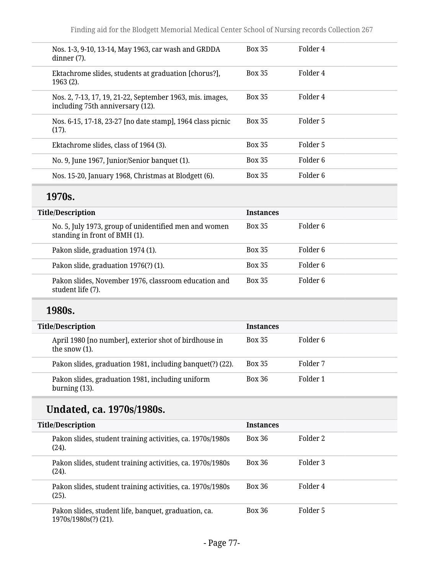| Nos. 1-3, 9-10, 13-14, May 1963, car wash and GRDDA<br>dinner (7).                            | <b>Box 35</b> | Folder 4 |
|-----------------------------------------------------------------------------------------------|---------------|----------|
| Ektachrome slides, students at graduation [chorus?],<br>$1963(2)$ .                           | <b>Box 35</b> | Folder 4 |
| Nos. 2, 7-13, 17, 19, 21-22, September 1963, mis. images,<br>including 75th anniversary (12). | <b>Box 35</b> | Folder 4 |
| Nos. 6-15, 17-18, 23-27 [no date stamp], 1964 class picnic<br>$(17)$ .                        | <b>Box 35</b> | Folder 5 |
| Ektachrome slides, class of 1964 (3).                                                         | <b>Box 35</b> | Folder 5 |
| No. 9, June 1967, Junior/Senior banquet (1).                                                  | <b>Box 35</b> | Folder 6 |
| Nos. 15-20, January 1968, Christmas at Blodgett (6).                                          | <b>Box 35</b> | Folder 6 |

# **1970s.**

| <b>Title/Description</b>                                                               | <b>Instances</b> |          |  |
|----------------------------------------------------------------------------------------|------------------|----------|--|
| No. 5, July 1973, group of unidentified men and women<br>standing in front of BMH (1). | <b>Box 35</b>    | Folder 6 |  |
| Pakon slide, graduation 1974 (1).                                                      | <b>Box 35</b>    | Folder 6 |  |
| Pakon slide, graduation 1976(?) (1).                                                   | <b>Box 35</b>    | Folder 6 |  |
| Pakon slides, November 1976, classroom education and<br>student life (7).              | <b>Box 35</b>    | Folder 6 |  |

## **1980s.**

| <b>Title/Description</b>                                                  | <b>Instances</b> |          |
|---------------------------------------------------------------------------|------------------|----------|
| April 1980 [no number], exterior shot of birdhouse in<br>the snow $(1)$ . | <b>Box 35</b>    | Folder 6 |
| Pakon slides, graduation 1981, including banquet(?) (22).                 | <b>Box 35</b>    | Folder 7 |
| Pakon slides, graduation 1981, including uniform<br>burning $(13)$ .      | <b>Box 36</b>    | Folder 1 |

## **Undated, ca. 1970s/1980s.**

| <b>Title/Description</b>                                                     | <b>Instances</b> |          |
|------------------------------------------------------------------------------|------------------|----------|
| Pakon slides, student training activities, ca. 1970s/1980s<br>(24).          | <b>Box 36</b>    | Folder 2 |
| Pakon slides, student training activities, ca. 1970s/1980s<br>(24).          | <b>Box 36</b>    | Folder 3 |
| Pakon slides, student training activities, ca. 1970s/1980s<br>(25).          | <b>Box 36</b>    | Folder 4 |
| Pakon slides, student life, banquet, graduation, ca.<br>1970s/1980s(?) (21). | <b>Box 36</b>    | Folder 5 |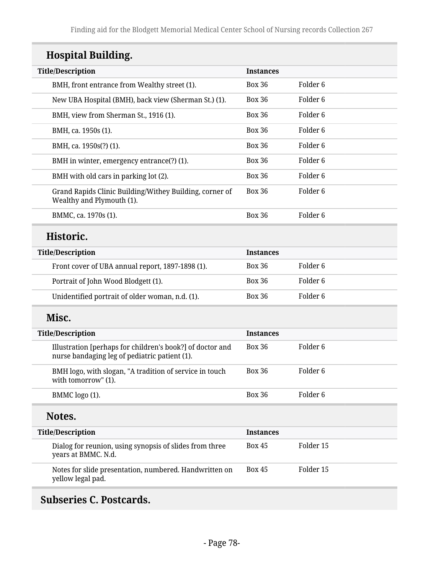# **Hospital Building.**

| <b>Instances</b><br><b>Box 36</b><br><b>Box 36</b> | Folder 6 |
|----------------------------------------------------|----------|
|                                                    |          |
|                                                    |          |
|                                                    | Folder 6 |
| <b>Box 36</b>                                      | Folder 6 |
| <b>Box 36</b>                                      | Folder 6 |
| <b>Box 36</b>                                      | Folder 6 |
| <b>Box 36</b>                                      | Folder 6 |
| <b>Box 36</b>                                      | Folder 6 |
| <b>Box 36</b>                                      | Folder 6 |
| <b>Box 36</b>                                      | Folder 6 |
|                                                    |          |

| <b>Title/Description</b>                         | <b>Instances</b> |          |
|--------------------------------------------------|------------------|----------|
| Front cover of UBA annual report, 1897-1898 (1). | <b>Box 36</b>    | Folder 6 |
| Portrait of John Wood Blodgett (1).              | <b>Box 36</b>    | Folder 6 |
| Unidentified portrait of older woman, n.d. (1).  | <b>Box 36</b>    | Folder 6 |

## **Misc.**

| <b>Title/Description</b>                                                                                   | <b>Instances</b> |           |  |
|------------------------------------------------------------------------------------------------------------|------------------|-----------|--|
| Illustration [perhaps for children's book?] of doctor and<br>nurse bandaging leg of pediatric patient (1). | <b>Box 36</b>    | Folder 6  |  |
| BMH logo, with slogan, "A tradition of service in touch<br>with tomorrow" (1).                             | <b>Box 36</b>    | Folder 6  |  |
| BMMC logo (1).                                                                                             | <b>Box 36</b>    | Folder 6  |  |
| Notes.                                                                                                     |                  |           |  |
| <b>Title/Description</b>                                                                                   | <b>Instances</b> |           |  |
| Dialog for reunion, using synopsis of slides from three                                                    | <b>Box 45</b>    | Folder 15 |  |
| years at BMMC. N.d.                                                                                        |                  |           |  |

# **Subseries C. Postcards.**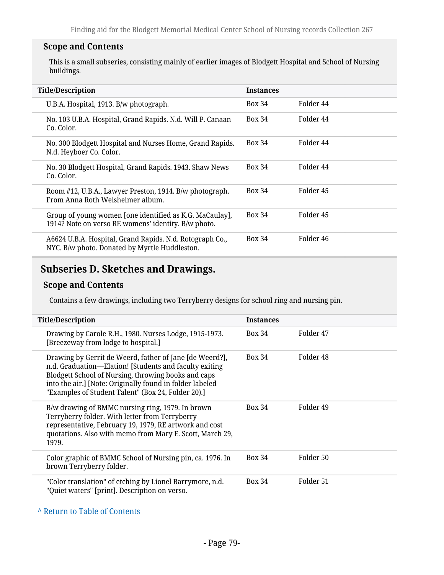### **Scope and Contents**

This is a small subseries, consisting mainly of earlier images of Blodgett Hospital and School of Nursing buildings.

| <b>Title/Description</b>                                                                                       | <b>Instances</b> |           |
|----------------------------------------------------------------------------------------------------------------|------------------|-----------|
| U.B.A. Hospital, 1913. B/w photograph.                                                                         | <b>Box 34</b>    | Folder 44 |
| No. 103 U.B.A. Hospital, Grand Rapids. N.d. Will P. Canaan<br>Co. Color.                                       | <b>Box 34</b>    | Folder 44 |
| No. 300 Blodgett Hospital and Nurses Home, Grand Rapids.<br>N.d. Heyboer Co. Color.                            | <b>Box 34</b>    | Folder 44 |
| No. 30 Blodgett Hospital, Grand Rapids. 1943. Shaw News<br>Co. Color.                                          | <b>Box 34</b>    | Folder 44 |
| Room #12, U.B.A., Lawyer Preston, 1914. B/w photograph.<br>From Anna Roth Weisheimer album.                    | <b>Box 34</b>    | Folder 45 |
| Group of young women [one identified as K.G. MaCaulay],<br>1914? Note on verso RE womens' identity. B/w photo. | <b>Box 34</b>    | Folder 45 |
| A6624 U.B.A. Hospital, Grand Rapids. N.d. Rotograph Co.,<br>NYC. B/w photo. Donated by Myrtle Huddleston.      | <b>Box 34</b>    | Folder 46 |

## **Subseries D. Sketches and Drawings.**

### **Scope and Contents**

Contains a few drawings, including two Terryberry designs for school ring and nursing pin.

| <b>Title/Description</b>                                                                                                                                                                                                                                                                   | <b>Instances</b> |           |
|--------------------------------------------------------------------------------------------------------------------------------------------------------------------------------------------------------------------------------------------------------------------------------------------|------------------|-----------|
| Drawing by Carole R.H., 1980. Nurses Lodge, 1915-1973.<br>[Breezeway from lodge to hospital.]                                                                                                                                                                                              | <b>Box 34</b>    | Folder 47 |
| Drawing by Gerrit de Weerd, father of Jane [de Weerd?],<br>n.d. Graduation—Elation! [Students and faculty exiting<br>Blodgett School of Nursing, throwing books and caps<br>into the air.] [Note: Originally found in folder labeled<br>"Examples of Student Talent" (Box 24, Folder 20).] | <b>Box 34</b>    | Folder 48 |
| B/w drawing of BMMC nursing ring, 1979. In brown<br>Terryberry folder. With letter from Terryberry<br>representative, February 19, 1979, RE artwork and cost<br>quotations. Also with memo from Mary E. Scott, March 29,<br>1979.                                                          | <b>Box 34</b>    | Folder 49 |
| Color graphic of BMMC School of Nursing pin, ca. 1976. In<br>brown Terryberry folder.                                                                                                                                                                                                      | <b>Box 34</b>    | Folder 50 |
| "Color translation" of etching by Lionel Barrymore, n.d.<br>"Quiet waters" [print]. Description on verso.                                                                                                                                                                                  | <b>Box 34</b>    | Folder 51 |

**^** [Return to Table of Contents](#page-1-0)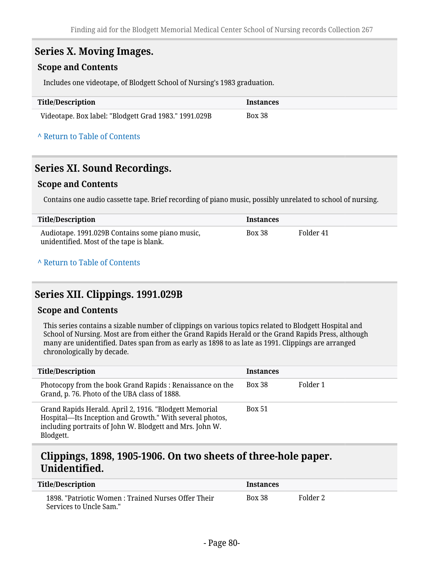### **Series X. Moving Images.**

#### **Scope and Contents**

Includes one videotape, of Blodgett School of Nursing's 1983 graduation.

| Title/Description                                     | <i><u><b>Instances</b></u></i> |
|-------------------------------------------------------|--------------------------------|
| Videotape. Box label: "Blodgett Grad 1983." 1991.029B | Box 38                         |

#### **^** [Return to Table of Contents](#page-1-0)

### **Series XI. Sound Recordings.**

#### **Scope and Contents**

Contains one audio cassette tape. Brief recording of piano music, possibly unrelated to school of nursing.

| Title/Description                                                                           | <b>Instances</b> |           |
|---------------------------------------------------------------------------------------------|------------------|-----------|
| Audiotape. 1991.029B Contains some piano music,<br>unidentified. Most of the tape is blank. | Box 38           | Folder 41 |

#### **^** [Return to Table of Contents](#page-1-0)

### **Series XII. Clippings. 1991.029B**

#### **Scope and Contents**

This series contains a sizable number of clippings on various topics related to Blodgett Hospital and School of Nursing. Most are from either the Grand Rapids Herald or the Grand Rapids Press, although many are unidentified. Dates span from as early as 1898 to as late as 1991. Clippings are arranged chronologically by decade.

| <b>Title/Description</b>                                                                                                                                                                    | <b>Instances</b> |          |
|---------------------------------------------------------------------------------------------------------------------------------------------------------------------------------------------|------------------|----------|
| Photocopy from the book Grand Rapids : Renaissance on the<br>Grand, p. 76. Photo of the UBA class of 1888.                                                                                  | <b>Box 38</b>    | Folder 1 |
| Grand Rapids Herald. April 2, 1916. "Blodgett Memorial<br>Hospital-Its Inception and Growth." With several photos,<br>including portraits of John W. Blodgett and Mrs. John W.<br>Blodgett. | <b>Box 51</b>    |          |

## **Clippings, 1898, 1905-1906. On two sheets of three-hole paper. Unidentified.**

| <b>Title/Description</b>                                                       | <i><u><b>Instances</b></u></i> |          |
|--------------------------------------------------------------------------------|--------------------------------|----------|
| 1898. "Patriotic Women : Trained Nurses Offer Their<br>Services to Uncle Sam." | <b>Box 38</b>                  | Folder 2 |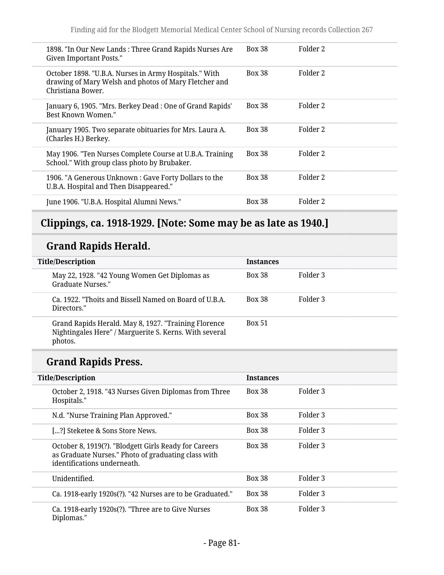| 1898. "In Our New Lands: Three Grand Rapids Nurses Are<br>Given Important Posts."                                                   | <b>Box 38</b> | Folder 2 |
|-------------------------------------------------------------------------------------------------------------------------------------|---------------|----------|
| October 1898. "U.B.A. Nurses in Army Hospitals." With<br>drawing of Mary Welsh and photos of Mary Fletcher and<br>Christiana Bower. | <b>Box 38</b> | Folder 2 |
| January 6, 1905. "Mrs. Berkey Dead: One of Grand Rapids'<br>Best Known Women."                                                      | <b>Box 38</b> | Folder 2 |
| January 1905. Two separate obituaries for Mrs. Laura A.<br>(Charles H.) Berkey.                                                     | <b>Box 38</b> | Folder 2 |
| May 1906. "Ten Nurses Complete Course at U.B.A. Training<br>School." With group class photo by Brubaker.                            | <b>Box 38</b> | Folder 2 |
| 1906. "A Generous Unknown: Gave Forty Dollars to the<br>U.B.A. Hospital and Then Disappeared."                                      | <b>Box 38</b> | Folder 2 |
| June 1906. "U.B.A. Hospital Alumni News."                                                                                           | <b>Box 38</b> | Folder 2 |

# **Clippings, ca. 1918-1929. [Note: Some may be as late as 1940.]**

# **Grand Rapids Herald.**

| <b>Title/Description</b> |                                                                                                                           | <b>Instances</b> |          |
|--------------------------|---------------------------------------------------------------------------------------------------------------------------|------------------|----------|
|                          | May 22, 1928. "42 Young Women Get Diplomas as<br>Graduate Nurses."                                                        | <b>Box 38</b>    | Folder 3 |
|                          | Ca. 1922. "Thoits and Bissell Named on Board of U.B.A.<br>Directors."                                                     | <b>Box 38</b>    | Folder 3 |
|                          | Grand Rapids Herald. May 8, 1927. "Training Florence<br>Nightingales Here" / Marguerite S. Kerns. With several<br>photos. | <b>Box 51</b>    |          |

# **Grand Rapids Press.**

| <b>Title/Description</b>                                                                                                                    | <b>Instances</b> |          |
|---------------------------------------------------------------------------------------------------------------------------------------------|------------------|----------|
| October 2, 1918. "43 Nurses Given Diplomas from Three<br>Hospitals."                                                                        | <b>Box 38</b>    | Folder 3 |
| N.d. "Nurse Training Plan Approved."                                                                                                        | <b>Box 38</b>    | Folder 3 |
| [?] Steketee & Sons Store News.                                                                                                             | <b>Box 38</b>    | Folder 3 |
| October 8, 1919(?). "Blodgett Girls Ready for Careers<br>as Graduate Nurses." Photo of graduating class with<br>identifications underneath. | <b>Box 38</b>    | Folder 3 |
| Unidentified.                                                                                                                               | <b>Box 38</b>    | Folder 3 |
| Ca. 1918-early 1920s(?). "42 Nurses are to be Graduated."                                                                                   | <b>Box 38</b>    | Folder 3 |
| Ca. 1918-early 1920s(?). "Three are to Give Nurses<br>Diplomas."                                                                            | <b>Box 38</b>    | Folder 3 |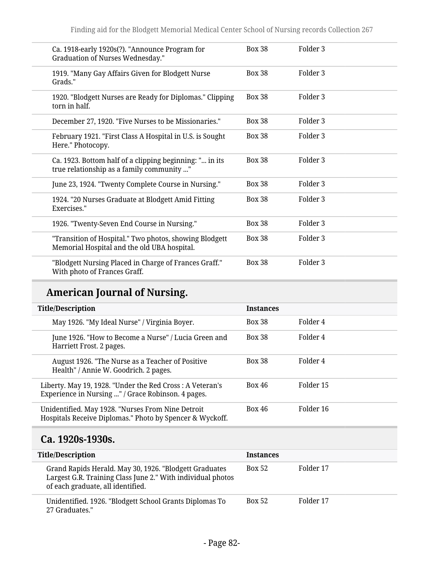| Ca. 1918-early 1920s(?). "Announce Program for<br><b>Graduation of Nurses Wednesday."</b>             | <b>Box 38</b> | Folder 3            |
|-------------------------------------------------------------------------------------------------------|---------------|---------------------|
| 1919. "Many Gay Affairs Given for Blodgett Nurse<br>Grads."                                           | <b>Box 38</b> | Folder <sub>3</sub> |
| 1920. "Blodgett Nurses are Ready for Diplomas." Clipping<br>torn in half.                             | <b>Box 38</b> | Folder <sub>3</sub> |
| December 27, 1920. "Five Nurses to be Missionaries."                                                  | <b>Box 38</b> | Folder <sub>3</sub> |
| February 1921. "First Class A Hospital in U.S. is Sought<br>Here." Photocopy.                         | <b>Box 38</b> | Folder 3            |
| Ca. 1923. Bottom half of a clipping beginning: " in its<br>true relationship as a family community "  | <b>Box 38</b> | Folder 3            |
| June 23, 1924. "Twenty Complete Course in Nursing."                                                   | <b>Box 38</b> | Folder 3            |
| 1924. "20 Nurses Graduate at Blodgett Amid Fitting<br>Exercises."                                     | <b>Box 38</b> | Folder <sub>3</sub> |
| 1926. "Twenty-Seven End Course in Nursing."                                                           | <b>Box 38</b> | Folder <sub>3</sub> |
| "Transition of Hospital." Two photos, showing Blodgett<br>Memorial Hospital and the old UBA hospital. | <b>Box 38</b> | Folder 3            |
| "Blodgett Nursing Placed in Charge of Frances Graff."<br>With photo of Frances Graff.                 | <b>Box 38</b> | Folder 3            |

# **American Journal of Nursing.**

| <b>Title/Description</b>                                                                                       | <b>Instances</b> |           |
|----------------------------------------------------------------------------------------------------------------|------------------|-----------|
| May 1926. "My Ideal Nurse" / Virginia Boyer.                                                                   | <b>Box 38</b>    | Folder 4  |
| June 1926. "How to Become a Nurse" / Lucia Green and<br>Harriett Frost. 2 pages.                               | <b>Box 38</b>    | Folder 4  |
| August 1926. "The Nurse as a Teacher of Positive<br>Health" / Annie W. Goodrich. 2 pages.                      | <b>Box 38</b>    | Folder 4  |
| Liberty. May 19, 1928. "Under the Red Cross: A Veteran's<br>Experience in Nursing " / Grace Robinson. 4 pages. | Box 46           | Folder 15 |
| Unidentified. May 1928. "Nurses From Nine Detroit<br>Hospitals Receive Diplomas." Photo by Spencer & Wyckoff.  | Box 46           | Folder 16 |

## **Ca. 1920s-1930s.**

| <b>Title/Description</b> |                                                                                                                                                            | <b>Instances</b> |           |
|--------------------------|------------------------------------------------------------------------------------------------------------------------------------------------------------|------------------|-----------|
|                          | Grand Rapids Herald. May 30, 1926. "Blodgett Graduates<br>Largest G.R. Training Class June 2." With individual photos<br>of each graduate, all identified. | <b>Box 52</b>    | Folder 17 |
|                          | Unidentified. 1926. "Blodgett School Grants Diplomas To<br>27 Graduates."                                                                                  | <b>Box 52</b>    | Folder 17 |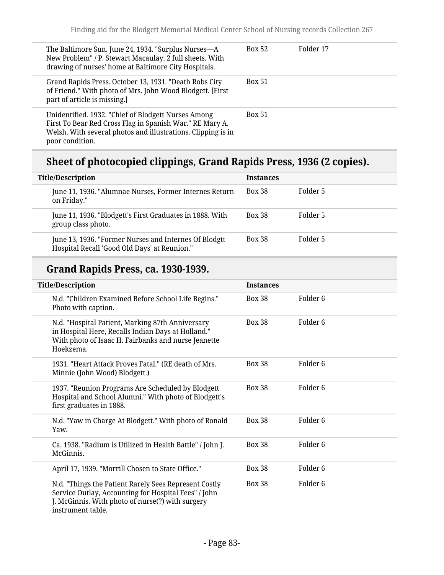| The Baltimore Sun. June 24, 1934. "Surplus Nurses-A<br>New Problem" / P. Stewart Macaulay. 2 full sheets. With<br>drawing of nurses' home at Baltimore City Hospitals.                             | <b>Box 52</b> | Folder 17 |
|----------------------------------------------------------------------------------------------------------------------------------------------------------------------------------------------------|---------------|-----------|
| Grand Rapids Press. October 13, 1931. "Death Robs City<br>of Friend." With photo of Mrs. John Wood Blodgett. [First<br>part of article is missing.]                                                | <b>Box 51</b> |           |
| Unidentified. 1932. "Chief of Blodgett Nurses Among<br>First To Bear Red Cross Flag in Spanish War." RE Mary A.<br>Welsh. With several photos and illustrations. Clipping is in<br>poor condition. | <b>Box 51</b> |           |

# **Sheet of photocopied clippings, Grand Rapids Press, 1936 (2 copies).**

| <b>Title/Description</b>                                                                              | <b>Instances</b> |          |
|-------------------------------------------------------------------------------------------------------|------------------|----------|
| June 11, 1936. "Alumnae Nurses, Former Internes Return<br>on Friday."                                 | <b>Box 38</b>    | Folder 5 |
| June 11, 1936. "Blodgett's First Graduates in 1888. With<br>group class photo.                        | <b>Box 38</b>    | Folder 5 |
| June 13, 1936. "Former Nurses and Internes Of Blodgtt<br>Hospital Recall 'Good Old Days' at Reunion." | <b>Box 38</b>    | Folder 5 |

# **Grand Rapids Press, ca. 1930-1939.**

| <b>Title/Description</b>                                                                                                                                                               | <b>Instances</b> |                     |  |  |
|----------------------------------------------------------------------------------------------------------------------------------------------------------------------------------------|------------------|---------------------|--|--|
| N.d. "Children Examined Before School Life Begins."<br>Photo with caption.                                                                                                             | <b>Box 38</b>    | Folder 6            |  |  |
| N.d. "Hospital Patient, Marking 87th Anniversary<br>in Hospital Here, Recalls Indian Days at Holland."<br>With photo of Isaac H. Fairbanks and nurse Jeanette<br>Hoekzema.             | <b>Box 38</b>    | Folder 6            |  |  |
| 1931. "Heart Attack Proves Fatal." (RE death of Mrs.<br>Minnie (John Wood) Blodgett.)                                                                                                  | <b>Box 38</b>    | Folder <sub>6</sub> |  |  |
| 1937. "Reunion Programs Are Scheduled by Blodgett<br>Hospital and School Alumni." With photo of Blodgett's<br>first graduates in 1888.                                                 | <b>Box 38</b>    | Folder <sub>6</sub> |  |  |
| N.d. "Yaw in Charge At Blodgett." With photo of Ronald<br>Yaw.                                                                                                                         | <b>Box 38</b>    | Folder <sub>6</sub> |  |  |
| Ca. 1938. "Radium is Utilized in Health Battle" / John J.<br>McGinnis.                                                                                                                 | <b>Box 38</b>    | Folder <sub>6</sub> |  |  |
| April 17, 1939. "Morrill Chosen to State Office."                                                                                                                                      | <b>Box 38</b>    | Folder <sub>6</sub> |  |  |
| N.d. "Things the Patient Rarely Sees Represent Costly<br>Service Outlay, Accounting for Hospital Fees" / John<br>J. McGinnis. With photo of nurse(?) with surgery<br>instrument table. | <b>Box 38</b>    | Folder <sub>6</sub> |  |  |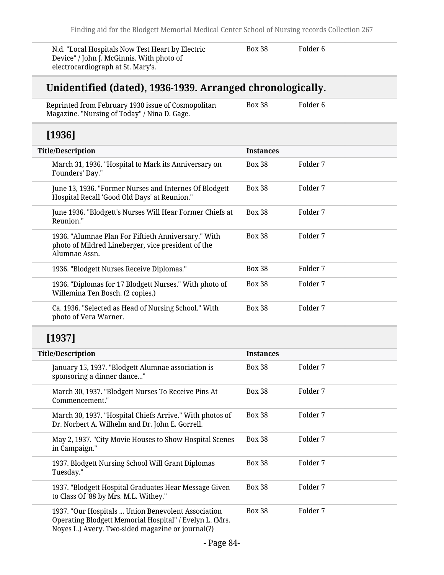N.d. "Local Hospitals Now Test Heart by Electric Device" / John J. McGinnis. With photo of electrocardiograph at St. Mary's.

Box 38 Folder 6

## **Unidentified (dated), 1936-1939. Arranged chronologically.**

Reprinted from February 1930 issue of Cosmopolitan Magazine. "Nursing of Today" / Nina D. Gage. Box 38 Folder 6

## **[1936]**

| <b>Title/Description</b> |                                                                                                                            | <b>Instances</b> |          |
|--------------------------|----------------------------------------------------------------------------------------------------------------------------|------------------|----------|
|                          | March 31, 1936. "Hospital to Mark its Anniversary on<br>Founders' Day."                                                    | <b>Box 38</b>    | Folder 7 |
|                          | June 13, 1936. "Former Nurses and Internes Of Blodgett<br>Hospital Recall 'Good Old Days' at Reunion."                     | <b>Box 38</b>    | Folder 7 |
|                          | June 1936. "Blodgett's Nurses Will Hear Former Chiefs at<br>Reunion."                                                      | <b>Box 38</b>    | Folder 7 |
|                          | 1936. "Alumnae Plan For Fiftieth Anniversary." With<br>photo of Mildred Lineberger, vice president of the<br>Alumnae Assn. | <b>Box 38</b>    | Folder 7 |
|                          | 1936. "Blodgett Nurses Receive Diplomas."                                                                                  | <b>Box 38</b>    | Folder 7 |
|                          | 1936. "Diplomas for 17 Blodgett Nurses." With photo of<br>Willemina Ten Bosch. (2 copies.)                                 | <b>Box 38</b>    | Folder 7 |
|                          | Ca. 1936. "Selected as Head of Nursing School." With<br>photo of Vera Warner.                                              | <b>Box 38</b>    | Folder 7 |

## **[1937]**

| <b>Title/Description</b> |                                                                                                                                                                    | <b>Instances</b> |          |
|--------------------------|--------------------------------------------------------------------------------------------------------------------------------------------------------------------|------------------|----------|
|                          | January 15, 1937. "Blodgett Alumnae association is<br>sponsoring a dinner dance"                                                                                   | <b>Box 38</b>    | Folder 7 |
|                          | March 30, 1937. "Blodgett Nurses To Receive Pins At<br>Commencement."                                                                                              | <b>Box 38</b>    | Folder 7 |
|                          | March 30, 1937. "Hospital Chiefs Arrive." With photos of<br>Dr. Norbert A. Wilhelm and Dr. John E. Gorrell.                                                        | <b>Box 38</b>    | Folder 7 |
|                          | May 2, 1937. "City Movie Houses to Show Hospital Scenes<br>in Campaign."                                                                                           | <b>Box 38</b>    | Folder 7 |
|                          | 1937. Blodgett Nursing School Will Grant Diplomas<br>Tuesday."                                                                                                     | <b>Box 38</b>    | Folder 7 |
|                          | 1937. "Blodgett Hospital Graduates Hear Message Given<br>to Class Of '88 by Mrs. M.L. Withey."                                                                     | <b>Box 38</b>    | Folder 7 |
|                          | 1937. "Our Hospitals  Union Benevolent Association<br>Operating Blodgett Memorial Hospital" / Evelyn L. (Mrs.<br>Noyes L.) Avery. Two-sided magazine or journal(?) | <b>Box 38</b>    | Folder 7 |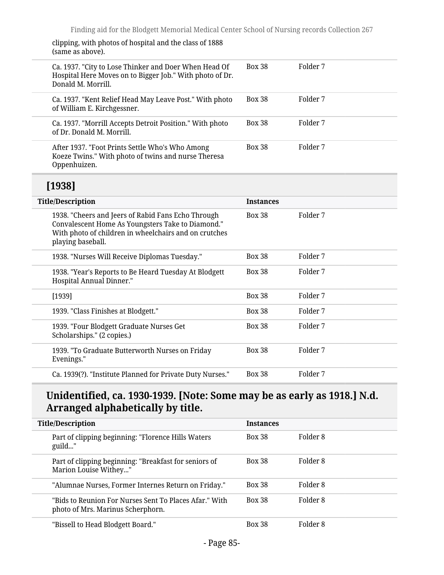clipping, with photos of hospital and the class of 1888 (same as above).

1939. "Four Blodgett Graduate Nurses Get

1939. "To Graduate Butterworth Nurses on Friday

Scholarships." (2 copies.)

Evenings."

| wanno as abovo <i>n</i>                                                                                                                                                               |                  |          |
|---------------------------------------------------------------------------------------------------------------------------------------------------------------------------------------|------------------|----------|
| Ca. 1937. "City to Lose Thinker and Doer When Head Of<br>Hospital Here Moves on to Bigger Job." With photo of Dr.<br>Donald M. Morrill.                                               | <b>Box 38</b>    | Folder 7 |
| Ca. 1937. "Kent Relief Head May Leave Post." With photo<br>of William E. Kirchgessner.                                                                                                | <b>Box 38</b>    | Folder 7 |
| Ca. 1937. "Morrill Accepts Detroit Position." With photo<br>of Dr. Donald M. Morrill.                                                                                                 | <b>Box 38</b>    | Folder 7 |
| After 1937. "Foot Prints Settle Who's Who Among<br>Koeze Twins." With photo of twins and nurse Theresa<br>Oppenhuizen.                                                                | <b>Box 38</b>    | Folder 7 |
|                                                                                                                                                                                       |                  |          |
| [1938]                                                                                                                                                                                |                  |          |
| <b>Title/Description</b>                                                                                                                                                              | <b>Instances</b> |          |
| 1938. "Cheers and Jeers of Rabid Fans Echo Through<br>Convalescent Home As Youngsters Take to Diamond."<br>With photo of children in wheelchairs and on crutches<br>playing baseball. | <b>Box 38</b>    | Folder 7 |
| 1938. "Nurses Will Receive Diplomas Tuesday."                                                                                                                                         | <b>Box 38</b>    | Folder 7 |
| 1938. "Year's Reports to Be Heard Tuesday At Blodgett<br>Hospital Annual Dinner."                                                                                                     | <b>Box 38</b>    | Folder 7 |

## **Unidentified, ca. 1930-1939. [Note: Some may be as early as 1918.] N.d. Arranged alphabetically by title.**

Box 38 Folder 7

Box 38 Folder 7

[1939] Box 38 Folder 7 1939. "Class Finishes at Blodgett." Box 38 Folder 7

Ca. 1939(?). "Institute Planned for Private Duty Nurses." Box 38 Folder 7

| <b>Title/Description</b> |                                                                                             | <b>Instances</b> |          |
|--------------------------|---------------------------------------------------------------------------------------------|------------------|----------|
|                          | Part of clipping beginning: "Florence Hills Waters<br>guild"                                | <b>Box 38</b>    | Folder 8 |
|                          | Part of clipping beginning: "Breakfast for seniors of<br>Marion Louise Withey"              | <b>Box 38</b>    | Folder 8 |
|                          | "Alumnae Nurses, Former Internes Return on Friday."                                         | <b>Box 38</b>    | Folder 8 |
|                          | "Bids to Reunion For Nurses Sent To Places Afar." With<br>photo of Mrs. Marinus Scherphorn. | <b>Box 38</b>    | Folder 8 |
|                          | "Bissell to Head Blodgett Board."                                                           | <b>Box 38</b>    | Folder 8 |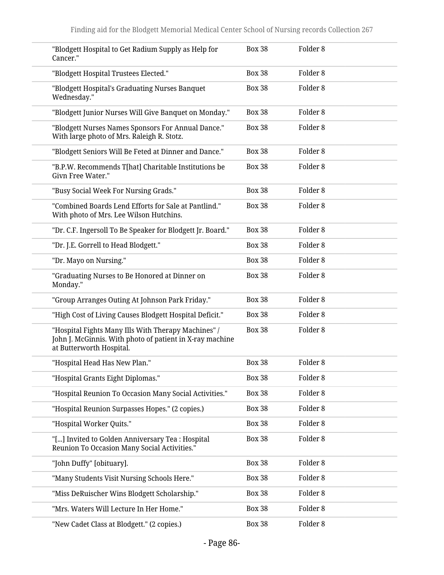| "Blodgett Hospital to Get Radium Supply as Help for<br>Cancer."                                                                             | <b>Box 38</b> | Folder <sub>8</sub> |
|---------------------------------------------------------------------------------------------------------------------------------------------|---------------|---------------------|
| "Blodgett Hospital Trustees Elected."                                                                                                       | <b>Box 38</b> | Folder <sub>8</sub> |
| "Blodgett Hospital's Graduating Nurses Banquet<br>Wednesday."                                                                               | <b>Box 38</b> | Folder <sub>8</sub> |
| "Blodgett Junior Nurses Will Give Banquet on Monday."                                                                                       | <b>Box 38</b> | Folder <sub>8</sub> |
| "Blodgett Nurses Names Sponsors For Annual Dance."<br>With large photo of Mrs. Raleigh R. Stotz.                                            | <b>Box 38</b> | Folder <sub>8</sub> |
| "Blodgett Seniors Will Be Feted at Dinner and Dance."                                                                                       | <b>Box 38</b> | Folder <sub>8</sub> |
| "B.P.W. Recommends T[hat] Charitable Institutions be<br>Givn Free Water."                                                                   | <b>Box 38</b> | Folder <sub>8</sub> |
| "Busy Social Week For Nursing Grads."                                                                                                       | <b>Box 38</b> | Folder <sub>8</sub> |
| "Combined Boards Lend Efforts for Sale at Pantlind."<br>With photo of Mrs. Lee Wilson Hutchins.                                             | <b>Box 38</b> | Folder <sub>8</sub> |
| "Dr. C.F. Ingersoll To Be Speaker for Blodgett Jr. Board."                                                                                  | <b>Box 38</b> | Folder <sub>8</sub> |
| "Dr. J.E. Gorrell to Head Blodgett."                                                                                                        | <b>Box 38</b> | Folder <sub>8</sub> |
| "Dr. Mayo on Nursing."                                                                                                                      | <b>Box 38</b> | Folder <sub>8</sub> |
| "Graduating Nurses to Be Honored at Dinner on<br>Monday."                                                                                   | <b>Box 38</b> | Folder <sub>8</sub> |
| "Group Arranges Outing At Johnson Park Friday."                                                                                             | <b>Box 38</b> | Folder <sub>8</sub> |
| "High Cost of Living Causes Blodgett Hospital Deficit."                                                                                     | <b>Box 38</b> | Folder <sub>8</sub> |
| "Hospital Fights Many Ills With Therapy Machines" /<br>John J. McGinnis. With photo of patient in X-ray machine<br>at Butterworth Hospital. | <b>Box 38</b> | Folder <sub>8</sub> |
| "Hospital Head Has New Plan."                                                                                                               | <b>Box 38</b> | Folder <sub>8</sub> |
| "Hospital Grants Eight Diplomas."                                                                                                           | <b>Box 38</b> | Folder <sub>8</sub> |
| "Hospital Reunion To Occasion Many Social Activities."                                                                                      | <b>Box 38</b> | Folder <sub>8</sub> |
| "Hospital Reunion Surpasses Hopes." (2 copies.)                                                                                             | <b>Box 38</b> | Folder <sub>8</sub> |
| "Hospital Worker Quits."                                                                                                                    | <b>Box 38</b> | Folder <sub>8</sub> |
| "[] Invited to Golden Anniversary Tea : Hospital<br>Reunion To Occasion Many Social Activities."                                            | <b>Box 38</b> | Folder <sub>8</sub> |
| "John Duffy" [obituary].                                                                                                                    | <b>Box 38</b> | Folder <sub>8</sub> |
| "Many Students Visit Nursing Schools Here."                                                                                                 | <b>Box 38</b> | Folder <sub>8</sub> |
| "Miss DeRuischer Wins Blodgett Scholarship."                                                                                                | <b>Box 38</b> | Folder <sub>8</sub> |
| "Mrs. Waters Will Lecture In Her Home."                                                                                                     | <b>Box 38</b> | Folder <sub>8</sub> |
| "New Cadet Class at Blodgett." (2 copies.)                                                                                                  | <b>Box 38</b> | Folder <sub>8</sub> |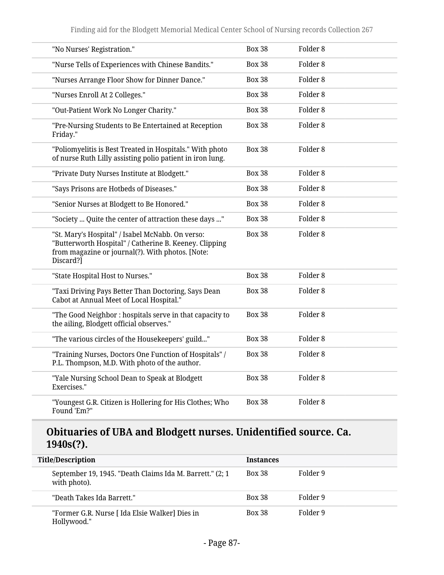| "No Nurses' Registration."                                                                                                                                                  | <b>Box 38</b> | Folder 8            |
|-----------------------------------------------------------------------------------------------------------------------------------------------------------------------------|---------------|---------------------|
| "Nurse Tells of Experiences with Chinese Bandits."                                                                                                                          | <b>Box 38</b> | Folder <sub>8</sub> |
| "Nurses Arrange Floor Show for Dinner Dance."                                                                                                                               | <b>Box 38</b> | Folder <sub>8</sub> |
| "Nurses Enroll At 2 Colleges."                                                                                                                                              | <b>Box 38</b> | Folder <sub>8</sub> |
| "Out-Patient Work No Longer Charity."                                                                                                                                       | <b>Box 38</b> | Folder <sub>8</sub> |
| "Pre-Nursing Students to Be Entertained at Reception<br>Friday."                                                                                                            | <b>Box 38</b> | Folder <sub>8</sub> |
| "Poliomyelitis is Best Treated in Hospitals." With photo<br>of nurse Ruth Lilly assisting polio patient in iron lung.                                                       | <b>Box 38</b> | Folder <sub>8</sub> |
| "Private Duty Nurses Institute at Blodgett."                                                                                                                                | <b>Box 38</b> | Folder <sub>8</sub> |
| "Says Prisons are Hotbeds of Diseases."                                                                                                                                     | <b>Box 38</b> | Folder <sub>8</sub> |
| "Senior Nurses at Blodgett to Be Honored."                                                                                                                                  | <b>Box 38</b> | Folder <sub>8</sub> |
| "Society  Quite the center of attraction these days "                                                                                                                       | <b>Box 38</b> | Folder <sub>8</sub> |
| "St. Mary's Hospital" / Isabel McNabb. On verso:<br>"Butterworth Hospital" / Catherine B. Keeney. Clipping<br>from magazine or journal(?). With photos. [Note:<br>Discard?] | <b>Box 38</b> | Folder <sub>8</sub> |
| "State Hospital Host to Nurses."                                                                                                                                            | <b>Box 38</b> | Folder <sub>8</sub> |
| "Taxi Driving Pays Better Than Doctoring, Says Dean<br>Cabot at Annual Meet of Local Hospital."                                                                             | <b>Box 38</b> | Folder <sub>8</sub> |
| "The Good Neighbor : hospitals serve in that capacity to<br>the ailing, Blodgett official observes."                                                                        | <b>Box 38</b> | Folder <sub>8</sub> |
| "The various circles of the Housekeepers' guild"                                                                                                                            | <b>Box 38</b> | Folder <sub>8</sub> |
| "Training Nurses, Doctors One Function of Hospitals" /<br>P.L. Thompson, M.D. With photo of the author.                                                                     | <b>Box 38</b> | Folder <sub>8</sub> |
| "Yale Nursing School Dean to Speak at Blodgett<br>Exercises."                                                                                                               | <b>Box 38</b> | Folder <sub>8</sub> |
| "Youngest G.R. Citizen is Hollering for His Clothes; Who<br>Found 'Em?"                                                                                                     | <b>Box 38</b> | Folder <sub>8</sub> |

## **Obituaries of UBA and Blodgett nurses. Unidentified source. Ca. 1940s(?).**

| <b>Title/Description</b> |                                                                           | <b>Instances</b> |          |
|--------------------------|---------------------------------------------------------------------------|------------------|----------|
|                          |                                                                           |                  |          |
|                          | September 19, 1945. "Death Claims Ida M. Barrett." (2; 1)<br>with photo). | <b>Box 38</b>    | Folder 9 |
|                          | "Death Takes Ida Barrett."                                                | <b>Box 38</b>    | Folder 9 |
|                          | "Former G.R. Nurse [ Ida Elsie Walker] Dies in<br>Hollywood."             | <b>Box 38</b>    | Folder 9 |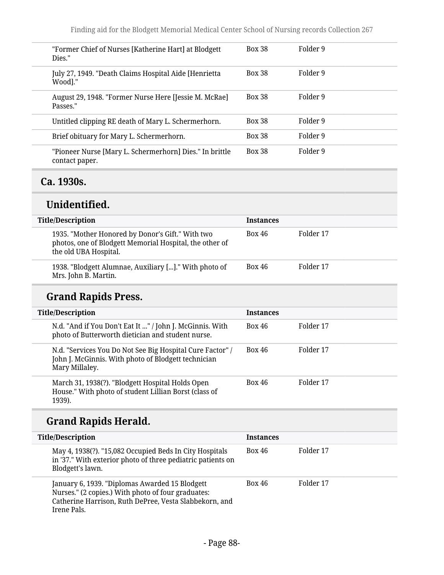| "Former Chief of Nurses [Katherine Hart] at Blodgett<br>Dies."            | <b>Box 38</b> | Folder 9 |
|---------------------------------------------------------------------------|---------------|----------|
| July 27, 1949. "Death Claims Hospital Aide [Henrietta]<br>Wood]."         | <b>Box 38</b> | Folder 9 |
| August 29, 1948. "Former Nurse Here [Jessie M. McRae]<br>Passes."         | <b>Box 38</b> | Folder 9 |
| Untitled clipping RE death of Mary L. Schermerhorn.                       | <b>Box 38</b> | Folder 9 |
| Brief obituary for Mary L. Schermerhorn.                                  | <b>Box 38</b> | Folder 9 |
| "Pioneer Nurse [Mary L. Schermerhorn] Dies." In brittle<br>contact paper. | <b>Box 38</b> | Folder 9 |

## **Ca. 1930s.**

## **Unidentified.**

| <b>Title/Description</b>                                                                                                             | <b>Instances</b> |           |
|--------------------------------------------------------------------------------------------------------------------------------------|------------------|-----------|
| 1935. "Mother Honored by Donor's Gift." With two<br>photos, one of Blodgett Memorial Hospital, the other of<br>the old UBA Hospital. | <b>Box 46</b>    | Folder 17 |
| 1938. "Blodgett Alumnae, Auxiliary []." With photo of<br>Mrs. John B. Martin.                                                        | <b>Box 46</b>    | Folder 17 |

# **Grand Rapids Press.**

| <b>Title/Description</b>                                                                                                           | <b>Instances</b> |           |
|------------------------------------------------------------------------------------------------------------------------------------|------------------|-----------|
| N.d. "And if You Don't Eat It " / John J. McGinnis. With<br>photo of Butterworth dietician and student nurse.                      | <b>Box 46</b>    | Folder 17 |
| N.d. "Services You Do Not See Big Hospital Cure Factor" /<br>John J. McGinnis. With photo of Blodgett technician<br>Mary Millaley. | <b>Box 46</b>    | Folder 17 |
| March 31, 1938(?). "Blodgett Hospital Holds Open<br>House." With photo of student Lillian Borst (class of<br>1939).                | Box 46           | Folder 17 |

# **Grand Rapids Herald.**

| <b>Title/Description</b>                                                                                                                                                      | <b>Instances</b> |           |
|-------------------------------------------------------------------------------------------------------------------------------------------------------------------------------|------------------|-----------|
| May 4, 1938(?). "15,082 Occupied Beds In City Hospitals<br>in '37." With exterior photo of three pediatric patients on<br>Blodgett's lawn.                                    | <b>Box 46</b>    | Folder 17 |
| January 6, 1939. "Diplomas Awarded 15 Blodgett<br>Nurses." (2 copies.) With photo of four graduates:<br>Catherine Harrison, Ruth DePree, Vesta Slabbekorn, and<br>Irene Pals. | <b>Box 46</b>    | Folder 17 |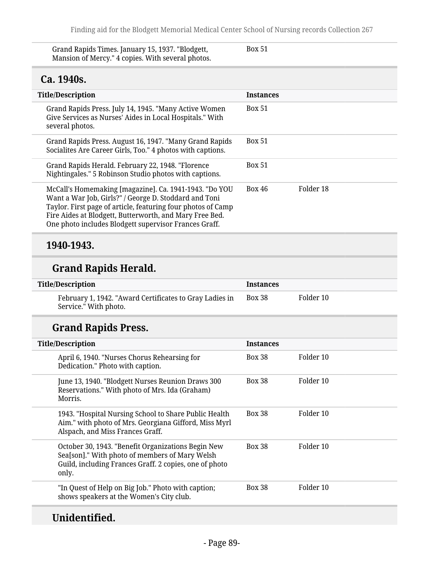| Grand Rapids Times. January 15, 1937. "Blodgett,  | <b>Box 51</b> |  |
|---------------------------------------------------|---------------|--|
| Mansion of Mercy." 4 copies. With several photos. |               |  |

## **Ca. 1940s.**

| <b>Title/Description</b>                                                                                                                                                                                                                                                                            | <b>Instances</b>           |
|-----------------------------------------------------------------------------------------------------------------------------------------------------------------------------------------------------------------------------------------------------------------------------------------------------|----------------------------|
| Grand Rapids Press. July 14, 1945. "Many Active Women<br>Give Services as Nurses' Aides in Local Hospitals." With<br>several photos.                                                                                                                                                                | <b>Box 51</b>              |
| Grand Rapids Press. August 16, 1947. "Many Grand Rapids<br>Socialites Are Career Girls, Too." 4 photos with captions.                                                                                                                                                                               | <b>Box 51</b>              |
| Grand Rapids Herald. February 22, 1948. "Florence<br>Nightingales." 5 Robinson Studio photos with captions.                                                                                                                                                                                         | <b>Box 51</b>              |
| McCall's Homemaking [magazine]. Ca. 1941-1943. "Do YOU<br>Want a War Job, Girls?" / George D. Stoddard and Toni<br>Taylor. First page of article, featuring four photos of Camp<br>Fire Aides at Blodgett, Butterworth, and Mary Free Bed.<br>One photo includes Blodgett supervisor Frances Graff. | Folder 18<br><b>Box 46</b> |

### **1940-1943.**

# **Grand Rapids Herald.**

| <b>Title/Description</b>                                                         | <b>Instances</b> |           |
|----------------------------------------------------------------------------------|------------------|-----------|
| February 1, 1942. "Award Certificates to Gray Ladies in<br>Service." With photo. | Box 38           | Folder 10 |

# **Grand Rapids Press.**

| <b>Title/Description</b>                                                                                                                                                | <b>Instances</b> |           |
|-------------------------------------------------------------------------------------------------------------------------------------------------------------------------|------------------|-----------|
| April 6, 1940. "Nurses Chorus Rehearsing for<br>Dedication." Photo with caption.                                                                                        | <b>Box 38</b>    | Folder 10 |
| June 13, 1940. "Blodgett Nurses Reunion Draws 300<br>Reservations." With photo of Mrs. Ida (Graham)<br>Morris.                                                          | <b>Box 38</b>    | Folder 10 |
| 1943. "Hospital Nursing School to Share Public Health<br>Aim." with photo of Mrs. Georgiana Gifford, Miss Myrl<br>Alspach, and Miss Frances Graff.                      | <b>Box 38</b>    | Folder 10 |
| October 30, 1943. "Benefit Organizations Begin New<br>Sea[son]." With photo of members of Mary Welsh<br>Guild, including Frances Graff. 2 copies, one of photo<br>only. | <b>Box 38</b>    | Folder 10 |
| "In Quest of Help on Big Job." Photo with caption;<br>shows speakers at the Women's City club.                                                                          | <b>Box 38</b>    | Folder 10 |

# **Unidentified.**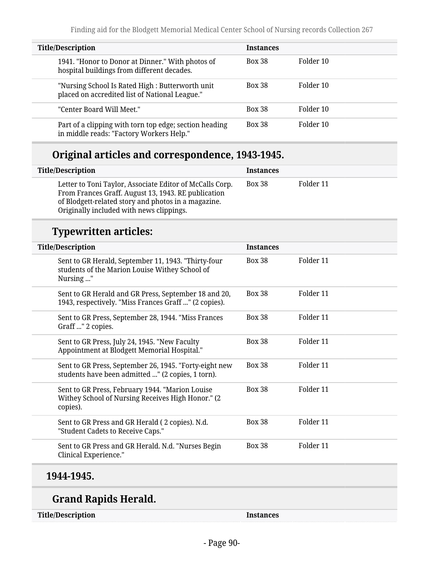| <b>Title/Description</b>                                                                           | <b>Instances</b> |           |  |
|----------------------------------------------------------------------------------------------------|------------------|-----------|--|
| 1941. "Honor to Donor at Dinner." With photos of<br>hospital buildings from different decades.     | <b>Box 38</b>    | Folder 10 |  |
| "Nursing School Is Rated High : Butterworth unit<br>placed on accredited list of National League." | <b>Box 38</b>    | Folder 10 |  |
| "Center Board Will Meet."                                                                          | <b>Box 38</b>    | Folder 10 |  |
| Part of a clipping with torn top edge; section heading<br>in middle reads: "Factory Workers Help." | <b>Box 38</b>    | Folder 10 |  |

## **Original articles and correspondence, 1943-1945.**

| <b>Title/Description</b>                                                                                                                                                                                           | Instances |           |
|--------------------------------------------------------------------------------------------------------------------------------------------------------------------------------------------------------------------|-----------|-----------|
| Letter to Toni Taylor, Associate Editor of McCalls Corp.<br>From Frances Graff. August 13, 1943. RE publication<br>of Blodgett-related story and photos in a magazine.<br>Originally included with news clippings. | Box 38    | Folder 11 |

## **Typewritten articles:**

| <b>Title/Description</b>                                                                                          | <b>Instances</b> |           |
|-------------------------------------------------------------------------------------------------------------------|------------------|-----------|
| Sent to GR Herald, September 11, 1943. "Thirty-four<br>students of the Marion Louise Withey School of<br>Nursing" | <b>Box 38</b>    | Folder 11 |
| Sent to GR Herald and GR Press, September 18 and 20,<br>1943, respectively. "Miss Frances Graff " (2 copies).     | <b>Box 38</b>    | Folder 11 |
| Sent to GR Press, September 28, 1944. "Miss Frances<br>Graff " 2 copies.                                          | <b>Box 38</b>    | Folder 11 |
| Sent to GR Press, July 24, 1945. "New Faculty<br>Appointment at Blodgett Memorial Hospital."                      | <b>Box 38</b>    | Folder 11 |
| Sent to GR Press, September 26, 1945. "Forty-eight new<br>students have been admitted " (2 copies, 1 torn).       | <b>Box 38</b>    | Folder 11 |
| Sent to GR Press, February 1944. "Marion Louise<br>Withey School of Nursing Receives High Honor." (2<br>copies).  | <b>Box 38</b>    | Folder 11 |
| Sent to GR Press and GR Herald (2 copies). N.d.<br>"Student Cadets to Receive Caps."                              | <b>Box 38</b>    | Folder 11 |
| Sent to GR Press and GR Herald. N.d. "Nurses Begin<br>Clinical Experience."                                       | <b>Box 38</b>    | Folder 11 |

### **1944-1945.**

## **Grand Rapids Herald.**

**Title/Description Instances**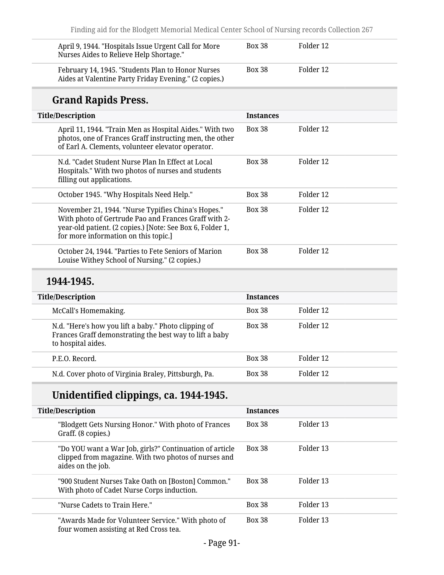| April 9, 1944. "Hospitals Issue Urgent Call for More<br>Nurses Aides to Relieve Help Shortage."                                                                                                                 | <b>Box 38</b>    | Folder 12 |
|-----------------------------------------------------------------------------------------------------------------------------------------------------------------------------------------------------------------|------------------|-----------|
| February 14, 1945. "Students Plan to Honor Nurses<br>Aides at Valentine Party Friday Evening." (2 copies.)                                                                                                      | <b>Box 38</b>    | Folder 12 |
| <b>Grand Rapids Press.</b>                                                                                                                                                                                      |                  |           |
| <b>Title/Description</b>                                                                                                                                                                                        | <b>Instances</b> |           |
| April 11, 1944. "Train Men as Hospital Aides." With two<br>photos, one of Frances Graff instructing men, the other<br>of Earl A. Clements, volunteer elevator operator.                                         | <b>Box 38</b>    | Folder 12 |
| N.d. "Cadet Student Nurse Plan In Effect at Local<br>Hospitals." With two photos of nurses and students<br>filling out applications.                                                                            | <b>Box 38</b>    | Folder 12 |
| October 1945. "Why Hospitals Need Help."                                                                                                                                                                        | <b>Box 38</b>    | Folder 12 |
| November 21, 1944. "Nurse Typifies China's Hopes."<br>With photo of Gertrude Pao and Frances Graff with 2-<br>year-old patient. (2 copies.) [Note: See Box 6, Folder 1,<br>for more information on this topic.] | <b>Box 38</b>    | Folder 12 |
| October 24, 1944. "Parties to Fete Seniors of Marion<br>Louise Withey School of Nursing." (2 copies.)                                                                                                           | <b>Box 38</b>    | Folder 12 |
|                                                                                                                                                                                                                 |                  |           |

### **1944-1945.**

| <b>Title/Description</b> |                                                                                                                                       | <b>Instances</b> |           |
|--------------------------|---------------------------------------------------------------------------------------------------------------------------------------|------------------|-----------|
|                          | McCall's Homemaking.                                                                                                                  | <b>Box 38</b>    | Folder 12 |
|                          | N.d. "Here's how you lift a baby." Photo clipping of<br>Frances Graff demonstrating the best way to lift a baby<br>to hospital aides. | <b>Box 38</b>    | Folder 12 |
|                          | P.E.O. Record.                                                                                                                        | <b>Box 38</b>    | Folder 12 |
|                          | N.d. Cover photo of Virginia Braley, Pittsburgh, Pa.                                                                                  | <b>Box 38</b>    | Folder 12 |

# **Unidentified clippings, ca. 1944-1945.**

| <b>Title/Description</b>                                                                                                             | <b>Instances</b> |           |
|--------------------------------------------------------------------------------------------------------------------------------------|------------------|-----------|
| "Blodgett Gets Nursing Honor." With photo of Frances<br>Graff. (8 copies.)                                                           | <b>Box 38</b>    | Folder 13 |
| "Do YOU want a War Job, girls?" Continuation of article<br>clipped from magazine. With two photos of nurses and<br>aides on the job. | <b>Box 38</b>    | Folder 13 |
| "900 Student Nurses Take Oath on [Boston] Common."<br>With photo of Cadet Nurse Corps induction.                                     | <b>Box 38</b>    | Folder 13 |
| "Nurse Cadets to Train Here."                                                                                                        | <b>Box 38</b>    | Folder 13 |
| "Awards Made for Volunteer Service." With photo of<br>four women assisting at Red Cross tea.                                         | <b>Box 38</b>    | Folder 13 |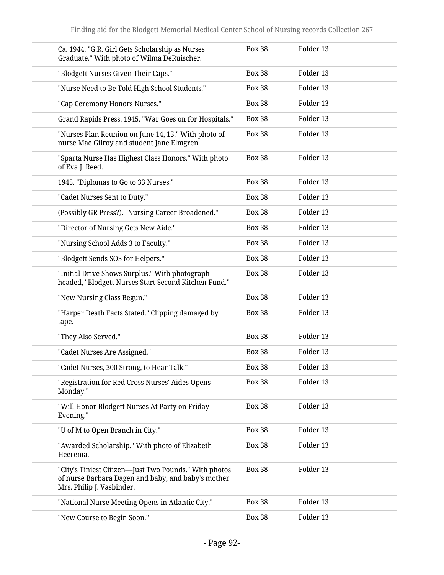| Ca. 1944. "G.R. Girl Gets Scholarship as Nurses<br>Graduate." With photo of Wilma DeRuischer.                                            | <b>Box 38</b> | Folder 13 |
|------------------------------------------------------------------------------------------------------------------------------------------|---------------|-----------|
| "Blodgett Nurses Given Their Caps."                                                                                                      | <b>Box 38</b> | Folder 13 |
| "Nurse Need to Be Told High School Students."                                                                                            | <b>Box 38</b> | Folder 13 |
| "Cap Ceremony Honors Nurses."                                                                                                            | <b>Box 38</b> | Folder 13 |
| Grand Rapids Press. 1945. "War Goes on for Hospitals."                                                                                   | <b>Box 38</b> | Folder 13 |
| "Nurses Plan Reunion on June 14, 15." With photo of<br>nurse Mae Gilroy and student Jane Elmgren.                                        | <b>Box 38</b> | Folder 13 |
| "Sparta Nurse Has Highest Class Honors." With photo<br>of Eva J. Reed.                                                                   | <b>Box 38</b> | Folder 13 |
| 1945. "Diplomas to Go to 33 Nurses."                                                                                                     | <b>Box 38</b> | Folder 13 |
| "Cadet Nurses Sent to Duty."                                                                                                             | <b>Box 38</b> | Folder 13 |
| (Possibly GR Press?). "Nursing Career Broadened."                                                                                        | <b>Box 38</b> | Folder 13 |
| "Director of Nursing Gets New Aide."                                                                                                     | <b>Box 38</b> | Folder 13 |
| "Nursing School Adds 3 to Faculty."                                                                                                      | <b>Box 38</b> | Folder 13 |
| "Blodgett Sends SOS for Helpers."                                                                                                        | <b>Box 38</b> | Folder 13 |
| "Initial Drive Shows Surplus." With photograph<br>headed, "Blodgett Nurses Start Second Kitchen Fund."                                   | <b>Box 38</b> | Folder 13 |
| "New Nursing Class Begun."                                                                                                               | <b>Box 38</b> | Folder 13 |
| "Harper Death Facts Stated." Clipping damaged by<br>tape.                                                                                | <b>Box 38</b> | Folder 13 |
| "They Also Served."                                                                                                                      | <b>Box 38</b> | Folder 13 |
| "Cadet Nurses Are Assigned."                                                                                                             | <b>Box 38</b> | Folder 13 |
| "Cadet Nurses, 300 Strong, to Hear Talk."                                                                                                | <b>Box 38</b> | Folder 13 |
| "Registration for Red Cross Nurses' Aides Opens<br>Monday."                                                                              | <b>Box 38</b> | Folder 13 |
| "Will Honor Blodgett Nurses At Party on Friday<br>Evening."                                                                              | <b>Box 38</b> | Folder 13 |
| "U of M to Open Branch in City."                                                                                                         | <b>Box 38</b> | Folder 13 |
| "Awarded Scholarship." With photo of Elizabeth<br>Heerema.                                                                               | <b>Box 38</b> | Folder 13 |
| "City's Tiniest Citizen—Just Two Pounds." With photos<br>of nurse Barbara Dagen and baby, and baby's mother<br>Mrs. Philip J. Vasbinder. | <b>Box 38</b> | Folder 13 |
| "National Nurse Meeting Opens in Atlantic City."                                                                                         | <b>Box 38</b> | Folder 13 |
| "New Course to Begin Soon."                                                                                                              | <b>Box 38</b> | Folder 13 |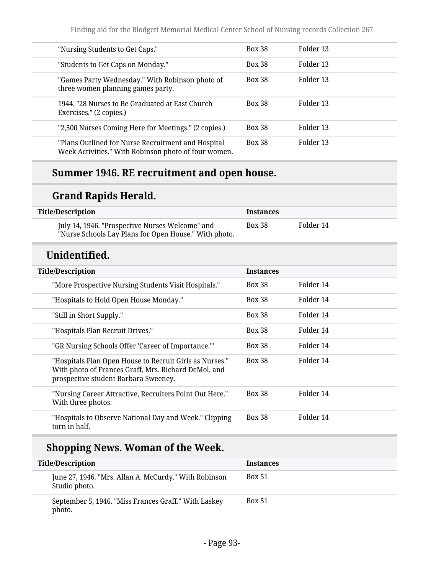| "Nursing Students to Get Caps."                                                                            | <b>Box 38</b> | Folder 13 |
|------------------------------------------------------------------------------------------------------------|---------------|-----------|
| "Students to Get Caps on Monday."                                                                          | <b>Box 38</b> | Folder 13 |
| "Games Party Wednesday." With Robinson photo of<br>three women planning games party.                       | <b>Box 38</b> | Folder 13 |
| 1944. "28 Nurses to Be Graduated at East Church<br>Exercises." (2 copies.)                                 | <b>Box 38</b> | Folder 13 |
| "2,500 Nurses Coming Here for Meetings." (2 copies.)                                                       | <b>Box 38</b> | Folder 13 |
| "Plans Outlined for Nurse Recruitment and Hospital<br>Week Activities." With Robinson photo of four women. | <b>Box 38</b> | Folder 13 |
|                                                                                                            |               |           |

## **Summer 1946. RE recruitment and open house.**

# **Grand Rapids Herald.**

| <b>Title/Description</b>                                                                                                                                | <b>Instances</b> |           |
|---------------------------------------------------------------------------------------------------------------------------------------------------------|------------------|-----------|
| July 14, 1946. "Prospective Nurses Welcome" and<br>"Nurse Schools Lay Plans for Open House." With photo.                                                | <b>Box 38</b>    | Folder 14 |
| Unidentified.                                                                                                                                           |                  |           |
| <b>Title/Description</b>                                                                                                                                | <b>Instances</b> |           |
| "More Prospective Nursing Students Visit Hospitals."                                                                                                    | <b>Box 38</b>    | Folder 14 |
| "Hospitals to Hold Open House Monday."                                                                                                                  | <b>Box 38</b>    | Folder 14 |
| "Still in Short Supply."                                                                                                                                | <b>Box 38</b>    | Folder 14 |
| "Hospitals Plan Recruit Drives."                                                                                                                        | <b>Box 38</b>    | Folder 14 |
| "GR Nursing Schools Offer 'Career of Importance.""                                                                                                      | <b>Box 38</b>    | Folder 14 |
| "Hospitals Plan Open House to Recruit Girls as Nurses."<br>With photo of Frances Graff, Mrs. Richard DeMol, and<br>prospective student Barbara Sweeney. | <b>Box 38</b>    | Folder 14 |
| "Nursing Career Attractive, Recruiters Point Out Here."<br>With three photos.                                                                           | <b>Box 38</b>    | Folder 14 |
| "Hospitals to Observe National Day and Week." Clipping<br>torn in half.                                                                                 | <b>Box 38</b>    | Folder 14 |

## **Shopping News. Woman of the Week.**

| <b>Title/Description</b>                                               | <b>Instances</b> |
|------------------------------------------------------------------------|------------------|
| June 27, 1946. "Mrs. Allan A. McCurdy." With Robinson<br>Studio photo. | <b>Box 51</b>    |
| September 5, 1946. "Miss Frances Graff." With Laskey<br>photo.         | <b>Box 51</b>    |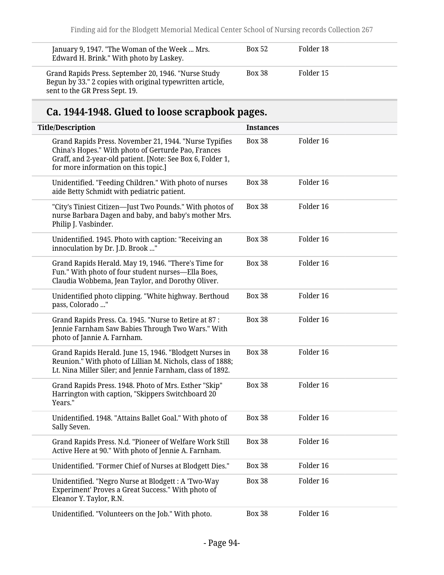| January 9, 1947. "The Woman of the Week  Mrs.<br>Edward H. Brink." With photo by Laskey.                                                            | <b>Box 52</b> | Folder 18 |
|-----------------------------------------------------------------------------------------------------------------------------------------------------|---------------|-----------|
| Grand Rapids Press. September 20, 1946. "Nurse Study<br>Begun by 33." 2 copies with original typewritten article,<br>sent to the GR Press Sept. 19. | <b>Box 38</b> | Folder 15 |

# **Ca. 1944-1948. Glued to loose scrapbook pages.**

| <b>Title/Description</b>                                                                                                                                                                                            | <b>Instances</b> |           |
|---------------------------------------------------------------------------------------------------------------------------------------------------------------------------------------------------------------------|------------------|-----------|
| Grand Rapids Press. November 21, 1944. "Nurse Typifies<br>China's Hopes." With photo of Gerturde Pao, Frances<br>Graff, and 2-year-old patient. [Note: See Box 6, Folder 1,<br>for more information on this topic.] | <b>Box 38</b>    | Folder 16 |
| Unidentified. "Feeding Children." With photo of nurses<br>aide Betty Schmidt with pediatric patient.                                                                                                                | <b>Box 38</b>    | Folder 16 |
| "City's Tiniest Citizen—Just Two Pounds." With photos of<br>nurse Barbara Dagen and baby, and baby's mother Mrs.<br>Philip J. Vasbinder.                                                                            | <b>Box 38</b>    | Folder 16 |
| Unidentified. 1945. Photo with caption: "Receiving an<br>innoculation by Dr. J.D. Brook "                                                                                                                           | <b>Box 38</b>    | Folder 16 |
| Grand Rapids Herald. May 19, 1946. "There's Time for<br>Fun." With photo of four student nurses-Ella Boes,<br>Claudia Wobbema, Jean Taylor, and Dorothy Oliver.                                                     | <b>Box 38</b>    | Folder 16 |
| Unidentified photo clipping. "White highway. Berthoud<br>pass, Colorado "                                                                                                                                           | <b>Box 38</b>    | Folder 16 |
| Grand Rapids Press. Ca. 1945. "Nurse to Retire at 87:<br>Jennie Farnham Saw Babies Through Two Wars." With<br>photo of Jannie A. Farnham.                                                                           | <b>Box 38</b>    | Folder 16 |
| Grand Rapids Herald. June 15, 1946. "Blodgett Nurses in<br>Reunion." With photo of Lillian M. Nichols, class of 1888;<br>Lt. Nina Miller Siler; and Jennie Farnham, class of 1892.                                  | <b>Box 38</b>    | Folder 16 |
| Grand Rapids Press. 1948. Photo of Mrs. Esther "Skip"<br>Harrington with caption, "Skippers Switchboard 20<br>Years."                                                                                               | <b>Box 38</b>    | Folder 16 |
| Unidentified. 1948. "Attains Ballet Goal." With photo of<br>Sally Seven.                                                                                                                                            | <b>Box 38</b>    | Folder 16 |
| Grand Rapids Press. N.d. "Pioneer of Welfare Work Still<br>Active Here at 90." With photo of Jennie A. Farnham.                                                                                                     | <b>Box 38</b>    | Folder 16 |
| Unidentified. "Former Chief of Nurses at Blodgett Dies."                                                                                                                                                            | <b>Box 38</b>    | Folder 16 |
| Unidentified. "Negro Nurse at Blodgett : A 'Two-Way<br>Experiment' Proves a Great Success." With photo of<br>Eleanor Y. Taylor, R.N.                                                                                | <b>Box 38</b>    | Folder 16 |
| Unidentified. "Volunteers on the Job." With photo.                                                                                                                                                                  | <b>Box 38</b>    | Folder 16 |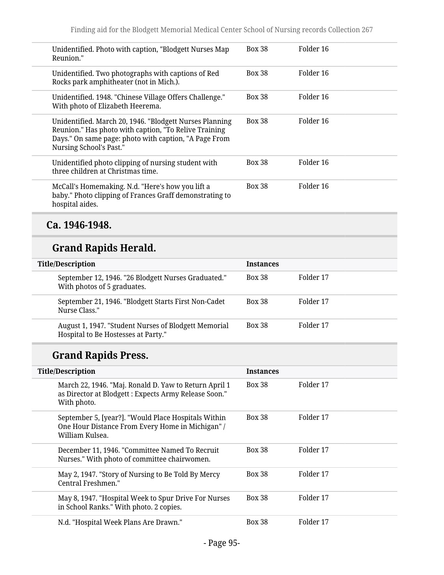| Unidentified. Photo with caption, "Blodgett Nurses Map<br>Reunion."                                                                                                                                  | <b>Box 38</b> | Folder 16 |
|------------------------------------------------------------------------------------------------------------------------------------------------------------------------------------------------------|---------------|-----------|
| Unidentified. Two photographs with captions of Red<br>Rocks park amphitheater (not in Mich.).                                                                                                        | <b>Box 38</b> | Folder 16 |
| Unidentified. 1948. "Chinese Village Offers Challenge."<br>With photo of Elizabeth Heerema.                                                                                                          | <b>Box 38</b> | Folder 16 |
| Unidentified. March 20, 1946. "Blodgett Nurses Planning<br>Reunion." Has photo with caption, "To Relive Training<br>Days." On same page: photo with caption, "A Page From<br>Nursing School's Past." | <b>Box 38</b> | Folder 16 |
| Unidentified photo clipping of nursing student with<br>three children at Christmas time.                                                                                                             | <b>Box 38</b> | Folder 16 |
| McCall's Homemaking. N.d. "Here's how you lift a<br>baby." Photo clipping of Frances Graff demonstrating to<br>hospital aides.                                                                       | <b>Box 38</b> | Folder 16 |

## **Ca. 1946-1948.**

## **Grand Rapids Herald.**

| <b>Title/Description</b> |                                                                                             | <b>Instances</b> |           |
|--------------------------|---------------------------------------------------------------------------------------------|------------------|-----------|
|                          | September 12, 1946. "26 Blodgett Nurses Graduated."<br>With photos of 5 graduates.          | <b>Box 38</b>    | Folder 17 |
|                          | September 21, 1946. "Blodgett Starts First Non-Cadet"<br>Nurse Class."                      | <b>Box 38</b>    | Folder 17 |
|                          | August 1, 1947. "Student Nurses of Blodgett Memorial<br>Hospital to Be Hostesses at Party." | <b>Box 38</b>    | Folder 17 |

# **Grand Rapids Press.**

| <b>Title/Description</b>                                                                                                      | <b>Instances</b> |           |
|-------------------------------------------------------------------------------------------------------------------------------|------------------|-----------|
| March 22, 1946. "Maj. Ronald D. Yaw to Return April 1<br>as Director at Blodgett : Expects Army Release Soon."<br>With photo. | <b>Box 38</b>    | Folder 17 |
| September 5, [year?]. "Would Place Hospitals Within<br>One Hour Distance From Every Home in Michigan" /<br>William Kulsea.    | <b>Box 38</b>    | Folder 17 |
| December 11, 1946. "Committee Named To Recruit<br>Nurses." With photo of committee chairwomen.                                | <b>Box 38</b>    | Folder 17 |
| May 2, 1947. "Story of Nursing to Be Told By Mercy<br>Central Freshmen."                                                      | <b>Box 38</b>    | Folder 17 |
| May 8, 1947. "Hospital Week to Spur Drive For Nurses<br>in School Ranks." With photo. 2 copies.                               | <b>Box 38</b>    | Folder 17 |
| N.d. "Hospital Week Plans Are Drawn."                                                                                         | <b>Box 38</b>    | Folder 17 |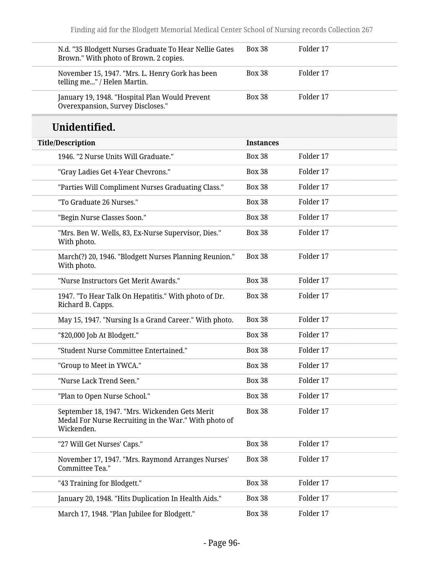| N.d. "35 Blodgett Nurses Graduate To Hear Nellie Gates<br>Brown." With photo of Brown. 2 copies.                      | <b>Box 38</b>    | Folder 17 |  |
|-----------------------------------------------------------------------------------------------------------------------|------------------|-----------|--|
| November 15, 1947. "Mrs. L. Henry Gork has been<br>telling me" / Helen Martin.                                        | <b>Box 38</b>    | Folder 17 |  |
| January 19, 1948. "Hospital Plan Would Prevent<br>Overexpansion, Survey Discloses."                                   | <b>Box 38</b>    | Folder 17 |  |
| Unidentified.                                                                                                         |                  |           |  |
| <b>Title/Description</b>                                                                                              | <b>Instances</b> |           |  |
| 1946. "2 Nurse Units Will Graduate."                                                                                  | <b>Box 38</b>    | Folder 17 |  |
| "Gray Ladies Get 4-Year Chevrons."                                                                                    | <b>Box 38</b>    | Folder 17 |  |
| "Parties Will Compliment Nurses Graduating Class."                                                                    | <b>Box 38</b>    | Folder 17 |  |
| "To Graduate 26 Nurses."                                                                                              | <b>Box 38</b>    | Folder 17 |  |
| "Begin Nurse Classes Soon."                                                                                           | <b>Box 38</b>    | Folder 17 |  |
| "Mrs. Ben W. Wells, 83, Ex-Nurse Supervisor, Dies."<br>With photo.                                                    | <b>Box 38</b>    | Folder 17 |  |
| March(?) 20, 1946. "Blodgett Nurses Planning Reunion."<br>With photo.                                                 | <b>Box 38</b>    | Folder 17 |  |
| "Nurse Instructors Get Merit Awards."                                                                                 | <b>Box 38</b>    | Folder 17 |  |
| 1947. "To Hear Talk On Hepatitis." With photo of Dr.<br>Richard B. Capps.                                             | <b>Box 38</b>    | Folder 17 |  |
| May 15, 1947. "Nursing Is a Grand Career." With photo.                                                                | <b>Box 38</b>    | Folder 17 |  |
| "\$20,000 Job At Blodgett."                                                                                           | <b>Box 38</b>    | Folder 17 |  |
| "Student Nurse Committee Entertained."                                                                                | <b>Box 38</b>    | Folder 17 |  |
| "Group to Meet in YWCA."                                                                                              | <b>Box 38</b>    | Folder 17 |  |
| "Nurse Lack Trend Seen."                                                                                              | <b>Box 38</b>    | Folder 17 |  |
| "Plan to Open Nurse School."                                                                                          | <b>Box 38</b>    | Folder 17 |  |
| September 18, 1947. "Mrs. Wickenden Gets Merit<br>Medal For Nurse Recruiting in the War." With photo of<br>Wickenden. | <b>Box 38</b>    | Folder 17 |  |
| "27 Will Get Nurses' Caps."                                                                                           | <b>Box 38</b>    | Folder 17 |  |
| November 17, 1947. "Mrs. Raymond Arranges Nurses'<br>Committee Tea."                                                  | <b>Box 38</b>    | Folder 17 |  |
| "43 Training for Blodgett."                                                                                           | <b>Box 38</b>    | Folder 17 |  |
| January 20, 1948. "Hits Duplication In Health Aids."                                                                  | <b>Box 38</b>    | Folder 17 |  |
| March 17, 1948. "Plan Jubilee for Blodgett."                                                                          | <b>Box 38</b>    | Folder 17 |  |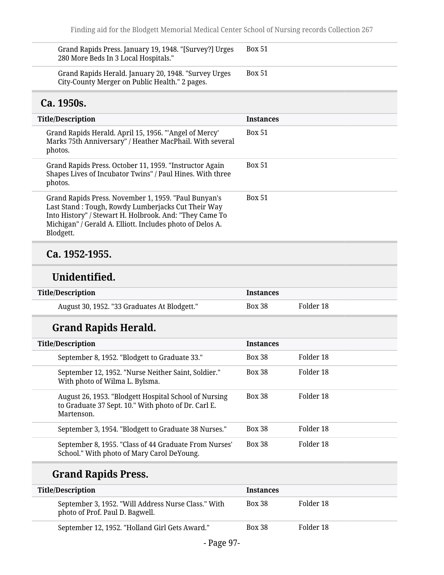| Grand Rapids Press. January 19, 1948. "[Survey?] Urges<br>280 More Beds In 3 Local Hospitals."                                                                                                                                                  | <b>Box 51</b>    |           |
|-------------------------------------------------------------------------------------------------------------------------------------------------------------------------------------------------------------------------------------------------|------------------|-----------|
| Grand Rapids Herald. January 20, 1948. "Survey Urges<br>City-County Merger on Public Health." 2 pages.                                                                                                                                          | <b>Box 51</b>    |           |
| Ca. 1950s.                                                                                                                                                                                                                                      |                  |           |
| <b>Title/Description</b>                                                                                                                                                                                                                        | <b>Instances</b> |           |
| Grand Rapids Herald. April 15, 1956. "'Angel of Mercy'<br>Marks 75th Anniversary" / Heather MacPhail. With several<br>photos.                                                                                                                   | <b>Box 51</b>    |           |
| Grand Rapids Press. October 11, 1959. "Instructor Again<br>Shapes Lives of Incubator Twins" / Paul Hines. With three<br>photos.                                                                                                                 | <b>Box 51</b>    |           |
| Grand Rapids Press. November 1, 1959. "Paul Bunyan's<br>Last Stand: Tough, Rowdy Lumberjacks Cut Their Way<br>Into History" / Stewart H. Holbrook. And: "They Came To<br>Michigan" / Gerald A. Elliott. Includes photo of Delos A.<br>Blodgett. | <b>Box 51</b>    |           |
| Ca. 1952-1955.                                                                                                                                                                                                                                  |                  |           |
| Unidentified.                                                                                                                                                                                                                                   |                  |           |
| <b>Title/Description</b>                                                                                                                                                                                                                        | <b>Instances</b> |           |
| August 30, 1952. "33 Graduates At Blodgett."                                                                                                                                                                                                    | <b>Box 38</b>    | Folder 18 |
| <b>Grand Rapids Herald.</b>                                                                                                                                                                                                                     |                  |           |
| <b>Title/Description</b>                                                                                                                                                                                                                        | <b>Instances</b> |           |
| September 8, 1952. "Blodgett to Graduate 33."                                                                                                                                                                                                   | <b>Box 38</b>    | Folder 18 |
| September 12, 1952. "Nurse Neither Saint, Soldier."<br>With photo of Wilma L. Bylsma.                                                                                                                                                           | <b>Box 38</b>    | Folder 18 |
| August 26, 1953. "Blodgett Hospital School of Nursing<br>to Graduate 37 Sept. 10." With photo of Dr. Carl E.<br>Martenson.                                                                                                                      | <b>Box 38</b>    | Folder 18 |
| September 3, 1954. "Blodgett to Graduate 38 Nurses."                                                                                                                                                                                            | <b>Box 38</b>    | Folder 18 |
| September 8, 1955. "Class of 44 Graduate From Nurses'<br>School." With photo of Mary Carol DeYoung.                                                                                                                                             | <b>Box 38</b>    | Folder 18 |
| <b>Grand Rapids Press.</b>                                                                                                                                                                                                                      |                  |           |
| <b>Title/Description</b>                                                                                                                                                                                                                        | <b>Instances</b> |           |
| September 3, 1952. "Will Address Nurse Class." With<br>photo of Prof. Paul D. Bagwell.                                                                                                                                                          | <b>Box 38</b>    | Folder 18 |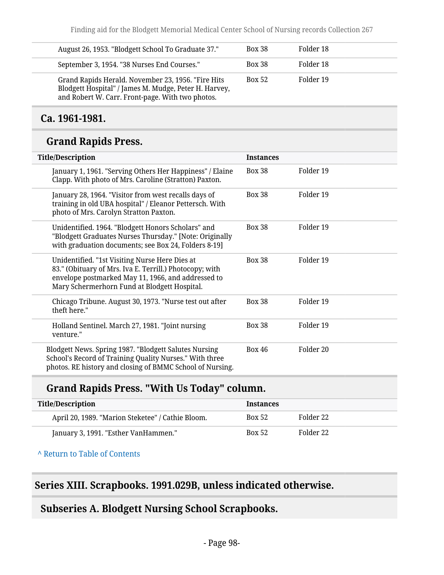| August 26, 1953. "Blodgett School To Graduate 37."                                                                                                              | <b>Box 38</b> | Folder 18 |
|-----------------------------------------------------------------------------------------------------------------------------------------------------------------|---------------|-----------|
| September 3, 1954. "38 Nurses End Courses."                                                                                                                     | <b>Box 38</b> | Folder 18 |
| Grand Rapids Herald. November 23, 1956. "Fire Hits<br>Blodgett Hospital" / James M. Mudge, Peter H. Harvey,<br>and Robert W. Carr. Front-page. With two photos. | <b>Box 52</b> | Folder 19 |

### **Ca. 1961-1981.**

## **Grand Rapids Press.**

| <b>Title/Description</b>                                                                                                                                                                                        | <b>Instances</b> |           |
|-----------------------------------------------------------------------------------------------------------------------------------------------------------------------------------------------------------------|------------------|-----------|
| January 1, 1961. "Serving Others Her Happiness" / Elaine<br>Clapp. With photo of Mrs. Caroline (Stratton) Paxton.                                                                                               | <b>Box 38</b>    | Folder 19 |
| January 28, 1964. "Visitor from west recalls days of<br>training in old UBA hospital" / Eleanor Pettersch. With<br>photo of Mrs. Carolyn Stratton Paxton.                                                       | <b>Box 38</b>    | Folder 19 |
| Unidentified. 1964. "Blodgett Honors Scholars" and<br>"Blodgett Graduates Nurses Thursday." [Note: Originally<br>with graduation documents; see Box 24, Folders 8-19]                                           | <b>Box 38</b>    | Folder 19 |
| Unidentified. "1st Visiting Nurse Here Dies at<br>83." (Obituary of Mrs. Iva E. Terrill.) Photocopy; with<br>envelope postmarked May 11, 1966, and addressed to<br>Mary Schermerhorn Fund at Blodgett Hospital. | <b>Box 38</b>    | Folder 19 |
| Chicago Tribune. August 30, 1973. "Nurse test out after<br>theft here."                                                                                                                                         | <b>Box 38</b>    | Folder 19 |
| Holland Sentinel. March 27, 1981. "Joint nursing<br>venture."                                                                                                                                                   | <b>Box 38</b>    | Folder 19 |
| Blodgett News. Spring 1987. "Blodgett Salutes Nursing<br>School's Record of Training Quality Nurses." With three<br>photos. RE history and closing of BMMC School of Nursing.                                   | <b>Box 46</b>    | Folder 20 |

## **Grand Rapids Press. "With Us Today" column.**

| <b>Title/Description</b>                          | <b>Instances</b> |           |
|---------------------------------------------------|------------------|-----------|
| April 20, 1989. "Marion Steketee" / Cathie Bloom. | <b>Box 52</b>    | Folder 22 |
| January 3, 1991. "Esther VanHammen."              | <b>Box 52</b>    | Folder 22 |

**^** [Return to Table of Contents](#page-1-0)

## **Series XIII. Scrapbooks. 1991.029B, unless indicated otherwise.**

## **Subseries A. Blodgett Nursing School Scrapbooks.**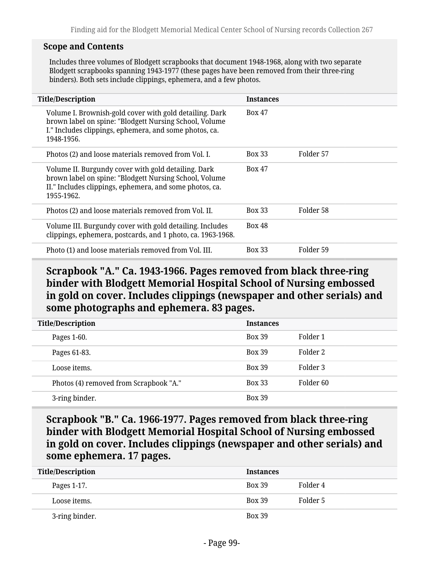#### **Scope and Contents**

Includes three volumes of Blodgett scrapbooks that document 1948-1968, along with two separate Blodgett scrapbooks spanning 1943-1977 (these pages have been removed from their three-ring binders). Both sets include clippings, ephemera, and a few photos.

| <b>Title/Description</b>                                                                                                                                                                  | <b>Instances</b> |           |
|-------------------------------------------------------------------------------------------------------------------------------------------------------------------------------------------|------------------|-----------|
| Volume I. Brownish-gold cover with gold detailing. Dark<br>brown label on spine: "Blodgett Nursing School, Volume<br>I." Includes clippings, ephemera, and some photos, ca.<br>1948-1956. | <b>Box 47</b>    |           |
| Photos (2) and loose materials removed from Vol. I.                                                                                                                                       | <b>Box 33</b>    | Folder 57 |
| Volume II. Burgundy cover with gold detailing. Dark<br>brown label on spine: "Blodgett Nursing School, Volume<br>II." Includes clippings, ephemera, and some photos, ca.<br>1955-1962.    | <b>Box 47</b>    |           |
| Photos (2) and loose materials removed from Vol. II.                                                                                                                                      | <b>Box 33</b>    | Folder 58 |
| Volume III. Burgundy cover with gold detailing. Includes<br>clippings, ephemera, postcards, and 1 photo, ca. 1963-1968.                                                                   | <b>Box 48</b>    |           |
| Photo (1) and loose materials removed from Vol. III.                                                                                                                                      | <b>Box 33</b>    | Folder 59 |

### **Scrapbook "A." Ca. 1943-1966. Pages removed from black three-ring binder with Blodgett Memorial Hospital School of Nursing embossed in gold on cover. Includes clippings (newspaper and other serials) and some photographs and ephemera. 83 pages.**

| <b>Title/Description</b>               | <b>Instances</b> |           |
|----------------------------------------|------------------|-----------|
| Pages 1-60.                            | <b>Box 39</b>    | Folder 1  |
| Pages 61-83.                           | <b>Box 39</b>    | Folder 2  |
| Loose items.                           | <b>Box 39</b>    | Folder 3  |
| Photos (4) removed from Scrapbook "A." | <b>Box 33</b>    | Folder 60 |
| 3-ring binder.                         | <b>Box 39</b>    |           |

**Scrapbook "B." Ca. 1966-1977. Pages removed from black three-ring binder with Blodgett Memorial Hospital School of Nursing embossed in gold on cover. Includes clippings (newspaper and other serials) and some ephemera. 17 pages.**

| <b>Title/Description</b> | <b>Instances</b> |          |
|--------------------------|------------------|----------|
| Pages 1-17.              | <b>Box 39</b>    | Folder 4 |
| Loose items.             | <b>Box 39</b>    | Folder 5 |
| 3-ring binder.           | <b>Box 39</b>    |          |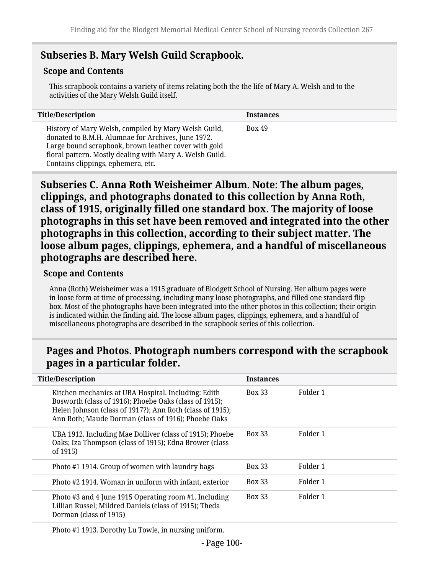## **Subseries B. Mary Welsh Guild Scrapbook.**

### **Scope and Contents**

This scrapbook contains a variety of items relating both the the life of Mary A. Welsh and to the activities of the Mary Welsh Guild itself.

| <b>Title/Description</b>                                                                                                                                                                                                                                             | <b>Instances</b> |
|----------------------------------------------------------------------------------------------------------------------------------------------------------------------------------------------------------------------------------------------------------------------|------------------|
| History of Mary Welsh, compiled by Mary Welsh Guild,<br>donated to B.M.H. Alumnae for Archives, June 1972.<br>Large bound scrapbook, brown leather cover with gold<br>floral pattern. Mostly dealing with Mary A. Welsh Guild.<br>Contains clippings, ephemera, etc. | <b>Box 49</b>    |

**Subseries C. Anna Roth Weisheimer Album. Note: The album pages, clippings, and photographs donated to this collection by Anna Roth, class of 1915, originally filled one standard box. The majority of loose photographs in this set have been removed and integrated into the other photographs in this collection, according to their subject matter. The loose album pages, clippings, ephemera, and a handful of miscellaneous photographs are described here.**

#### **Scope and Contents**

Anna (Roth) Weisheimer was a 1915 graduate of Blodgett School of Nursing. Her album pages were in loose form at time of processing, including many loose photographs, and filled one standard flip box. Most of the photographs have been integrated into the other photos in this collection; their origin is indicated within the finding aid. The loose album pages, clippings, ephemera, and a handful of miscellaneous photographs are described in the scrapbook series of this collection.

### **Pages and Photos. Photograph numbers correspond with the scrapbook pages in a particular folder.**

| <b>Title/Description</b>                                                                                                                                                                                                          | <b>Instances</b> |          |
|-----------------------------------------------------------------------------------------------------------------------------------------------------------------------------------------------------------------------------------|------------------|----------|
| Kitchen mechanics at UBA Hospital. Including: Edith<br>Bosworth (class of 1916); Phoebe Oaks (class of 1915);<br>Helen Johnson (class of 1917?); Ann Roth (class of 1915);<br>Ann Roth; Maude Dorman (class of 1916); Phoebe Oaks | <b>Box 33</b>    | Folder 1 |
| UBA 1912. Including Mae Dolliver (class of 1915); Phoebe<br>Oaks; Iza Thompson (class of 1915); Edna Brower (class<br>of 1915)                                                                                                    | <b>Box 33</b>    | Folder 1 |
| Photo #1 1914. Group of women with laundry bags                                                                                                                                                                                   | <b>Box 33</b>    | Folder 1 |
| Photo #2 1914. Woman in uniform with infant, exterior                                                                                                                                                                             | <b>Box 33</b>    | Folder 1 |
| Photo #3 and 4 June 1915 Operating room #1. Including<br>Lillian Russel; Mildred Daniels (class of 1915); Theda<br>Dorman (class of 1915)                                                                                         | <b>Box 33</b>    | Folder 1 |

Photo #1 1913. Dorothy Lu Towle, in nursing uniform.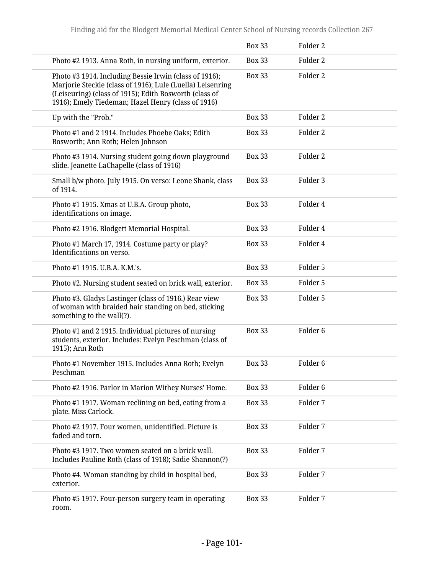|                                                                                                                                                                                                                                      | <b>Box 33</b> | Folder <sub>2</sub> |
|--------------------------------------------------------------------------------------------------------------------------------------------------------------------------------------------------------------------------------------|---------------|---------------------|
| Photo #2 1913. Anna Roth, in nursing uniform, exterior.                                                                                                                                                                              | <b>Box 33</b> | Folder <sub>2</sub> |
| Photo #3 1914. Including Bessie Irwin (class of 1916);<br>Marjorie Steckle (class of 1916); Lule (Luella) Leisenring<br>(Leiseuring) (class of 1915); Edith Bosworth (class of<br>1916); Emely Tiedeman; Hazel Henry (class of 1916) | <b>Box 33</b> | Folder 2            |
| Up with the "Prob."                                                                                                                                                                                                                  | <b>Box 33</b> | Folder <sub>2</sub> |
| Photo #1 and 2 1914. Includes Phoebe Oaks; Edith<br>Bosworth; Ann Roth; Helen Johnson                                                                                                                                                | <b>Box 33</b> | Folder <sub>2</sub> |
| Photo #3 1914. Nursing student going down playground<br>slide. Jeanette LaChapelle (class of 1916)                                                                                                                                   | <b>Box 33</b> | Folder <sub>2</sub> |
| Small b/w photo. July 1915. On verso: Leone Shank, class<br>of 1914.                                                                                                                                                                 | <b>Box 33</b> | Folder 3            |
| Photo #1 1915. Xmas at U.B.A. Group photo,<br>identifications on image.                                                                                                                                                              | <b>Box 33</b> | Folder 4            |
| Photo #2 1916. Blodgett Memorial Hospital.                                                                                                                                                                                           | <b>Box 33</b> | Folder 4            |
| Photo #1 March 17, 1914. Costume party or play?<br>Identifications on verso.                                                                                                                                                         | <b>Box 33</b> | Folder 4            |
| Photo #1 1915. U.B.A. K.M.'s.                                                                                                                                                                                                        | <b>Box 33</b> | Folder 5            |
| Photo #2. Nursing student seated on brick wall, exterior.                                                                                                                                                                            | <b>Box 33</b> | Folder 5            |
| Photo #3. Gladys Lastinger (class of 1916.) Rear view<br>of woman with braided hair standing on bed, sticking<br>something to the wall(?).                                                                                           | <b>Box 33</b> | Folder 5            |
| Photo #1 and 2 1915. Individual pictures of nursing<br>students, exterior. Includes: Evelyn Peschman (class of<br>1915); Ann Roth                                                                                                    | <b>Box 33</b> | Folder <sub>6</sub> |
| Photo #1 November 1915. Includes Anna Roth; Evelyn<br>Peschman                                                                                                                                                                       | <b>Box 33</b> | Folder 6            |
| Photo #2 1916. Parlor in Marion Withey Nurses' Home.                                                                                                                                                                                 | <b>Box 33</b> | Folder <sub>6</sub> |
| Photo #1 1917. Woman reclining on bed, eating from a<br>plate. Miss Carlock.                                                                                                                                                         | <b>Box 33</b> | Folder 7            |
| Photo #2 1917. Four women, unidentified. Picture is<br>faded and torn.                                                                                                                                                               | <b>Box 33</b> | Folder 7            |
| Photo #3 1917. Two women seated on a brick wall.<br>Includes Pauline Roth (class of 1918); Sadie Shannon(?)                                                                                                                          | <b>Box 33</b> | Folder 7            |
| Photo #4. Woman standing by child in hospital bed,<br>exterior.                                                                                                                                                                      | <b>Box 33</b> | Folder 7            |
| Photo #5 1917. Four-person surgery team in operating<br>room.                                                                                                                                                                        | <b>Box 33</b> | Folder 7            |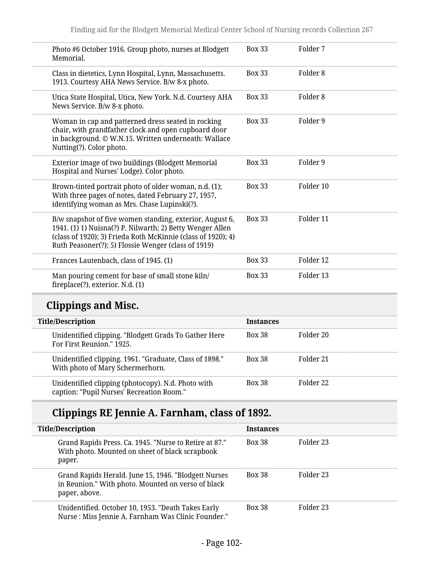| Photo #6 October 1916. Group photo, nurses at Blodgett<br>Memorial.                                                                                                                                                                          | <b>Box 33</b> | Folder 7            |
|----------------------------------------------------------------------------------------------------------------------------------------------------------------------------------------------------------------------------------------------|---------------|---------------------|
| Class in dietetics, Lynn Hospital, Lynn, Massachusetts.<br>1913. Courtesy AHA News Service. B/w 8-x photo.                                                                                                                                   | <b>Box 33</b> | Folder <sub>8</sub> |
| Utica State Hospital, Utica, New York. N.d. Courtesy AHA<br>News Service. B/w 8-x photo.                                                                                                                                                     | <b>Box 33</b> | Folder <sub>8</sub> |
| Woman in cap and patterned dress seated in rocking<br>chair, with grandfather clock and open cupboard door<br>in background. © W.N.15. Written underneath: Wallace<br>Nutting(?). Color photo.                                               | <b>Box 33</b> | Folder 9            |
| Exterior image of two buildings (Blodgett Memorial<br>Hospital and Nurses' Lodge). Color photo.                                                                                                                                              | <b>Box 33</b> | Folder 9            |
| Brown-tinted portrait photo of older woman, n.d. (1);<br>With three pages of notes, dated February 27, 1957,<br>identifying woman as Mrs. Chase Lupinski(?).                                                                                 | <b>Box 33</b> | Folder 10           |
| B/w snapshot of five women standing, exterior, August 6,<br>1941. (1) 1) Nuisna(?) P. Nilwarth; 2) Betty Wenger Allen<br>(class of 1920); 3) Frieda Roth McKinnie (class of 1920); 4)<br>Ruth Peasoner(?); 5) Flossie Wenger (class of 1919) | <b>Box 33</b> | Folder 11           |
| Frances Lautenbach, class of 1945. (1)                                                                                                                                                                                                       | <b>Box 33</b> | Folder 12           |
| Man pouring cement for base of small stone kiln/<br>fireplace(?), exterior. N.d. (1)                                                                                                                                                         | <b>Box 33</b> | Folder 13           |

# **Clippings and Misc.**

| <b>Title/Description</b>                                                                        | <b>Instances</b> |           |
|-------------------------------------------------------------------------------------------------|------------------|-----------|
| Unidentified clipping. "Blodgett Grads To Gather Here<br>For First Reunion." 1925.              | <b>Box 38</b>    | Folder 20 |
| Unidentified clipping. 1961. "Graduate, Class of 1898."<br>With photo of Mary Schermerhorn.     | <b>Box 38</b>    | Folder 21 |
| Unidentified clipping (photocopy). N.d. Photo with<br>caption: "Pupil Nurses' Recreation Room." | <b>Box 38</b>    | Folder 22 |

# **Clippings RE Jennie A. Farnham, class of 1892.**

| <b>Title/Description</b>                                                                                                    | <b>Instances</b> |           |
|-----------------------------------------------------------------------------------------------------------------------------|------------------|-----------|
| Grand Rapids Press. Ca. 1945. "Nurse to Retire at 87."<br>With photo. Mounted on sheet of black scrapbook<br>paper.         | <b>Box 38</b>    | Folder 23 |
| Grand Rapids Herald. June 15, 1946. "Blodgett Nurses<br>in Reunion." With photo. Mounted on verso of black<br>paper, above. | <b>Box 38</b>    | Folder 23 |
| Unidentified. October 10, 1953. "Death Takes Early<br>Nurse : Miss Jennie A. Farnham Was Clinic Founder."                   | <b>Box 38</b>    | Folder 23 |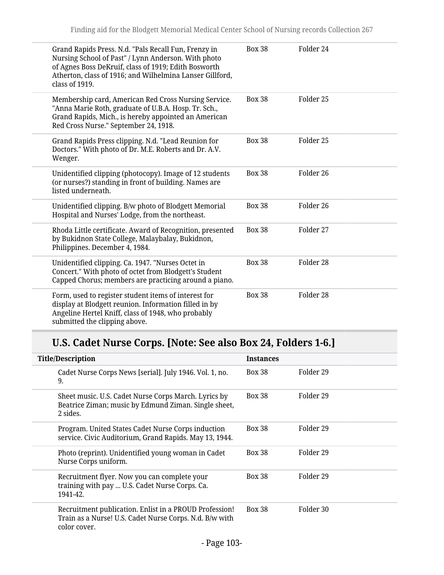| Grand Rapids Press. N.d. "Pals Recall Fun, Frenzy in<br>Nursing School of Past" / Lynn Anderson. With photo<br>of Agnes Boss DeKruif, class of 1919; Edith Bosworth<br>Atherton, class of 1916; and Wilhelmina Lanser Gillford,<br>class of 1919. | <b>Box 38</b> | Folder 24 |
|---------------------------------------------------------------------------------------------------------------------------------------------------------------------------------------------------------------------------------------------------|---------------|-----------|
| Membership card, American Red Cross Nursing Service.<br>"Anna Marie Roth, graduate of U.B.A. Hosp. Tr. Sch.,<br>Grand Rapids, Mich., is hereby appointed an American<br>Red Cross Nurse." September 24, 1918.                                     | <b>Box 38</b> | Folder 25 |
| Grand Rapids Press clipping. N.d. "Lead Reunion for<br>Doctors." With photo of Dr. M.E. Roberts and Dr. A.V.<br>Wenger.                                                                                                                           | <b>Box 38</b> | Folder 25 |
| Unidentified clipping (photocopy). Image of 12 students<br>(or nurses?) standing in front of building. Names are<br>listed underneath.                                                                                                            | <b>Box 38</b> | Folder 26 |
| Unidentified clipping. B/w photo of Blodgett Memorial<br>Hospital and Nurses' Lodge, from the northeast.                                                                                                                                          | <b>Box 38</b> | Folder 26 |
| Rhoda Little certificate. Award of Recognition, presented<br>by Bukidnon State College, Malaybalay, Bukidnon,<br>Philippines. December 4, 1984.                                                                                                   | <b>Box 38</b> | Folder 27 |
| Unidentified clipping. Ca. 1947. "Nurses Octet in<br>Concert." With photo of octet from Blodgett's Student<br>Capped Chorus; members are practicing around a piano.                                                                               | <b>Box 38</b> | Folder 28 |
| Form, used to register student items of interest for<br>display at Blodgett reunion. Information filled in by<br>Angeline Hertel Kniff, class of 1948, who probably<br>submitted the clipping above.                                              | <b>Box 38</b> | Folder 28 |

# **U.S. Cadet Nurse Corps. [Note: See also Box 24, Folders 1-6.]**

| <b>Title/Description</b>                                                                                                          | <b>Instances</b> |           |
|-----------------------------------------------------------------------------------------------------------------------------------|------------------|-----------|
| Cadet Nurse Corps News [serial]. July 1946. Vol. 1, no.<br>9.                                                                     | <b>Box 38</b>    | Folder 29 |
| Sheet music. U.S. Cadet Nurse Corps March. Lyrics by<br>Beatrice Ziman; music by Edmund Ziman. Single sheet,<br>2 sides.          | <b>Box 38</b>    | Folder 29 |
| Program. United States Cadet Nurse Corps induction<br>service. Civic Auditorium, Grand Rapids. May 13, 1944.                      | <b>Box 38</b>    | Folder 29 |
| Photo (reprint). Unidentified young woman in Cadet<br>Nurse Corps uniform.                                                        | <b>Box 38</b>    | Folder 29 |
| Recruitment flyer. Now you can complete your<br>training with pay  U.S. Cadet Nurse Corps. Ca.<br>1941-42.                        | <b>Box 38</b>    | Folder 29 |
| Recruitment publication. Enlist in a PROUD Profession!<br>Train as a Nurse! U.S. Cadet Nurse Corps. N.d. B/w with<br>color cover. | <b>Box 38</b>    | Folder 30 |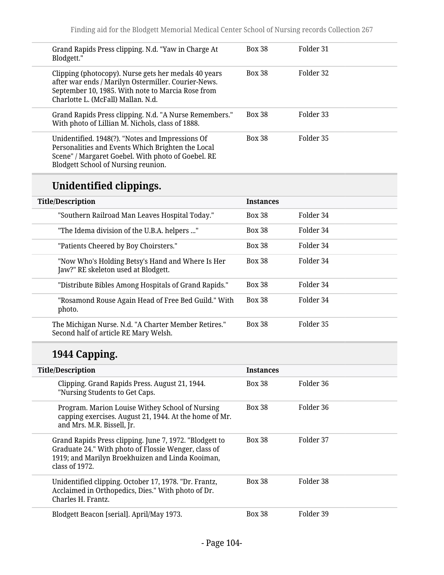| Grand Rapids Press clipping. N.d. "Yaw in Charge At<br>Blodgett."                                                                                                                                      | <b>Box 38</b> | Folder 31 |
|--------------------------------------------------------------------------------------------------------------------------------------------------------------------------------------------------------|---------------|-----------|
| Clipping (photocopy). Nurse gets her medals 40 years<br>after war ends / Marilyn Ostermiller. Courier-News.<br>September 10, 1985. With note to Marcia Rose from<br>Charlotte L. (McFall) Mallan. N.d. | <b>Box 38</b> | Folder 32 |
| Grand Rapids Press clipping. N.d. "A Nurse Remembers."<br>With photo of Lillian M. Nichols, class of 1888.                                                                                             | <b>Box 38</b> | Folder 33 |
| Unidentified. 1948(?). "Notes and Impressions Of<br>Personalities and Events Which Brighten the Local<br>Scene" / Margaret Goebel. With photo of Goebel. RE<br>Blodgett School of Nursing reunion.     | <b>Box 38</b> | Folder 35 |

# **Unidentified clippings.**

| <b>Title/Description</b>                                                                      | <b>Instances</b> |           |
|-----------------------------------------------------------------------------------------------|------------------|-----------|
| "Southern Railroad Man Leaves Hospital Today."                                                | <b>Box 38</b>    | Folder 34 |
| "The Idema division of the U.B.A. helpers "                                                   | <b>Box 38</b>    | Folder 34 |
| "Patients Cheered by Boy Choirsters."                                                         | <b>Box 38</b>    | Folder 34 |
| "Now Who's Holding Betsy's Hand and Where Is Her<br>Jaw?" RE skeleton used at Blodgett.       | <b>Box 38</b>    | Folder 34 |
| "Distribute Bibles Among Hospitals of Grand Rapids."                                          | <b>Box 38</b>    | Folder 34 |
| "Rosamond Rouse Again Head of Free Bed Guild." With<br>photo.                                 | <b>Box 38</b>    | Folder 34 |
| The Michigan Nurse. N.d. "A Charter Member Retires."<br>Second half of article RE Mary Welsh. | <b>Box 38</b>    | Folder 35 |

# **1944 Capping.**

| <b>Title/Description</b>                                                                                                                                                                | <b>Instances</b> |           |
|-----------------------------------------------------------------------------------------------------------------------------------------------------------------------------------------|------------------|-----------|
| Clipping. Grand Rapids Press. August 21, 1944.<br>"Nursing Students to Get Caps.                                                                                                        | <b>Box 38</b>    | Folder 36 |
| Program. Marion Louise Withey School of Nursing<br>capping exercises. August 21, 1944. At the home of Mr.<br>and Mrs. M.R. Bissell, Jr.                                                 | <b>Box 38</b>    | Folder 36 |
| Grand Rapids Press clipping. June 7, 1972. "Blodgett to<br>Graduate 24." With photo of Flossie Wenger, class of<br>1919; and Marilyn Broekhuizen and Linda Kooiman,<br>class of $1972.$ | <b>Box 38</b>    | Folder 37 |
| Unidentified clipping. October 17, 1978. "Dr. Frantz,<br>Acclaimed in Orthopedics, Dies." With photo of Dr.<br>Charles H. Frantz.                                                       | <b>Box 38</b>    | Folder 38 |
| Blodgett Beacon [serial]. April/May 1973.                                                                                                                                               | <b>Box 38</b>    | Folder 39 |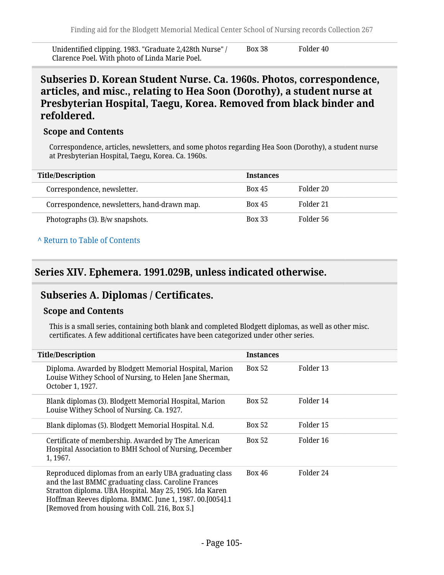Unidentified clipping. 1983. "Graduate 2,428th Nurse" / Clarence Poel. With photo of Linda Marie Poel. Box 38 Folder 40

**Subseries D. Korean Student Nurse. Ca. 1960s. Photos, correspondence, articles, and misc., relating to Hea Soon (Dorothy), a student nurse at Presbyterian Hospital, Taegu, Korea. Removed from black binder and refoldered.**

#### **Scope and Contents**

Correspondence, articles, newsletters, and some photos regarding Hea Soon (Dorothy), a student nurse at Presbyterian Hospital, Taegu, Korea. Ca. 1960s.

| <b>Title/Description</b>                     | <b>Instances</b> |           |
|----------------------------------------------|------------------|-----------|
| Correspondence, newsletter.                  | <b>Box 45</b>    | Folder 20 |
| Correspondence, newsletters, hand-drawn map. | <b>Box 45</b>    | Folder 21 |
| Photographs (3). B/w snapshots.              | <b>Box 33</b>    | Folder 56 |

#### **^** [Return to Table of Contents](#page-1-0)

### **Series XIV. Ephemera. 1991.029B, unless indicated otherwise.**

### **Subseries A. Diplomas / Certificates.**

#### **Scope and Contents**

This is a small series, containing both blank and completed Blodgett diplomas, as well as other misc. certificates. A few additional certificates have been categorized under other series.

| <b>Title/Description</b>                                                                                                                                                                                                                                                              | <b>Instances</b> |           |
|---------------------------------------------------------------------------------------------------------------------------------------------------------------------------------------------------------------------------------------------------------------------------------------|------------------|-----------|
| Diploma. Awarded by Blodgett Memorial Hospital, Marion<br>Louise Withey School of Nursing, to Helen Jane Sherman,<br>October 1, 1927.                                                                                                                                                 | <b>Box 52</b>    | Folder 13 |
| Blank diplomas (3). Blodgett Memorial Hospital, Marion<br>Louise Withey School of Nursing. Ca. 1927.                                                                                                                                                                                  | <b>Box 52</b>    | Folder 14 |
| Blank diplomas (5). Blodgett Memorial Hospital. N.d.                                                                                                                                                                                                                                  | <b>Box 52</b>    | Folder 15 |
| Certificate of membership. Awarded by The American<br>Hospital Association to BMH School of Nursing, December<br>1, 1967.                                                                                                                                                             | <b>Box 52</b>    | Folder 16 |
| Reproduced diplomas from an early UBA graduating class<br>and the last BMMC graduating class. Caroline Frances<br>Stratton diploma. UBA Hospital. May 25, 1905. Ida Karen<br>Hoffman Reeves diploma. BMMC. June 1, 1987. 00.[0054].1<br>[Removed from housing with Coll. 216, Box 5.] | <b>Box 46</b>    | Folder 24 |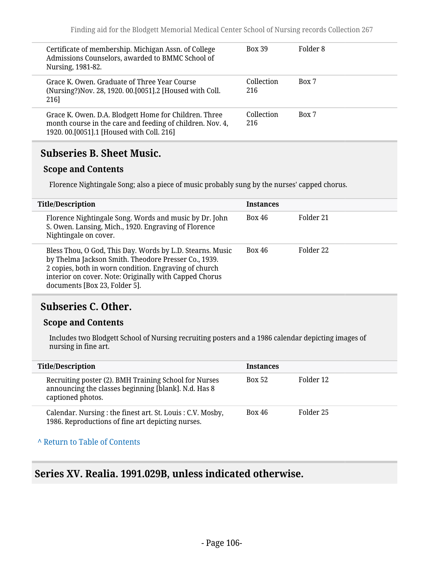| Certificate of membership. Michigan Assn. of College<br>Admissions Counselors, awarded to BMMC School of<br>Nursing, 1981-82.                                     | <b>Box 39</b>     | Folder 8 |
|-------------------------------------------------------------------------------------------------------------------------------------------------------------------|-------------------|----------|
| Grace K. Owen. Graduate of Three Year Course<br>(Nursing?) Nov. 28, 1920. 00. [0051]. 2 [Housed with Coll.<br>216]                                                | Collection<br>216 | Box 7    |
| Grace K. Owen. D.A. Blodgett Home for Children. Three<br>month course in the care and feeding of children. Nov. 4,<br>1920. 00. [0051]. 1 [Housed with Coll. 216] | Collection<br>216 | Box 7    |

### **Subseries B. Sheet Music.**

### **Scope and Contents**

Florence Nightingale Song; also a piece of music probably sung by the nurses' capped chorus.

| <b>Title/Description</b>                                                                                                                                                                                                                                              | <b>Instances</b> |           |
|-----------------------------------------------------------------------------------------------------------------------------------------------------------------------------------------------------------------------------------------------------------------------|------------------|-----------|
| Florence Nightingale Song. Words and music by Dr. John<br>S. Owen. Lansing, Mich., 1920. Engraving of Florence<br>Nightingale on cover.                                                                                                                               | <b>Box 46</b>    | Folder 21 |
| Bless Thou, O God, This Day. Words by L.D. Stearns. Music<br>by Thelma Jackson Smith. Theodore Presser Co., 1939.<br>2 copies, both in worn condition. Engraving of church<br>interior on cover. Note: Originally with Capped Chorus<br>documents [Box 23, Folder 5]. | <b>Box 46</b>    | Folder 22 |

### **Subseries C. Other.**

#### **Scope and Contents**

Includes two Blodgett School of Nursing recruiting posters and a 1986 calendar depicting images of nursing in fine art.

| <b>Title/Description</b>                                                                                                           | <b>Instances</b> |           |
|------------------------------------------------------------------------------------------------------------------------------------|------------------|-----------|
| Recruiting poster (2). BMH Training School for Nurses<br>announcing the classes beginning [blank]. N.d. Has 8<br>captioned photos. | <b>Box 52</b>    | Folder 12 |
| Calendar. Nursing : the finest art. St. Louis : C.V. Mosby,<br>1986. Reproductions of fine art depicting nurses.                   | <b>Box 46</b>    | Folder 25 |

#### **^** [Return to Table of Contents](#page-1-0)

### **Series XV. Realia. 1991.029B, unless indicated otherwise.**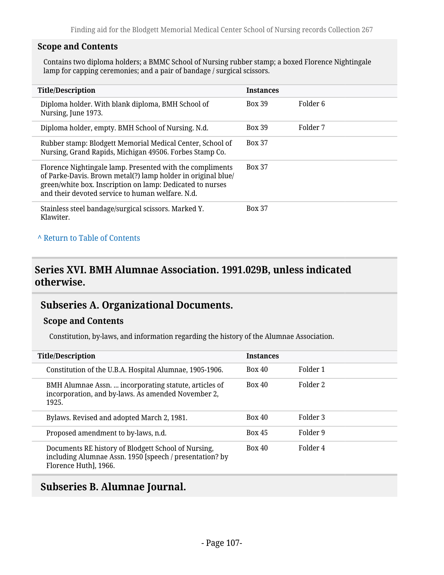#### **Scope and Contents**

Contains two diploma holders; a BMMC School of Nursing rubber stamp; a boxed Florence Nightingale lamp for capping ceremonies; and a pair of bandage / surgical scissors.

| <b>Title/Description</b>                                                                                                                                                                                                                   | <b>Instances</b> |          |
|--------------------------------------------------------------------------------------------------------------------------------------------------------------------------------------------------------------------------------------------|------------------|----------|
| Diploma holder. With blank diploma, BMH School of<br>Nursing, June 1973.                                                                                                                                                                   | <b>Box 39</b>    | Folder 6 |
| Diploma holder, empty. BMH School of Nursing. N.d.                                                                                                                                                                                         | <b>Box 39</b>    | Folder 7 |
| Rubber stamp: Blodgett Memorial Medical Center, School of<br>Nursing, Grand Rapids, Michigan 49506. Forbes Stamp Co.                                                                                                                       | <b>Box 37</b>    |          |
| Florence Nightingale lamp. Presented with the compliments<br>of Parke-Davis. Brown metal(?) lamp holder in original blue/<br>green/white box. Inscription on lamp: Dedicated to nurses<br>and their devoted service to human welfare. N.d. | <b>Box 37</b>    |          |
| Stainless steel bandage/surgical scissors. Marked Y.<br>Klawiter.                                                                                                                                                                          | <b>Box 37</b>    |          |

### **^** [Return to Table of Contents](#page-1-0)

### **Series XVI. BMH Alumnae Association. 1991.029B, unless indicated otherwise.**

### **Subseries A. Organizational Documents.**

#### **Scope and Contents**

Constitution, by-laws, and information regarding the history of the Alumnae Association.

| <b>Title/Description</b>                                                                                                                | <b>Instances</b> |          |
|-----------------------------------------------------------------------------------------------------------------------------------------|------------------|----------|
| Constitution of the U.B.A. Hospital Alumnae, 1905-1906.                                                                                 | <b>Box 40</b>    | Folder 1 |
| BMH Alumnae Assn.  incorporating statute, articles of<br>incorporation, and by-laws. As amended November 2,<br>1925.                    | Box 40           | Folder 2 |
| Bylaws. Revised and adopted March 2, 1981.                                                                                              | <b>Box 40</b>    | Folder 3 |
| Proposed amendment to by-laws, n.d.                                                                                                     | <b>Box 45</b>    | Folder 9 |
| Documents RE history of Blodgett School of Nursing,<br>including Alumnae Assn. 1950 [speech / presentation? by<br>Florence Huth], 1966. | <b>Box 40</b>    | Folder 4 |

### **Subseries B. Alumnae Journal.**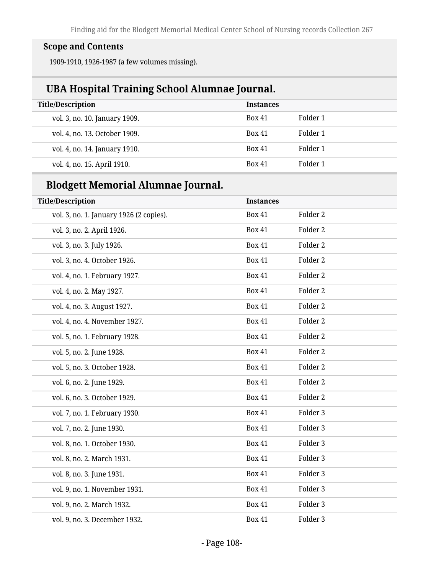## **Scope and Contents**

1909-1910, 1926-1987 (a few volumes missing).

## **UBA Hospital Training School Alumnae Journal.**

| <b>Title/Description</b>      | <b>Instances</b> |          |
|-------------------------------|------------------|----------|
| vol. 3, no. 10. January 1909. | <b>Box 41</b>    | Folder 1 |
| vol. 4, no. 13. October 1909. | <b>Box 41</b>    | Folder 1 |
| vol. 4, no. 14. January 1910. | <b>Box 41</b>    | Folder 1 |
| vol. 4, no. 15. April 1910.   | <b>Box 41</b>    | Folder 1 |

## **Blodgett Memorial Alumnae Journal.**

| <b>Title/Description</b>                | <b>Instances</b> |                     |
|-----------------------------------------|------------------|---------------------|
| vol. 3, no. 1. January 1926 (2 copies). | <b>Box 41</b>    | Folder 2            |
| vol. 3, no. 2. April 1926.              | <b>Box 41</b>    | Folder 2            |
| vol. 3, no. 3. July 1926.               | <b>Box 41</b>    | Folder <sub>2</sub> |
| vol. 3, no. 4. October 1926.            | <b>Box 41</b>    | Folder 2            |
| vol. 4, no. 1. February 1927.           | <b>Box 41</b>    | Folder 2            |
| vol. 4, no. 2. May 1927.                | <b>Box 41</b>    | Folder <sub>2</sub> |
| vol. 4, no. 3. August 1927.             | <b>Box 41</b>    | Folder 2            |
| vol. 4, no. 4. November 1927.           | <b>Box 41</b>    | Folder 2            |
| vol. 5, no. 1. February 1928.           | <b>Box 41</b>    | Folder 2            |
| vol. 5, no. 2. June 1928.               | <b>Box 41</b>    | Folder <sub>2</sub> |
| vol. 5, no. 3. October 1928.            | <b>Box 41</b>    | Folder 2            |
| vol. 6, no. 2. June 1929.               | <b>Box 41</b>    | Folder 2            |
| vol. 6, no. 3. October 1929.            | <b>Box 41</b>    | Folder <sub>2</sub> |
| vol. 7, no. 1. February 1930.           | <b>Box 41</b>    | Folder 3            |
| vol. 7, no. 2. June 1930.               | <b>Box 41</b>    | Folder 3            |
| vol. 8, no. 1. October 1930.            | <b>Box 41</b>    | Folder 3            |
| vol. 8, no. 2. March 1931.              | <b>Box 41</b>    | Folder 3            |
| vol. 8, no. 3. June 1931.               | <b>Box 41</b>    | Folder 3            |
| vol. 9, no. 1. November 1931.           | <b>Box 41</b>    | Folder 3            |
| vol. 9, no. 2. March 1932.              | <b>Box 41</b>    | Folder 3            |
| vol. 9, no. 3. December 1932.           | <b>Box 41</b>    | Folder 3            |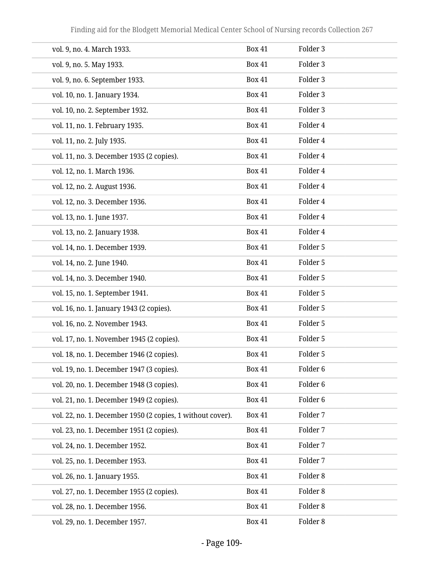| vol. 9, no. 4. March 1933.                                 | <b>Box 41</b> | Folder 3            |
|------------------------------------------------------------|---------------|---------------------|
| vol. 9, no. 5. May 1933.                                   | <b>Box 41</b> | Folder 3            |
| vol. 9, no. 6. September 1933.                             | <b>Box 41</b> | Folder 3            |
| vol. 10, no. 1. January 1934.                              | <b>Box 41</b> | Folder 3            |
| vol. 10, no. 2. September 1932.                            | <b>Box 41</b> | Folder 3            |
| vol. 11, no. 1. February 1935.                             | <b>Box 41</b> | Folder 4            |
| vol. 11, no. 2. July 1935.                                 | <b>Box 41</b> | Folder 4            |
| vol. 11, no. 3. December 1935 (2 copies).                  | <b>Box 41</b> | Folder 4            |
| vol. 12, no. 1. March 1936.                                | <b>Box 41</b> | Folder 4            |
| vol. 12, no. 2. August 1936.                               | <b>Box 41</b> | Folder 4            |
| vol. 12, no. 3. December 1936.                             | <b>Box 41</b> | Folder 4            |
| vol. 13, no. 1. June 1937.                                 | <b>Box 41</b> | Folder 4            |
| vol. 13, no. 2. January 1938.                              | <b>Box 41</b> | Folder 4            |
| vol. 14, no. 1. December 1939.                             | <b>Box 41</b> | Folder 5            |
| vol. 14, no. 2. June 1940.                                 | <b>Box 41</b> | Folder 5            |
| vol. 14, no. 3. December 1940.                             | <b>Box 41</b> | Folder 5            |
| vol. 15, no. 1. September 1941.                            | <b>Box 41</b> | Folder 5            |
| vol. 16, no. 1. January 1943 (2 copies).                   | <b>Box 41</b> | Folder 5            |
| vol. 16, no. 2. November 1943.                             | <b>Box 41</b> | Folder 5            |
| vol. 17, no. 1. November 1945 (2 copies).                  | <b>Box 41</b> | Folder 5            |
| vol. 18, no. 1. December 1946 (2 copies).                  | <b>Box 41</b> | Folder 5            |
| vol. 19, no. 1. December 1947 (3 copies).                  | <b>Box 41</b> | Folder <sub>6</sub> |
| vol. 20, no. 1. December 1948 (3 copies).                  | <b>Box 41</b> | Folder <sub>6</sub> |
| vol. 21, no. 1. December 1949 (2 copies).                  | <b>Box 41</b> | Folder <sub>6</sub> |
| vol. 22, no. 1. December 1950 (2 copies, 1 without cover). | <b>Box 41</b> | Folder 7            |
| vol. 23, no. 1. December 1951 (2 copies).                  | <b>Box 41</b> | Folder 7            |
| vol. 24, no. 1. December 1952.                             | <b>Box 41</b> | Folder 7            |
| vol. 25, no. 1. December 1953.                             | <b>Box 41</b> | Folder 7            |
| vol. 26, no. 1. January 1955.                              | <b>Box 41</b> | Folder 8            |
| vol. 27, no. 1. December 1955 (2 copies).                  | <b>Box 41</b> | Folder 8            |
| vol. 28, no. 1. December 1956.                             | <b>Box 41</b> | Folder 8            |
| vol. 29, no. 1. December 1957.                             | <b>Box 41</b> | Folder 8            |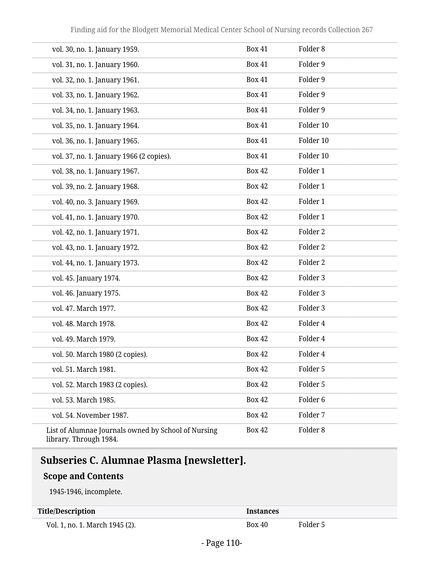| vol. 30, no. 1. January 1959.                                                    | <b>Box 41</b> | Folder 8            |
|----------------------------------------------------------------------------------|---------------|---------------------|
| vol. 31, no. 1. January 1960.                                                    | <b>Box 41</b> | Folder 9            |
| vol. 32, no. 1. January 1961.                                                    | <b>Box 41</b> | Folder 9            |
| vol. 33, no. 1. January 1962.                                                    | <b>Box 41</b> | Folder 9            |
| vol. 34, no. 1. January 1963.                                                    | <b>Box 41</b> | Folder 9            |
| vol. 35, no. 1. January 1964.                                                    | <b>Box 41</b> | Folder 10           |
| vol. 36, no. 1. January 1965.                                                    | <b>Box 41</b> | Folder 10           |
| vol. 37, no. 1. January 1966 (2 copies).                                         | <b>Box 41</b> | Folder 10           |
| vol. 38, no. 1. January 1967.                                                    | <b>Box 42</b> | Folder 1            |
| vol. 39, no. 2. January 1968.                                                    | <b>Box 42</b> | Folder 1            |
| vol. 40, no. 3. January 1969.                                                    | <b>Box 42</b> | Folder 1            |
| vol. 41, no. 1. January 1970.                                                    | <b>Box 42</b> | Folder 1            |
| vol. 42, no. 1. January 1971.                                                    | <b>Box 42</b> | Folder <sub>2</sub> |
| vol. 43, no. 1. January 1972.                                                    | <b>Box 42</b> | Folder <sub>2</sub> |
| vol. 44, no. 1. January 1973.                                                    | <b>Box 42</b> | Folder <sub>2</sub> |
| vol. 45. January 1974.                                                           | <b>Box 42</b> | Folder 3            |
| vol. 46. January 1975.                                                           | <b>Box 42</b> | Folder 3            |
| vol. 47. March 1977.                                                             | <b>Box 42</b> | Folder 3            |
| vol. 48. March 1978.                                                             | <b>Box 42</b> | Folder 4            |
| vol. 49. March 1979.                                                             | <b>Box 42</b> | Folder 4            |
| vol. 50. March 1980 (2 copies).                                                  | <b>Box 42</b> | Folder 4            |
| vol. 51. March 1981.                                                             | <b>Box 42</b> | Folder 5            |
| vol. 52. March 1983 (2 copies).                                                  | <b>Box 42</b> | Folder 5            |
| vol. 53. March 1985.                                                             | <b>Box 42</b> | Folder <sub>6</sub> |
| vol. 54. November 1987.                                                          | <b>Box 42</b> | Folder 7            |
| List of Alumnae Journals owned by School of Nursing<br>$lihnom$ , Through $1004$ | <b>Box 42</b> | Folder <sub>8</sub> |

#### library. Through 1984.

# **Subseries C. Alumnae Plasma [newsletter].**

### **Scope and Contents**

1945-1946, incomplete.

#### **Title/Description Instances**

Vol. 1, no. 1. March 1945 (2). Box 40 Folder 5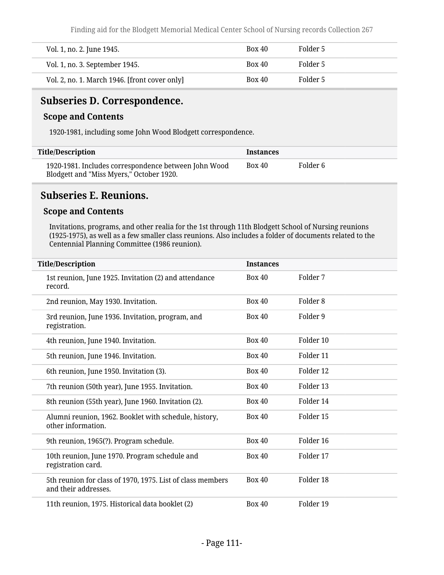Finding aid for the Blodgett Memorial Medical Center School of Nursing records Collection 267

| Vol. 1, no. 2. June 1945.                     | <b>Box 40</b> | Folder 5 |
|-----------------------------------------------|---------------|----------|
| Vol. 1, no. 3. September 1945.                | <b>Box 40</b> | Folder 5 |
| Vol. 2, no. 1. March 1946. [front cover only] | Box 40        | Folder 5 |

## **Subseries D. Correspondence.**

### **Scope and Contents**

1920-1981, including some John Wood Blodgett correspondence.

| <b>Title/Description</b>                                                                         | <b>Instances</b> |          |
|--------------------------------------------------------------------------------------------------|------------------|----------|
| 1920-1981. Includes correspondence between John Wood<br>Blodgett and "Miss Myers," October 1920. | Box 40           | Folder 6 |

### **Subseries E. Reunions.**

### **Scope and Contents**

Invitations, programs, and other realia for the 1st through 11th Blodgett School of Nursing reunions (1925-1975), as well as a few smaller class reunions. Also includes a folder of documents related to the Centennial Planning Committee (1986 reunion).

| <b>Title/Description</b>                                                           | <b>Instances</b> |                      |  |
|------------------------------------------------------------------------------------|------------------|----------------------|--|
| 1st reunion, June 1925. Invitation (2) and attendance<br>record.                   | <b>Box 40</b>    | Folder 7             |  |
| 2nd reunion, May 1930. Invitation.                                                 | <b>Box 40</b>    | Folder <sub>8</sub>  |  |
| 3rd reunion, June 1936. Invitation, program, and<br>registration.                  | <b>Box 40</b>    | Folder 9             |  |
| 4th reunion, June 1940. Invitation.                                                | Box 40           | Folder 10            |  |
| 5th reunion, June 1946. Invitation.                                                | <b>Box 40</b>    | Folder 11            |  |
| 6th reunion, June 1950. Invitation (3).                                            | <b>Box 40</b>    | Folder <sub>12</sub> |  |
| 7th reunion (50th year), June 1955. Invitation.                                    | <b>Box 40</b>    | Folder 13            |  |
| 8th reunion (55th year), June 1960. Invitation (2).                                | Box 40           | Folder 14            |  |
| Alumni reunion, 1962. Booklet with schedule, history,<br>other information.        | Box 40           | Folder 15            |  |
| 9th reunion, 1965(?). Program schedule.                                            | <b>Box 40</b>    | Folder 16            |  |
| 10th reunion, June 1970. Program schedule and<br>registration card.                | Box 40           | Folder 17            |  |
| 5th reunion for class of 1970, 1975. List of class members<br>and their addresses. | <b>Box 40</b>    | Folder 18            |  |
| 11th reunion, 1975. Historical data booklet (2)                                    | <b>Box 40</b>    | Folder 19            |  |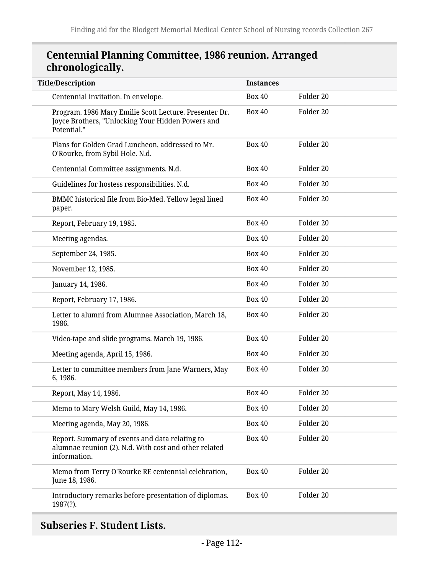# **Centennial Planning Committee, 1986 reunion. Arranged chronologically.**

| <b>Title/Description</b>                                                                                                   | <b>Instances</b> |                      |
|----------------------------------------------------------------------------------------------------------------------------|------------------|----------------------|
| Centennial invitation. In envelope.                                                                                        | <b>Box 40</b>    | Folder 20            |
| Program. 1986 Mary Emilie Scott Lecture. Presenter Dr.<br>Joyce Brothers, "Unlocking Your Hidden Powers and<br>Potential." | <b>Box 40</b>    | Folder 20            |
| Plans for Golden Grad Luncheon, addressed to Mr.<br>O'Rourke, from Sybil Hole. N.d.                                        | <b>Box 40</b>    | Folder 20            |
| Centennial Committee assignments. N.d.                                                                                     | <b>Box 40</b>    | Folder 20            |
| Guidelines for hostess responsibilities. N.d.                                                                              | <b>Box 40</b>    | Folder 20            |
| BMMC historical file from Bio-Med. Yellow legal lined<br>paper.                                                            | <b>Box 40</b>    | Folder 20            |
| Report, February 19, 1985.                                                                                                 | <b>Box 40</b>    | Folder <sub>20</sub> |
| Meeting agendas.                                                                                                           | <b>Box 40</b>    | Folder 20            |
| September 24, 1985.                                                                                                        | <b>Box 40</b>    | Folder 20            |
| November 12, 1985.                                                                                                         | <b>Box 40</b>    | Folder 20            |
| January 14, 1986.                                                                                                          | <b>Box 40</b>    | Folder 20            |
| Report, February 17, 1986.                                                                                                 | <b>Box 40</b>    | Folder 20            |
| Letter to alumni from Alumnae Association, March 18,<br>1986.                                                              | <b>Box 40</b>    | Folder 20            |
| Video-tape and slide programs. March 19, 1986.                                                                             | <b>Box 40</b>    | Folder 20            |
| Meeting agenda, April 15, 1986.                                                                                            | <b>Box 40</b>    | Folder 20            |
| Letter to committee members from Jane Warners, May<br>6, 1986.                                                             | <b>Box 40</b>    | Folder 20            |
| Report, May 14, 1986.                                                                                                      | <b>Box 40</b>    | Folder 20            |
| Memo to Mary Welsh Guild, May 14, 1986.                                                                                    | <b>Box 40</b>    | Folder 20            |
| Meeting agenda, May 20, 1986.                                                                                              | <b>Box 40</b>    | Folder 20            |
| Report. Summary of events and data relating to<br>alumnae reunion (2). N.d. With cost and other related<br>information.    | <b>Box 40</b>    | Folder 20            |
| Memo from Terry O'Rourke RE centennial celebration,<br>June 18, 1986.                                                      | <b>Box 40</b>    | Folder 20            |
| Introductory remarks before presentation of diplomas.<br>1987(?).                                                          | <b>Box 40</b>    | Folder 20            |

# **Subseries F. Student Lists.**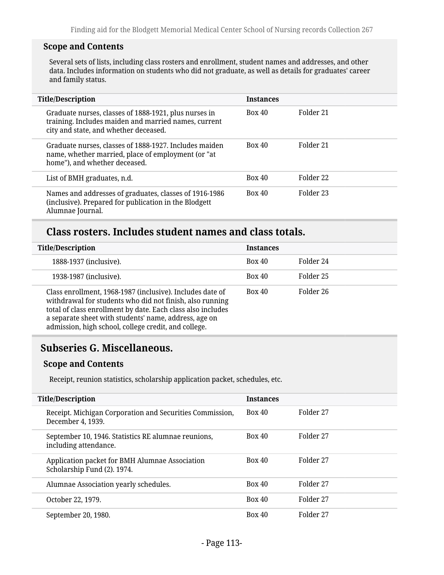### **Scope and Contents**

Several sets of lists, including class rosters and enrollment, student names and addresses, and other data. Includes information on students who did not graduate, as well as details for graduates' career and family status.

| <b>Title/Description</b>                                                                                                                               | <b>Instances</b> |           |
|--------------------------------------------------------------------------------------------------------------------------------------------------------|------------------|-----------|
| Graduate nurses, classes of 1888-1921, plus nurses in<br>training. Includes maiden and married names, current<br>city and state, and whether deceased. | <b>Box 40</b>    | Folder 21 |
| Graduate nurses, classes of 1888-1927. Includes maiden<br>name, whether married, place of employment (or "at<br>home"), and whether deceased.          | <b>Box 40</b>    | Folder 21 |
| List of BMH graduates, n.d.                                                                                                                            | Box 40           | Folder 22 |
| Names and addresses of graduates, classes of 1916-1986<br>(inclusive). Prepared for publication in the Blodgett<br>Alumnae Journal.                    | Box 40           | Folder 23 |

# **Class rosters. Includes student names and class totals.**

| <b>Title/Description</b>                                                                                                                                                                                                                                                                              | <b>Instances</b> |           |
|-------------------------------------------------------------------------------------------------------------------------------------------------------------------------------------------------------------------------------------------------------------------------------------------------------|------------------|-----------|
| 1888-1937 (inclusive).                                                                                                                                                                                                                                                                                | <b>Box 40</b>    | Folder 24 |
| 1938-1987 (inclusive).                                                                                                                                                                                                                                                                                | <b>Box 40</b>    | Folder 25 |
| Class enrollment, 1968-1987 (inclusive). Includes date of<br>withdrawal for students who did not finish, also running<br>total of class enrollment by date. Each class also includes<br>a separate sheet with students' name, address, age on<br>admission, high school, college credit, and college. | <b>Box 40</b>    | Folder 26 |

# **Subseries G. Miscellaneous.**

### **Scope and Contents**

Receipt, reunion statistics, scholarship application packet, schedules, etc.

| <b>Title/Description</b>                                                      | <b>Instances</b> |           |
|-------------------------------------------------------------------------------|------------------|-----------|
| Receipt. Michigan Corporation and Securities Commission,<br>December 4, 1939. | <b>Box 40</b>    | Folder 27 |
| September 10, 1946. Statistics RE alumnae reunions,<br>including attendance.  | <b>Box 40</b>    | Folder 27 |
| Application packet for BMH Alumnae Association<br>Scholarship Fund (2). 1974. | <b>Box 40</b>    | Folder 27 |
| Alumnae Association yearly schedules.                                         | Box 40           | Folder 27 |
| October 22, 1979.                                                             | Box 40           | Folder 27 |
| September 20, 1980.                                                           | <b>Box 40</b>    | Folder 27 |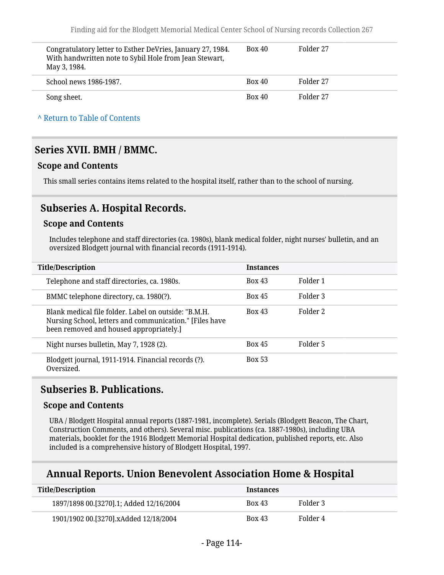| Congratulatory letter to Esther DeVries, January 27, 1984.<br>With handwritten note to Sybil Hole from Jean Stewart,<br>May 3, 1984. | <b>Box 40</b> | Folder 27 |
|--------------------------------------------------------------------------------------------------------------------------------------|---------------|-----------|
| School news 1986-1987.                                                                                                               | <b>Box 40</b> | Folder 27 |
| Song sheet.                                                                                                                          | <b>Box 40</b> | Folder 27 |

#### **^** [Return to Table of Contents](#page-1-0)

### **Series XVII. BMH / BMMC.**

### **Scope and Contents**

This small series contains items related to the hospital itself, rather than to the school of nursing.

### **Subseries A. Hospital Records.**

#### **Scope and Contents**

Includes telephone and staff directories (ca. 1980s), blank medical folder, night nurses' bulletin, and an oversized Blodgett journal with financial records (1911-1914).

| <b>Title/Description</b>                                                                                                                                   | <b>Instances</b> |          |
|------------------------------------------------------------------------------------------------------------------------------------------------------------|------------------|----------|
| Telephone and staff directories, ca. 1980s.                                                                                                                | <b>Box 43</b>    | Folder 1 |
| BMMC telephone directory, ca. 1980(?).                                                                                                                     | <b>Box 45</b>    | Folder 3 |
| Blank medical file folder. Label on outside: "B.M.H.<br>Nursing School, letters and communication." [Files have<br>been removed and housed appropriately.] | <b>Box 43</b>    | Folder 2 |
| Night nurses bulletin, May 7, 1928 (2).                                                                                                                    | <b>Box 45</b>    | Folder 5 |
| Blodgett journal, 1911-1914. Financial records (?).<br>Oversized.                                                                                          | <b>Box 53</b>    |          |

### **Subseries B. Publications.**

#### **Scope and Contents**

UBA / Blodgett Hospital annual reports (1887-1981, incomplete). Serials (Blodgett Beacon, The Chart, Construction Comments, and others). Several misc. publications (ca. 1887-1980s), including UBA materials, booklet for the 1916 Blodgett Memorial Hospital dedication, published reports, etc. Also included is a comprehensive history of Blodgett Hospital, 1997.

### **Annual Reports. Union Benevolent Association Home & Hospital**

| <b>Title/Description</b>                  | <b>Instances</b> |          |
|-------------------------------------------|------------------|----------|
| 1897/1898 00. [3270]. 1; Added 12/16/2004 | <b>Box 43</b>    | Folder 3 |
| 1901/1902 00.[3270].xAdded 12/18/2004     | <b>Box 43</b>    | Folder 4 |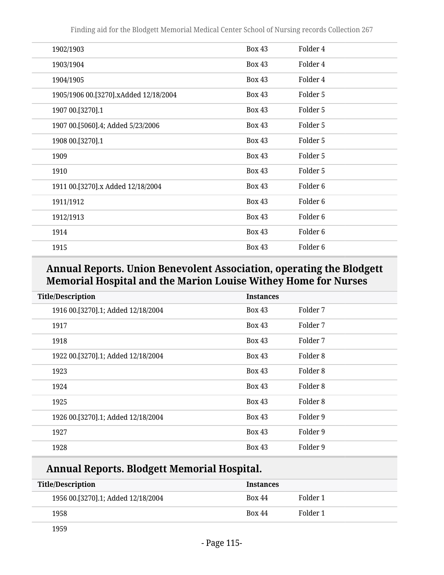Finding aid for the Blodgett Memorial Medical Center School of Nursing records Collection 267

| 1902/1903                             | <b>Box 43</b> | Folder 4            |
|---------------------------------------|---------------|---------------------|
| 1903/1904                             | <b>Box 43</b> | Folder 4            |
| 1904/1905                             | <b>Box 43</b> | Folder 4            |
| 1905/1906 00.[3270].xAdded 12/18/2004 | <b>Box 43</b> | Folder 5            |
| 1907 00.[3270].1                      | <b>Box 43</b> | Folder 5            |
| 1907 00.[5060].4; Added 5/23/2006     | <b>Box 43</b> | Folder 5            |
| 1908 00.[3270].1                      | <b>Box 43</b> | Folder 5            |
| 1909                                  | <b>Box 43</b> | Folder 5            |
| 1910                                  | <b>Box 43</b> | Folder 5            |
| 1911 00.[3270].x Added 12/18/2004     | <b>Box 43</b> | Folder <sub>6</sub> |
| 1911/1912                             | <b>Box 43</b> | Folder <sub>6</sub> |
| 1912/1913                             | <b>Box 43</b> | Folder <sub>6</sub> |
| 1914                                  | <b>Box 43</b> | Folder <sub>6</sub> |
| 1915                                  | <b>Box 43</b> | Folder <sub>6</sub> |

# **Annual Reports. Union Benevolent Association, operating the Blodgett Memorial Hospital and the Marion Louise Withey Home for Nurses**

| <b>Title/Description</b>           | <b>Instances</b> |          |
|------------------------------------|------------------|----------|
| 1916 00.[3270].1; Added 12/18/2004 | <b>Box 43</b>    | Folder 7 |
| 1917                               | <b>Box 43</b>    | Folder 7 |
| 1918                               | <b>Box 43</b>    | Folder 7 |
| 1922 00.[3270].1; Added 12/18/2004 | <b>Box 43</b>    | Folder 8 |
| 1923                               | <b>Box 43</b>    | Folder 8 |
| 1924                               | <b>Box 43</b>    | Folder 8 |
| 1925                               | <b>Box 43</b>    | Folder 8 |
| 1926 00.[3270].1; Added 12/18/2004 | <b>Box 43</b>    | Folder 9 |
| 1927                               | <b>Box 43</b>    | Folder 9 |
| 1928                               | <b>Box 43</b>    | Folder 9 |

# **Annual Reports. Blodgett Memorial Hospital.**

| <b>Title/Description</b>           | <b>Instances</b> |          |
|------------------------------------|------------------|----------|
| 1956 00.[3270].1; Added 12/18/2004 | <b>Box 44</b>    | Folder 1 |
| 1958                               | <b>Box 44</b>    | Folder 1 |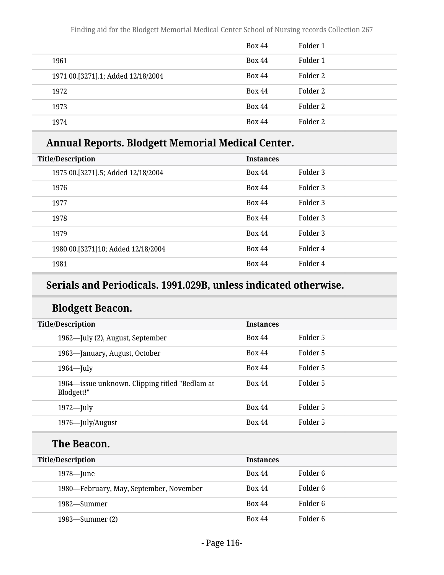|                                    | <b>Box 44</b> | Folder 1 |
|------------------------------------|---------------|----------|
| 1961                               | <b>Box 44</b> | Folder 1 |
| 1971 00.[3271].1; Added 12/18/2004 | <b>Box 44</b> | Folder 2 |
| 1972                               | <b>Box 44</b> | Folder 2 |
| 1973                               | <b>Box 44</b> | Folder 2 |
| 1974                               | <b>Box 44</b> | Folder 2 |

# **Annual Reports. Blodgett Memorial Medical Center.**

| <b>Title/Description</b>           | <b>Instances</b> |          |
|------------------------------------|------------------|----------|
| 1975 00.[3271].5; Added 12/18/2004 | <b>Box 44</b>    | Folder 3 |
| 1976                               | <b>Box 44</b>    | Folder 3 |
| 1977                               | <b>Box 44</b>    | Folder 3 |
| 1978                               | <b>Box 44</b>    | Folder 3 |
| 1979                               | <b>Box 44</b>    | Folder 3 |
| 1980 00.[3271]10; Added 12/18/2004 | <b>Box 44</b>    | Folder 4 |
| 1981                               | <b>Box 44</b>    | Folder 4 |
|                                    |                  |          |

# **Serials and Periodicals. 1991.029B, unless indicated otherwise.**

# **Blodgett Beacon.**

| <b>Title/Description</b>                                     | <b>Instances</b> |          |
|--------------------------------------------------------------|------------------|----------|
| 1962—July (2), August, September                             | <b>Box 44</b>    | Folder 5 |
| 1963—January, August, October                                | <b>Box 44</b>    | Folder 5 |
| $1964$ -July                                                 | <b>Box 44</b>    | Folder 5 |
| 1964—issue unknown. Clipping titled "Bedlam at<br>Blodgett!" | <b>Box 44</b>    | Folder 5 |
| $1972$ —July                                                 | <b>Box 44</b>    | Folder 5 |
| 1976—July/August                                             | <b>Box 44</b>    | Folder 5 |

### **The Beacon.**

| <b>Title/Description</b>                | <b>Instances</b>          |
|-----------------------------------------|---------------------------|
| 1978—June                               | Folder 6<br><b>Box 44</b> |
| 1980—February, May, September, November | Folder 6<br><b>Box 44</b> |
| 1982—Summer                             | Folder 6<br><b>Box 44</b> |
| 1983—Summer (2)                         | Folder 6<br><b>Box 44</b> |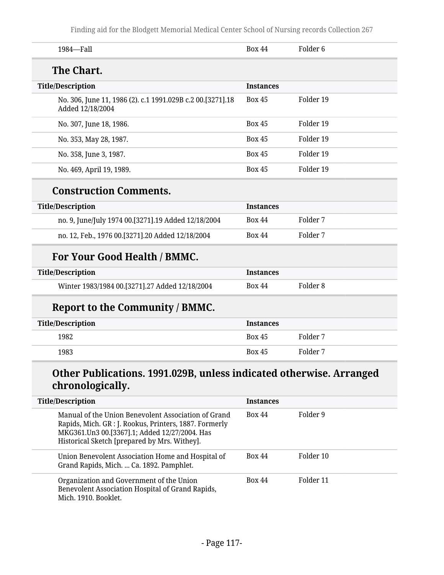Finding aid for the Blodgett Memorial Medical Center School of Nursing records Collection 267

| <b>Box 44</b>    | Folder 6            |
|------------------|---------------------|
|                  |                     |
|                  |                     |
| <b>Instances</b> |                     |
| <b>Box 45</b>    | Folder 19           |
| <b>Box 45</b>    | Folder 19           |
| <b>Box 45</b>    | Folder 19           |
| <b>Box 45</b>    | Folder 19           |
| <b>Box 45</b>    | Folder 19           |
|                  |                     |
| <b>Instances</b> |                     |
| <b>Box 44</b>    | Folder 7            |
| <b>Box 44</b>    | Folder 7            |
|                  |                     |
| <b>Instances</b> |                     |
| <b>Box 44</b>    | Folder <sub>8</sub> |
|                  |                     |
| <b>Instances</b> |                     |
| <b>Box 45</b>    | Folder 7            |
| <b>Box 45</b>    | Folder 7            |
|                  |                     |

| Title/Description                                                                                                                                                                                              | Instances     |           |
|----------------------------------------------------------------------------------------------------------------------------------------------------------------------------------------------------------------|---------------|-----------|
| Manual of the Union Benevolent Association of Grand<br>Rapids, Mich. GR : J. Rookus, Printers, 1887. Formerly<br>MKG361.Un3 00.[3367].1; Added 12/27/2004. Has<br>Historical Sketch [prepared by Mrs. Withey]. | <b>Box 44</b> | Folder 9  |
| Union Benevolent Association Home and Hospital of<br>Grand Rapids, Mich.  Ca. 1892. Pamphlet.                                                                                                                  | <b>Box 44</b> | Folder 10 |
| Organization and Government of the Union<br>Benevolent Association Hospital of Grand Rapids,<br>Mich. 1910. Booklet.                                                                                           | <b>Box 44</b> | Folder 11 |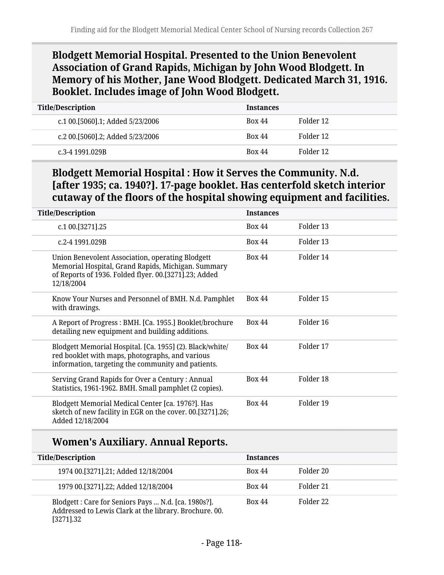# **Blodgett Memorial Hospital. Presented to the Union Benevolent Association of Grand Rapids, Michigan by John Wood Blodgett. In Memory of his Mother, Jane Wood Blodgett. Dedicated March 31, 1916. Booklet. Includes image of John Wood Blodgett.**

| <b>Title/Description</b>         | <b>Instances</b> |           |
|----------------------------------|------------------|-----------|
| c.1 00.[5060].1; Added 5/23/2006 | <b>Box 44</b>    | Folder 12 |
| c.2 00.[5060].2; Added 5/23/2006 | <b>Box 44</b>    | Folder 12 |
| c.3-4 1991.029B                  | <b>Box 44</b>    | Folder 12 |

# **Blodgett Memorial Hospital : How it Serves the Community. N.d. [after 1935; ca. 1940?]. 17-page booklet. Has centerfold sketch interior cutaway of the floors of the hospital showing equipment and facilities.**

| <b>Title/Description</b>                                                                                                                                                      | <b>Instances</b> |           |
|-------------------------------------------------------------------------------------------------------------------------------------------------------------------------------|------------------|-----------|
| c.1 00.[3271].25                                                                                                                                                              | <b>Box 44</b>    | Folder 13 |
| c.2-4 1991.029B                                                                                                                                                               | <b>Box 44</b>    | Folder 13 |
| Union Benevolent Association, operating Blodgett<br>Memorial Hospital, Grand Rapids, Michigan. Summary<br>of Reports of 1936. Folded flyer. 00.[3271].23; Added<br>12/18/2004 | <b>Box 44</b>    | Folder 14 |
| Know Your Nurses and Personnel of BMH. N.d. Pamphlet<br>with drawings.                                                                                                        | <b>Box 44</b>    | Folder 15 |
| A Report of Progress: BMH. [Ca. 1955.] Booklet/brochure<br>detailing new equipment and building additions.                                                                    | <b>Box 44</b>    | Folder 16 |
| Blodgett Memorial Hospital. [Ca. 1955] (2). Black/white/<br>red booklet with maps, photographs, and various<br>information, targeting the community and patients.             | <b>Box 44</b>    | Folder 17 |
| Serving Grand Rapids for Over a Century: Annual<br>Statistics, 1961-1962. BMH. Small pamphlet (2 copies).                                                                     | <b>Box 44</b>    | Folder 18 |
| Blodgett Memorial Medical Center [ca. 1976?]. Has<br>sketch of new facility in EGR on the cover. 00.[3271].26;<br>Added 12/18/2004                                            | <b>Box 44</b>    | Folder 19 |

# **Women's Auxiliary. Annual Reports.**

| <b>Title/Description</b>                                                                                                   | <b>Instances</b> |           |
|----------------------------------------------------------------------------------------------------------------------------|------------------|-----------|
| 1974 00. [3271] . 21; Added 12/18/2004                                                                                     | <b>Box 44</b>    | Folder 20 |
| 1979 00. [3271] .22; Added 12/18/2004                                                                                      | <b>Box 44</b>    | Folder 21 |
| Blodgett: Care for Seniors Pays  N.d. [ca. 1980s?].<br>Addressed to Lewis Clark at the library. Brochure. 00.<br>[3271].32 | <b>Box 44</b>    | Folder 22 |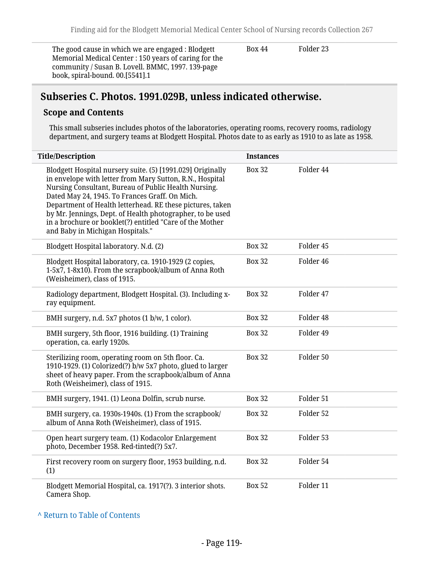The good cause in which we are engaged : Blodgett Memorial Medical Center : 150 years of caring for the community / Susan B. Lovell. BMMC, 1997. 139-page book, spiral-bound. 00.[5541].1

Box 44 Folder 23

### **Subseries C. Photos. 1991.029B, unless indicated otherwise.**

#### **Scope and Contents**

This small subseries includes photos of the laboratories, operating rooms, recovery rooms, radiology department, and surgery teams at Blodgett Hospital. Photos date to as early as 1910 to as late as 1958.

| <b>Title/Description</b>                                                                                                                                                                                                                                                                                                                                                                                                                                   | <b>Instances</b> |           |
|------------------------------------------------------------------------------------------------------------------------------------------------------------------------------------------------------------------------------------------------------------------------------------------------------------------------------------------------------------------------------------------------------------------------------------------------------------|------------------|-----------|
| Blodgett Hospital nursery suite. (5) [1991.029] Originally<br>in envelope with letter from Mary Sutton, R.N., Hospital<br>Nursing Consultant, Bureau of Public Health Nursing.<br>Dated May 24, 1945. To Frances Graff. On Mich.<br>Department of Health letterhead. RE these pictures, taken<br>by Mr. Jennings, Dept. of Health photographer, to be used<br>in a brochure or booklet(?) entitled "Care of the Mother<br>and Baby in Michigan Hospitals." | <b>Box 32</b>    | Folder 44 |
| Blodgett Hospital laboratory. N.d. (2)                                                                                                                                                                                                                                                                                                                                                                                                                     | <b>Box 32</b>    | Folder 45 |
| Blodgett Hospital laboratory, ca. 1910-1929 (2 copies,<br>1-5x7, 1-8x10). From the scrapbook/album of Anna Roth<br>(Weisheimer), class of 1915.                                                                                                                                                                                                                                                                                                            | <b>Box 32</b>    | Folder 46 |
| Radiology department, Blodgett Hospital. (3). Including x-<br>ray equipment.                                                                                                                                                                                                                                                                                                                                                                               | <b>Box 32</b>    | Folder 47 |
| BMH surgery, n.d. 5x7 photos (1 b/w, 1 color).                                                                                                                                                                                                                                                                                                                                                                                                             | <b>Box 32</b>    | Folder 48 |
| BMH surgery, 5th floor, 1916 building. (1) Training<br>operation, ca. early 1920s.                                                                                                                                                                                                                                                                                                                                                                         | <b>Box 32</b>    | Folder 49 |
| Sterilizing room, operating room on 5th floor. Ca.<br>1910-1929. (1) Colorized(?) b/w 5x7 photo, glued to larger<br>sheet of heavy paper. From the scrapbook/album of Anna<br>Roth (Weisheimer), class of 1915.                                                                                                                                                                                                                                            | <b>Box 32</b>    | Folder 50 |
| BMH surgery, 1941. (1) Leona Dolfin, scrub nurse.                                                                                                                                                                                                                                                                                                                                                                                                          | <b>Box 32</b>    | Folder 51 |
| BMH surgery, ca. 1930s-1940s. (1) From the scrapbook/<br>album of Anna Roth (Weisheimer), class of 1915.                                                                                                                                                                                                                                                                                                                                                   | <b>Box 32</b>    | Folder 52 |
| Open heart surgery team. (1) Kodacolor Enlargement<br>photo, December 1958. Red-tinted(?) 5x7.                                                                                                                                                                                                                                                                                                                                                             | <b>Box 32</b>    | Folder 53 |
| First recovery room on surgery floor, 1953 building, n.d.<br>(1)                                                                                                                                                                                                                                                                                                                                                                                           | <b>Box 32</b>    | Folder 54 |
| Blodgett Memorial Hospital, ca. 1917(?). 3 interior shots.<br>Camera Shop.                                                                                                                                                                                                                                                                                                                                                                                 | <b>Box 52</b>    | Folder 11 |

**^** [Return to Table of Contents](#page-1-0)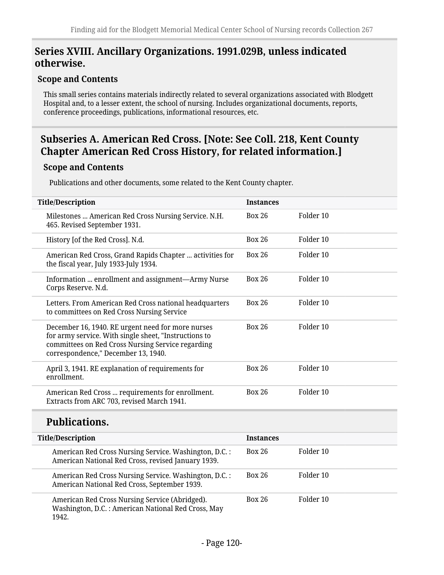# **Series XVIII. Ancillary Organizations. 1991.029B, unless indicated otherwise.**

### **Scope and Contents**

This small series contains materials indirectly related to several organizations associated with Blodgett Hospital and, to a lesser extent, the school of nursing. Includes organizational documents, reports, conference proceedings, publications, informational resources, etc.

# **Subseries A. American Red Cross. [Note: See Coll. 218, Kent County Chapter American Red Cross History, for related information.]**

### **Scope and Contents**

Publications and other documents, some related to the Kent County chapter.

| <b>Title/Description</b>                                                                                                                                                                               | <b>Instances</b> |           |
|--------------------------------------------------------------------------------------------------------------------------------------------------------------------------------------------------------|------------------|-----------|
| Milestones  American Red Cross Nursing Service. N.H.<br>465. Revised September 1931.                                                                                                                   | <b>Box 26</b>    | Folder 10 |
| History [of the Red Cross]. N.d.                                                                                                                                                                       | <b>Box 26</b>    | Folder 10 |
| American Red Cross, Grand Rapids Chapter  activities for<br>the fiscal year, July 1933-July 1934.                                                                                                      | <b>Box 26</b>    | Folder 10 |
| Information  enrollment and assignment—Army Nurse<br>Corps Reserve. N.d.                                                                                                                               | <b>Box 26</b>    | Folder 10 |
| Letters. From American Red Cross national headquarters<br>to committees on Red Cross Nursing Service                                                                                                   | <b>Box 26</b>    | Folder 10 |
| December 16, 1940. RE urgent need for more nurses<br>for army service. With single sheet, "Instructions to<br>committees on Red Cross Nursing Service regarding<br>correspondence," December 13, 1940. | <b>Box 26</b>    | Folder 10 |
| April 3, 1941. RE explanation of requirements for<br>enrollment.                                                                                                                                       | <b>Box 26</b>    | Folder 10 |
| American Red Cross  requirements for enrollment.<br>Extracts from ARC 703, revised March 1941.                                                                                                         | <b>Box 26</b>    | Folder 10 |
| <b>Publications.</b>                                                                                                                                                                                   |                  |           |
| <b>Title/Description</b>                                                                                                                                                                               | <b>Instances</b> |           |
| American Red Cross Nursing Service. Washington, D.C.:<br>American National Red Cross, revised January 1939.                                                                                            | <b>Box 26</b>    | Folder 10 |
| American Red Cross Nursing Service. Washington, D.C.:<br>American National Red Cross, September 1939.                                                                                                  | <b>Box 26</b>    | Folder 10 |
| American Red Cross Nursing Service (Abridged).                                                                                                                                                         | <b>Box 26</b>    | Folder 10 |

American Red Cross Nursing Service (Abridged). Washington, D.C. : American National Red Cross, May 1942.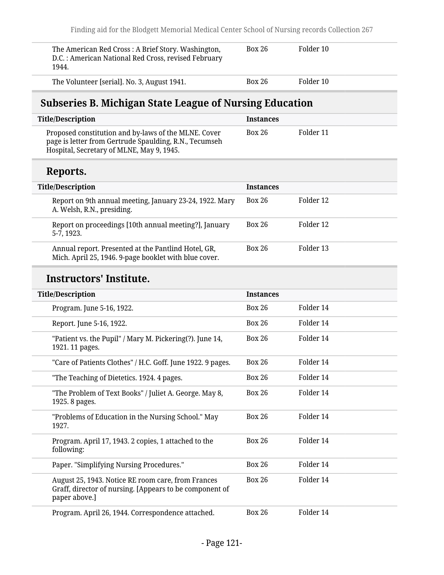| The American Red Cross: A Brief Story. Washington,<br>D.C.: American National Red Cross, revised February<br>1944. | <b>Box 26</b> | Folder 10 |  |
|--------------------------------------------------------------------------------------------------------------------|---------------|-----------|--|
| The Volunteer [serial]. No. 3, August 1941.                                                                        | <b>Box 26</b> | Folder 10 |  |

# **Subseries B. Michigan State League of Nursing Education**

| Title/Description                                                                                                                                           | <b>Instances</b> |           |
|-------------------------------------------------------------------------------------------------------------------------------------------------------------|------------------|-----------|
| Proposed constitution and by-laws of the MLNE. Cover<br>page is letter from Gertrude Spaulding, R.N., Tecumseh<br>Hospital, Secretary of MLNE, May 9, 1945. | Box 26           | Folder 11 |

# **Reports.**

| <b>Title/Description</b>                                                                                     | <b>Instances</b> |           |
|--------------------------------------------------------------------------------------------------------------|------------------|-----------|
| Report on 9th annual meeting, January 23-24, 1922. Mary<br>A. Welsh, R.N., presiding.                        | <b>Box 26</b>    | Folder 12 |
| Report on proceedings [10th annual meeting?], January<br>5-7, 1923.                                          | <b>Box 26</b>    | Folder 12 |
| Annual report. Presented at the Pantlind Hotel, GR,<br>Mich. April 25, 1946. 9-page booklet with blue cover. | <b>Box 26</b>    | Folder 13 |

# **Instructors' Institute.**

| <b>Title/Description</b>                                                                                                       | <b>Instances</b> |           |
|--------------------------------------------------------------------------------------------------------------------------------|------------------|-----------|
| Program. June 5-16, 1922.                                                                                                      | <b>Box 26</b>    | Folder 14 |
| Report. June 5-16, 1922.                                                                                                       | <b>Box 26</b>    | Folder 14 |
| "Patient vs. the Pupil" / Mary M. Pickering(?). June 14,<br>1921. 11 pages.                                                    | <b>Box 26</b>    | Folder 14 |
| "Care of Patients Clothes" / H.C. Goff. June 1922. 9 pages.                                                                    | <b>Box 26</b>    | Folder 14 |
| "The Teaching of Dietetics. 1924. 4 pages.                                                                                     | <b>Box 26</b>    | Folder 14 |
| "The Problem of Text Books" / Juliet A. George. May 8,<br>1925. 8 pages.                                                       | <b>Box 26</b>    | Folder 14 |
| "Problems of Education in the Nursing School." May<br>1927.                                                                    | <b>Box 26</b>    | Folder 14 |
| Program. April 17, 1943. 2 copies, 1 attached to the<br>following:                                                             | <b>Box 26</b>    | Folder 14 |
| Paper. "Simplifying Nursing Procedures."                                                                                       | <b>Box 26</b>    | Folder 14 |
| August 25, 1943. Notice RE room care, from Frances<br>Graff, director of nursing. [Appears to be component of<br>paper above.] | <b>Box 26</b>    | Folder 14 |
| Program. April 26, 1944. Correspondence attached.                                                                              | <b>Box 26</b>    | Folder 14 |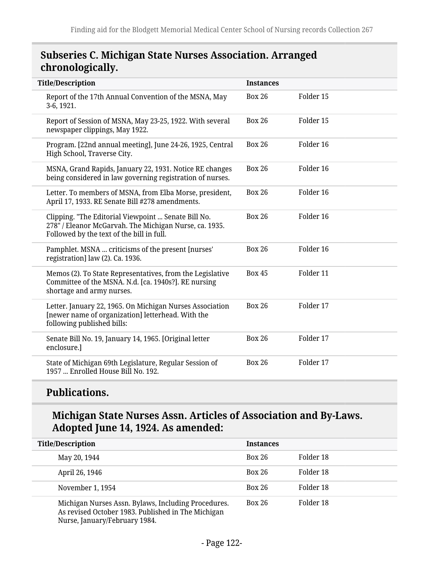# **Subseries C. Michigan State Nurses Association. Arranged chronologically.**

| <b>Title/Description</b>                                                                                                                                   | <b>Instances</b> |           |
|------------------------------------------------------------------------------------------------------------------------------------------------------------|------------------|-----------|
| Report of the 17th Annual Convention of the MSNA, May<br>3-6, 1921.                                                                                        | <b>Box 26</b>    | Folder 15 |
| Report of Session of MSNA, May 23-25, 1922. With several<br>newspaper clippings, May 1922.                                                                 | <b>Box 26</b>    | Folder 15 |
| Program. [22nd annual meeting], June 24-26, 1925, Central<br>High School, Traverse City.                                                                   | <b>Box 26</b>    | Folder 16 |
| MSNA, Grand Rapids, January 22, 1931. Notice RE changes<br>being considered in law governing registration of nurses.                                       | <b>Box 26</b>    | Folder 16 |
| Letter. To members of MSNA, from Elba Morse, president,<br>April 17, 1933. RE Senate Bill #278 amendments.                                                 | <b>Box 26</b>    | Folder 16 |
| Clipping. "The Editorial Viewpoint  Senate Bill No.<br>278" / Eleanor McGarvah. The Michigan Nurse, ca. 1935.<br>Followed by the text of the bill in full. | <b>Box 26</b>    | Folder 16 |
| Pamphlet. MSNA  criticisms of the present [nurses'<br>registration] law (2). Ca. 1936.                                                                     | <b>Box 26</b>    | Folder 16 |
| Memos (2). To State Representatives, from the Legislative<br>Committee of the MSNA. N.d. [ca. 1940s?]. RE nursing<br>shortage and army nurses.             | <b>Box 45</b>    | Folder 11 |
| Letter. January 22, 1965. On Michigan Nurses Association<br>[newer name of organization] letterhead. With the<br>following published bills:                | <b>Box 26</b>    | Folder 17 |
| Senate Bill No. 19, January 14, 1965. [Original letter<br>enclosure.]                                                                                      | <b>Box 26</b>    | Folder 17 |
| State of Michigan 69th Legislature, Regular Session of<br>1957  Enrolled House Bill No. 192.                                                               | <b>Box 26</b>    | Folder 17 |

# **Publications.**

# **Michigan State Nurses Assn. Articles of Association and By-Laws. Adopted June 14, 1924. As amended:**

| <b>Title/Description</b>                                                                                                                   | <b>Instances</b> |           |
|--------------------------------------------------------------------------------------------------------------------------------------------|------------------|-----------|
| May 20, 1944                                                                                                                               | <b>Box 26</b>    | Folder 18 |
| April 26, 1946                                                                                                                             | Box 26           | Folder 18 |
| November 1, 1954                                                                                                                           | Box 26           | Folder 18 |
| Michigan Nurses Assn. Bylaws, Including Procedures.<br>As revised October 1983. Published in The Michigan<br>Nurse, January/February 1984. | Box 26           | Folder 18 |